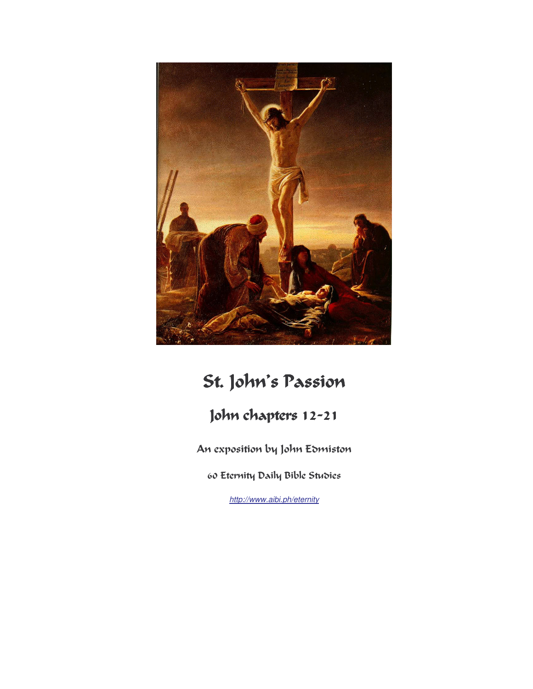

# St. John's Passion

# John chapters 12-21

An exposition by John Edmiston

60 Eternity Daily Bible Studies

http://www.aibi.ph/eternity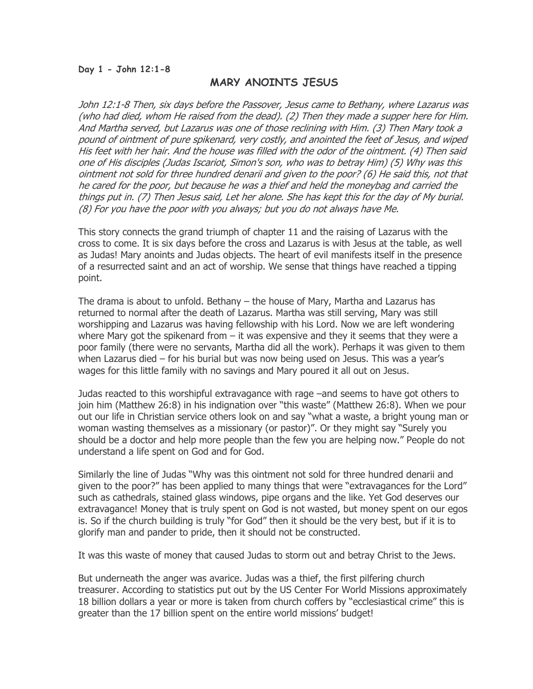# MARY ANOINTS JESUS

John 12:1-8 Then, six days before the Passover, Jesus came to Bethany, where Lazarus was (who had died, whom He raised from the dead). (2) Then they made a supper here for Him. And Martha served, but Lazarus was one of those reclining with Him. (3) Then Mary took a pound of ointment of pure spikenard, very costly, and anointed the feet of Jesus, and wiped His feet with her hair. And the house was filled with the odor of the ointment. (4) Then said one of His disciples (Judas Iscariot, Simon's son, who was to betray Him) (5) Why was this ointment not sold for three hundred denarii and given to the poor? (6) He said this, not that he cared for the poor, but because he was a thief and held the moneybag and carried the things put in. (7) Then Jesus said, Let her alone. She has kept this for the day of My burial. (8) For you have the poor with you always; but you do not always have Me.

This story connects the grand triumph of chapter 11 and the raising of Lazarus with the cross to come. It is six days before the cross and Lazarus is with Jesus at the table, as well as Judas! Mary anoints and Judas objects. The heart of evil manifests itself in the presence of a resurrected saint and an act of worship. We sense that things have reached a tipping point.

The drama is about to unfold. Bethany – the house of Mary, Martha and Lazarus has returned to normal after the death of Lazarus. Martha was still serving, Mary was still worshipping and Lazarus was having fellowship with his Lord. Now we are left wondering where Mary got the spikenard from – it was expensive and they it seems that they were a poor family (there were no servants, Martha did all the work). Perhaps it was given to them when Lazarus died – for his burial but was now being used on Jesus. This was a year's wages for this little family with no savings and Mary poured it all out on Jesus.

Judas reacted to this worshipful extravagance with rage –and seems to have got others to join him (Matthew 26:8) in his indignation over "this waste" (Matthew 26:8). When we pour out our life in Christian service others look on and say "what a waste, a bright young man or woman wasting themselves as a missionary (or pastor)". Or they might say "Surely you should be a doctor and help more people than the few you are helping now." People do not understand a life spent on God and for God.

Similarly the line of Judas "Why was this ointment not sold for three hundred denarii and given to the poor?" has been applied to many things that were "extravagances for the Lord" such as cathedrals, stained glass windows, pipe organs and the like. Yet God deserves our extravagance! Money that is truly spent on God is not wasted, but money spent on our egos is. So if the church building is truly "for God" then it should be the very best, but if it is to glorify man and pander to pride, then it should not be constructed.

It was this waste of money that caused Judas to storm out and betray Christ to the Jews.

But underneath the anger was avarice. Judas was a thief, the first pilfering church treasurer. According to statistics put out by the US Center For World Missions approximately 18 billion dollars a year or more is taken from church coffers by "ecclesiastical crime" this is greater than the 17 billion spent on the entire world missions' budget!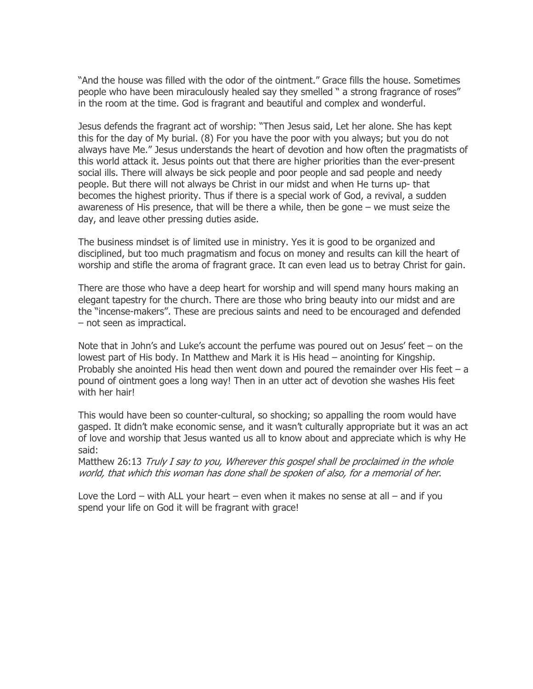"And the house was filled with the odor of the ointment." Grace fills the house. Sometimes people who have been miraculously healed say they smelled " a strong fragrance of roses" in the room at the time. God is fragrant and beautiful and complex and wonderful.

Jesus defends the fragrant act of worship: "Then Jesus said, Let her alone. She has kept this for the day of My burial. (8) For you have the poor with you always; but you do not always have Me." Jesus understands the heart of devotion and how often the pragmatists of this world attack it. Jesus points out that there are higher priorities than the ever-present social ills. There will always be sick people and poor people and sad people and needy people. But there will not always be Christ in our midst and when He turns up- that becomes the highest priority. Thus if there is a special work of God, a revival, a sudden awareness of His presence, that will be there a while, then be gone – we must seize the day, and leave other pressing duties aside.

The business mindset is of limited use in ministry. Yes it is good to be organized and disciplined, but too much pragmatism and focus on money and results can kill the heart of worship and stifle the aroma of fragrant grace. It can even lead us to betray Christ for gain.

There are those who have a deep heart for worship and will spend many hours making an elegant tapestry for the church. There are those who bring beauty into our midst and are the "incense-makers". These are precious saints and need to be encouraged and defended – not seen as impractical.

Note that in John's and Luke's account the perfume was poured out on Jesus' feet – on the lowest part of His body. In Matthew and Mark it is His head – anointing for Kingship. Probably she anointed His head then went down and poured the remainder over His feet  $-$  a pound of ointment goes a long way! Then in an utter act of devotion she washes His feet with her hair!

This would have been so counter-cultural, so shocking; so appalling the room would have gasped. It didn't make economic sense, and it wasn't culturally appropriate but it was an act of love and worship that Jesus wanted us all to know about and appreciate which is why He said:

Matthew 26:13 Truly I say to you, Wherever this gospel shall be proclaimed in the whole world, that which this woman has done shall be spoken of also, for a memorial of her.

Love the Lord – with ALL your heart – even when it makes no sense at all – and if you spend your life on God it will be fragrant with grace!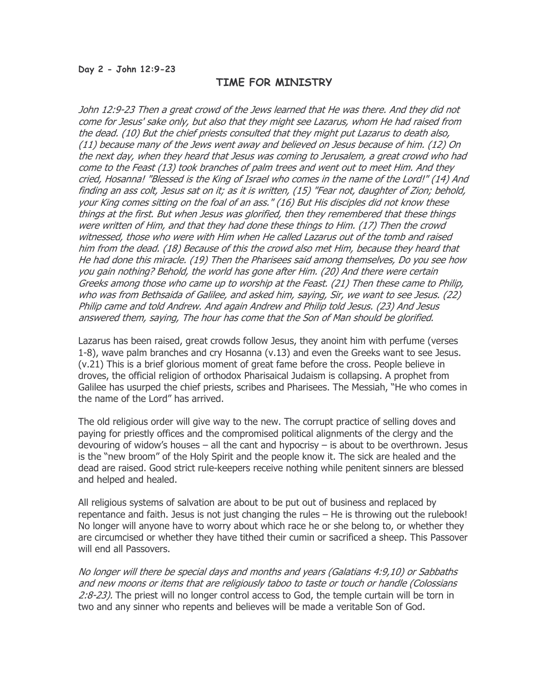#### Day 2 - John 12:9-23

# TIME FOR MINISTRY

John 12:9-23 Then a great crowd of the Jews learned that He was there. And they did not come for Jesus' sake only, but also that they might see Lazarus, whom He had raised from the dead. (10) But the chief priests consulted that they might put Lazarus to death also, (11) because many of the Jews went away and believed on Jesus because of him. (12) On the next day, when they heard that Jesus was coming to Jerusalem, a great crowd who had come to the Feast (13) took branches of palm trees and went out to meet Him. And they cried, Hosanna! "Blessed is the King of Israel who comes in the name of the Lord!" (14) And finding an ass colt, Jesus sat on it; as it is written, (15) "Fear not, daughter of Zion; behold, your King comes sitting on the foal of an ass." (16) But His disciples did not know these things at the first. But when Jesus was glorified, then they remembered that these things were written of Him, and that they had done these things to Him. (17) Then the crowd witnessed, those who were with Him when He called Lazarus out of the tomb and raised him from the dead. (18) Because of this the crowd also met Him, because they heard that He had done this miracle. (19) Then the Pharisees said among themselves, Do you see how you gain nothing? Behold, the world has gone after Him. (20) And there were certain Greeks among those who came up to worship at the Feast. (21) Then these came to Philip, who was from Bethsaida of Galilee, and asked him, saying, Sir, we want to see Jesus. (22) Philip came and told Andrew. And again Andrew and Philip told Jesus. (23) And Jesus answered them, saying, The hour has come that the Son of Man should be glorified.

Lazarus has been raised, great crowds follow Jesus, they anoint him with perfume (verses 1-8), wave palm branches and cry Hosanna (v.13) and even the Greeks want to see Jesus. (v.21) This is a brief glorious moment of great fame before the cross. People believe in droves, the official religion of orthodox Pharisaical Judaism is collapsing. A prophet from Galilee has usurped the chief priests, scribes and Pharisees. The Messiah, "He who comes in the name of the Lord" has arrived.

The old religious order will give way to the new. The corrupt practice of selling doves and paying for priestly offices and the compromised political alignments of the clergy and the devouring of widow's houses – all the cant and hypocrisy – is about to be overthrown. Jesus is the "new broom" of the Holy Spirit and the people know it. The sick are healed and the dead are raised. Good strict rule-keepers receive nothing while penitent sinners are blessed and helped and healed.

All religious systems of salvation are about to be put out of business and replaced by repentance and faith. Jesus is not just changing the rules – He is throwing out the rulebook! No longer will anyone have to worry about which race he or she belong to, or whether they are circumcised or whether they have tithed their cumin or sacrificed a sheep. This Passover will end all Passovers.

No longer will there be special days and months and years (Galatians 4:9,10) or Sabbaths and new moons or items that are religiously taboo to taste or touch or handle (Colossians 2:8-23). The priest will no longer control access to God, the temple curtain will be torn in two and any sinner who repents and believes will be made a veritable Son of God.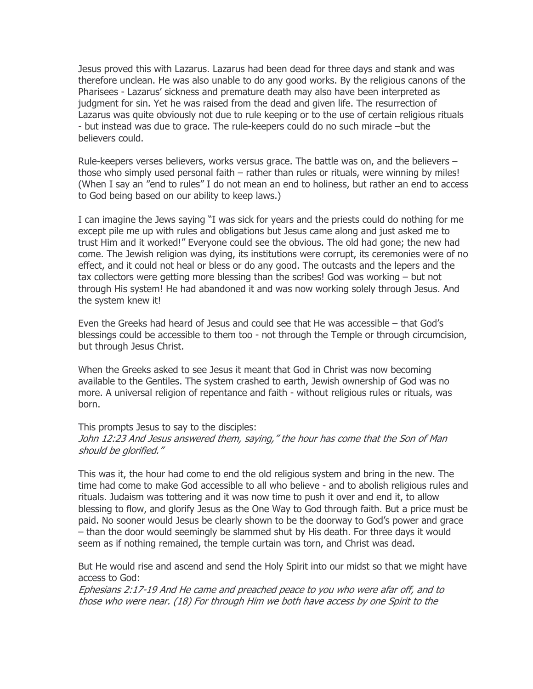Jesus proved this with Lazarus. Lazarus had been dead for three days and stank and was therefore unclean. He was also unable to do any good works. By the religious canons of the Pharisees - Lazarus' sickness and premature death may also have been interpreted as judgment for sin. Yet he was raised from the dead and given life. The resurrection of Lazarus was quite obviously not due to rule keeping or to the use of certain religious rituals - but instead was due to grace. The rule-keepers could do no such miracle –but the believers could.

Rule-keepers verses believers, works versus grace. The battle was on, and the believers – those who simply used personal faith – rather than rules or rituals, were winning by miles! (When I say an "end to rules" I do not mean an end to holiness, but rather an end to access to God being based on our ability to keep laws.)

I can imagine the Jews saying "I was sick for years and the priests could do nothing for me except pile me up with rules and obligations but Jesus came along and just asked me to trust Him and it worked!" Everyone could see the obvious. The old had gone; the new had come. The Jewish religion was dying, its institutions were corrupt, its ceremonies were of no effect, and it could not heal or bless or do any good. The outcasts and the lepers and the tax collectors were getting more blessing than the scribes! God was working – but not through His system! He had abandoned it and was now working solely through Jesus. And the system knew it!

Even the Greeks had heard of Jesus and could see that He was accessible – that God's blessings could be accessible to them too - not through the Temple or through circumcision, but through Jesus Christ.

When the Greeks asked to see Jesus it meant that God in Christ was now becoming available to the Gentiles. The system crashed to earth, Jewish ownership of God was no more. A universal religion of repentance and faith - without religious rules or rituals, was born.

This prompts Jesus to say to the disciples: John 12:23 And Jesus answered them, saying," the hour has come that the Son of Man should be glorified."

This was it, the hour had come to end the old religious system and bring in the new. The time had come to make God accessible to all who believe - and to abolish religious rules and rituals. Judaism was tottering and it was now time to push it over and end it, to allow blessing to flow, and glorify Jesus as the One Way to God through faith. But a price must be paid. No sooner would Jesus be clearly shown to be the doorway to God's power and grace – than the door would seemingly be slammed shut by His death. For three days it would seem as if nothing remained, the temple curtain was torn, and Christ was dead.

But He would rise and ascend and send the Holy Spirit into our midst so that we might have access to God:

Ephesians 2:17-19 And He came and preached peace to you who were afar off, and to those who were near. (18) For through Him we both have access by one Spirit to the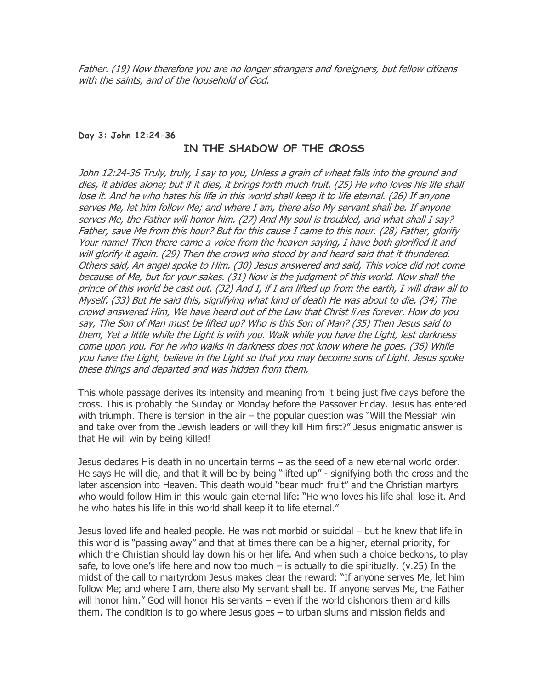Father. (19) Now therefore you are no longer strangers and foreigners, but fellow citizens with the saints, and of the household of God.

# Day 3: John 12:24-36

# IN THE SHADOW OF THE CROSS

John 12:24-36 Truly, truly, I say to you, Unless a grain of wheat falls into the ground and dies, it abides alone; but if it dies, it brings forth much fruit. (25) He who loves his life shall lose it. And he who hates his life in this world shall keep it to life eternal. (26) If anyone serves Me, let him follow Me; and where I am, there also My servant shall be. If anyone serves Me, the Father will honor him. (27) And My soul is troubled, and what shall I say? Father, save Me from this hour? But for this cause I came to this hour. (28) Father, glorify Your name! Then there came a voice from the heaven saying, I have both glorified it and will glorify it again. (29) Then the crowd who stood by and heard said that it thundered. Others said, An angel spoke to Him. (30) Jesus answered and said, This voice did not come because of Me, but for your sakes. (31) Now is the judgment of this world. Now shall the prince of this world be cast out. (32) And I, if I am lifted up from the earth, I will draw all to Myself. (33) But He said this, signifying what kind of death He was about to die. (34) The crowd answered Him, We have heard out of the Law that Christ lives forever. How do you say, The Son of Man must be lifted up? Who is this Son of Man? (35) Then Jesus said to them, Yet a little while the Light is with you. Walk while you have the Light, lest darkness come upon you. For he who walks in darkness does not know where he goes. (36) While you have the Light, believe in the Light so that you may become sons of Light. Jesus spoke these things and departed and was hidden from them.

This whole passage derives its intensity and meaning from it being just five days before the cross. This is probably the Sunday or Monday before the Passover Friday. Jesus has entered with triumph. There is tension in the air – the popular question was "Will the Messiah win and take over from the Jewish leaders or will they kill Him first?" Jesus enigmatic answer is that He will win by being killed!

Jesus declares His death in no uncertain terms – as the seed of a new eternal world order. He says He will die, and that it will be by being "lifted up" - signifying both the cross and the later ascension into Heaven. This death would "bear much fruit" and the Christian martyrs who would follow Him in this would gain eternal life: "He who loves his life shall lose it. And he who hates his life in this world shall keep it to life eternal."

Jesus loved life and healed people. He was not morbid or suicidal – but he knew that life in this world is "passing away" and that at times there can be a higher, eternal priority, for which the Christian should lay down his or her life. And when such a choice beckons, to play safe, to love one's life here and now too much – is actually to die spiritually. (v.25) In the midst of the call to martyrdom Jesus makes clear the reward: "If anyone serves Me, let him follow Me; and where I am, there also My servant shall be. If anyone serves Me, the Father will honor him." God will honor His servants – even if the world dishonors them and kills them. The condition is to go where Jesus goes – to urban slums and mission fields and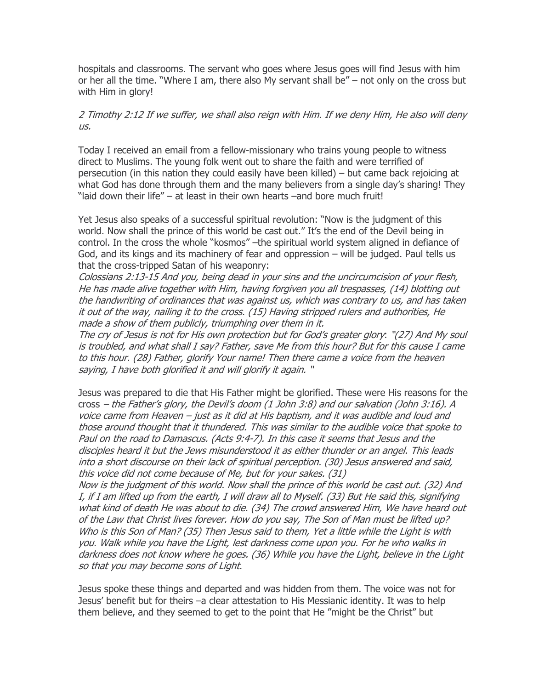hospitals and classrooms. The servant who goes where Jesus goes will find Jesus with him or her all the time. "Where I am, there also My servant shall be" – not only on the cross but with Him in glory!

# 2 Timothy 2:12 If we suffer, we shall also reign with Him. If we deny Him, He also will deny us.

Today I received an email from a fellow-missionary who trains young people to witness direct to Muslims. The young folk went out to share the faith and were terrified of persecution (in this nation they could easily have been killed) – but came back rejoicing at what God has done through them and the many believers from a single day's sharing! They "laid down their life" – at least in their own hearts –and bore much fruit!

Yet Jesus also speaks of a successful spiritual revolution: "Now is the judgment of this world. Now shall the prince of this world be cast out." It's the end of the Devil being in control. In the cross the whole "kosmos" –the spiritual world system aligned in defiance of God, and its kings and its machinery of fear and oppression – will be judged. Paul tells us that the cross-tripped Satan of his weaponry:

Colossians 2:13-15 And you, being dead in your sins and the uncircumcision of your flesh, He has made alive together with Him, having forgiven you all trespasses, (14) blotting out the handwriting of ordinances that was against us, which was contrary to us, and has taken it out of the way, nailing it to the cross. (15) Having stripped rulers and authorities, He made a show of them publicly, triumphing over them in it.

The cry of Jesus is not for His own protection but for God's greater glory: "(27) And My soul is troubled, and what shall I say? Father, save Me from this hour? But for this cause I came to this hour. (28) Father, glorify Your name! Then there came a voice from the heaven saying, I have both glorified it and will glorify it again. "

Jesus was prepared to die that His Father might be glorified. These were His reasons for the cross – the Father's glory, the Devil's doom (1 John 3:8) and our salvation (John 3:16). A voice came from Heaven – just as it did at His baptism, and it was audible and loud and those around thought that it thundered. This was similar to the audible voice that spoke to Paul on the road to Damascus. (Acts 9:4-7). In this case it seems that Jesus and the disciples heard it but the Jews misunderstood it as either thunder or an angel. This leads into a short discourse on their lack of spiritual perception. (30) Jesus answered and said, this voice did not come because of Me, but for your sakes. (31)

Now is the judgment of this world. Now shall the prince of this world be cast out. (32) And I, if I am lifted up from the earth, I will draw all to Myself. (33) But He said this, signifying what kind of death He was about to die. (34) The crowd answered Him, We have heard out of the Law that Christ lives forever. How do you say, The Son of Man must be lifted up? Who is this Son of Man? (35) Then Jesus said to them, Yet a little while the Light is with you. Walk while you have the Light, lest darkness come upon you. For he who walks in darkness does not know where he goes. (36) While you have the Light, believe in the Light so that you may become sons of Light.

Jesus spoke these things and departed and was hidden from them. The voice was not for Jesus' benefit but for theirs –a clear attestation to His Messianic identity. It was to help them believe, and they seemed to get to the point that He "might be the Christ" but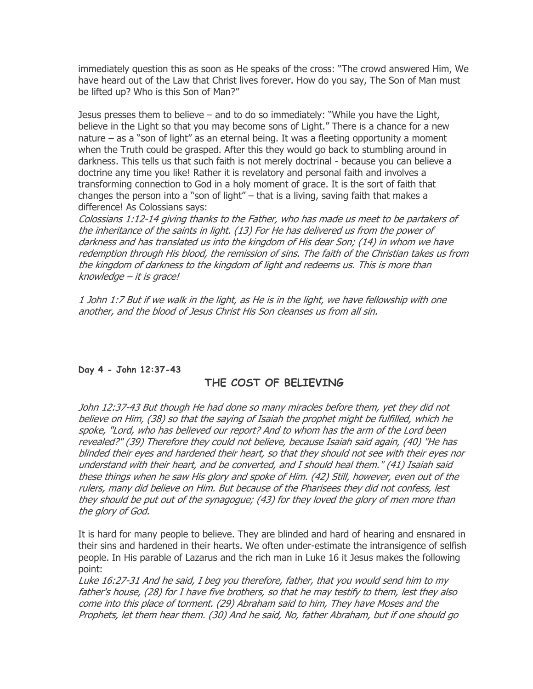immediately question this as soon as He speaks of the cross: "The crowd answered Him, We have heard out of the Law that Christ lives forever. How do you say, The Son of Man must be lifted up? Who is this Son of Man?"

Jesus presses them to believe – and to do so immediately: "While you have the Light, believe in the Light so that you may become sons of Light." There is a chance for a new nature – as a "son of light" as an eternal being. It was a fleeting opportunity a moment when the Truth could be grasped. After this they would go back to stumbling around in darkness. This tells us that such faith is not merely doctrinal - because you can believe a doctrine any time you like! Rather it is revelatory and personal faith and involves a transforming connection to God in a holy moment of grace. It is the sort of faith that changes the person into a "son of light" – that is a living, saving faith that makes a difference! As Colossians says:

Colossians 1:12-14 giving thanks to the Father, who has made us meet to be partakers of the inheritance of the saints in light. (13) For He has delivered us from the power of darkness and has translated us into the kingdom of His dear Son; (14) in whom we have redemption through His blood, the remission of sins. The faith of the Christian takes us from the kingdom of darkness to the kingdom of light and redeems us. This is more than knowledge – it is grace!

1 John 1:7 But if we walk in the light, as He is in the light, we have fellowship with one another, and the blood of Jesus Christ His Son cleanses us from all sin.

# Day 4 - John 12:37-43

# THE COST OF BELIEVING

John 12:37-43 But though He had done so many miracles before them, yet they did not believe on Him, (38) so that the saying of Isaiah the prophet might be fulfilled, which he spoke, "Lord, who has believed our report? And to whom has the arm of the Lord been revealed?" (39) Therefore they could not believe, because Isaiah said again, (40) "He has blinded their eyes and hardened their heart, so that they should not see with their eyes nor understand with their heart, and be converted, and I should heal them." (41) Isaiah said these things when he saw His glory and spoke of Him. (42) Still, however, even out of the rulers, many did believe on Him. But because of the Pharisees they did not confess, lest they should be put out of the synagogue; (43) for they loved the glory of men more than the glory of God.

It is hard for many people to believe. They are blinded and hard of hearing and ensnared in their sins and hardened in their hearts. We often under-estimate the intransigence of selfish people. In His parable of Lazarus and the rich man in Luke 16 it Jesus makes the following point:

Luke 16:27-31 And he said, I beg you therefore, father, that you would send him to my father's house, (28) for I have five brothers, so that he may testify to them, lest they also come into this place of torment. (29) Abraham said to him, They have Moses and the Prophets, let them hear them. (30) And he said, No, father Abraham, but if one should go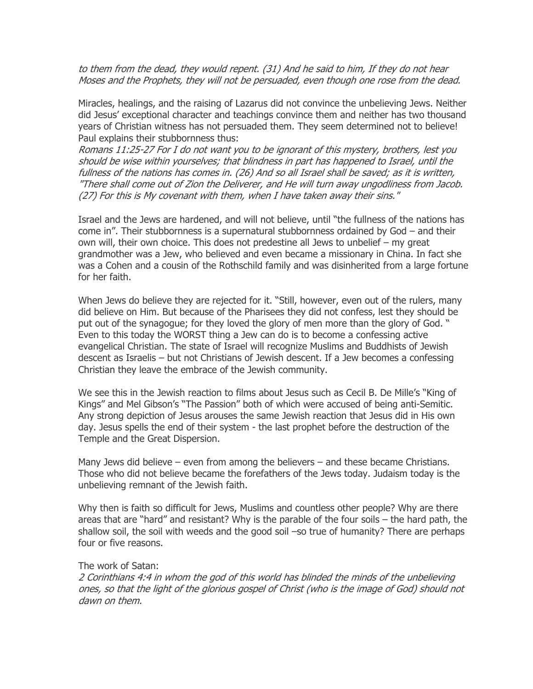to them from the dead, they would repent. (31) And he said to him, If they do not hear Moses and the Prophets, they will not be persuaded, even though one rose from the dead.

Miracles, healings, and the raising of Lazarus did not convince the unbelieving Jews. Neither did Jesus' exceptional character and teachings convince them and neither has two thousand years of Christian witness has not persuaded them. They seem determined not to believe! Paul explains their stubbornness thus:

Romans 11:25-27 For I do not want you to be ignorant of this mystery, brothers, lest you should be wise within yourselves; that blindness in part has happened to Israel, until the fullness of the nations has comes in. (26) And so all Israel shall be saved; as it is written, "There shall come out of Zion the Deliverer, and He will turn away ungodliness from Jacob. (27) For this is My covenant with them, when I have taken away their sins."

Israel and the Jews are hardened, and will not believe, until "the fullness of the nations has come in". Their stubbornness is a supernatural stubbornness ordained by God – and their own will, their own choice. This does not predestine all Jews to unbelief – my great grandmother was a Jew, who believed and even became a missionary in China. In fact she was a Cohen and a cousin of the Rothschild family and was disinherited from a large fortune for her faith.

When Jews do believe they are rejected for it. "Still, however, even out of the rulers, many did believe on Him. But because of the Pharisees they did not confess, lest they should be put out of the synagogue; for they loved the glory of men more than the glory of God. " Even to this today the WORST thing a Jew can do is to become a confessing active evangelical Christian. The state of Israel will recognize Muslims and Buddhists of Jewish descent as Israelis – but not Christians of Jewish descent. If a Jew becomes a confessing Christian they leave the embrace of the Jewish community.

We see this in the Jewish reaction to films about Jesus such as Cecil B. De Mille's "King of Kings" and Mel Gibson's "The Passion" both of which were accused of being anti-Semitic. Any strong depiction of Jesus arouses the same Jewish reaction that Jesus did in His own day. Jesus spells the end of their system - the last prophet before the destruction of the Temple and the Great Dispersion.

Many Jews did believe – even from among the believers – and these became Christians. Those who did not believe became the forefathers of the Jews today. Judaism today is the unbelieving remnant of the Jewish faith.

Why then is faith so difficult for Jews, Muslims and countless other people? Why are there areas that are "hard" and resistant? Why is the parable of the four soils – the hard path, the shallow soil, the soil with weeds and the good soil –so true of humanity? There are perhaps four or five reasons.

#### The work of Satan:

2 Corinthians 4:4 in whom the god of this world has blinded the minds of the unbelieving ones, so that the light of the glorious gospel of Christ (who is the image of God) should not dawn on them.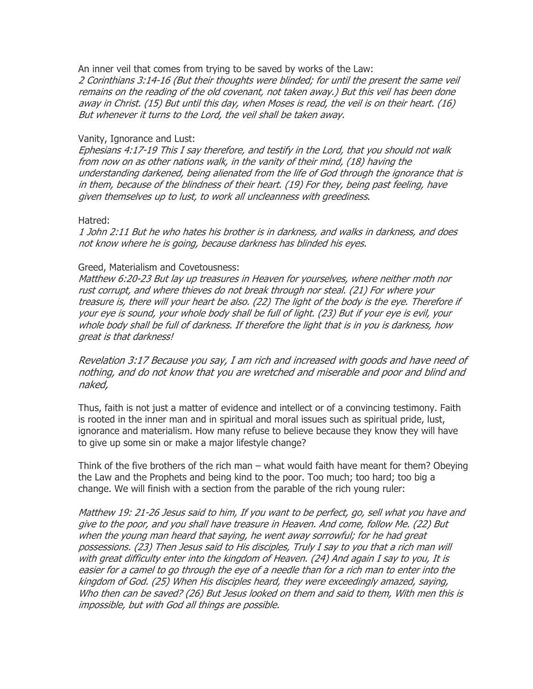An inner veil that comes from trying to be saved by works of the Law:

2 Corinthians 3:14-16 (But their thoughts were blinded; for until the present the same veil remains on the reading of the old covenant, not taken away.) But this veil has been done away in Christ. (15) But until this day, when Moses is read, the veil is on their heart. (16) But whenever it turns to the Lord, the veil shall be taken away.

# Vanity, Ignorance and Lust:

Ephesians 4:17-19 This I say therefore, and testify in the Lord, that you should not walk from now on as other nations walk, in the vanity of their mind, (18) having the understanding darkened, being alienated from the life of God through the ignorance that is in them, because of the blindness of their heart. (19) For they, being past feeling, have given themselves up to lust, to work all uncleanness with greediness.

#### Hatred:

1 John 2:11 But he who hates his brother is in darkness, and walks in darkness, and does not know where he is going, because darkness has blinded his eyes.

#### Greed, Materialism and Covetousness:

Matthew 6:20-23 But lay up treasures in Heaven for yourselves, where neither moth nor rust corrupt, and where thieves do not break through nor steal. (21) For where your treasure is, there will your heart be also. (22) The light of the body is the eye. Therefore if your eye is sound, your whole body shall be full of light. (23) But if your eye is evil, your whole body shall be full of darkness. If therefore the light that is in you is darkness, how great is that darkness!

Revelation 3:17 Because you say, I am rich and increased with goods and have need of nothing, and do not know that you are wretched and miserable and poor and blind and naked,

Thus, faith is not just a matter of evidence and intellect or of a convincing testimony. Faith is rooted in the inner man and in spiritual and moral issues such as spiritual pride, lust, ignorance and materialism. How many refuse to believe because they know they will have to give up some sin or make a major lifestyle change?

Think of the five brothers of the rich man – what would faith have meant for them? Obeying the Law and the Prophets and being kind to the poor. Too much; too hard; too big a change. We will finish with a section from the parable of the rich young ruler:

Matthew 19: 21-26 Jesus said to him, If you want to be perfect, go, sell what you have and give to the poor, and you shall have treasure in Heaven. And come, follow Me. (22) But when the young man heard that saying, he went away sorrowful; for he had great possessions. (23) Then Jesus said to His disciples, Truly I say to you that a rich man will with great difficulty enter into the kingdom of Heaven. (24) And again I say to you, It is easier for a camel to go through the eye of a needle than for a rich man to enter into the kingdom of God. (25) When His disciples heard, they were exceedingly amazed, saying, Who then can be saved? (26) But Jesus looked on them and said to them, With men this is impossible, but with God all things are possible.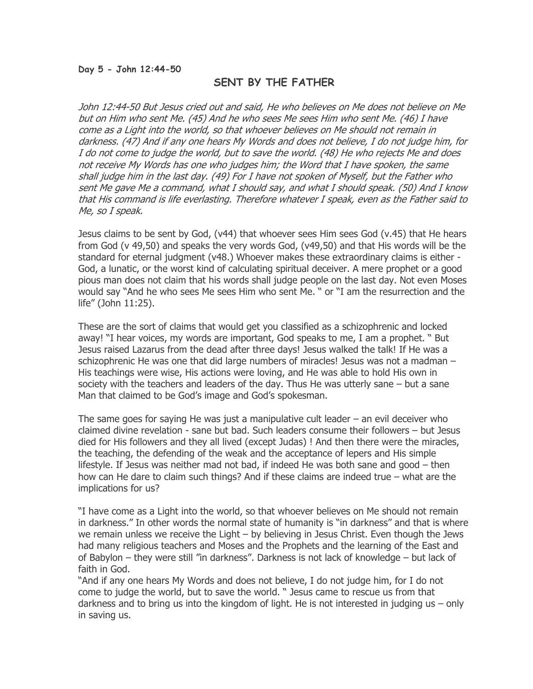#### Day 5 - John 12:44-50

# SENT BY THE FATHER

John 12:44-50 But Jesus cried out and said, He who believes on Me does not believe on Me but on Him who sent Me. (45) And he who sees Me sees Him who sent Me. (46) I have come as a Light into the world, so that whoever believes on Me should not remain in darkness. (47) And if any one hears My Words and does not believe, I do not judge him, for I do not come to judge the world, but to save the world. (48) He who rejects Me and does not receive My Words has one who judges him; the Word that I have spoken, the same shall judge him in the last day. (49) For I have not spoken of Myself, but the Father who sent Me gave Me a command, what I should say, and what I should speak. (50) And I know that His command is life everlasting. Therefore whatever I speak, even as the Father said to Me, so I speak.

Jesus claims to be sent by God, (v44) that whoever sees Him sees God (v.45) that He hears from God (v 49,50) and speaks the very words God, (v49,50) and that His words will be the standard for eternal judgment (v48.) Whoever makes these extraordinary claims is either - God, a lunatic, or the worst kind of calculating spiritual deceiver. A mere prophet or a good pious man does not claim that his words shall judge people on the last day. Not even Moses would say "And he who sees Me sees Him who sent Me. " or "I am the resurrection and the life" (John 11:25).

These are the sort of claims that would get you classified as a schizophrenic and locked away! "I hear voices, my words are important, God speaks to me, I am a prophet. " But Jesus raised Lazarus from the dead after three days! Jesus walked the talk! If He was a schizophrenic He was one that did large numbers of miracles! Jesus was not a madman – His teachings were wise, His actions were loving, and He was able to hold His own in society with the teachers and leaders of the day. Thus He was utterly sane – but a sane Man that claimed to be God's image and God's spokesman.

The same goes for saying He was just a manipulative cult leader – an evil deceiver who claimed divine revelation - sane but bad. Such leaders consume their followers – but Jesus died for His followers and they all lived (except Judas) ! And then there were the miracles, the teaching, the defending of the weak and the acceptance of lepers and His simple lifestyle. If Jesus was neither mad not bad, if indeed He was both sane and good – then how can He dare to claim such things? And if these claims are indeed true – what are the implications for us?

"I have come as a Light into the world, so that whoever believes on Me should not remain in darkness." In other words the normal state of humanity is "in darkness" and that is where we remain unless we receive the Light – by believing in Jesus Christ. Even though the Jews had many religious teachers and Moses and the Prophets and the learning of the East and of Babylon – they were still "in darkness". Darkness is not lack of knowledge – but lack of faith in God.

"And if any one hears My Words and does not believe, I do not judge him, for I do not come to judge the world, but to save the world. " Jesus came to rescue us from that darkness and to bring us into the kingdom of light. He is not interested in judging us – only in saving us.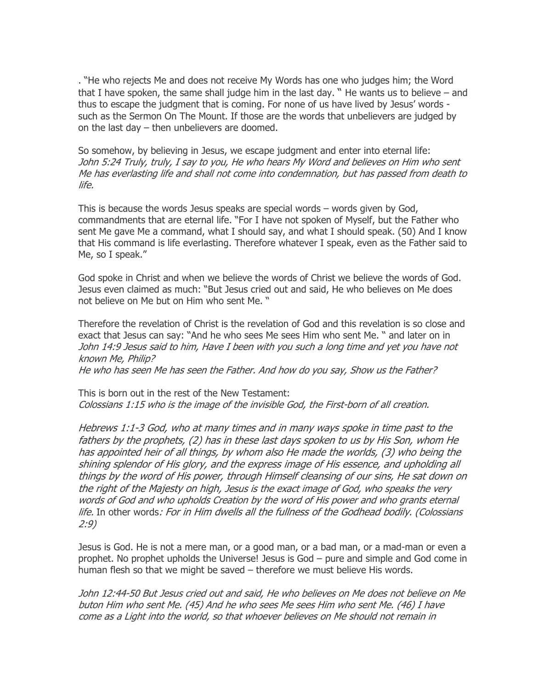. "He who rejects Me and does not receive My Words has one who judges him; the Word that I have spoken, the same shall judge him in the last day.  $"$  He wants us to believe  $-$  and thus to escape the judgment that is coming. For none of us have lived by Jesus' words such as the Sermon On The Mount. If those are the words that unbelievers are judged by on the last day – then unbelievers are doomed.

So somehow, by believing in Jesus, we escape judgment and enter into eternal life: John 5:24 Truly, truly, I say to you, He who hears My Word and believes on Him who sent Me has everlasting life and shall not come into condemnation, but has passed from death to life.

This is because the words Jesus speaks are special words – words given by God, commandments that are eternal life. "For I have not spoken of Myself, but the Father who sent Me gave Me a command, what I should say, and what I should speak. (50) And I know that His command is life everlasting. Therefore whatever I speak, even as the Father said to Me, so I speak."

God spoke in Christ and when we believe the words of Christ we believe the words of God. Jesus even claimed as much: "But Jesus cried out and said, He who believes on Me does not believe on Me but on Him who sent Me. "

Therefore the revelation of Christ is the revelation of God and this revelation is so close and exact that Jesus can say: "And he who sees Me sees Him who sent Me. " and later on in John 14:9 Jesus said to him, Have I been with you such a long time and yet you have not known Me, Philip?

He who has seen Me has seen the Father. And how do you say, Show us the Father?

This is born out in the rest of the New Testament: Colossians 1:15 who is the image of the invisible God, the First-born of all creation.

Hebrews 1:1-3 God, who at many times and in many ways spoke in time past to the fathers by the prophets, (2) has in these last days spoken to us by His Son, whom He has appointed heir of all things, by whom also He made the worlds, (3) who being the shining splendor of His glory, and the express image of His essence, and upholding all things by the word of His power, through Himself cleansing of our sins, He sat down on the right of the Majesty on high, Jesus is the exact image of God, who speaks the very words of God and who upholds Creation by the word of His power and who grants eternal life. In other words: For in Him dwells all the fullness of the Godhead bodily. (Colossians 2:9)

Jesus is God. He is not a mere man, or a good man, or a bad man, or a mad-man or even a prophet. No prophet upholds the Universe! Jesus is God – pure and simple and God come in human flesh so that we might be saved – therefore we must believe His words.

John 12:44-50 But Jesus cried out and said, He who believes on Me does not believe on Me buton Him who sent Me. (45) And he who sees Me sees Him who sent Me. (46) I have come as a Light into the world, so that whoever believes on Me should not remain in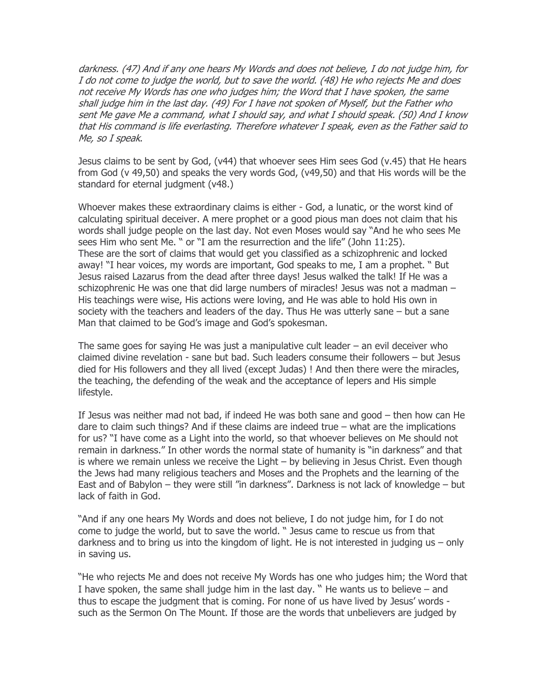darkness. (47) And if any one hears My Words and does not believe, I do not judge him, for I do not come to judge the world, but to save the world. (48) He who rejects Me and does not receive My Words has one who judges him; the Word that I have spoken, the same shall judge him in the last day. (49) For I have not spoken of Myself, but the Father who sent Me gave Me a command, what I should say, and what I should speak. (50) And I know that His command is life everlasting. Therefore whatever I speak, even as the Father said to Me, so I speak.

Jesus claims to be sent by God, (v44) that whoever sees Him sees God (v.45) that He hears from God (v 49,50) and speaks the very words God, (v49,50) and that His words will be the standard for eternal judgment (v48.)

Whoever makes these extraordinary claims is either - God, a lunatic, or the worst kind of calculating spiritual deceiver. A mere prophet or a good pious man does not claim that his words shall judge people on the last day. Not even Moses would say "And he who sees Me sees Him who sent Me. " or "I am the resurrection and the life" (John 11:25). These are the sort of claims that would get you classified as a schizophrenic and locked away! "I hear voices, my words are important, God speaks to me, I am a prophet. " But Jesus raised Lazarus from the dead after three days! Jesus walked the talk! If He was a schizophrenic He was one that did large numbers of miracles! Jesus was not a madman – His teachings were wise, His actions were loving, and He was able to hold His own in society with the teachers and leaders of the day. Thus He was utterly sane – but a sane Man that claimed to be God's image and God's spokesman.

The same goes for saying He was just a manipulative cult leader – an evil deceiver who claimed divine revelation - sane but bad. Such leaders consume their followers – but Jesus died for His followers and they all lived (except Judas) ! And then there were the miracles, the teaching, the defending of the weak and the acceptance of lepers and His simple lifestyle.

If Jesus was neither mad not bad, if indeed He was both sane and good – then how can He dare to claim such things? And if these claims are indeed true – what are the implications for us? "I have come as a Light into the world, so that whoever believes on Me should not remain in darkness." In other words the normal state of humanity is "in darkness" and that is where we remain unless we receive the Light – by believing in Jesus Christ. Even though the Jews had many religious teachers and Moses and the Prophets and the learning of the East and of Babylon – they were still "in darkness". Darkness is not lack of knowledge – but lack of faith in God.

"And if any one hears My Words and does not believe, I do not judge him, for I do not come to judge the world, but to save the world. " Jesus came to rescue us from that darkness and to bring us into the kingdom of light. He is not interested in judging us – only in saving us.

"He who rejects Me and does not receive My Words has one who judges him; the Word that I have spoken, the same shall judge him in the last day. "He wants us to believe  $-$  and thus to escape the judgment that is coming. For none of us have lived by Jesus' words such as the Sermon On The Mount. If those are the words that unbelievers are judged by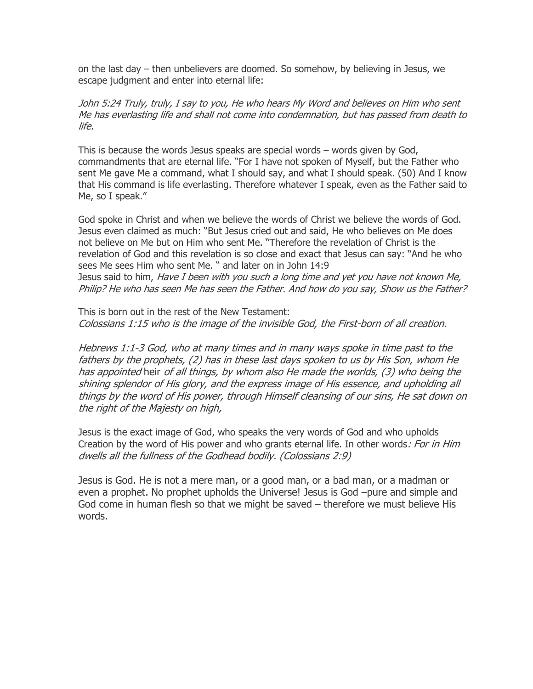on the last day – then unbelievers are doomed. So somehow, by believing in Jesus, we escape judgment and enter into eternal life:

John 5:24 Truly, truly, I say to you, He who hears My Word and believes on Him who sent Me has everlasting life and shall not come into condemnation, but has passed from death to life.

This is because the words Jesus speaks are special words – words given by God, commandments that are eternal life. "For I have not spoken of Myself, but the Father who sent Me gave Me a command, what I should say, and what I should speak. (50) And I know that His command is life everlasting. Therefore whatever I speak, even as the Father said to Me, so I speak."

God spoke in Christ and when we believe the words of Christ we believe the words of God. Jesus even claimed as much: "But Jesus cried out and said, He who believes on Me does not believe on Me but on Him who sent Me. "Therefore the revelation of Christ is the revelation of God and this revelation is so close and exact that Jesus can say: "And he who sees Me sees Him who sent Me. " and later on in John 14:9 Jesus said to him, *Have I been with you such a long time and yet you have not known Me,* Philip? He who has seen Me has seen the Father. And how do you say, Show us the Father?

This is born out in the rest of the New Testament: Colossians 1:15 who is the image of the invisible God, the First-born of all creation.

Hebrews 1:1-3 God, who at many times and in many ways spoke in time past to the fathers by the prophets, (2) has in these last days spoken to us by His Son, whom He has appointed heir of all things, by whom also He made the worlds, (3) who being the shining splendor of His glory, and the express image of His essence, and upholding all things by the word of His power, through Himself cleansing of our sins, He sat down on the right of the Majesty on high,

Jesus is the exact image of God, who speaks the very words of God and who upholds Creation by the word of His power and who grants eternal life. In other words: For in Him dwells all the fullness of the Godhead bodily. (Colossians 2:9)

Jesus is God. He is not a mere man, or a good man, or a bad man, or a madman or even a prophet. No prophet upholds the Universe! Jesus is God –pure and simple and God come in human flesh so that we might be saved – therefore we must believe His words.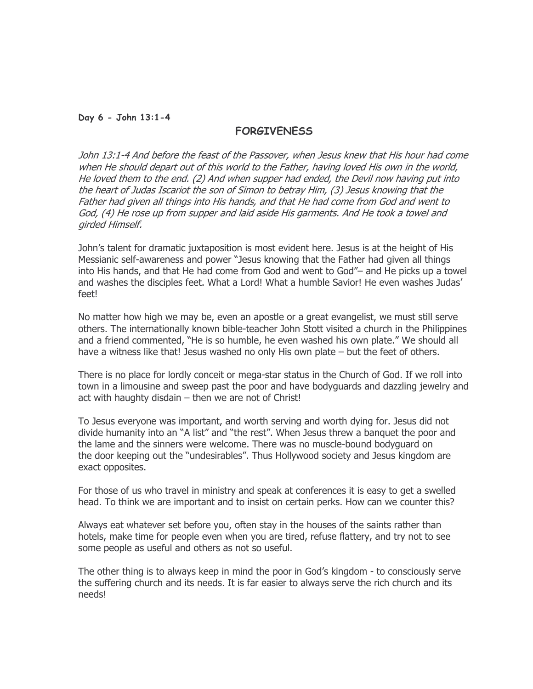#### Day 6 - John 13:1-4

# **FORGIVENESS**

John 13:1-4 And before the feast of the Passover, when Jesus knew that His hour had come when He should depart out of this world to the Father, having loved His own in the world, He loved them to the end. (2) And when supper had ended, the Devil now having put into the heart of Judas Iscariot the son of Simon to betray Him, (3) Jesus knowing that the Father had given all things into His hands, and that He had come from God and went to God, (4) He rose up from supper and laid aside His garments. And He took a towel and girded Himself.

John's talent for dramatic juxtaposition is most evident here. Jesus is at the height of His Messianic self-awareness and power "Jesus knowing that the Father had given all things into His hands, and that He had come from God and went to God"– and He picks up a towel and washes the disciples feet. What a Lord! What a humble Savior! He even washes Judas' feet!

No matter how high we may be, even an apostle or a great evangelist, we must still serve others. The internationally known bible-teacher John Stott visited a church in the Philippines and a friend commented, "He is so humble, he even washed his own plate." We should all have a witness like that! Jesus washed no only His own plate – but the feet of others.

There is no place for lordly conceit or mega-star status in the Church of God. If we roll into town in a limousine and sweep past the poor and have bodyguards and dazzling jewelry and act with haughty disdain – then we are not of Christ!

To Jesus everyone was important, and worth serving and worth dying for. Jesus did not divide humanity into an "A list" and "the rest". When Jesus threw a banquet the poor and the lame and the sinners were welcome. There was no muscle-bound bodyguard on the door keeping out the "undesirables". Thus Hollywood society and Jesus kingdom are exact opposites.

For those of us who travel in ministry and speak at conferences it is easy to get a swelled head. To think we are important and to insist on certain perks. How can we counter this?

Always eat whatever set before you, often stay in the houses of the saints rather than hotels, make time for people even when you are tired, refuse flattery, and try not to see some people as useful and others as not so useful.

The other thing is to always keep in mind the poor in God's kingdom - to consciously serve the suffering church and its needs. It is far easier to always serve the rich church and its needs!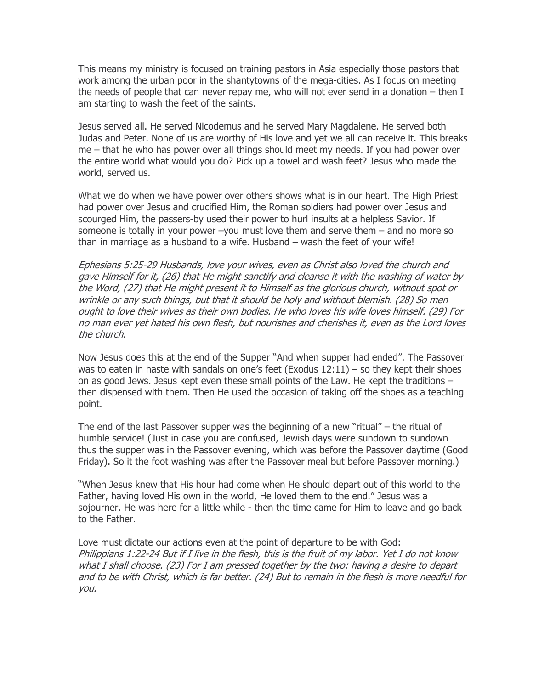This means my ministry is focused on training pastors in Asia especially those pastors that work among the urban poor in the shantytowns of the mega-cities. As I focus on meeting the needs of people that can never repay me, who will not ever send in a donation – then I am starting to wash the feet of the saints.

Jesus served all. He served Nicodemus and he served Mary Magdalene. He served both Judas and Peter. None of us are worthy of His love and yet we all can receive it. This breaks me – that he who has power over all things should meet my needs. If you had power over the entire world what would you do? Pick up a towel and wash feet? Jesus who made the world, served us.

What we do when we have power over others shows what is in our heart. The High Priest had power over Jesus and crucified Him, the Roman soldiers had power over Jesus and scourged Him, the passers-by used their power to hurl insults at a helpless Savior. If someone is totally in your power –you must love them and serve them – and no more so than in marriage as a husband to a wife. Husband – wash the feet of your wife!

Ephesians 5:25-29 Husbands, love your wives, even as Christ also loved the church and gave Himself for it, (26) that He might sanctify and cleanse it with the washing of water by the Word, (27) that He might present it to Himself as the glorious church, without spot or wrinkle or any such things, but that it should be holy and without blemish. (28) So men ought to love their wives as their own bodies. He who loves his wife loves himself. (29) For no man ever yet hated his own flesh, but nourishes and cherishes it, even as the Lord loves the church.

Now Jesus does this at the end of the Supper "And when supper had ended". The Passover was to eaten in haste with sandals on one's feet (Exodus 12:11) – so they kept their shoes on as good Jews. Jesus kept even these small points of the Law. He kept the traditions – then dispensed with them. Then He used the occasion of taking off the shoes as a teaching point.

The end of the last Passover supper was the beginning of a new "ritual" – the ritual of humble service! (Just in case you are confused, Jewish days were sundown to sundown thus the supper was in the Passover evening, which was before the Passover daytime (Good Friday). So it the foot washing was after the Passover meal but before Passover morning.)

"When Jesus knew that His hour had come when He should depart out of this world to the Father, having loved His own in the world, He loved them to the end." Jesus was a sojourner. He was here for a little while - then the time came for Him to leave and go back to the Father.

Love must dictate our actions even at the point of departure to be with God: Philippians 1:22-24 But if I live in the flesh, this is the fruit of my labor. Yet I do not know what I shall choose. (23) For I am pressed together by the two: having a desire to depart and to be with Christ, which is far better. (24) But to remain in the flesh is more needful for you.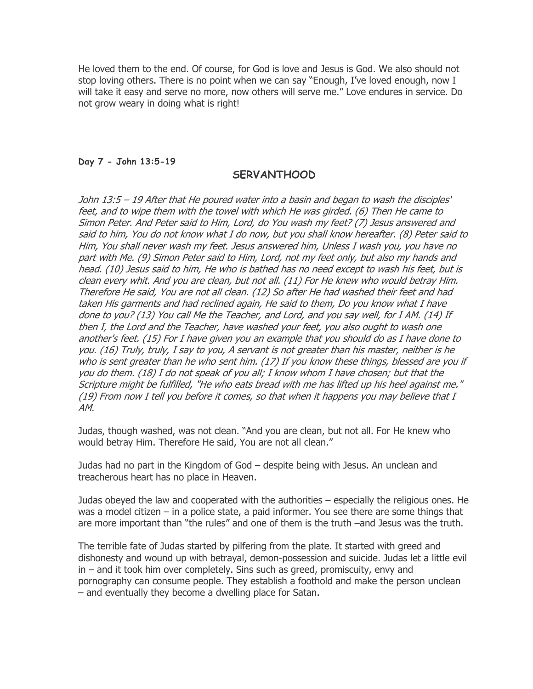He loved them to the end. Of course, for God is love and Jesus is God. We also should not stop loving others. There is no point when we can say "Enough, I've loved enough, now I will take it easy and serve no more, now others will serve me." Love endures in service. Do not grow weary in doing what is right!

#### Day 7 - John 13:5-19

# SERVANTHOOD

John 13:5 – 19 After that He poured water into a basin and began to wash the disciples' feet, and to wipe them with the towel with which He was girded. (6) Then He came to Simon Peter. And Peter said to Him, Lord, do You wash my feet? (7) Jesus answered and said to him, You do not know what I do now, but you shall know hereafter. (8) Peter said to Him, You shall never wash my feet. Jesus answered him, Unless I wash you, you have no part with Me. (9) Simon Peter said to Him, Lord, not my feet only, but also my hands and head. (10) Jesus said to him, He who is bathed has no need except to wash his feet, but is clean every whit. And you are clean, but not all. (11) For He knew who would betray Him. Therefore He said, You are not all clean. (12) So after He had washed their feet and had taken His garments and had reclined again, He said to them, Do you know what I have done to you? (13) You call Me the Teacher, and Lord, and you say well, for I AM. (14) If then I, the Lord and the Teacher, have washed your feet, you also ought to wash one another's feet. (15) For I have given you an example that you should do as I have done to you. (16) Truly, truly, I say to you, A servant is not greater than his master, neither is he who is sent greater than he who sent him. (17) If you know these things, blessed are you if you do them. (18) I do not speak of you all; I know whom I have chosen; but that the Scripture might be fulfilled, "He who eats bread with me has lifted up his heel against me." (19) From now I tell you before it comes, so that when it happens you may believe that I AM.

Judas, though washed, was not clean. "And you are clean, but not all. For He knew who would betray Him. Therefore He said, You are not all clean."

Judas had no part in the Kingdom of God – despite being with Jesus. An unclean and treacherous heart has no place in Heaven.

Judas obeyed the law and cooperated with the authorities – especially the religious ones. He was a model citizen – in a police state, a paid informer. You see there are some things that are more important than "the rules" and one of them is the truth –and Jesus was the truth.

The terrible fate of Judas started by pilfering from the plate. It started with greed and dishonesty and wound up with betrayal, demon-possession and suicide. Judas let a little evil in – and it took him over completely. Sins such as greed, promiscuity, envy and pornography can consume people. They establish a foothold and make the person unclean – and eventually they become a dwelling place for Satan.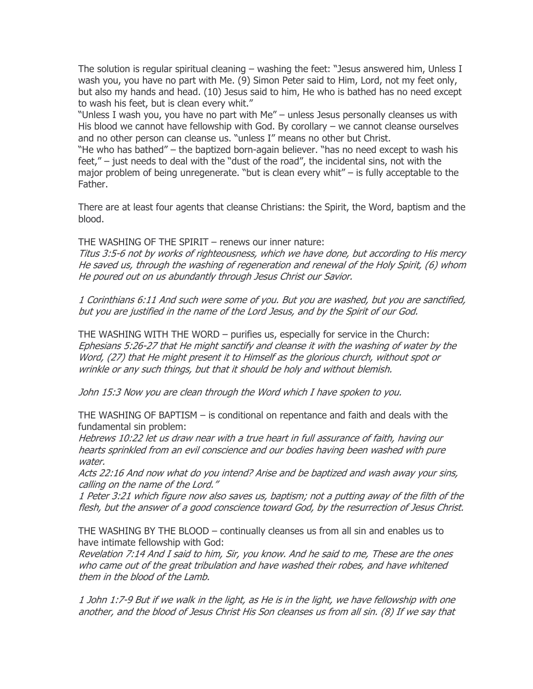The solution is regular spiritual cleaning – washing the feet: "Jesus answered him, Unless I wash you, you have no part with Me. (9) Simon Peter said to Him, Lord, not my feet only, but also my hands and head. (10) Jesus said to him, He who is bathed has no need except to wash his feet, but is clean every whit."

"Unless I wash you, you have no part with Me" – unless Jesus personally cleanses us with His blood we cannot have fellowship with God. By corollary – we cannot cleanse ourselves and no other person can cleanse us. "unless I" means no other but Christ.

"He who has bathed" – the baptized born-again believer. "has no need except to wash his feet," – just needs to deal with the "dust of the road", the incidental sins, not with the major problem of being unregenerate. "but is clean every whit" – is fully acceptable to the Father.

There are at least four agents that cleanse Christians: the Spirit, the Word, baptism and the blood.

THE WASHING OF THE SPIRIT – renews our inner nature:

Titus 3:5-6 not by works of righteousness, which we have done, but according to His mercy He saved us, through the washing of regeneration and renewal of the Holy Spirit, (6) whom He poured out on us abundantly through Jesus Christ our Savior.

1 Corinthians 6:11 And such were some of you. But you are washed, but you are sanctified, but you are justified in the name of the Lord Jesus, and by the Spirit of our God.

THE WASHING WITH THE WORD – purifies us, especially for service in the Church: Ephesians 5:26-27 that He might sanctify and cleanse it with the washing of water by the Word, (27) that He might present it to Himself as the glorious church, without spot or wrinkle or any such things, but that it should be holy and without blemish.

John 15:3 Now you are clean through the Word which I have spoken to you.

THE WASHING OF BAPTISM – is conditional on repentance and faith and deals with the fundamental sin problem:

Hebrews 10:22 let us draw near with a true heart in full assurance of faith, having our hearts sprinkled from an evil conscience and our bodies having been washed with pure water.

Acts 22:16 And now what do you intend? Arise and be baptized and wash away your sins, calling on the name of the Lord."

1 Peter 3:21 which figure now also saves us, baptism; not a putting away of the filth of the flesh, but the answer of a good conscience toward God, by the resurrection of Jesus Christ.

THE WASHING BY THE BLOOD – continually cleanses us from all sin and enables us to have intimate fellowship with God:

Revelation 7:14 And I said to him, Sir, you know. And he said to me, These are the ones who came out of the great tribulation and have washed their robes, and have whitened them in the blood of the Lamb.

1 John 1:7-9 But if we walk in the light, as He is in the light, we have fellowship with one another, and the blood of Jesus Christ His Son cleanses us from all sin. (8) If we say that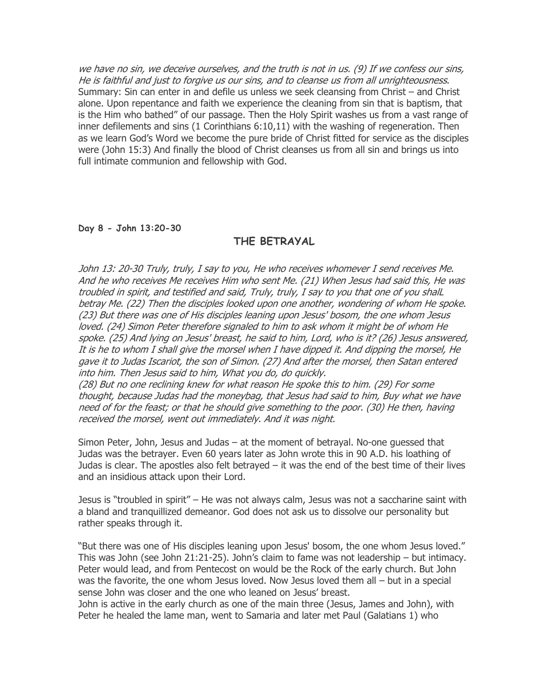we have no sin, we deceive ourselves, and the truth is not in us. (9) If we confess our sins, He is faithful and just to forgive us our sins, and to cleanse us from all unrighteousness. Summary: Sin can enter in and defile us unless we seek cleansing from Christ – and Christ alone. Upon repentance and faith we experience the cleaning from sin that is baptism, that is the Him who bathed" of our passage. Then the Holy Spirit washes us from a vast range of inner defilements and sins (1 Corinthians 6:10,11) with the washing of regeneration. Then as we learn God's Word we become the pure bride of Christ fitted for service as the disciples were (John 15:3) And finally the blood of Christ cleanses us from all sin and brings us into full intimate communion and fellowship with God.

#### Day 8 - John 13:20-30

# THE BETRAYAL

John 13: 20-30 Truly, truly, I say to you, He who receives whomever I send receives Me. And he who receives Me receives Him who sent Me. (21) When Jesus had said this, He was troubled in spirit, and testified and said, Truly, truly, I say to you that one of you shalL betray Me. (22) Then the disciples looked upon one another, wondering of whom He spoke. (23) But there was one of His disciples leaning upon Jesus' bosom, the one whom Jesus loved. (24) Simon Peter therefore signaled to him to ask whom it might be of whom He spoke. (25) And lying on Jesus' breast, he said to him, Lord, who is it? (26) Jesus answered, It is he to whom I shall give the morsel when I have dipped it. And dipping the morsel, He gave it to Judas Iscariot, the son of Simon. (27) And after the morsel, then Satan entered into him. Then Jesus said to him, What you do, do quickly.

(28) But no one reclining knew for what reason He spoke this to him. (29) For some thought, because Judas had the moneybag, that Jesus had said to him, Buy what we have need of for the feast; or that he should give something to the poor. (30) He then, having received the morsel, went out immediately. And it was night.

Simon Peter, John, Jesus and Judas – at the moment of betrayal. No-one guessed that Judas was the betrayer. Even 60 years later as John wrote this in 90 A.D. his loathing of Judas is clear. The apostles also felt betrayed – it was the end of the best time of their lives and an insidious attack upon their Lord.

Jesus is "troubled in spirit" – He was not always calm, Jesus was not a saccharine saint with a bland and tranquillized demeanor. God does not ask us to dissolve our personality but rather speaks through it.

"But there was one of His disciples leaning upon Jesus' bosom, the one whom Jesus loved." This was John (see John 21:21-25). John's claim to fame was not leadership – but intimacy. Peter would lead, and from Pentecost on would be the Rock of the early church. But John was the favorite, the one whom Jesus loved. Now Jesus loved them all – but in a special sense John was closer and the one who leaned on Jesus' breast.

John is active in the early church as one of the main three (Jesus, James and John), with Peter he healed the lame man, went to Samaria and later met Paul (Galatians 1) who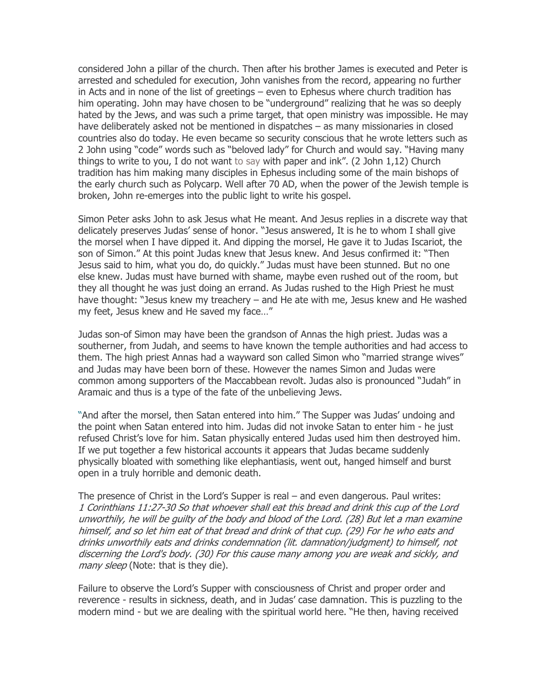considered John a pillar of the church. Then after his brother James is executed and Peter is arrested and scheduled for execution, John vanishes from the record, appearing no further in Acts and in none of the list of greetings – even to Ephesus where church tradition has him operating. John may have chosen to be "underground" realizing that he was so deeply hated by the Jews, and was such a prime target, that open ministry was impossible. He may have deliberately asked not be mentioned in dispatches – as many missionaries in closed countries also do today. He even became so security conscious that he wrote letters such as 2 John using "code" words such as "beloved lady" for Church and would say. "Having many things to write to you, I do not want to say with paper and ink". (2 John 1,12) Church tradition has him making many disciples in Ephesus including some of the main bishops of the early church such as Polycarp. Well after 70 AD, when the power of the Jewish temple is broken, John re-emerges into the public light to write his gospel.

Simon Peter asks John to ask Jesus what He meant. And Jesus replies in a discrete way that delicately preserves Judas' sense of honor. "Jesus answered, It is he to whom I shall give the morsel when I have dipped it. And dipping the morsel, He gave it to Judas Iscariot, the son of Simon." At this point Judas knew that Jesus knew. And Jesus confirmed it: "Then Jesus said to him, what you do, do quickly." Judas must have been stunned. But no one else knew. Judas must have burned with shame, maybe even rushed out of the room, but they all thought he was just doing an errand. As Judas rushed to the High Priest he must have thought: "Jesus knew my treachery – and He ate with me, Jesus knew and He washed my feet, Jesus knew and He saved my face…"

Judas son-of Simon may have been the grandson of Annas the high priest. Judas was a southerner, from Judah, and seems to have known the temple authorities and had access to them. The high priest Annas had a wayward son called Simon who "married strange wives" and Judas may have been born of these. However the names Simon and Judas were common among supporters of the Maccabbean revolt. Judas also is pronounced "Judah" in Aramaic and thus is a type of the fate of the unbelieving Jews.

"And after the morsel, then Satan entered into him." The Supper was Judas' undoing and the point when Satan entered into him. Judas did not invoke Satan to enter him - he just refused Christ's love for him. Satan physically entered Judas used him then destroyed him. If we put together a few historical accounts it appears that Judas became suddenly physically bloated with something like elephantiasis, went out, hanged himself and burst open in a truly horrible and demonic death.

The presence of Christ in the Lord's Supper is real – and even dangerous. Paul writes: 1 Corinthians 11:27-30 So that whoever shall eat this bread and drink this cup of the Lord unworthily, he will be guilty of the body and blood of the Lord. (28) But let a man examine himself, and so let him eat of that bread and drink of that cup. (29) For he who eats and drinks unworthily eats and drinks condemnation (lit. damnation/judgment) to himself, not discerning the Lord's body. (30) For this cause many among you are weak and sickly, and many sleep (Note: that is they die).

Failure to observe the Lord's Supper with consciousness of Christ and proper order and reverence - results in sickness, death, and in Judas' case damnation. This is puzzling to the modern mind - but we are dealing with the spiritual world here. "He then, having received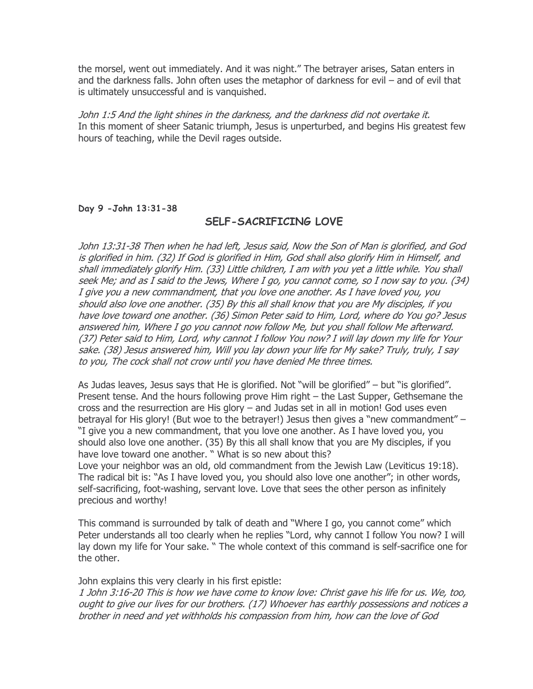the morsel, went out immediately. And it was night." The betrayer arises, Satan enters in and the darkness falls. John often uses the metaphor of darkness for evil – and of evil that is ultimately unsuccessful and is vanquished.

John 1:5 And the light shines in the darkness, and the darkness did not overtake it. In this moment of sheer Satanic triumph, Jesus is unperturbed, and begins His greatest few hours of teaching, while the Devil rages outside.

#### Day 9 -John 13:31-38

# SELF-SACRIFICING LOVE

John 13:31-38 Then when he had left, Jesus said, Now the Son of Man is glorified, and God is glorified in him. (32) If God is glorified in Him, God shall also glorify Him in Himself, and shall immediately glorify Him. (33) Little children, I am with you yet a little while. You shall seek Me; and as I said to the Jews, Where I go, you cannot come, so I now say to you. (34) I give you a new commandment, that you love one another. As I have loved you, you should also love one another. (35) By this all shall know that you are My disciples, if you have love toward one another. (36) Simon Peter said to Him, Lord, where do You go? Jesus answered him, Where I go you cannot now follow Me, but you shall follow Me afterward. (37) Peter said to Him, Lord, why cannot I follow You now? I will lay down my life for Your sake. (38) Jesus answered him, Will you lay down your life for My sake? Truly, truly, I say to you, The cock shall not crow until you have denied Me three times.

As Judas leaves, Jesus says that He is glorified. Not "will be glorified" – but "is glorified". Present tense. And the hours following prove Him right – the Last Supper, Gethsemane the cross and the resurrection are His glory – and Judas set in all in motion! God uses even betrayal for His glory! (But woe to the betrayer!) Jesus then gives a "new commandment" – "I give you a new commandment, that you love one another. As I have loved you, you should also love one another. (35) By this all shall know that you are My disciples, if you have love toward one another. " What is so new about this? Love your neighbor was an old, old commandment from the Jewish Law (Leviticus 19:18). The radical bit is: "As I have loved you, you should also love one another"; in other words, self-sacrificing, foot-washing, servant love. Love that sees the other person as infinitely precious and worthy!

This command is surrounded by talk of death and "Where I go, you cannot come" which Peter understands all too clearly when he replies "Lord, why cannot I follow You now? I will lay down my life for Your sake. " The whole context of this command is self-sacrifice one for the other.

John explains this very clearly in his first epistle:

1 John 3:16-20 This is how we have come to know love: Christ gave his life for us. We, too, ought to give our lives for our brothers. (17) Whoever has earthly possessions and notices a brother in need and yet withholds his compassion from him, how can the love of God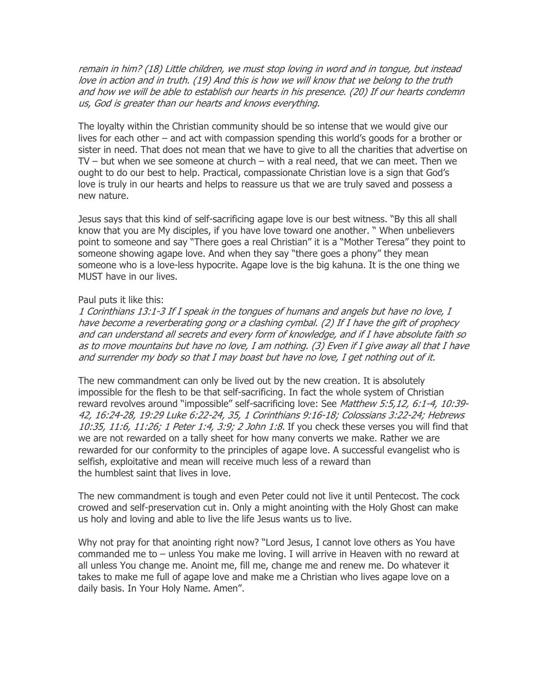remain in him? (18) Little children, we must stop loving in word and in tongue, but instead love in action and in truth. (19) And this is how we will know that we belong to the truth and how we will be able to establish our hearts in his presence. (20) If our hearts condemn us, God is greater than our hearts and knows everything.

The loyalty within the Christian community should be so intense that we would give our lives for each other – and act with compassion spending this world's goods for a brother or sister in need. That does not mean that we have to give to all the charities that advertise on TV – but when we see someone at church – with a real need, that we can meet. Then we ought to do our best to help. Practical, compassionate Christian love is a sign that God's love is truly in our hearts and helps to reassure us that we are truly saved and possess a new nature.

Jesus says that this kind of self-sacrificing agape love is our best witness. "By this all shall know that you are My disciples, if you have love toward one another. " When unbelievers point to someone and say "There goes a real Christian" it is a "Mother Teresa" they point to someone showing agape love. And when they say "there goes a phony" they mean someone who is a love-less hypocrite. Agape love is the big kahuna. It is the one thing we MUST have in our lives.

#### Paul puts it like this:

1 Corinthians 13:1-3 If I speak in the tongues of humans and angels but have no love, I have become a reverberating gong or a clashing cymbal. (2) If I have the gift of prophecy and can understand all secrets and every form of knowledge, and if I have absolute faith so as to move mountains but have no love, I am nothing. (3) Even if I give away all that I have and surrender my body so that I may boast but have no love, I get nothing out of it.

The new commandment can only be lived out by the new creation. It is absolutely impossible for the flesh to be that self-sacrificing. In fact the whole system of Christian reward revolves around "impossible" self-sacrificing love: See *Matthew 5:5,12, 6:1-4, 10:39-*42, 16:24-28, 19:29 Luke 6:22-24, 35, 1 Corinthians 9:16-18; Colossians 3:22-24; Hebrews 10:35, 11:6, 11:26; 1 Peter 1:4, 3:9; 2 John 1:8. If you check these verses you will find that we are not rewarded on a tally sheet for how many converts we make. Rather we are rewarded for our conformity to the principles of agape love. A successful evangelist who is selfish, exploitative and mean will receive much less of a reward than the humblest saint that lives in love.

The new commandment is tough and even Peter could not live it until Pentecost. The cock crowed and self-preservation cut in. Only a might anointing with the Holy Ghost can make us holy and loving and able to live the life Jesus wants us to live.

Why not pray for that anointing right now? "Lord Jesus, I cannot love others as You have commanded me to – unless You make me loving. I will arrive in Heaven with no reward at all unless You change me. Anoint me, fill me, change me and renew me. Do whatever it takes to make me full of agape love and make me a Christian who lives agape love on a daily basis. In Your Holy Name. Amen".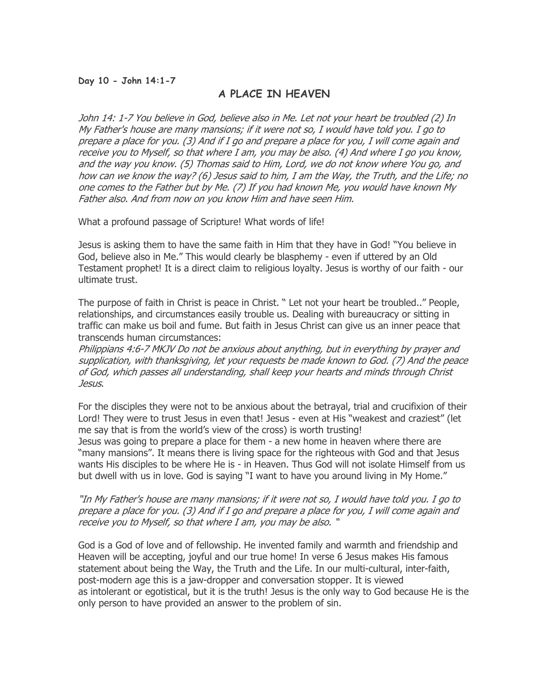# Day 10 - John 14:1-7

# A PLACE IN HEAVEN

John 14: 1-7 You believe in God, believe also in Me. Let not your heart be troubled (2) In My Father's house are many mansions; if it were not so, I would have told you. I go to prepare a place for you. (3) And if I go and prepare a place for you, I will come again and receive you to Myself, so that where I am, you may be also. (4) And where I go you know, and the way you know. (5) Thomas said to Him, Lord, we do not know where You go, and how can we know the way? (6) Jesus said to him, I am the Way, the Truth, and the Life; no one comes to the Father but by Me. (7) If you had known Me, you would have known My Father also. And from now on you know Him and have seen Him.

What a profound passage of Scripture! What words of life!

Jesus is asking them to have the same faith in Him that they have in God! "You believe in God, believe also in Me." This would clearly be blasphemy - even if uttered by an Old Testament prophet! It is a direct claim to religious loyalty. Jesus is worthy of our faith - our ultimate trust.

The purpose of faith in Christ is peace in Christ. " Let not your heart be troubled.." People, relationships, and circumstances easily trouble us. Dealing with bureaucracy or sitting in traffic can make us boil and fume. But faith in Jesus Christ can give us an inner peace that transcends human circumstances:

Philippians 4:6-7 MKJV Do not be anxious about anything, but in everything by prayer and supplication, with thanksgiving, let your requests be made known to God. (7) And the peace of God, which passes all understanding, shall keep your hearts and minds through Christ Jesus.

For the disciples they were not to be anxious about the betrayal, trial and crucifixion of their Lord! They were to trust Jesus in even that! Jesus - even at His "weakest and craziest" (let me say that is from the world's view of the cross) is worth trusting!

Jesus was going to prepare a place for them - a new home in heaven where there are "many mansions". It means there is living space for the righteous with God and that Jesus wants His disciples to be where He is - in Heaven. Thus God will not isolate Himself from us but dwell with us in love. God is saying "I want to have you around living in My Home."

"In My Father's house are many mansions; if it were not so, I would have told you. I go to prepare a place for you. (3) And if I go and prepare a place for you, I will come again and receive you to Myself, so that where I am, you may be also. "

God is a God of love and of fellowship. He invented family and warmth and friendship and Heaven will be accepting, joyful and our true home! In verse 6 Jesus makes His famous statement about being the Way, the Truth and the Life. In our multi-cultural, inter-faith, post-modern age this is a jaw-dropper and conversation stopper. It is viewed as intolerant or egotistical, but it is the truth! Jesus is the only way to God because He is the only person to have provided an answer to the problem of sin.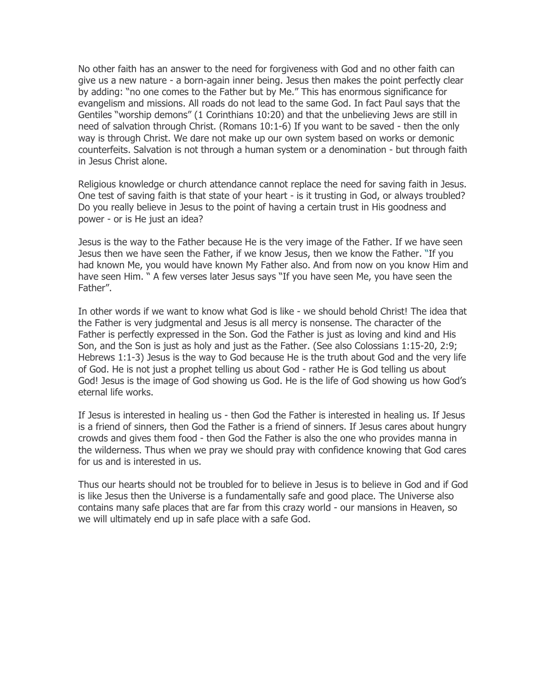No other faith has an answer to the need for forgiveness with God and no other faith can give us a new nature - a born-again inner being. Jesus then makes the point perfectly clear by adding: "no one comes to the Father but by Me." This has enormous significance for evangelism and missions. All roads do not lead to the same God. In fact Paul says that the Gentiles "worship demons" (1 Corinthians 10:20) and that the unbelieving Jews are still in need of salvation through Christ. (Romans 10:1-6) If you want to be saved - then the only way is through Christ. We dare not make up our own system based on works or demonic counterfeits. Salvation is not through a human system or a denomination - but through faith in Jesus Christ alone.

Religious knowledge or church attendance cannot replace the need for saving faith in Jesus. One test of saving faith is that state of your heart - is it trusting in God, or always troubled? Do you really believe in Jesus to the point of having a certain trust in His goodness and power - or is He just an idea?

Jesus is the way to the Father because He is the very image of the Father. If we have seen Jesus then we have seen the Father, if we know Jesus, then we know the Father. "If you had known Me, you would have known My Father also. And from now on you know Him and have seen Him. " A few verses later Jesus says "If you have seen Me, you have seen the Father".

In other words if we want to know what God is like - we should behold Christ! The idea that the Father is very judgmental and Jesus is all mercy is nonsense. The character of the Father is perfectly expressed in the Son. God the Father is just as loving and kind and His Son, and the Son is just as holy and just as the Father. (See also Colossians 1:15-20, 2:9; Hebrews 1:1-3) Jesus is the way to God because He is the truth about God and the very life of God. He is not just a prophet telling us about God - rather He is God telling us about God! Jesus is the image of God showing us God. He is the life of God showing us how God's eternal life works.

If Jesus is interested in healing us - then God the Father is interested in healing us. If Jesus is a friend of sinners, then God the Father is a friend of sinners. If Jesus cares about hungry crowds and gives them food - then God the Father is also the one who provides manna in the wilderness. Thus when we pray we should pray with confidence knowing that God cares for us and is interested in us.

Thus our hearts should not be troubled for to believe in Jesus is to believe in God and if God is like Jesus then the Universe is a fundamentally safe and good place. The Universe also contains many safe places that are far from this crazy world - our mansions in Heaven, so we will ultimately end up in safe place with a safe God.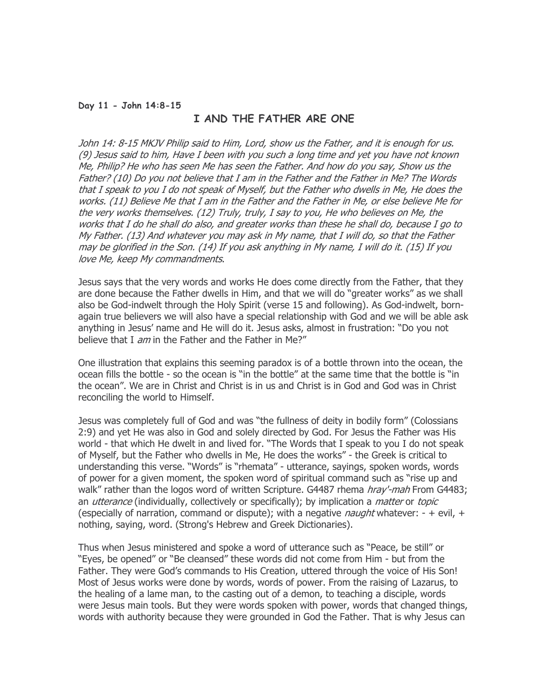#### Day 11 - John 14:8-15

# I AND THE FATHER ARE ONE

John 14: 8-15 MKJV Philip said to Him, Lord, show us the Father, and it is enough for us. (9) Jesus said to him, Have I been with you such a long time and yet you have not known Me, Philip? He who has seen Me has seen the Father. And how do you say, Show us the Father? (10) Do you not believe that I am in the Father and the Father in Me? The Words that I speak to you I do not speak of Myself, but the Father who dwells in Me, He does the works. (11) Believe Me that I am in the Father and the Father in Me, or else believe Me for the very works themselves. (12) Truly, truly, I say to you, He who believes on Me, the works that I do he shall do also, and greater works than these he shall do, because I go to My Father. (13) And whatever you may ask in My name, that I will do, so that the Father may be glorified in the Son. (14) If you ask anything in My name, I will do it. (15) If you love Me, keep My commandments.

Jesus says that the very words and works He does come directly from the Father, that they are done because the Father dwells in Him, and that we will do "greater works" as we shall also be God-indwelt through the Holy Spirit (verse 15 and following). As God-indwelt, bornagain true believers we will also have a special relationship with God and we will be able ask anything in Jesus' name and He will do it. Jesus asks, almost in frustration: "Do you not believe that I am in the Father and the Father in Me?"

One illustration that explains this seeming paradox is of a bottle thrown into the ocean, the ocean fills the bottle - so the ocean is "in the bottle" at the same time that the bottle is "in the ocean". We are in Christ and Christ is in us and Christ is in God and God was in Christ reconciling the world to Himself.

Jesus was completely full of God and was "the fullness of deity in bodily form" (Colossians 2:9) and yet He was also in God and solely directed by God. For Jesus the Father was His world - that which He dwelt in and lived for. "The Words that I speak to you I do not speak of Myself, but the Father who dwells in Me, He does the works" - the Greek is critical to understanding this verse. "Words" is "rhemata" - utterance, sayings, spoken words, words of power for a given moment, the spoken word of spiritual command such as "rise up and walk" rather than the logos word of written Scripture. G4487 rhema *hray'-mah* From G4483; an *utterance* (individually, collectively or specifically); by implication a *matter* or *topic* (especially of narration, command or dispute); with a negative *naught* whatever:  $- +$  evil,  $+$ nothing, saying, word. (Strong's Hebrew and Greek Dictionaries).

Thus when Jesus ministered and spoke a word of utterance such as "Peace, be still" or "Eyes, be opened" or "Be cleansed" these words did not come from Him - but from the Father. They were God's commands to His Creation, uttered through the voice of His Son! Most of Jesus works were done by words, words of power. From the raising of Lazarus, to the healing of a lame man, to the casting out of a demon, to teaching a disciple, words were Jesus main tools. But they were words spoken with power, words that changed things, words with authority because they were grounded in God the Father. That is why Jesus can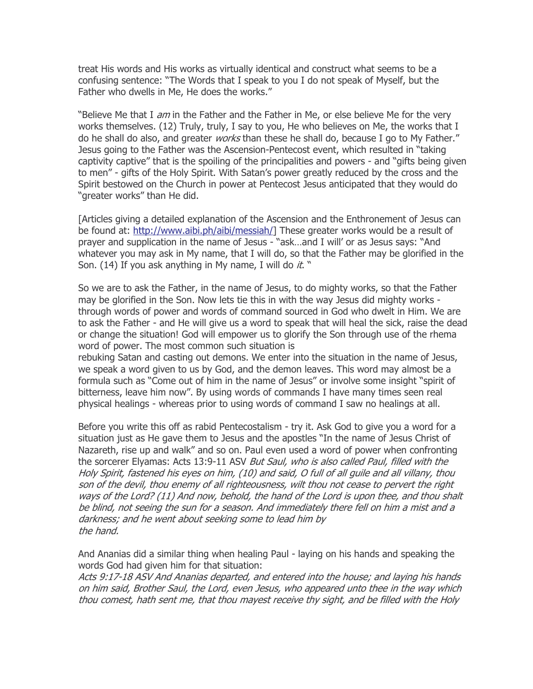treat His words and His works as virtually identical and construct what seems to be a confusing sentence: "The Words that I speak to you I do not speak of Myself, but the Father who dwells in Me, He does the works."

"Believe Me that I am in the Father and the Father in Me, or else believe Me for the very works themselves. (12) Truly, truly, I say to you, He who believes on Me, the works that I do he shall do also, and greater *works* than these he shall do, because I go to My Father." Jesus going to the Father was the Ascension-Pentecost event, which resulted in "taking captivity captive" that is the spoiling of the principalities and powers - and "gifts being given to men" - gifts of the Holy Spirit. With Satan's power greatly reduced by the cross and the Spirit bestowed on the Church in power at Pentecost Jesus anticipated that they would do "greater works" than He did.

[Articles giving a detailed explanation of the Ascension and the Enthronement of Jesus can be found at: http://www.aibi.ph/aibi/messiah/] These greater works would be a result of prayer and supplication in the name of Jesus - "ask…and I will' or as Jesus says: "And whatever you may ask in My name, that I will do, so that the Father may be glorified in the Son. (14) If you ask anything in My name, I will do it. "

So we are to ask the Father, in the name of Jesus, to do mighty works, so that the Father may be glorified in the Son. Now lets tie this in with the way Jesus did mighty works through words of power and words of command sourced in God who dwelt in Him. We are to ask the Father - and He will give us a word to speak that will heal the sick, raise the dead or change the situation! God will empower us to glorify the Son through use of the rhema word of power. The most common such situation is

rebuking Satan and casting out demons. We enter into the situation in the name of Jesus, we speak a word given to us by God, and the demon leaves. This word may almost be a formula such as "Come out of him in the name of Jesus" or involve some insight "spirit of bitterness, leave him now". By using words of commands I have many times seen real physical healings - whereas prior to using words of command I saw no healings at all.

Before you write this off as rabid Pentecostalism - try it. Ask God to give you a word for a situation just as He gave them to Jesus and the apostles "In the name of Jesus Christ of Nazareth, rise up and walk" and so on. Paul even used a word of power when confronting the sorcerer Elyamas: Acts 13:9-11 ASV *But Saul, who is also called Paul, filled with the* Holy Spirit, fastened his eyes on him, (10) and said, O full of all guile and all villany, thou son of the devil, thou enemy of all righteousness, wilt thou not cease to pervert the right ways of the Lord? (11) And now, behold, the hand of the Lord is upon thee, and thou shalt be blind, not seeing the sun for a season. And immediately there fell on him a mist and a darkness; and he went about seeking some to lead him by the hand.

And Ananias did a similar thing when healing Paul - laying on his hands and speaking the words God had given him for that situation:

Acts 9:17-18 ASV And Ananias departed, and entered into the house; and laying his hands on him said, Brother Saul, the Lord, even Jesus, who appeared unto thee in the way which thou comest, hath sent me, that thou mayest receive thy sight, and be filled with the Holy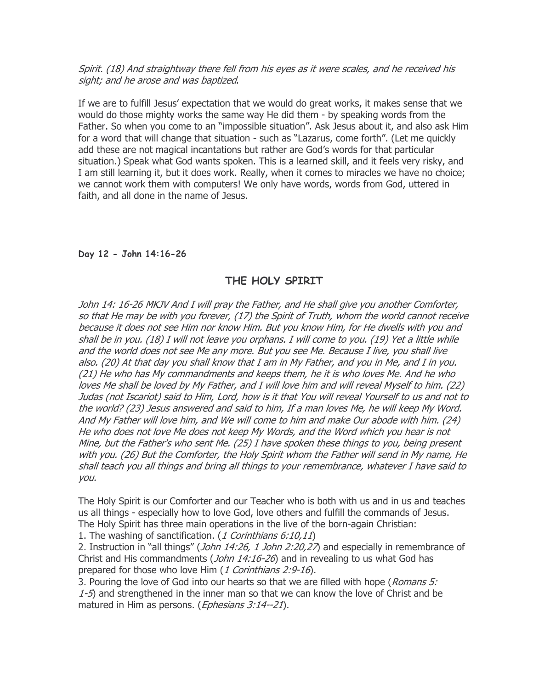# Spirit. (18) And straightway there fell from his eyes as it were scales, and he received his sight; and he arose and was baptized.

If we are to fulfill Jesus' expectation that we would do great works, it makes sense that we would do those mighty works the same way He did them - by speaking words from the Father. So when you come to an "impossible situation". Ask Jesus about it, and also ask Him for a word that will change that situation - such as "Lazarus, come forth". (Let me quickly add these are not magical incantations but rather are God's words for that particular situation.) Speak what God wants spoken. This is a learned skill, and it feels very risky, and I am still learning it, but it does work. Really, when it comes to miracles we have no choice; we cannot work them with computers! We only have words, words from God, uttered in faith, and all done in the name of Jesus.

# Day 12 - John 14:16-26

# THE HOLY SPIRIT

John 14: 16-26 MKJV And I will pray the Father, and He shall give you another Comforter, so that He may be with you forever, (17) the Spirit of Truth, whom the world cannot receive because it does not see Him nor know Him. But you know Him, for He dwells with you and shall be in you. (18) I will not leave you orphans. I will come to you. (19) Yet a little while and the world does not see Me any more. But you see Me. Because I live, you shall live also. (20) At that day you shall know that I am in My Father, and you in Me, and I in you. (21) He who has My commandments and keeps them, he it is who loves Me. And he who loves Me shall be loved by My Father, and I will love him and will reveal Myself to him. (22) Judas (not Iscariot) said to Him, Lord, how is it that You will reveal Yourself to us and not to the world? (23) Jesus answered and said to him, If a man loves Me, he will keep My Word. And My Father will love him, and We will come to him and make Our abode with him. (24) He who does not love Me does not keep My Words, and the Word which you hear is not Mine, but the Father's who sent Me. (25) I have spoken these things to you, being present with you. (26) But the Comforter, the Holy Spirit whom the Father will send in My name, He shall teach you all things and bring all things to your remembrance, whatever I have said to you.

The Holy Spirit is our Comforter and our Teacher who is both with us and in us and teaches us all things - especially how to love God, love others and fulfill the commands of Jesus. The Holy Spirit has three main operations in the live of the born-again Christian:

1. The washing of sanctification. (1 Corinthians 6:10,11)

2. Instruction in "all things" (*John 14:26, 1 John 2:20,27*) and especially in remembrance of Christ and His commandments (*John 14:16-26*) and in revealing to us what God has prepared for those who love Him (1 Corinthians 2:9-16).

3. Pouring the love of God into our hearts so that we are filled with hope (Romans 5: 1-5) and strengthened in the inner man so that we can know the love of Christ and be matured in Him as persons. (*Ephesians 3:14--21*).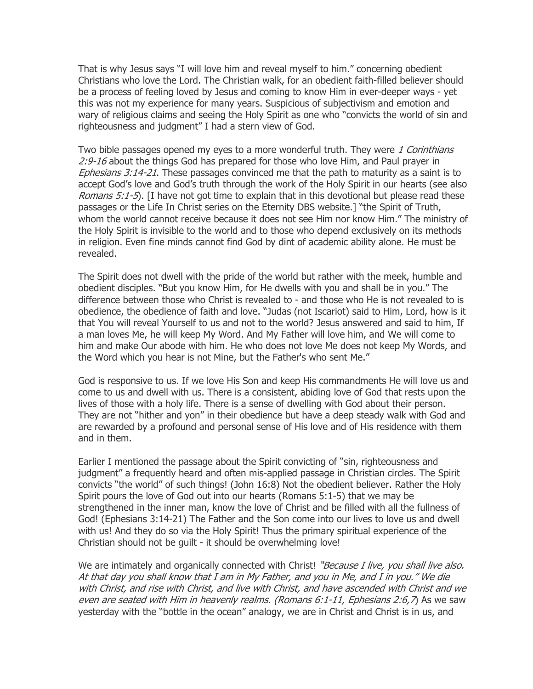That is why Jesus says "I will love him and reveal myself to him." concerning obedient Christians who love the Lord. The Christian walk, for an obedient faith-filled believer should be a process of feeling loved by Jesus and coming to know Him in ever-deeper ways - yet this was not my experience for many years. Suspicious of subjectivism and emotion and wary of religious claims and seeing the Holy Spirit as one who "convicts the world of sin and righteousness and judgment" I had a stern view of God.

Two bible passages opened my eyes to a more wonderful truth. They were 1 Corinthians 2:9-16 about the things God has prepared for those who love Him, and Paul prayer in Ephesians 3:14-21. These passages convinced me that the path to maturity as a saint is to accept God's love and God's truth through the work of the Holy Spirit in our hearts (see also Romans 5:1-5). [I have not got time to explain that in this devotional but please read these passages or the Life In Christ series on the Eternity DBS website.] "the Spirit of Truth, whom the world cannot receive because it does not see Him nor know Him." The ministry of the Holy Spirit is invisible to the world and to those who depend exclusively on its methods in religion. Even fine minds cannot find God by dint of academic ability alone. He must be revealed.

The Spirit does not dwell with the pride of the world but rather with the meek, humble and obedient disciples. "But you know Him, for He dwells with you and shall be in you." The difference between those who Christ is revealed to - and those who He is not revealed to is obedience, the obedience of faith and love. "Judas (not Iscariot) said to Him, Lord, how is it that You will reveal Yourself to us and not to the world? Jesus answered and said to him, If a man loves Me, he will keep My Word. And My Father will love him, and We will come to him and make Our abode with him. He who does not love Me does not keep My Words, and the Word which you hear is not Mine, but the Father's who sent Me."

God is responsive to us. If we love His Son and keep His commandments He will love us and come to us and dwell with us. There is a consistent, abiding love of God that rests upon the lives of those with a holy life. There is a sense of dwelling with God about their person. They are not "hither and yon" in their obedience but have a deep steady walk with God and are rewarded by a profound and personal sense of His love and of His residence with them and in them.

Earlier I mentioned the passage about the Spirit convicting of "sin, righteousness and judgment" a frequently heard and often mis-applied passage in Christian circles. The Spirit convicts "the world" of such things! (John 16:8) Not the obedient believer. Rather the Holy Spirit pours the love of God out into our hearts (Romans 5:1-5) that we may be strengthened in the inner man, know the love of Christ and be filled with all the fullness of God! (Ephesians 3:14-21) The Father and the Son come into our lives to love us and dwell with us! And they do so via the Holy Spirit! Thus the primary spiritual experience of the Christian should not be guilt - it should be overwhelming love!

We are intimately and organically connected with Christ! "Because I live, you shall live also. At that day you shall know that I am in My Father, and you in Me, and I in you." We die with Christ, and rise with Christ, and live with Christ, and have ascended with Christ and we even are seated with Him in heavenly realms. (Romans 6:1-11, Ephesians 2:6,7) As we saw yesterday with the "bottle in the ocean" analogy, we are in Christ and Christ is in us, and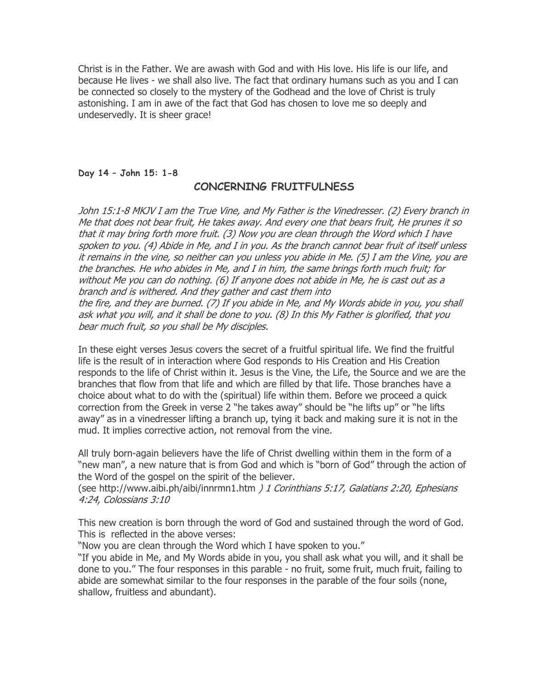Christ is in the Father. We are awash with God and with His love. His life is our life, and because He lives - we shall also live. The fact that ordinary humans such as you and I can be connected so closely to the mystery of the Godhead and the love of Christ is truly astonishing. I am in awe of the fact that God has chosen to love me so deeply and undeservedly. It is sheer grace!

#### Day 14 – John 15: 1-8

# CONCERNING FRUITFULNESS

John 15:1-8 MKJV I am the True Vine, and My Father is the Vinedresser. (2) Every branch in Me that does not bear fruit, He takes away. And every one that bears fruit, He prunes it so that it may bring forth more fruit. (3) Now you are clean through the Word which I have spoken to you. (4) Abide in Me, and I in you. As the branch cannot bear fruit of itself unless it remains in the vine, so neither can you unless you abide in Me. (5) I am the Vine, you are the branches. He who abides in Me, and I in him, the same brings forth much fruit; for without Me you can do nothing. (6) If anyone does not abide in Me, he is cast out as a branch and is withered. And they gather and cast them into the fire, and they are burned. (7) If you abide in Me, and My Words abide in you, you shall

ask what you will, and it shall be done to you. (8) In this My Father is glorified, that you bear much fruit, so you shall be My disciples.

In these eight verses Jesus covers the secret of a fruitful spiritual life. We find the fruitful life is the result of in interaction where God responds to His Creation and His Creation responds to the life of Christ within it. Jesus is the Vine, the Life, the Source and we are the branches that flow from that life and which are filled by that life. Those branches have a choice about what to do with the (spiritual) life within them. Before we proceed a quick correction from the Greek in verse 2 "he takes away" should be "he lifts up" or "he lifts away" as in a vinedresser lifting a branch up, tying it back and making sure it is not in the mud. It implies corrective action, not removal from the vine.

All truly born-again believers have the life of Christ dwelling within them in the form of a "new man", a new nature that is from God and which is "born of God" through the action of the Word of the gospel on the spirit of the believer.

(see http://www.aibi.ph/aibi/innrmn1.htm ) 1 Corinthians 5:17, Galatians 2:20, Ephesians 4:24, Colossians 3:10

This new creation is born through the word of God and sustained through the word of God. This is reflected in the above verses:

"Now you are clean through the Word which I have spoken to you."

"If you abide in Me, and My Words abide in you, you shall ask what you will, and it shall be done to you." The four responses in this parable - no fruit, some fruit, much fruit, failing to abide are somewhat similar to the four responses in the parable of the four soils (none, shallow, fruitless and abundant).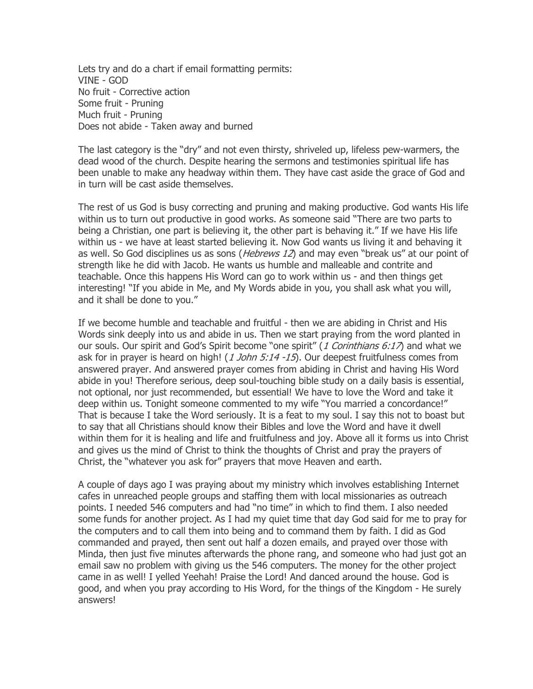Lets try and do a chart if email formatting permits: VINE - GOD No fruit - Corrective action Some fruit - Pruning Much fruit - Pruning Does not abide - Taken away and burned

The last category is the "dry" and not even thirsty, shriveled up, lifeless pew-warmers, the dead wood of the church. Despite hearing the sermons and testimonies spiritual life has been unable to make any headway within them. They have cast aside the grace of God and in turn will be cast aside themselves.

The rest of us God is busy correcting and pruning and making productive. God wants His life within us to turn out productive in good works. As someone said "There are two parts to being a Christian, one part is believing it, the other part is behaving it." If we have His life within us - we have at least started believing it. Now God wants us living it and behaving it as well. So God disciplines us as sons (*Hebrews 12*) and may even "break us" at our point of strength like he did with Jacob. He wants us humble and malleable and contrite and teachable. Once this happens His Word can go to work within us - and then things get interesting! "If you abide in Me, and My Words abide in you, you shall ask what you will, and it shall be done to you."

If we become humble and teachable and fruitful - then we are abiding in Christ and His Words sink deeply into us and abide in us. Then we start praying from the word planted in our souls. Our spirit and God's Spirit become "one spirit" (1 Corinthians 6:17) and what we ask for in prayer is heard on high! (1 John 5:14 -15). Our deepest fruitfulness comes from answered prayer. And answered prayer comes from abiding in Christ and having His Word abide in you! Therefore serious, deep soul-touching bible study on a daily basis is essential, not optional, nor just recommended, but essential! We have to love the Word and take it deep within us. Tonight someone commented to my wife "You married a concordance!" That is because I take the Word seriously. It is a feat to my soul. I say this not to boast but to say that all Christians should know their Bibles and love the Word and have it dwell within them for it is healing and life and fruitfulness and joy. Above all it forms us into Christ and gives us the mind of Christ to think the thoughts of Christ and pray the prayers of Christ, the "whatever you ask for" prayers that move Heaven and earth.

A couple of days ago I was praying about my ministry which involves establishing Internet cafes in unreached people groups and staffing them with local missionaries as outreach points. I needed 546 computers and had "no time" in which to find them. I also needed some funds for another project. As I had my quiet time that day God said for me to pray for the computers and to call them into being and to command them by faith. I did as God commanded and prayed, then sent out half a dozen emails, and prayed over those with Minda, then just five minutes afterwards the phone rang, and someone who had just got an email saw no problem with giving us the 546 computers. The money for the other project came in as well! I yelled Yeehah! Praise the Lord! And danced around the house. God is good, and when you pray according to His Word, for the things of the Kingdom - He surely answers!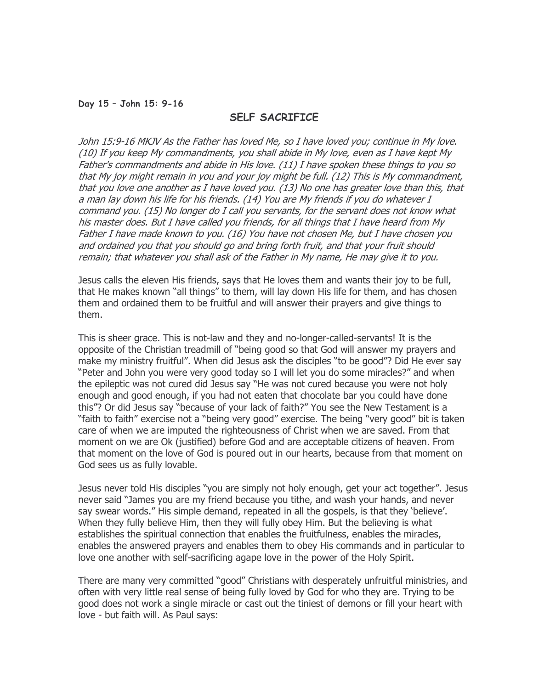#### Day 15 – John 15: 9-16

# SELF SACRIFICE

John 15:9-16 MKJV As the Father has loved Me, so I have loved you; continue in My love. (10) If you keep My commandments, you shall abide in My love, even as I have kept My Father's commandments and abide in His love. (11) I have spoken these things to you so that My joy might remain in you and your joy might be full. (12) This is My commandment, that you love one another as I have loved you. (13) No one has greater love than this, that a man lay down his life for his friends. (14) You are My friends if you do whatever I command you. (15) No longer do I call you servants, for the servant does not know what his master does. But I have called you friends, for all things that I have heard from My Father I have made known to you. (16) You have not chosen Me, but I have chosen you and ordained you that you should go and bring forth fruit, and that your fruit should remain; that whatever you shall ask of the Father in My name, He may give it to you.

Jesus calls the eleven His friends, says that He loves them and wants their joy to be full, that He makes known "all things" to them, will lay down His life for them, and has chosen them and ordained them to be fruitful and will answer their prayers and give things to them.

This is sheer grace. This is not-law and they and no-longer-called-servants! It is the opposite of the Christian treadmill of "being good so that God will answer my prayers and make my ministry fruitful". When did Jesus ask the disciples "to be good"? Did He ever say "Peter and John you were very good today so I will let you do some miracles?" and when the epileptic was not cured did Jesus say "He was not cured because you were not holy enough and good enough, if you had not eaten that chocolate bar you could have done this"? Or did Jesus say "because of your lack of faith?" You see the New Testament is a "faith to faith" exercise not a "being very good" exercise. The being "very good" bit is taken care of when we are imputed the righteousness of Christ when we are saved. From that moment on we are Ok (justified) before God and are acceptable citizens of heaven. From that moment on the love of God is poured out in our hearts, because from that moment on God sees us as fully lovable.

Jesus never told His disciples "you are simply not holy enough, get your act together". Jesus never said "James you are my friend because you tithe, and wash your hands, and never say swear words." His simple demand, repeated in all the gospels, is that they 'believe'. When they fully believe Him, then they will fully obey Him. But the believing is what establishes the spiritual connection that enables the fruitfulness, enables the miracles, enables the answered prayers and enables them to obey His commands and in particular to love one another with self-sacrificing agape love in the power of the Holy Spirit.

There are many very committed "good" Christians with desperately unfruitful ministries, and often with very little real sense of being fully loved by God for who they are. Trying to be good does not work a single miracle or cast out the tiniest of demons or fill your heart with love - but faith will. As Paul says: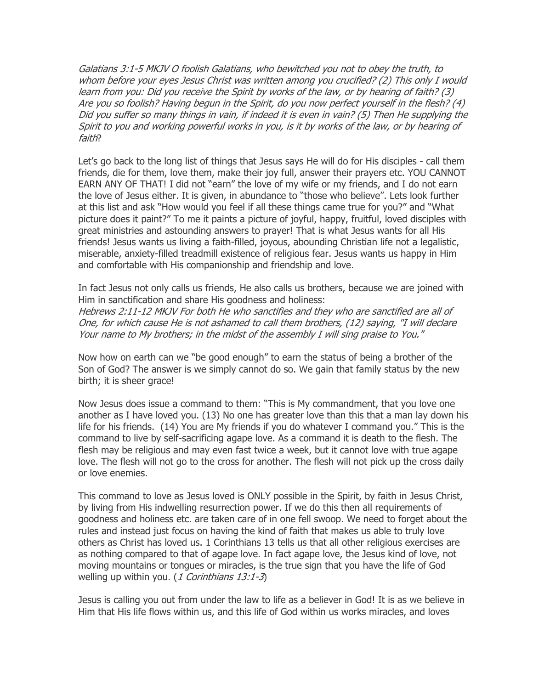Galatians 3:1-5 MKJV O foolish Galatians, who bewitched you not to obey the truth, to whom before your eyes Jesus Christ was written among you crucified? (2) This only I would learn from you: Did you receive the Spirit by works of the law, or by hearing of faith? (3) Are you so foolish? Having begun in the Spirit, do you now perfect yourself in the flesh? (4) Did you suffer so many things in vain, if indeed it is even in vain? (5) Then He supplying the Spirit to you and working powerful works in you, is it by works of the law, or by hearing of faith?

Let's go back to the long list of things that Jesus says He will do for His disciples - call them friends, die for them, love them, make their joy full, answer their prayers etc. YOU CANNOT EARN ANY OF THAT! I did not "earn" the love of my wife or my friends, and I do not earn the love of Jesus either. It is given, in abundance to "those who believe". Lets look further at this list and ask "How would you feel if all these things came true for you?" and "What picture does it paint?" To me it paints a picture of joyful, happy, fruitful, loved disciples with great ministries and astounding answers to prayer! That is what Jesus wants for all His friends! Jesus wants us living a faith-filled, joyous, abounding Christian life not a legalistic, miserable, anxiety-filled treadmill existence of religious fear. Jesus wants us happy in Him and comfortable with His companionship and friendship and love.

In fact Jesus not only calls us friends, He also calls us brothers, because we are joined with Him in sanctification and share His goodness and holiness: Hebrews 2:11-12 MKJV For both He who sanctifies and they who are sanctified are all of One, for which cause He is not ashamed to call them brothers, (12) saying, "I will declare Your name to My brothers; in the midst of the assembly I will sing praise to You."

Now how on earth can we "be good enough" to earn the status of being a brother of the Son of God? The answer is we simply cannot do so. We gain that family status by the new birth; it is sheer grace!

Now Jesus does issue a command to them: "This is My commandment, that you love one another as I have loved you. (13) No one has greater love than this that a man lay down his life for his friends. (14) You are My friends if you do whatever I command you." This is the command to live by self-sacrificing agape love. As a command it is death to the flesh. The flesh may be religious and may even fast twice a week, but it cannot love with true agape love. The flesh will not go to the cross for another. The flesh will not pick up the cross daily or love enemies.

This command to love as Jesus loved is ONLY possible in the Spirit, by faith in Jesus Christ, by living from His indwelling resurrection power. If we do this then all requirements of goodness and holiness etc. are taken care of in one fell swoop. We need to forget about the rules and instead just focus on having the kind of faith that makes us able to truly love others as Christ has loved us. 1 Corinthians 13 tells us that all other religious exercises are as nothing compared to that of agape love. In fact agape love, the Jesus kind of love, not moving mountains or tongues or miracles, is the true sign that you have the life of God welling up within you.  $(1$  Corinthians  $13:1-3$ 

Jesus is calling you out from under the law to life as a believer in God! It is as we believe in Him that His life flows within us, and this life of God within us works miracles, and loves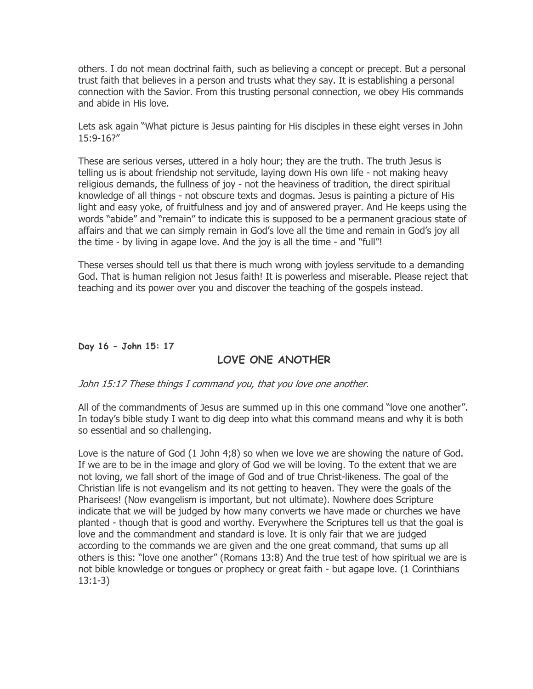others. I do not mean doctrinal faith, such as believing a concept or precept. But a personal trust faith that believes in a person and trusts what they say. It is establishing a personal connection with the Savior. From this trusting personal connection, we obey His commands and abide in His love.

Lets ask again "What picture is Jesus painting for His disciples in these eight verses in John 15:9-16?"

These are serious verses, uttered in a holy hour; they are the truth. The truth Jesus is telling us is about friendship not servitude, laying down His own life - not making heavy religious demands, the fullness of joy - not the heaviness of tradition, the direct spiritual knowledge of all things - not obscure texts and dogmas. Jesus is painting a picture of His light and easy yoke, of fruitfulness and joy and of answered prayer. And He keeps using the words "abide" and "remain" to indicate this is supposed to be a permanent gracious state of affairs and that we can simply remain in God's love all the time and remain in God's joy all the time - by living in agape love. And the joy is all the time - and "full"!

These verses should tell us that there is much wrong with joyless servitude to a demanding God. That is human religion not Jesus faith! It is powerless and miserable. Please reject that teaching and its power over you and discover the teaching of the gospels instead.

# Day 16 - John 15: 17

# LOVE ONE ANOTHER

# John 15:17 These things I command you, that you love one another.

All of the commandments of Jesus are summed up in this one command "love one another". In today's bible study I want to dig deep into what this command means and why it is both so essential and so challenging.

Love is the nature of God (1 John 4;8) so when we love we are showing the nature of God. If we are to be in the image and glory of God we will be loving. To the extent that we are not loving, we fall short of the image of God and of true Christ-likeness. The goal of the Christian life is not evangelism and its not getting to heaven. They were the goals of the Pharisees! (Now evangelism is important, but not ultimate). Nowhere does Scripture indicate that we will be judged by how many converts we have made or churches we have planted - though that is good and worthy. Everywhere the Scriptures tell us that the goal is love and the commandment and standard is love. It is only fair that we are judged according to the commands we are given and the one great command, that sums up all others is this: "love one another" (Romans 13:8) And the true test of how spiritual we are is not bible knowledge or tongues or prophecy or great faith - but agape love. (1 Corinthians 13:1-3)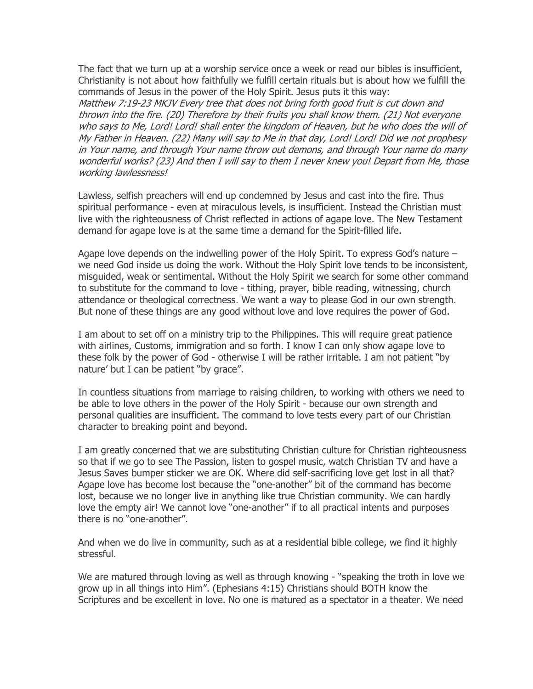The fact that we turn up at a worship service once a week or read our bibles is insufficient, Christianity is not about how faithfully we fulfill certain rituals but is about how we fulfill the commands of Jesus in the power of the Holy Spirit. Jesus puts it this way:

Matthew 7:19-23 MKJV Every tree that does not bring forth good fruit is cut down and thrown into the fire. (20) Therefore by their fruits you shall know them. (21) Not everyone who says to Me, Lord! Lord! shall enter the kingdom of Heaven, but he who does the will of My Father in Heaven. (22) Many will say to Me in that day, Lord! Lord! Did we not prophesy in Your name, and through Your name throw out demons, and through Your name do many wonderful works? (23) And then I will say to them I never knew you! Depart from Me, those working lawlessness!

Lawless, selfish preachers will end up condemned by Jesus and cast into the fire. Thus spiritual performance - even at miraculous levels, is insufficient. Instead the Christian must live with the righteousness of Christ reflected in actions of agape love. The New Testament demand for agape love is at the same time a demand for the Spirit-filled life.

Agape love depends on the indwelling power of the Holy Spirit. To express God's nature – we need God inside us doing the work. Without the Holy Spirit love tends to be inconsistent, misguided, weak or sentimental. Without the Holy Spirit we search for some other command to substitute for the command to love - tithing, prayer, bible reading, witnessing, church attendance or theological correctness. We want a way to please God in our own strength. But none of these things are any good without love and love requires the power of God.

I am about to set off on a ministry trip to the Philippines. This will require great patience with airlines, Customs, immigration and so forth. I know I can only show agape love to these folk by the power of God - otherwise I will be rather irritable. I am not patient "by nature' but I can be patient "by grace".

In countless situations from marriage to raising children, to working with others we need to be able to love others in the power of the Holy Spirit - because our own strength and personal qualities are insufficient. The command to love tests every part of our Christian character to breaking point and beyond.

I am greatly concerned that we are substituting Christian culture for Christian righteousness so that if we go to see The Passion, listen to gospel music, watch Christian TV and have a Jesus Saves bumper sticker we are OK. Where did self-sacrificing love get lost in all that? Agape love has become lost because the "one-another" bit of the command has become lost, because we no longer live in anything like true Christian community. We can hardly love the empty air! We cannot love "one-another" if to all practical intents and purposes there is no "one-another".

And when we do live in community, such as at a residential bible college, we find it highly stressful.

We are matured through loving as well as through knowing - "speaking the troth in love we grow up in all things into Him". (Ephesians 4:15) Christians should BOTH know the Scriptures and be excellent in love. No one is matured as a spectator in a theater. We need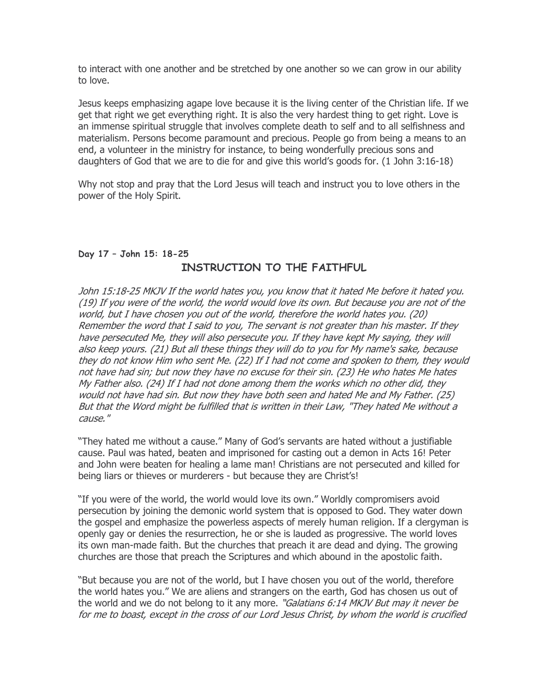to interact with one another and be stretched by one another so we can grow in our ability to love.

Jesus keeps emphasizing agape love because it is the living center of the Christian life. If we get that right we get everything right. It is also the very hardest thing to get right. Love is an immense spiritual struggle that involves complete death to self and to all selfishness and materialism. Persons become paramount and precious. People go from being a means to an end, a volunteer in the ministry for instance, to being wonderfully precious sons and daughters of God that we are to die for and give this world's goods for. (1 John 3:16-18)

Why not stop and pray that the Lord Jesus will teach and instruct you to love others in the power of the Holy Spirit.

# Day 17 – John 15: 18-25 INSTRUCTION TO THE FAITHFUL

John 15:18-25 MKJV If the world hates you, you know that it hated Me before it hated you. (19) If you were of the world, the world would love its own. But because you are not of the world, but I have chosen you out of the world, therefore the world hates you. (20) Remember the word that I said to you, The servant is not greater than his master. If they have persecuted Me, they will also persecute you. If they have kept My saying, they will also keep yours. (21) But all these things they will do to you for My name's sake, because they do not know Him who sent Me. (22) If I had not come and spoken to them, they would not have had sin; but now they have no excuse for their sin. (23) He who hates Me hates My Father also. (24) If I had not done among them the works which no other did, they would not have had sin. But now they have both seen and hated Me and My Father. (25) But that the Word might be fulfilled that is written in their Law, "They hated Me without a cause."

"They hated me without a cause." Many of God's servants are hated without a justifiable cause. Paul was hated, beaten and imprisoned for casting out a demon in Acts 16! Peter and John were beaten for healing a lame man! Christians are not persecuted and killed for being liars or thieves or murderers - but because they are Christ's!

"If you were of the world, the world would love its own." Worldly compromisers avoid persecution by joining the demonic world system that is opposed to God. They water down the gospel and emphasize the powerless aspects of merely human religion. If a clergyman is openly gay or denies the resurrection, he or she is lauded as progressive. The world loves its own man-made faith. But the churches that preach it are dead and dying. The growing churches are those that preach the Scriptures and which abound in the apostolic faith.

"But because you are not of the world, but I have chosen you out of the world, therefore the world hates you." We are aliens and strangers on the earth, God has chosen us out of the world and we do not belong to it any more. "Galatians 6:14 MKJV But may it never be for me to boast, except in the cross of our Lord Jesus Christ, by whom the world is crucified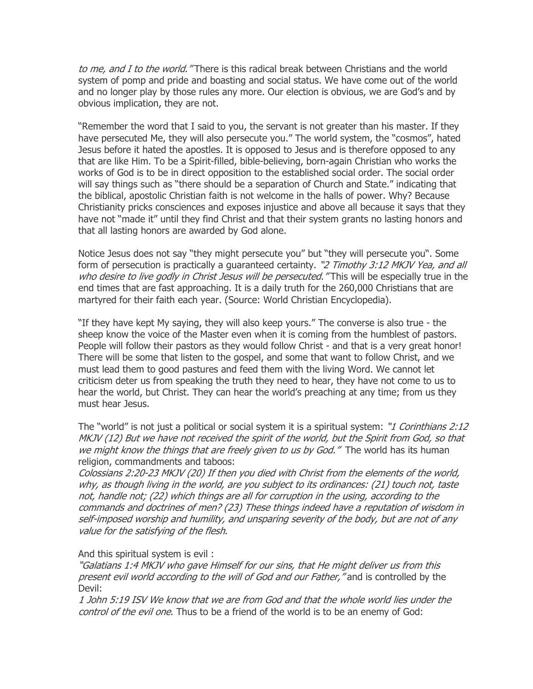to me, and I to the world. "There is this radical break between Christians and the world system of pomp and pride and boasting and social status. We have come out of the world and no longer play by those rules any more. Our election is obvious, we are God's and by obvious implication, they are not.

"Remember the word that I said to you, the servant is not greater than his master. If they have persecuted Me, they will also persecute you." The world system, the "cosmos", hated Jesus before it hated the apostles. It is opposed to Jesus and is therefore opposed to any that are like Him. To be a Spirit-filled, bible-believing, born-again Christian who works the works of God is to be in direct opposition to the established social order. The social order will say things such as "there should be a separation of Church and State." indicating that the biblical, apostolic Christian faith is not welcome in the halls of power. Why? Because Christianity pricks consciences and exposes injustice and above all because it says that they have not "made it" until they find Christ and that their system grants no lasting honors and that all lasting honors are awarded by God alone.

Notice Jesus does not say "they might persecute you" but "they will persecute you". Some form of persecution is practically a guaranteed certainty. "2 Timothy 3:12 MKJV Yea, and all who desire to live godly in Christ Jesus will be persecuted. "This will be especially true in the end times that are fast approaching. It is a daily truth for the 260,000 Christians that are martyred for their faith each year. (Source: World Christian Encyclopedia).

"If they have kept My saying, they will also keep yours." The converse is also true - the sheep know the voice of the Master even when it is coming from the humblest of pastors. People will follow their pastors as they would follow Christ - and that is a very great honor! There will be some that listen to the gospel, and some that want to follow Christ, and we must lead them to good pastures and feed them with the living Word. We cannot let criticism deter us from speaking the truth they need to hear, they have not come to us to hear the world, but Christ. They can hear the world's preaching at any time; from us they must hear Jesus.

The "world" is not just a political or social system it is a spiritual system: "1 Corinthians 2:12 MKJV (12) But we have not received the spirit of the world, but the Spirit from God, so that we might know the things that are freely given to us by God." The world has its human religion, commandments and taboos:

Colossians 2:20-23 MKJV (20) If then you died with Christ from the elements of the world, why, as though living in the world, are you subject to its ordinances: (21) touch not, taste not, handle not; (22) which things are all for corruption in the using, according to the commands and doctrines of men? (23) These things indeed have a reputation of wisdom in self-imposed worship and humility, and unsparing severity of the body, but are not of any value for the satisfying of the flesh.

And this spiritual system is evil :

"Galatians 1:4 MKJV who gave Himself for our sins, that He might deliver us from this present evil world according to the will of God and our Father," and is controlled by the Devil:

1 John 5:19 ISV We know that we are from God and that the whole world lies under the control of the evil one. Thus to be a friend of the world is to be an enemy of God: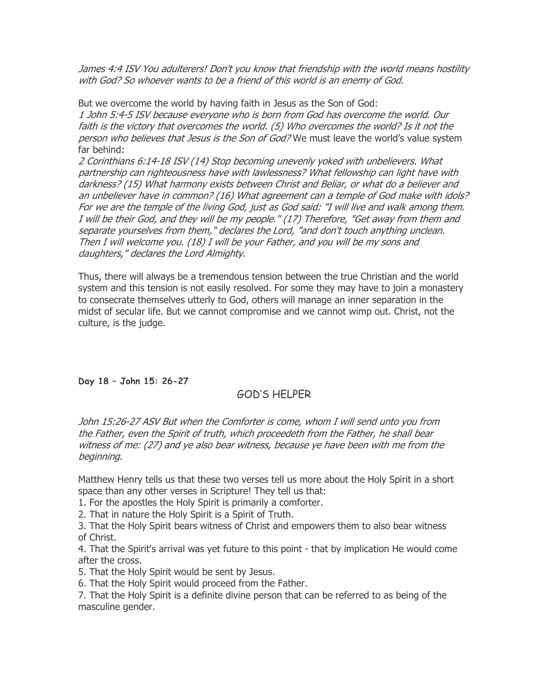James 4:4 ISV You adulterers! Don't you know that friendship with the world means hostility with God? So whoever wants to be a friend of this world is an enemy of God.

But we overcome the world by having faith in Jesus as the Son of God: 1 John 5:4-5 ISV because everyone who is born from God has overcome the world. Our faith is the victory that overcomes the world. (5) Who overcomes the world? Is it not the person who believes that Jesus is the Son of God? We must leave the world's value system far behind:

2 Corinthians 6:14-18 ISV (14) Stop becoming unevenly yoked with unbelievers. What partnership can righteousness have with lawlessness? What fellowship can light have with darkness? (15) What harmony exists between Christ and Beliar, or what do a believer and an unbeliever have in common? (16) What agreement can a temple of God make with idols? For we are the temple of the living God, just as God said: "I will live and walk among them. I will be their God, and they will be my people." (17) Therefore, "Get away from them and separate yourselves from them," declares the Lord, "and don't touch anything unclean. Then I will welcome you. (18) I will be your Father, and you will be my sons and daughters," declares the Lord Almighty.

Thus, there will always be a tremendous tension between the true Christian and the world system and this tension is not easily resolved. For some they may have to join a monastery to consecrate themselves utterly to God, others will manage an inner separation in the midst of secular life. But we cannot compromise and we cannot wimp out. Christ, not the culture, is the judge.

Day 18 – John 15: 26-27

# GOD'S HELPER

John 15:26-27 ASV But when the Comforter is come, whom I will send unto you from the Father, even the Spirit of truth, which proceedeth from the Father, he shall bear witness of me: (27) and ye also bear witness, because ye have been with me from the beginning.

Matthew Henry tells us that these two verses tell us more about the Holy Spirit in a short space than any other verses in Scripture! They tell us that:

1. For the apostles the Holy Spirit is primarily a comforter.

2. That in nature the Holy Spirit is a Spirit of Truth.

3. That the Holy Spirit bears witness of Christ and empowers them to also bear witness of Christ.

4. That the Spirit's arrival was yet future to this point - that by implication He would come after the cross.

5. That the Holy Spirit would be sent by Jesus.

6. That the Holy Spirit would proceed from the Father.

7. That the Holy Spirit is a definite divine person that can be referred to as being of the masculine gender.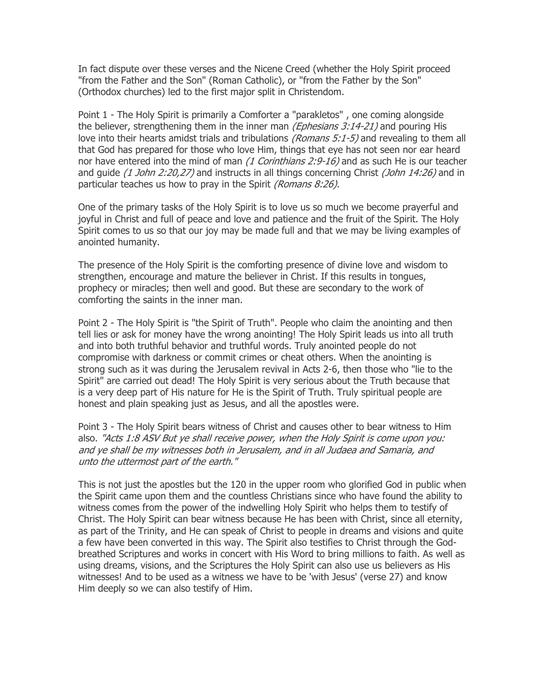In fact dispute over these verses and the Nicene Creed (whether the Holy Spirit proceed "from the Father and the Son" (Roman Catholic), or "from the Father by the Son" (Orthodox churches) led to the first major split in Christendom.

Point 1 - The Holy Spirit is primarily a Comforter a "parakletos" , one coming alongside the believer, strengthening them in the inner man *(Ephesians 3:14-21)* and pouring His love into their hearts amidst trials and tribulations *(Romans 5:1-5)* and revealing to them all that God has prepared for those who love Him, things that eye has not seen nor ear heard nor have entered into the mind of man (1 Corinthians 2:9-16) and as such He is our teacher and quide  $(1$  John 2:20,27) and instructs in all things concerning Christ  $(John 14:26)$  and in particular teaches us how to pray in the Spirit (Romans 8:26).

One of the primary tasks of the Holy Spirit is to love us so much we become prayerful and joyful in Christ and full of peace and love and patience and the fruit of the Spirit. The Holy Spirit comes to us so that our joy may be made full and that we may be living examples of anointed humanity.

The presence of the Holy Spirit is the comforting presence of divine love and wisdom to strengthen, encourage and mature the believer in Christ. If this results in tongues, prophecy or miracles; then well and good. But these are secondary to the work of comforting the saints in the inner man.

Point 2 - The Holy Spirit is "the Spirit of Truth". People who claim the anointing and then tell lies or ask for money have the wrong anointing! The Holy Spirit leads us into all truth and into both truthful behavior and truthful words. Truly anointed people do not compromise with darkness or commit crimes or cheat others. When the anointing is strong such as it was during the Jerusalem revival in Acts 2-6, then those who "lie to the Spirit" are carried out dead! The Holy Spirit is very serious about the Truth because that is a very deep part of His nature for He is the Spirit of Truth. Truly spiritual people are honest and plain speaking just as Jesus, and all the apostles were.

Point 3 - The Holy Spirit bears witness of Christ and causes other to bear witness to Him also. "Acts 1:8 ASV But ye shall receive power, when the Holy Spirit is come upon you: and ye shall be my witnesses both in Jerusalem, and in all Judaea and Samaria, and unto the uttermost part of the earth."

This is not just the apostles but the 120 in the upper room who glorified God in public when the Spirit came upon them and the countless Christians since who have found the ability to witness comes from the power of the indwelling Holy Spirit who helps them to testify of Christ. The Holy Spirit can bear witness because He has been with Christ, since all eternity, as part of the Trinity, and He can speak of Christ to people in dreams and visions and quite a few have been converted in this way. The Spirit also testifies to Christ through the Godbreathed Scriptures and works in concert with His Word to bring millions to faith. As well as using dreams, visions, and the Scriptures the Holy Spirit can also use us believers as His witnesses! And to be used as a witness we have to be 'with Jesus' (verse 27) and know Him deeply so we can also testify of Him.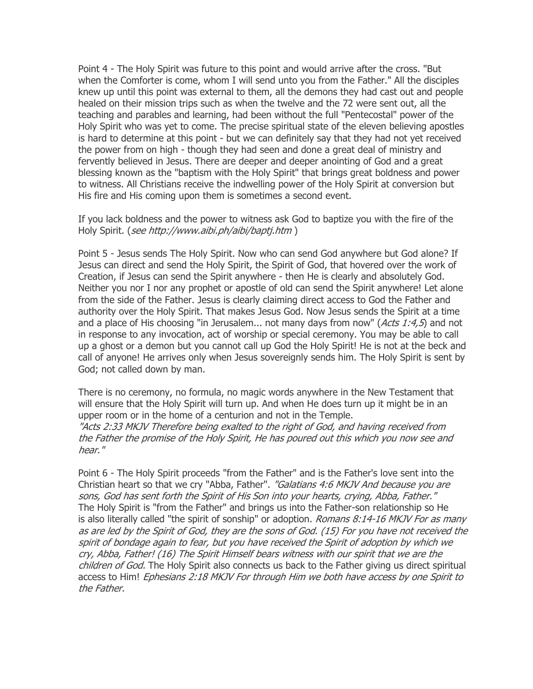Point 4 - The Holy Spirit was future to this point and would arrive after the cross. "But when the Comforter is come, whom I will send unto you from the Father." All the disciples knew up until this point was external to them, all the demons they had cast out and people healed on their mission trips such as when the twelve and the 72 were sent out, all the teaching and parables and learning, had been without the full "Pentecostal" power of the Holy Spirit who was yet to come. The precise spiritual state of the eleven believing apostles is hard to determine at this point - but we can definitely say that they had not yet received the power from on high - though they had seen and done a great deal of ministry and fervently believed in Jesus. There are deeper and deeper anointing of God and a great blessing known as the "baptism with the Holy Spirit" that brings great boldness and power to witness. All Christians receive the indwelling power of the Holy Spirit at conversion but His fire and His coming upon them is sometimes a second event.

If you lack boldness and the power to witness ask God to baptize you with the fire of the Holy Spirit. (see http://www.aibi.ph/aibi/baptj.htm )

Point 5 - Jesus sends The Holy Spirit. Now who can send God anywhere but God alone? If Jesus can direct and send the Holy Spirit, the Spirit of God, that hovered over the work of Creation, if Jesus can send the Spirit anywhere - then He is clearly and absolutely God. Neither you nor I nor any prophet or apostle of old can send the Spirit anywhere! Let alone from the side of the Father. Jesus is clearly claiming direct access to God the Father and authority over the Holy Spirit. That makes Jesus God. Now Jesus sends the Spirit at a time and a place of His choosing "in Jerusalem... not many days from now" ( $Acts$  1:4,5) and not in response to any invocation, act of worship or special ceremony. You may be able to call up a ghost or a demon but you cannot call up God the Holy Spirit! He is not at the beck and call of anyone! He arrives only when Jesus sovereignly sends him. The Holy Spirit is sent by God; not called down by man.

There is no ceremony, no formula, no magic words anywhere in the New Testament that will ensure that the Holy Spirit will turn up. And when He does turn up it might be in an upper room or in the home of a centurion and not in the Temple. "Acts 2:33 MKJV Therefore being exalted to the right of God, and having received from the Father the promise of the Holy Spirit, He has poured out this which you now see and hear."

Point 6 - The Holy Spirit proceeds "from the Father" and is the Father's love sent into the Christian heart so that we cry "Abba, Father". "Galatians 4:6 MKJV And because you are sons, God has sent forth the Spirit of His Son into your hearts, crying, Abba, Father." The Holy Spirit is "from the Father" and brings us into the Father-son relationship so He is also literally called "the spirit of sonship" or adoption. Romans 8:14-16 MKJV For as many as are led by the Spirit of God, they are the sons of God. (15) For you have not received the spirit of bondage again to fear, but you have received the Spirit of adoption by which we cry, Abba, Father! (16) The Spirit Himself bears witness with our spirit that we are the children of God. The Holy Spirit also connects us back to the Father giving us direct spiritual access to Him! Ephesians 2:18 MKJV For through Him we both have access by one Spirit to the Father.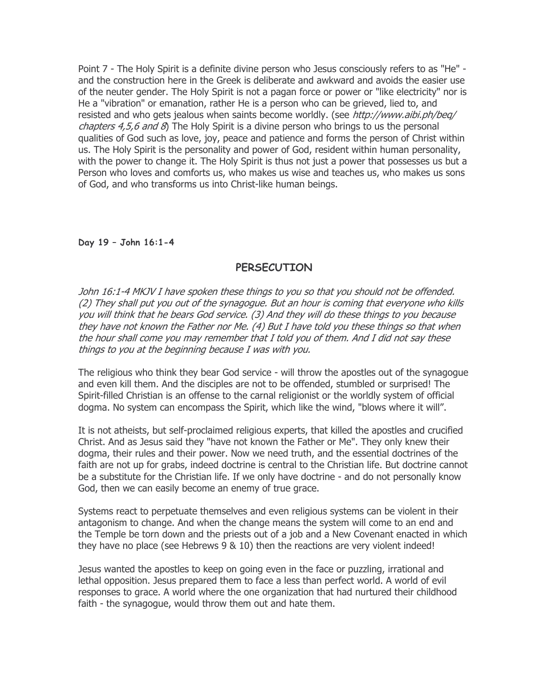Point 7 - The Holy Spirit is a definite divine person who Jesus consciously refers to as "He" and the construction here in the Greek is deliberate and awkward and avoids the easier use of the neuter gender. The Holy Spirit is not a pagan force or power or "like electricity" nor is He a "vibration" or emanation, rather He is a person who can be grieved, lied to, and resisted and who gets jealous when saints become worldly. (see http://www.aibi.ph/beq/ *chapters 4,5,6 and 8*) The Holy Spirit is a divine person who brings to us the personal qualities of God such as love, joy, peace and patience and forms the person of Christ within us. The Holy Spirit is the personality and power of God, resident within human personality, with the power to change it. The Holy Spirit is thus not just a power that possesses us but a Person who loves and comforts us, who makes us wise and teaches us, who makes us sons of God, and who transforms us into Christ-like human beings.

### Day 19 – John 16:1-4

## **PERSECUTION**

John 16:1-4 MKJV I have spoken these things to you so that you should not be offended. (2) They shall put you out of the synagogue. But an hour is coming that everyone who kills you will think that he bears God service. (3) And they will do these things to you because they have not known the Father nor Me. (4) But I have told you these things so that when the hour shall come you may remember that I told you of them. And I did not say these things to you at the beginning because I was with you.

The religious who think they bear God service - will throw the apostles out of the synagogue and even kill them. And the disciples are not to be offended, stumbled or surprised! The Spirit-filled Christian is an offense to the carnal religionist or the worldly system of official dogma. No system can encompass the Spirit, which like the wind, "blows where it will".

It is not atheists, but self-proclaimed religious experts, that killed the apostles and crucified Christ. And as Jesus said they "have not known the Father or Me". They only knew their dogma, their rules and their power. Now we need truth, and the essential doctrines of the faith are not up for grabs, indeed doctrine is central to the Christian life. But doctrine cannot be a substitute for the Christian life. If we only have doctrine - and do not personally know God, then we can easily become an enemy of true grace.

Systems react to perpetuate themselves and even religious systems can be violent in their antagonism to change. And when the change means the system will come to an end and the Temple be torn down and the priests out of a job and a New Covenant enacted in which they have no place (see Hebrews 9 & 10) then the reactions are very violent indeed!

Jesus wanted the apostles to keep on going even in the face or puzzling, irrational and lethal opposition. Jesus prepared them to face a less than perfect world. A world of evil responses to grace. A world where the one organization that had nurtured their childhood faith - the synagogue, would throw them out and hate them.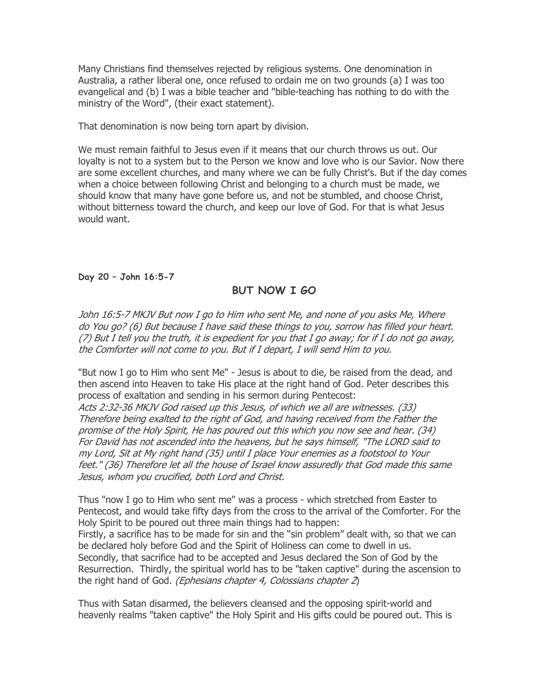Many Christians find themselves rejected by religious systems. One denomination in Australia, a rather liberal one, once refused to ordain me on two grounds (a) I was too evangelical and (b) I was a bible teacher and "bible-teaching has nothing to do with the ministry of the Word", (their exact statement).

That denomination is now being torn apart by division.

We must remain faithful to Jesus even if it means that our church throws us out. Our loyalty is not to a system but to the Person we know and love who is our Savior. Now there are some excellent churches, and many where we can be fully Christ's. But if the day comes when a choice between following Christ and belonging to a church must be made, we should know that many have gone before us, and not be stumbled, and choose Christ, without bitterness toward the church, and keep our love of God. For that is what Jesus would want.

Day 20 – John 16:5-7

# BUT NOW I GO

John 16:5-7 MKJV But now I go to Him who sent Me, and none of you asks Me, Where do You go? (6) But because I have said these things to you, sorrow has filled your heart. (7) But I tell you the truth, it is expedient for you that I go away; for if I do not go away, the Comforter will not come to you. But if I depart, I will send Him to you.

"But now I go to Him who sent Me" - Jesus is about to die, be raised from the dead, and then ascend into Heaven to take His place at the right hand of God. Peter describes this process of exaltation and sending in his sermon during Pentecost:

Acts 2:32-36 MKJV God raised up this Jesus, of which we all are witnesses. (33) Therefore being exalted to the right of God, and having received from the Father the promise of the Holy Spirit, He has poured out this which you now see and hear. (34) For David has not ascended into the heavens, but he says himself, "The LORD said to my Lord, Sit at My right hand (35) until I place Your enemies as a footstool to Your feet." (36) Therefore let all the house of Israel know assuredly that God made this same Jesus, whom you crucified, both Lord and Christ.

Thus "now I go to Him who sent me" was a process - which stretched from Easter to Pentecost, and would take fifty days from the cross to the arrival of the Comforter. For the Holy Spirit to be poured out three main things had to happen: Firstly, a sacrifice has to be made for sin and the "sin problem" dealt with, so that we can be declared holy before God and the Spirit of Holiness can come to dwell in us. Secondly, that sacrifice had to be accepted and Jesus declared the Son of God by the Resurrection. Thirdly, the spiritual world has to be "taken captive" during the ascension to the right hand of God. (Ephesians chapter 4, Colossians chapter 2)

Thus with Satan disarmed, the believers cleansed and the opposing spirit-world and heavenly realms "taken captive" the Holy Spirit and His gifts could be poured out. This is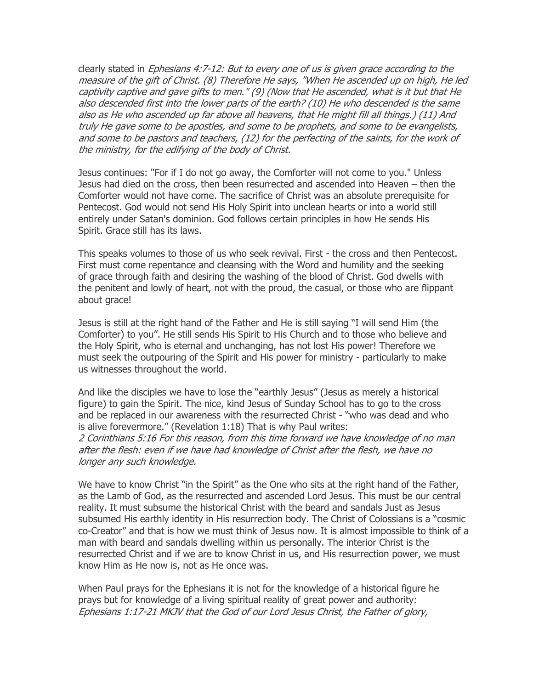clearly stated in Ephesians 4:7-12: But to every one of us is given grace according to the measure of the gift of Christ. (8) Therefore He says, "When He ascended up on high, He led captivity captive and gave gifts to men." (9) (Now that He ascended, what is it but that He also descended first into the lower parts of the earth? (10) He who descended is the same also as He who ascended up far above all heavens, that He might fill all things.) (11) And truly He gave some to be apostles, and some to be prophets, and some to be evangelists, and some to be pastors and teachers, (12) for the perfecting of the saints, for the work of the ministry, for the edifying of the body of Christ.

Jesus continues: "For if I do not go away, the Comforter will not come to you." Unless Jesus had died on the cross, then been resurrected and ascended into Heaven – then the Comforter would not have come. The sacrifice of Christ was an absolute prerequisite for Pentecost. God would not send His Holy Spirit into unclean hearts or into a world still entirely under Satan's dominion. God follows certain principles in how He sends His Spirit. Grace still has its laws.

This speaks volumes to those of us who seek revival. First - the cross and then Pentecost. First must come repentance and cleansing with the Word and humility and the seeking of grace through faith and desiring the washing of the blood of Christ. God dwells with the penitent and lowly of heart, not with the proud, the casual, or those who are flippant about grace!

Jesus is still at the right hand of the Father and He is still saying "I will send Him (the Comforter) to you". He still sends His Spirit to His Church and to those who believe and the Holy Spirit, who is eternal and unchanging, has not lost His power! Therefore we must seek the outpouring of the Spirit and His power for ministry - particularly to make us witnesses throughout the world.

And like the disciples we have to lose the "earthly Jesus" (Jesus as merely a historical figure) to gain the Spirit. The nice, kind Jesus of Sunday School has to go to the cross and be replaced in our awareness with the resurrected Christ - "who was dead and who is alive forevermore." (Revelation 1:18) That is why Paul writes:

2 Corinthians 5:16 For this reason, from this time forward we have knowledge of no man after the flesh: even if we have had knowledge of Christ after the flesh, we have no longer any such knowledge.

We have to know Christ "in the Spirit" as the One who sits at the right hand of the Father, as the Lamb of God, as the resurrected and ascended Lord Jesus. This must be our central reality. It must subsume the historical Christ with the beard and sandals Just as Jesus subsumed His earthly identity in His resurrection body. The Christ of Colossians is a "cosmic co-Creator" and that is how we must think of Jesus now. It is almost impossible to think of a man with beard and sandals dwelling within us personally. The interior Christ is the resurrected Christ and if we are to know Christ in us, and His resurrection power, we must know Him as He now is, not as He once was.

When Paul prays for the Ephesians it is not for the knowledge of a historical figure he prays but for knowledge of a living spiritual reality of great power and authority: Ephesians 1:17-21 MKJV that the God of our Lord Jesus Christ, the Father of glory,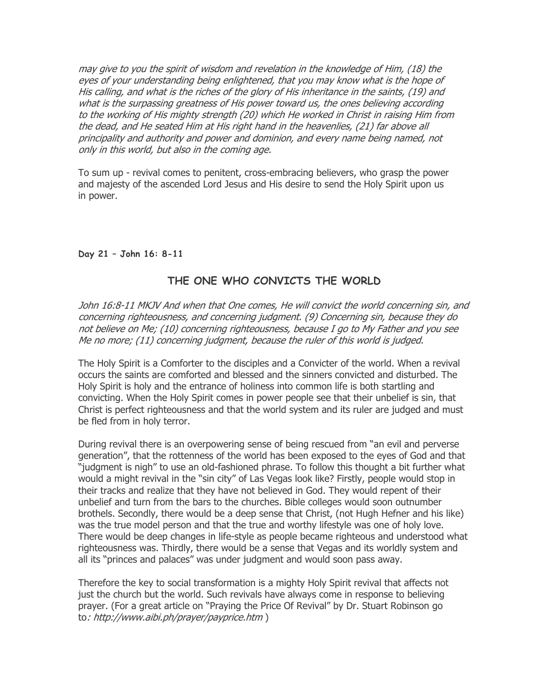may give to you the spirit of wisdom and revelation in the knowledge of Him, (18) the eyes of your understanding being enlightened, that you may know what is the hope of His calling, and what is the riches of the glory of His inheritance in the saints, (19) and what is the surpassing greatness of His power toward us, the ones believing according to the working of His mighty strength (20) which He worked in Christ in raising Him from the dead, and He seated Him at His right hand in the heavenlies, (21) far above all principality and authority and power and dominion, and every name being named, not only in this world, but also in the coming age.

To sum up - revival comes to penitent, cross-embracing believers, who grasp the power and majesty of the ascended Lord Jesus and His desire to send the Holy Spirit upon us in power.

### Day 21 – John 16: 8-11

# THE ONE WHO CONVICTS THE WORLD

John 16:8-11 MKJV And when that One comes, He will convict the world concerning sin, and concerning righteousness, and concerning judgment. (9) Concerning sin, because they do not believe on Me; (10) concerning righteousness, because I go to My Father and you see Me no more; (11) concerning judgment, because the ruler of this world is judged.

The Holy Spirit is a Comforter to the disciples and a Convicter of the world. When a revival occurs the saints are comforted and blessed and the sinners convicted and disturbed. The Holy Spirit is holy and the entrance of holiness into common life is both startling and convicting. When the Holy Spirit comes in power people see that their unbelief is sin, that Christ is perfect righteousness and that the world system and its ruler are judged and must be fled from in holy terror.

During revival there is an overpowering sense of being rescued from "an evil and perverse generation", that the rottenness of the world has been exposed to the eyes of God and that "judgment is nigh" to use an old-fashioned phrase. To follow this thought a bit further what would a might revival in the "sin city" of Las Vegas look like? Firstly, people would stop in their tracks and realize that they have not believed in God. They would repent of their unbelief and turn from the bars to the churches. Bible colleges would soon outnumber brothels. Secondly, there would be a deep sense that Christ, (not Hugh Hefner and his like) was the true model person and that the true and worthy lifestyle was one of holy love. There would be deep changes in life-style as people became righteous and understood what righteousness was. Thirdly, there would be a sense that Vegas and its worldly system and all its "princes and palaces" was under judgment and would soon pass away.

Therefore the key to social transformation is a mighty Holy Spirit revival that affects not just the church but the world. Such revivals have always come in response to believing prayer. (For a great article on "Praying the Price Of Revival" by Dr. Stuart Robinson go to: http://www.aibi.ph/prayer/payprice.htm )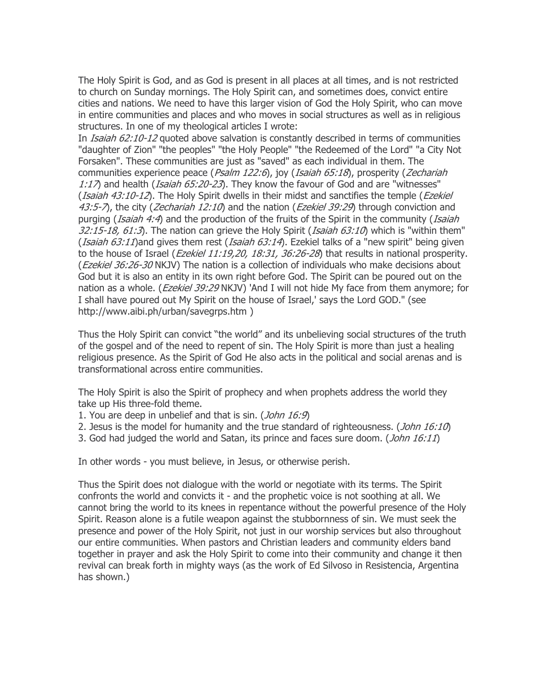The Holy Spirit is God, and as God is present in all places at all times, and is not restricted to church on Sunday mornings. The Holy Spirit can, and sometimes does, convict entire cities and nations. We need to have this larger vision of God the Holy Spirit, who can move in entire communities and places and who moves in social structures as well as in religious structures. In one of my theological articles I wrote:

In *Isaiah 62:10-12* quoted above salvation is constantly described in terms of communities "daughter of Zion" "the peoples" "the Holy People" "the Redeemed of the Lord" "a City Not Forsaken". These communities are just as "saved" as each individual in them. The communities experience peace ( $Psalm$  122:6), joy (Isaiah 65:18), prosperity (Zechariah 1:17) and health (*Isaiah 65:20-23*). They know the favour of God and are "witnesses" (*Isaiah 43:10-12*). The Holy Spirit dwells in their midst and sanctifies the temple (*Ezekiel*  $43.5$ -7), the city (Zechariah 12:10) and the nation (Ezekiel 39:29) through conviction and purging (*Isaiah 4:4*) and the production of the fruits of the Spirit in the community (*Isaiah*  $32:15-18$ ,  $61:3$ ). The nation can grieve the Holy Spirit (*Isaiah 63:10*) which is "within them" (*Isaiah 63:11*)and gives them rest (*Isaiah 63:14*). Ezekiel talks of a "new spirit" being given to the house of Israel (*Ezekiel 11:19,20, 18:31, 36:26-28*) that results in national prosperity. (Ezekiel 36:26-30 NKJV) The nation is a collection of individuals who make decisions about God but it is also an entity in its own right before God. The Spirit can be poured out on the nation as a whole. (*Ezekiel 39:29* NKJV) 'And I will not hide My face from them anymore; for I shall have poured out My Spirit on the house of Israel,' says the Lord GOD." (see http://www.aibi.ph/urban/savegrps.htm )

Thus the Holy Spirit can convict "the world" and its unbelieving social structures of the truth of the gospel and of the need to repent of sin. The Holy Spirit is more than just a healing religious presence. As the Spirit of God He also acts in the political and social arenas and is transformational across entire communities.

The Holy Spirit is also the Spirit of prophecy and when prophets address the world they take up His three-fold theme.

- 1. You are deep in unbelief and that is sin. (*John 16:9*)
- 2. Jesus is the model for humanity and the true standard of righteousness. (*John 16:10*)
- 3. God had judged the world and Satan, its prince and faces sure doom. (John 16:11)

In other words - you must believe, in Jesus, or otherwise perish.

Thus the Spirit does not dialogue with the world or negotiate with its terms. The Spirit confronts the world and convicts it - and the prophetic voice is not soothing at all. We cannot bring the world to its knees in repentance without the powerful presence of the Holy Spirit. Reason alone is a futile weapon against the stubbornness of sin. We must seek the presence and power of the Holy Spirit, not just in our worship services but also throughout our entire communities. When pastors and Christian leaders and community elders band together in prayer and ask the Holy Spirit to come into their community and change it then revival can break forth in mighty ways (as the work of Ed Silvoso in Resistencia, Argentina has shown.)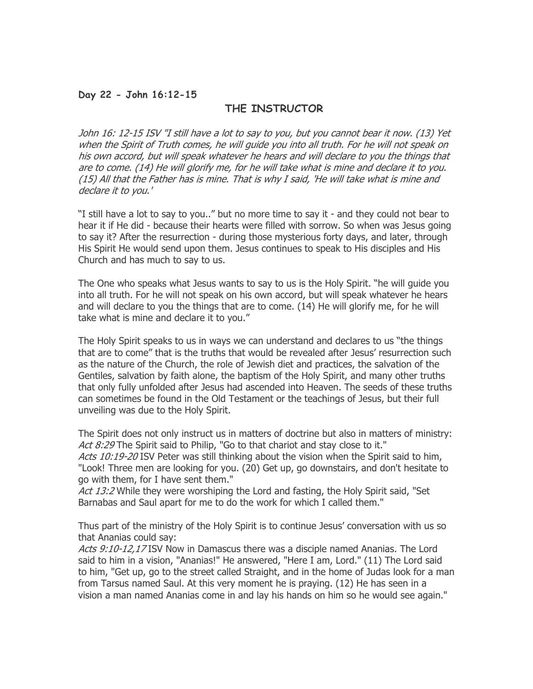### Day 22 - John 16:12-15

#### THE INSTRUCTOR

John 16: 12-15 ISV "I still have a lot to say to you, but you cannot bear it now. (13) Yet when the Spirit of Truth comes, he will guide you into all truth. For he will not speak on his own accord, but will speak whatever he hears and will declare to you the things that are to come. (14) He will glorify me, for he will take what is mine and declare it to you. (15) All that the Father has is mine. That is why I said, 'He will take what is mine and declare it to you.'

"I still have a lot to say to you.." but no more time to say it - and they could not bear to hear it if He did - because their hearts were filled with sorrow. So when was Jesus going to say it? After the resurrection - during those mysterious forty days, and later, through His Spirit He would send upon them. Jesus continues to speak to His disciples and His Church and has much to say to us.

The One who speaks what Jesus wants to say to us is the Holy Spirit. "he will guide you into all truth. For he will not speak on his own accord, but will speak whatever he hears and will declare to you the things that are to come. (14) He will glorify me, for he will take what is mine and declare it to you."

The Holy Spirit speaks to us in ways we can understand and declares to us "the things that are to come" that is the truths that would be revealed after Jesus' resurrection such as the nature of the Church, the role of Jewish diet and practices, the salvation of the Gentiles, salvation by faith alone, the baptism of the Holy Spirit, and many other truths that only fully unfolded after Jesus had ascended into Heaven. The seeds of these truths can sometimes be found in the Old Testament or the teachings of Jesus, but their full unveiling was due to the Holy Spirit.

The Spirit does not only instruct us in matters of doctrine but also in matters of ministry: Act 8:29 The Spirit said to Philip, "Go to that chariot and stay close to it." Acts 10:19-20 ISV Peter was still thinking about the vision when the Spirit said to him, "Look! Three men are looking for you. (20) Get up, go downstairs, and don't hesitate to go with them, for I have sent them."

Act 13:2 While they were worshiping the Lord and fasting, the Holy Spirit said, "Set Barnabas and Saul apart for me to do the work for which I called them."

Thus part of the ministry of the Holy Spirit is to continue Jesus' conversation with us so that Ananias could say:

Acts 9:10-12,17 ISV Now in Damascus there was a disciple named Ananias. The Lord said to him in a vision, "Ananias!" He answered, "Here I am, Lord." (11) The Lord said to him, "Get up, go to the street called Straight, and in the home of Judas look for a man from Tarsus named Saul. At this very moment he is praying. (12) He has seen in a vision a man named Ananias come in and lay his hands on him so he would see again."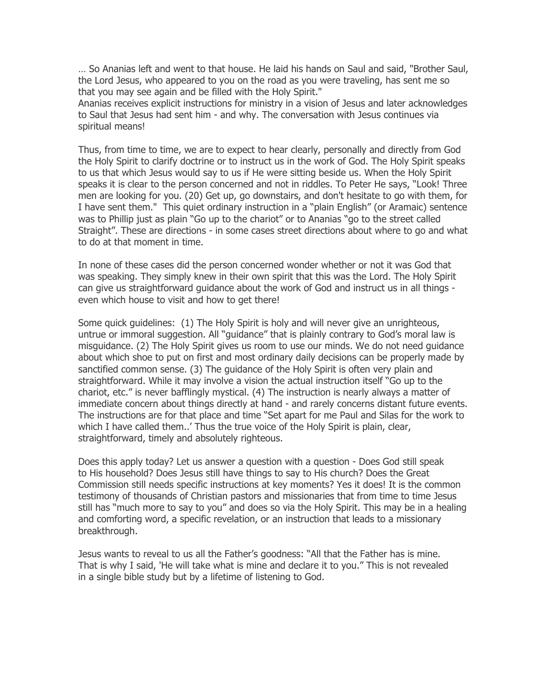… So Ananias left and went to that house. He laid his hands on Saul and said, "Brother Saul, the Lord Jesus, who appeared to you on the road as you were traveling, has sent me so that you may see again and be filled with the Holy Spirit."

Ananias receives explicit instructions for ministry in a vision of Jesus and later acknowledges to Saul that Jesus had sent him - and why. The conversation with Jesus continues via spiritual means!

Thus, from time to time, we are to expect to hear clearly, personally and directly from God the Holy Spirit to clarify doctrine or to instruct us in the work of God. The Holy Spirit speaks to us that which Jesus would say to us if He were sitting beside us. When the Holy Spirit speaks it is clear to the person concerned and not in riddles. To Peter He says, "Look! Three men are looking for you. (20) Get up, go downstairs, and don't hesitate to go with them, for I have sent them." This quiet ordinary instruction in a "plain English" (or Aramaic) sentence was to Phillip just as plain "Go up to the chariot" or to Ananias "go to the street called Straight". These are directions - in some cases street directions about where to go and what to do at that moment in time.

In none of these cases did the person concerned wonder whether or not it was God that was speaking. They simply knew in their own spirit that this was the Lord. The Holy Spirit can give us straightforward guidance about the work of God and instruct us in all things even which house to visit and how to get there!

Some quick guidelines: (1) The Holy Spirit is holy and will never give an unrighteous, untrue or immoral suggestion. All "guidance" that is plainly contrary to God's moral law is misguidance. (2) The Holy Spirit gives us room to use our minds. We do not need guidance about which shoe to put on first and most ordinary daily decisions can be properly made by sanctified common sense. (3) The guidance of the Holy Spirit is often very plain and straightforward. While it may involve a vision the actual instruction itself "Go up to the chariot, etc." is never bafflingly mystical. (4) The instruction is nearly always a matter of immediate concern about things directly at hand - and rarely concerns distant future events. The instructions are for that place and time "Set apart for me Paul and Silas for the work to which I have called them..' Thus the true voice of the Holy Spirit is plain, clear, straightforward, timely and absolutely righteous.

Does this apply today? Let us answer a question with a question - Does God still speak to His household? Does Jesus still have things to say to His church? Does the Great Commission still needs specific instructions at key moments? Yes it does! It is the common testimony of thousands of Christian pastors and missionaries that from time to time Jesus still has "much more to say to you" and does so via the Holy Spirit. This may be in a healing and comforting word, a specific revelation, or an instruction that leads to a missionary breakthrough.

Jesus wants to reveal to us all the Father's goodness: "All that the Father has is mine. That is why I said, 'He will take what is mine and declare it to you." This is not revealed in a single bible study but by a lifetime of listening to God.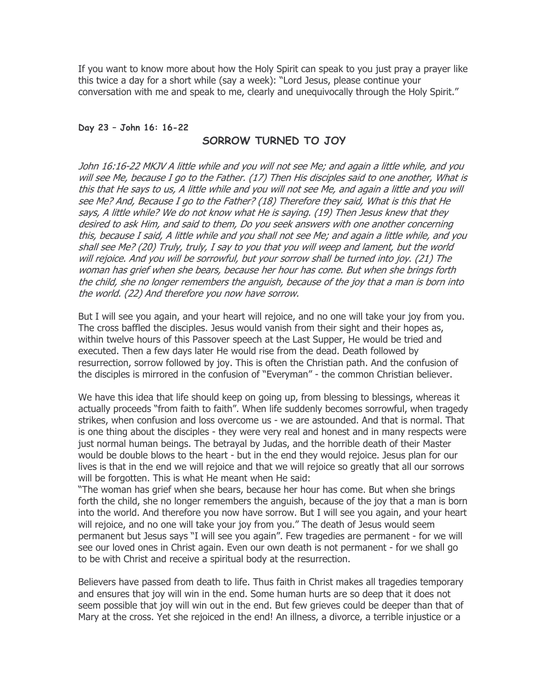If you want to know more about how the Holy Spirit can speak to you just pray a prayer like this twice a day for a short while (say a week): "Lord Jesus, please continue your conversation with me and speak to me, clearly and unequivocally through the Holy Spirit."

#### Day 23 – John 16: 16-22

### SORROW TURNED TO JOY

John 16:16-22 MKJV A little while and you will not see Me; and again a little while, and you will see Me, because I go to the Father. (17) Then His disciples said to one another, What is this that He says to us, A little while and you will not see Me, and again a little and you will see Me? And, Because I go to the Father? (18) Therefore they said, What is this that He says, A little while? We do not know what He is saying. (19) Then Jesus knew that they desired to ask Him, and said to them, Do you seek answers with one another concerning this, because I said, A little while and you shall not see Me; and again a little while, and you shall see Me? (20) Truly, truly, I say to you that you will weep and lament, but the world will rejoice. And you will be sorrowful, but your sorrow shall be turned into joy. (21) The woman has grief when she bears, because her hour has come. But when she brings forth the child, she no longer remembers the anguish, because of the joy that a man is born into the world. (22) And therefore you now have sorrow.

But I will see you again, and your heart will rejoice, and no one will take your joy from you. The cross baffled the disciples. Jesus would vanish from their sight and their hopes as, within twelve hours of this Passover speech at the Last Supper, He would be tried and executed. Then a few days later He would rise from the dead. Death followed by resurrection, sorrow followed by joy. This is often the Christian path. And the confusion of the disciples is mirrored in the confusion of "Everyman" - the common Christian believer.

We have this idea that life should keep on going up, from blessing to blessings, whereas it actually proceeds "from faith to faith". When life suddenly becomes sorrowful, when tragedy strikes, when confusion and loss overcome us - we are astounded. And that is normal. That is one thing about the disciples - they were very real and honest and in many respects were just normal human beings. The betrayal by Judas, and the horrible death of their Master would be double blows to the heart - but in the end they would rejoice. Jesus plan for our lives is that in the end we will rejoice and that we will rejoice so greatly that all our sorrows will be forgotten. This is what He meant when He said:

"The woman has grief when she bears, because her hour has come. But when she brings forth the child, she no longer remembers the anguish, because of the joy that a man is born into the world. And therefore you now have sorrow. But I will see you again, and your heart will rejoice, and no one will take your joy from you." The death of Jesus would seem permanent but Jesus says "I will see you again". Few tragedies are permanent - for we will see our loved ones in Christ again. Even our own death is not permanent - for we shall go to be with Christ and receive a spiritual body at the resurrection.

Believers have passed from death to life. Thus faith in Christ makes all tragedies temporary and ensures that joy will win in the end. Some human hurts are so deep that it does not seem possible that joy will win out in the end. But few grieves could be deeper than that of Mary at the cross. Yet she rejoiced in the end! An illness, a divorce, a terrible injustice or a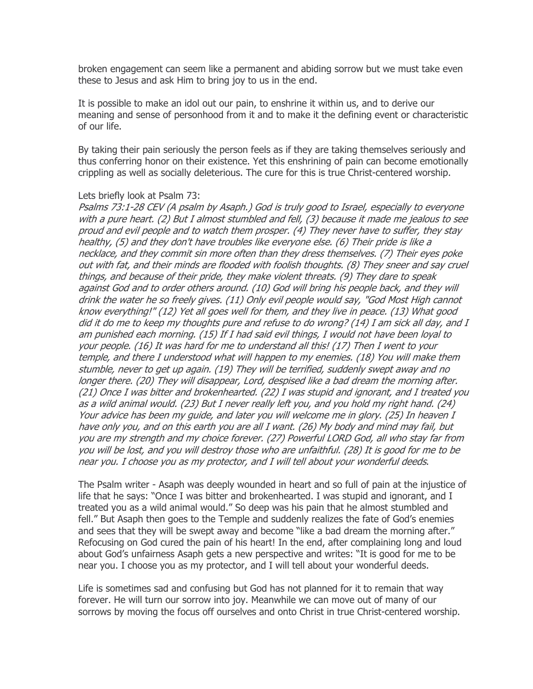broken engagement can seem like a permanent and abiding sorrow but we must take even these to Jesus and ask Him to bring joy to us in the end.

It is possible to make an idol out our pain, to enshrine it within us, and to derive our meaning and sense of personhood from it and to make it the defining event or characteristic of our life.

By taking their pain seriously the person feels as if they are taking themselves seriously and thus conferring honor on their existence. Yet this enshrining of pain can become emotionally crippling as well as socially deleterious. The cure for this is true Christ-centered worship.

#### Lets briefly look at Psalm 73:

Psalms 73:1-28 CEV (A psalm by Asaph.) God is truly good to Israel, especially to everyone with a pure heart. (2) But I almost stumbled and fell, (3) because it made me jealous to see proud and evil people and to watch them prosper. (4) They never have to suffer, they stay healthy, (5) and they don't have troubles like everyone else. (6) Their pride is like a necklace, and they commit sin more often than they dress themselves. (7) Their eyes poke out with fat, and their minds are flooded with foolish thoughts. (8) They sneer and say cruel things, and because of their pride, they make violent threats. (9) They dare to speak against God and to order others around. (10) God will bring his people back, and they will drink the water he so freely gives. (11) Only evil people would say, "God Most High cannot know everything!" (12) Yet all goes well for them, and they live in peace. (13) What good did it do me to keep my thoughts pure and refuse to do wrong? (14) I am sick all day, and I am punished each morning. (15) If I had said evil things, I would not have been loyal to your people. (16) It was hard for me to understand all this! (17) Then I went to your temple, and there I understood what will happen to my enemies. (18) You will make them stumble, never to get up again. (19) They will be terrified, suddenly swept away and no longer there. (20) They will disappear, Lord, despised like a bad dream the morning after. (21) Once I was bitter and brokenhearted. (22) I was stupid and ignorant, and I treated you as a wild animal would. (23) But I never really left you, and you hold my right hand. (24) Your advice has been my guide, and later you will welcome me in glory. (25) In heaven I have only you, and on this earth you are all I want. (26) My body and mind may fail, but you are my strength and my choice forever. (27) Powerful LORD God, all who stay far from you will be lost, and you will destroy those who are unfaithful. (28) It is good for me to be near you. I choose you as my protector, and I will tell about your wonderful deeds.

The Psalm writer - Asaph was deeply wounded in heart and so full of pain at the injustice of life that he says: "Once I was bitter and brokenhearted. I was stupid and ignorant, and I treated you as a wild animal would." So deep was his pain that he almost stumbled and fell." But Asaph then goes to the Temple and suddenly realizes the fate of God's enemies and sees that they will be swept away and become "like a bad dream the morning after." Refocusing on God cured the pain of his heart! In the end, after complaining long and loud about God's unfairness Asaph gets a new perspective and writes: "It is good for me to be near you. I choose you as my protector, and I will tell about your wonderful deeds.

Life is sometimes sad and confusing but God has not planned for it to remain that way forever. He will turn our sorrow into joy. Meanwhile we can move out of many of our sorrows by moving the focus off ourselves and onto Christ in true Christ-centered worship.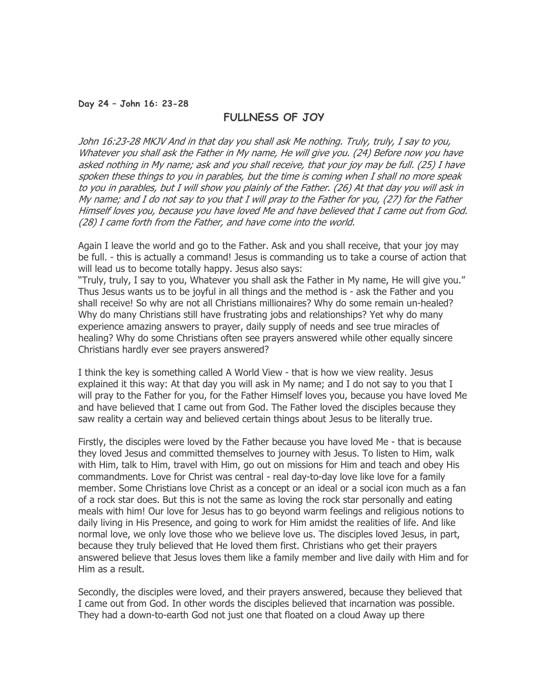#### Day 24 – John 16: 23-28

## FULLNESS OF JOY

John 16:23-28 MKJV And in that day you shall ask Me nothing. Truly, truly, I say to you, Whatever you shall ask the Father in My name, He will give you. (24) Before now you have asked nothing in My name; ask and you shall receive, that your joy may be full. (25) I have spoken these things to you in parables, but the time is coming when I shall no more speak to you in parables, but I will show you plainly of the Father. (26) At that day you will ask in My name; and I do not say to you that I will pray to the Father for you, (27) for the Father Himself loves you, because you have loved Me and have believed that I came out from God. (28) I came forth from the Father, and have come into the world.

Again I leave the world and go to the Father. Ask and you shall receive, that your joy may be full. - this is actually a command! Jesus is commanding us to take a course of action that will lead us to become totally happy. Jesus also says:

"Truly, truly, I say to you, Whatever you shall ask the Father in My name, He will give you." Thus Jesus wants us to be joyful in all things and the method is - ask the Father and you shall receive! So why are not all Christians millionaires? Why do some remain un-healed? Why do many Christians still have frustrating jobs and relationships? Yet why do many experience amazing answers to prayer, daily supply of needs and see true miracles of healing? Why do some Christians often see prayers answered while other equally sincere Christians hardly ever see prayers answered?

I think the key is something called A World View - that is how we view reality. Jesus explained it this way: At that day you will ask in My name; and I do not say to you that I will pray to the Father for you, for the Father Himself loves you, because you have loved Me and have believed that I came out from God. The Father loved the disciples because they saw reality a certain way and believed certain things about Jesus to be literally true.

Firstly, the disciples were loved by the Father because you have loved Me - that is because they loved Jesus and committed themselves to journey with Jesus. To listen to Him, walk with Him, talk to Him, travel with Him, go out on missions for Him and teach and obey His commandments. Love for Christ was central - real day-to-day love like love for a family member. Some Christians love Christ as a concept or an ideal or a social icon much as a fan of a rock star does. But this is not the same as loving the rock star personally and eating meals with him! Our love for Jesus has to go beyond warm feelings and religious notions to daily living in His Presence, and going to work for Him amidst the realities of life. And like normal love, we only love those who we believe love us. The disciples loved Jesus, in part, because they truly believed that He loved them first. Christians who get their prayers answered believe that Jesus loves them like a family member and live daily with Him and for Him as a result.

Secondly, the disciples were loved, and their prayers answered, because they believed that I came out from God. In other words the disciples believed that incarnation was possible. They had a down-to-earth God not just one that floated on a cloud Away up there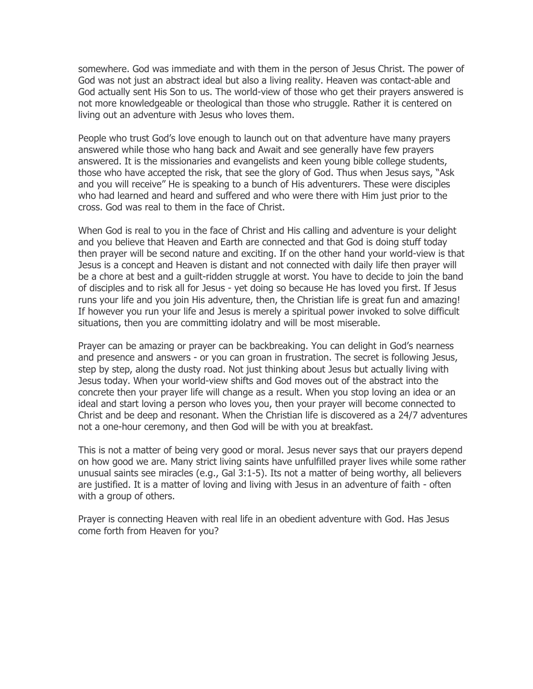somewhere. God was immediate and with them in the person of Jesus Christ. The power of God was not just an abstract ideal but also a living reality. Heaven was contact-able and God actually sent His Son to us. The world-view of those who get their prayers answered is not more knowledgeable or theological than those who struggle. Rather it is centered on living out an adventure with Jesus who loves them.

People who trust God's love enough to launch out on that adventure have many prayers answered while those who hang back and Await and see generally have few prayers answered. It is the missionaries and evangelists and keen young bible college students, those who have accepted the risk, that see the glory of God. Thus when Jesus says, "Ask and you will receive" He is speaking to a bunch of His adventurers. These were disciples who had learned and heard and suffered and who were there with Him just prior to the cross. God was real to them in the face of Christ.

When God is real to you in the face of Christ and His calling and adventure is your delight and you believe that Heaven and Earth are connected and that God is doing stuff today then prayer will be second nature and exciting. If on the other hand your world-view is that Jesus is a concept and Heaven is distant and not connected with daily life then prayer will be a chore at best and a guilt-ridden struggle at worst. You have to decide to join the band of disciples and to risk all for Jesus - yet doing so because He has loved you first. If Jesus runs your life and you join His adventure, then, the Christian life is great fun and amazing! If however you run your life and Jesus is merely a spiritual power invoked to solve difficult situations, then you are committing idolatry and will be most miserable.

Prayer can be amazing or prayer can be backbreaking. You can delight in God's nearness and presence and answers - or you can groan in frustration. The secret is following Jesus, step by step, along the dusty road. Not just thinking about Jesus but actually living with Jesus today. When your world-view shifts and God moves out of the abstract into the concrete then your prayer life will change as a result. When you stop loving an idea or an ideal and start loving a person who loves you, then your prayer will become connected to Christ and be deep and resonant. When the Christian life is discovered as a 24/7 adventures not a one-hour ceremony, and then God will be with you at breakfast.

This is not a matter of being very good or moral. Jesus never says that our prayers depend on how good we are. Many strict living saints have unfulfilled prayer lives while some rather unusual saints see miracles (e.g., Gal 3:1-5). Its not a matter of being worthy, all believers are justified. It is a matter of loving and living with Jesus in an adventure of faith - often with a group of others.

Prayer is connecting Heaven with real life in an obedient adventure with God. Has Jesus come forth from Heaven for you?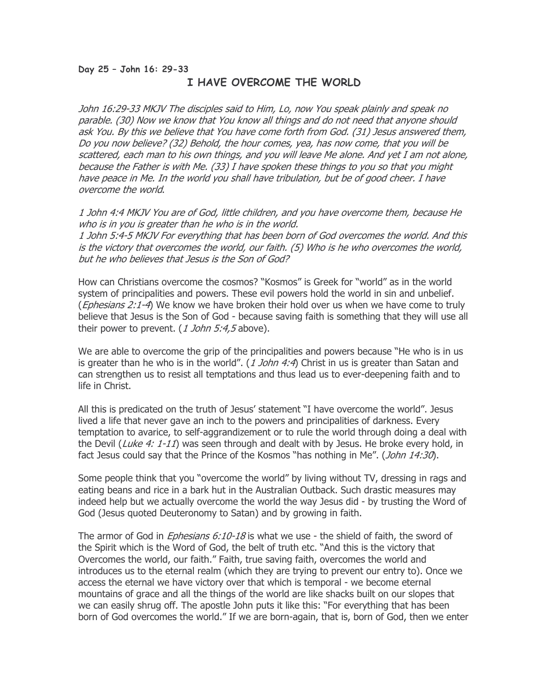## Day 25 – John 16: 29-33 I HAVE OVERCOME THE WORLD

John 16:29-33 MKJV The disciples said to Him, Lo, now You speak plainly and speak no parable. (30) Now we know that You know all things and do not need that anyone should ask You. By this we believe that You have come forth from God. (31) Jesus answered them, Do you now believe? (32) Behold, the hour comes, yea, has now come, that you will be scattered, each man to his own things, and you will leave Me alone. And yet I am not alone, because the Father is with Me. (33) I have spoken these things to you so that you might have peace in Me. In the world you shall have tribulation, but be of good cheer. I have overcome the world.

1 John 4:4 MKJV You are of God, little children, and you have overcome them, because He who is in you is greater than he who is in the world.

1 John 5:4-5 MKJV For everything that has been born of God overcomes the world. And this is the victory that overcomes the world, our faith. (5) Who is he who overcomes the world, but he who believes that Jesus is the Son of God?

How can Christians overcome the cosmos? "Kosmos" is Greek for "world" as in the world system of principalities and powers. These evil powers hold the world in sin and unbelief. (*Ephesians 2:1-4*) We know we have broken their hold over us when we have come to truly believe that Jesus is the Son of God - because saving faith is something that they will use all their power to prevent. (1 John 5:4,5 above).

We are able to overcome the grip of the principalities and powers because "He who is in us is greater than he who is in the world".  $(1 John 4:4)$  Christ in us is greater than Satan and can strengthen us to resist all temptations and thus lead us to ever-deepening faith and to life in Christ.

All this is predicated on the truth of Jesus' statement "I have overcome the world". Jesus lived a life that never gave an inch to the powers and principalities of darkness. Every temptation to avarice, to self-aggrandizement or to rule the world through doing a deal with the Devil (Luke 4: 1-11) was seen through and dealt with by Jesus. He broke every hold, in fact Jesus could say that the Prince of the Kosmos "has nothing in Me". (John 14:30).

Some people think that you "overcome the world" by living without TV, dressing in rags and eating beans and rice in a bark hut in the Australian Outback. Such drastic measures may indeed help but we actually overcome the world the way Jesus did - by trusting the Word of God (Jesus quoted Deuteronomy to Satan) and by growing in faith.

The armor of God in *Ephesians 6:10-18* is what we use - the shield of faith, the sword of the Spirit which is the Word of God, the belt of truth etc. "And this is the victory that Overcomes the world, our faith." Faith, true saving faith, overcomes the world and introduces us to the eternal realm (which they are trying to prevent our entry to). Once we access the eternal we have victory over that which is temporal - we become eternal mountains of grace and all the things of the world are like shacks built on our slopes that we can easily shrug off. The apostle John puts it like this: "For everything that has been born of God overcomes the world." If we are born-again, that is, born of God, then we enter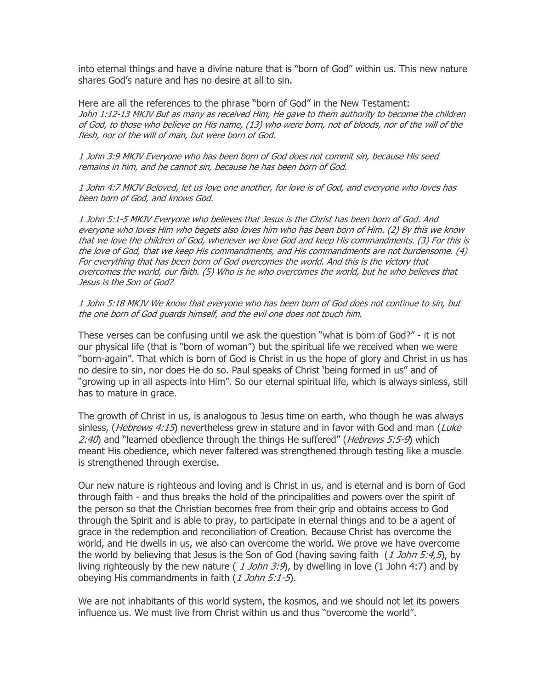into eternal things and have a divine nature that is "born of God" within us. This new nature shares God's nature and has no desire at all to sin.

Here are all the references to the phrase "born of God" in the New Testament: John 1:12-13 MKJV But as many as received Him, He gave to them authority to become the children of God, to those who believe on His name, (13) who were born, not of bloods, nor of the will of the flesh, nor of the will of man, but were born of God.

1 John 3:9 MKJV Everyone who has been born of God does not commit sin, because His seed remains in him, and he cannot sin, because he has been born of God.

1 John 4:7 MKJV Beloved, let us love one another, for love is of God, and everyone who loves has been born of God, and knows God.

1 John 5:1-5 MKJV Everyone who believes that Jesus is the Christ has been born of God. And everyone who loves Him who begets also loves him who has been born of Him. (2) By this we know that we love the children of God, whenever we love God and keep His commandments. (3) For this is the love of God, that we keep His commandments, and His commandments are not burdensome. (4) For everything that has been born of God overcomes the world. And this is the victory that overcomes the world, our faith. (5) Who is he who overcomes the world, but he who believes that Jesus is the Son of God?

1 John 5:18 MKJV We know that everyone who has been born of God does not continue to sin, but the one born of God guards himself, and the evil one does not touch him.

These verses can be confusing until we ask the question "what is born of God?" - it is not our physical life (that is "born of woman") but the spiritual life we received when we were "born-again". That which is born of God is Christ in us the hope of glory and Christ in us has no desire to sin, nor does He do so. Paul speaks of Christ 'being formed in us" and of "growing up in all aspects into Him". So our eternal spiritual life, which is always sinless, still has to mature in grace.

The growth of Christ in us, is analogous to Jesus time on earth, who though he was always sinless, (*Hebrews 4:15*) nevertheless grew in stature and in favor with God and man (*Luke* 2:40) and "learned obedience through the things He suffered" (*Hebrews 5:5-9*) which meant His obedience, which never faltered was strengthened through testing like a muscle is strengthened through exercise.

Our new nature is righteous and loving and is Christ in us, and is eternal and is born of God through faith - and thus breaks the hold of the principalities and powers over the spirit of the person so that the Christian becomes free from their grip and obtains access to God through the Spirit and is able to pray, to participate in eternal things and to be a agent of grace in the redemption and reconciliation of Creation. Because Christ has overcome the world, and He dwells in us, we also can overcome the world. We prove we have overcome the world by believing that Jesus is the Son of God (having saving faith (1 John 5:4,5), by living righteously by the new nature (  $1$  John 3:9), by dwelling in love (1 John 4:7) and by obeying His commandments in faith (1 John 5:1-5).

We are not inhabitants of this world system, the kosmos, and we should not let its powers influence us. We must live from Christ within us and thus "overcome the world".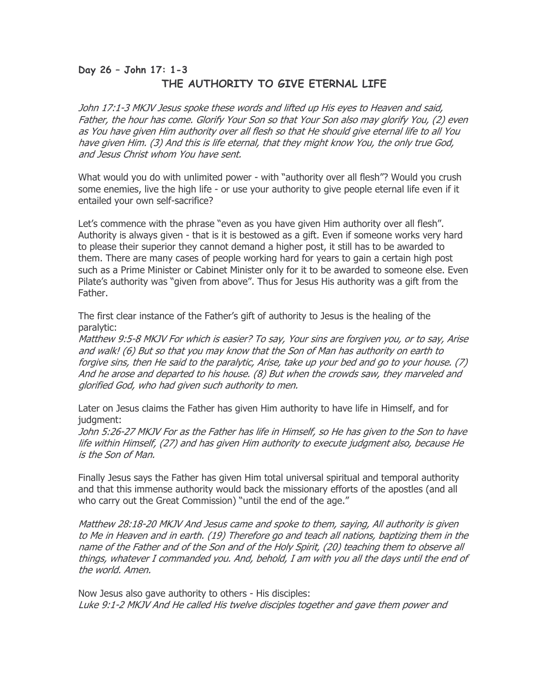# Day 26 – John 17: 1-3 THE AUTHORITY TO GIVE ETERNAL LIFE

John 17:1-3 MKJV Jesus spoke these words and lifted up His eyes to Heaven and said, Father, the hour has come. Glorify Your Son so that Your Son also may glorify You, (2) even as You have given Him authority over all flesh so that He should give eternal life to all You have given Him. (3) And this is life eternal, that they might know You, the only true God, and Jesus Christ whom You have sent.

What would you do with unlimited power - with "authority over all flesh"? Would you crush some enemies, live the high life - or use your authority to give people eternal life even if it entailed your own self-sacrifice?

Let's commence with the phrase "even as you have given Him authority over all flesh". Authority is always given - that is it is bestowed as a gift. Even if someone works very hard to please their superior they cannot demand a higher post, it still has to be awarded to them. There are many cases of people working hard for years to gain a certain high post such as a Prime Minister or Cabinet Minister only for it to be awarded to someone else. Even Pilate's authority was "given from above". Thus for Jesus His authority was a gift from the Father.

The first clear instance of the Father's gift of authority to Jesus is the healing of the paralytic:

Matthew 9:5-8 MKJV For which is easier? To say, Your sins are forgiven you, or to say, Arise and walk! (6) But so that you may know that the Son of Man has authority on earth to forgive sins, then He said to the paralytic, Arise, take up your bed and go to your house. (7) And he arose and departed to his house. (8) But when the crowds saw, they marveled and glorified God, who had given such authority to men.

Later on Jesus claims the Father has given Him authority to have life in Himself, and for judgment:

John 5:26-27 MKJV For as the Father has life in Himself, so He has given to the Son to have life within Himself, (27) and has given Him authority to execute judgment also, because He is the Son of Man.

Finally Jesus says the Father has given Him total universal spiritual and temporal authority and that this immense authority would back the missionary efforts of the apostles (and all who carry out the Great Commission) "until the end of the age."

Matthew 28:18-20 MKJV And Jesus came and spoke to them, saying, All authority is given to Me in Heaven and in earth. (19) Therefore go and teach all nations, baptizing them in the name of the Father and of the Son and of the Holy Spirit, (20) teaching them to observe all things, whatever I commanded you. And, behold, I am with you all the days until the end of the world. Amen.

Now Jesus also gave authority to others - His disciples: Luke 9:1-2 MKJV And He called His twelve disciples together and gave them power and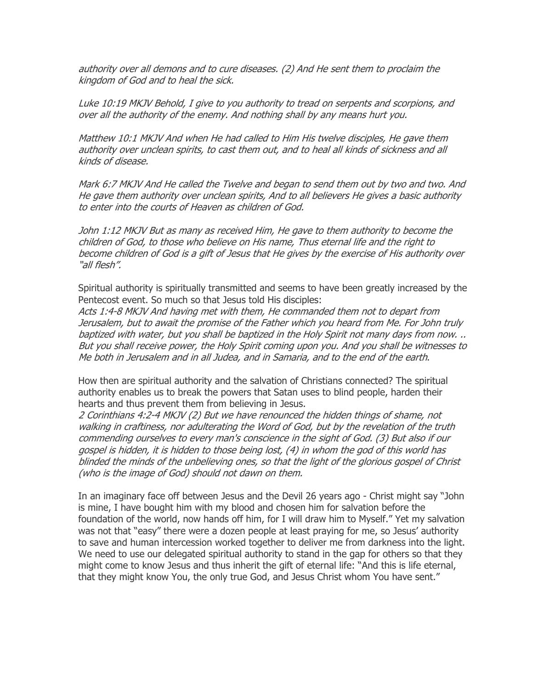authority over all demons and to cure diseases. (2) And He sent them to proclaim the kingdom of God and to heal the sick.

Luke 10:19 MKJV Behold, I give to you authority to tread on serpents and scorpions, and over all the authority of the enemy. And nothing shall by any means hurt you.

Matthew 10:1 MKJV And when He had called to Him His twelve disciples, He gave them authority over unclean spirits, to cast them out, and to heal all kinds of sickness and all kinds of disease.

Mark 6:7 MKJV And He called the Twelve and began to send them out by two and two. And He gave them authority over unclean spirits, And to all believers He gives a basic authority to enter into the courts of Heaven as children of God.

John 1:12 MKJV But as many as received Him, He gave to them authority to become the children of God, to those who believe on His name, Thus eternal life and the right to become children of God is a gift of Jesus that He gives by the exercise of His authority over "all flesh".

Spiritual authority is spiritually transmitted and seems to have been greatly increased by the Pentecost event. So much so that Jesus told His disciples:

Acts 1:4-8 MKJV And having met with them, He commanded them not to depart from Jerusalem, but to await the promise of the Father which you heard from Me. For John truly baptized with water, but you shall be baptized in the Holy Spirit not many days from now. .. But you shall receive power, the Holy Spirit coming upon you. And you shall be witnesses to Me both in Jerusalem and in all Judea, and in Samaria, and to the end of the earth.

How then are spiritual authority and the salvation of Christians connected? The spiritual authority enables us to break the powers that Satan uses to blind people, harden their hearts and thus prevent them from believing in Jesus.

2 Corinthians 4:2-4 MKJV (2) But we have renounced the hidden things of shame, not walking in craftiness, nor adulterating the Word of God, but by the revelation of the truth commending ourselves to every man's conscience in the sight of God. (3) But also if our gospel is hidden, it is hidden to those being lost, (4) in whom the god of this world has blinded the minds of the unbelieving ones, so that the light of the glorious gospel of Christ (who is the image of God) should not dawn on them.

In an imaginary face off between Jesus and the Devil 26 years ago - Christ might say "John is mine, I have bought him with my blood and chosen him for salvation before the foundation of the world, now hands off him, for I will draw him to Myself." Yet my salvation was not that "easy" there were a dozen people at least praying for me, so Jesus' authority to save and human intercession worked together to deliver me from darkness into the light. We need to use our delegated spiritual authority to stand in the gap for others so that they might come to know Jesus and thus inherit the gift of eternal life: "And this is life eternal, that they might know You, the only true God, and Jesus Christ whom You have sent."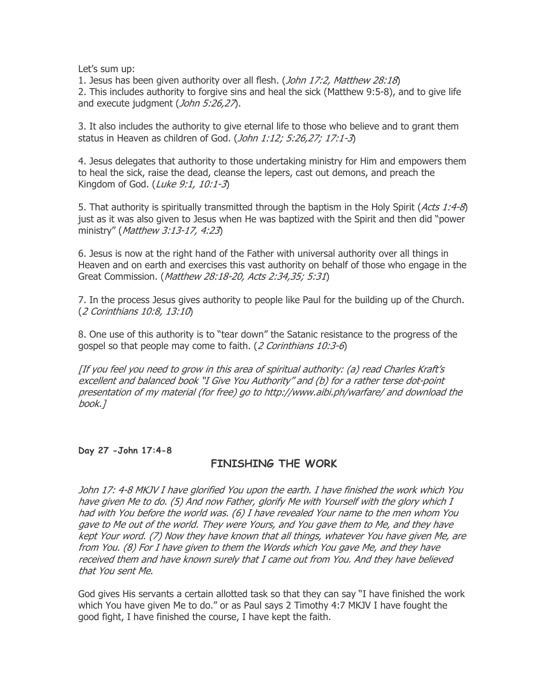Let's sum up:

1. Jesus has been given authority over all flesh. (*John 17:2, Matthew 28:18*) 2. This includes authority to forgive sins and heal the sick (Matthew 9:5-8), and to give life and execute judgment (John 5:26,27).

3. It also includes the authority to give eternal life to those who believe and to grant them status in Heaven as children of God. (John 1:12; 5:26,27; 17:1-3)

4. Jesus delegates that authority to those undertaking ministry for Him and empowers them to heal the sick, raise the dead, cleanse the lepers, cast out demons, and preach the Kingdom of God. (Luke 9:1, 10:1-3)

5. That authority is spiritually transmitted through the baptism in the Holy Spirit (Acts 1:4-8) just as it was also given to Jesus when He was baptized with the Spirit and then did "power ministry" (Matthew 3:13-17, 4:23)

6. Jesus is now at the right hand of the Father with universal authority over all things in Heaven and on earth and exercises this vast authority on behalf of those who engage in the Great Commission. (*Matthew 28:18-20, Acts 2:34,35; 5:31*)

7. In the process Jesus gives authority to people like Paul for the building up of the Church. (2 Corinthians 10:8, 13:10)

8. One use of this authority is to "tear down" the Satanic resistance to the progress of the gospel so that people may come to faith. (2 Corinthians 10:3-6)

[If you feel you need to grow in this area of spiritual authority: (a) read Charles Kraft's excellent and balanced book "I Give You Authority" and (b) for a rather terse dot-point presentation of my material (for free) go to http://www.aibi.ph/warfare/ and download the book.]

Day 27 -John 17:4-8

# FINISHING THE WORK

John 17: 4-8 MKJV I have glorified You upon the earth. I have finished the work which You have given Me to do. (5) And now Father, glorify Me with Yourself with the glory which I had with You before the world was. (6) I have revealed Your name to the men whom You gave to Me out of the world. They were Yours, and You gave them to Me, and they have kept Your word. (7) Now they have known that all things, whatever You have given Me, are from You. (8) For I have given to them the Words which You gave Me, and they have received them and have known surely that I came out from You. And they have believed that You sent Me.

God gives His servants a certain allotted task so that they can say "I have finished the work which You have given Me to do." or as Paul says 2 Timothy 4:7 MKJV I have fought the good fight, I have finished the course, I have kept the faith.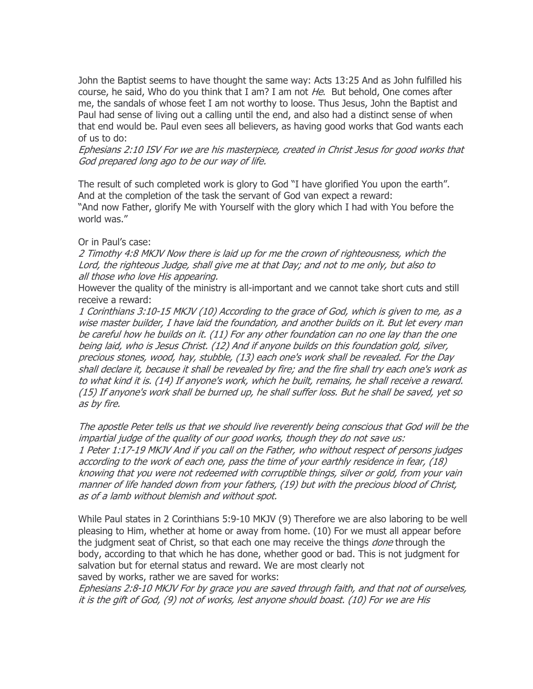John the Baptist seems to have thought the same way: Acts 13:25 And as John fulfilled his course, he said, Who do you think that I am? I am not  $He$ . But behold, One comes after me, the sandals of whose feet I am not worthy to loose. Thus Jesus, John the Baptist and Paul had sense of living out a calling until the end, and also had a distinct sense of when that end would be. Paul even sees all believers, as having good works that God wants each of us to do:

Ephesians 2:10 ISV For we are his masterpiece, created in Christ Jesus for good works that God prepared long ago to be our way of life.

The result of such completed work is glory to God "I have glorified You upon the earth". And at the completion of the task the servant of God van expect a reward: "And now Father, glorify Me with Yourself with the glory which I had with You before the world was."

#### Or in Paul's case:

2 Timothy 4:8 MKJV Now there is laid up for me the crown of righteousness, which the Lord, the righteous Judge, shall give me at that Day; and not to me only, but also to all those who love His appearing.

However the quality of the ministry is all-important and we cannot take short cuts and still receive a reward:

1 Corinthians 3:10-15 MKJV (10) According to the grace of God, which is given to me, as a wise master builder, I have laid the foundation, and another builds on it. But let every man be careful how he builds on it. (11) For any other foundation can no one lay than the one being laid, who is Jesus Christ. (12) And if anyone builds on this foundation gold, silver, precious stones, wood, hay, stubble, (13) each one's work shall be revealed. For the Day shall declare it, because it shall be revealed by fire; and the fire shall try each one's work as to what kind it is. (14) If anyone's work, which he built, remains, he shall receive a reward. (15) If anyone's work shall be burned up, he shall suffer loss. But he shall be saved, yet so as by fire.

The apostle Peter tells us that we should live reverently being conscious that God will be the impartial judge of the quality of our good works, though they do not save us: 1 Peter 1:17-19 MKJV And if you call on the Father, who without respect of persons judges according to the work of each one, pass the time of your earthly residence in fear, (18) knowing that you were not redeemed with corruptible things, silver or gold, from your vain manner of life handed down from your fathers, (19) but with the precious blood of Christ, as of a lamb without blemish and without spot.

While Paul states in 2 Corinthians 5:9-10 MKJV (9) Therefore we are also laboring to be well pleasing to Him, whether at home or away from home. (10) For we must all appear before the judgment seat of Christ, so that each one may receive the things done through the body, according to that which he has done, whether good or bad. This is not judgment for salvation but for eternal status and reward. We are most clearly not saved by works, rather we are saved for works:

Ephesians 2:8-10 MKJV For by grace you are saved through faith, and that not of ourselves, it is the gift of God, (9) not of works, lest anyone should boast. (10) For we are His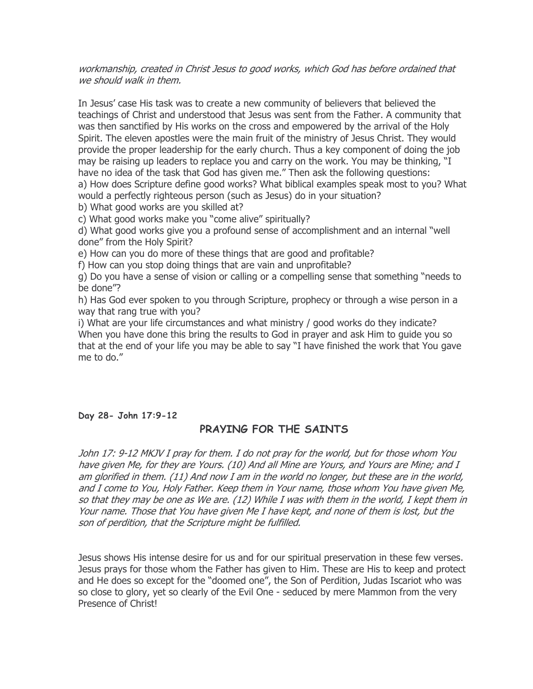#### workmanship, created in Christ Jesus to good works, which God has before ordained that we should walk in them.

In Jesus' case His task was to create a new community of believers that believed the teachings of Christ and understood that Jesus was sent from the Father. A community that was then sanctified by His works on the cross and empowered by the arrival of the Holy Spirit. The eleven apostles were the main fruit of the ministry of Jesus Christ. They would provide the proper leadership for the early church. Thus a key component of doing the job may be raising up leaders to replace you and carry on the work. You may be thinking, "I have no idea of the task that God has given me." Then ask the following questions: a) How does Scripture define good works? What biblical examples speak most to you? What would a perfectly righteous person (such as Jesus) do in your situation?

b) What good works are you skilled at?

c) What good works make you "come alive" spiritually?

d) What good works give you a profound sense of accomplishment and an internal "well done" from the Holy Spirit?

e) How can you do more of these things that are good and profitable?

f) How can you stop doing things that are vain and unprofitable?

g) Do you have a sense of vision or calling or a compelling sense that something "needs to be done"?

h) Has God ever spoken to you through Scripture, prophecy or through a wise person in a way that rang true with you?

i) What are your life circumstances and what ministry / good works do they indicate? When you have done this bring the results to God in prayer and ask Him to guide you so that at the end of your life you may be able to say "I have finished the work that You gave me to do."

### Day 28- John 17:9-12

## PRAYING FOR THE SAINTS

John 17: 9-12 MKJV I pray for them. I do not pray for the world, but for those whom You have given Me, for they are Yours. (10) And all Mine are Yours, and Yours are Mine; and I am glorified in them. (11) And now I am in the world no longer, but these are in the world, and I come to You, Holy Father. Keep them in Your name, those whom You have given Me, so that they may be one as We are. (12) While I was with them in the world, I kept them in Your name. Those that You have given Me I have kept, and none of them is lost, but the son of perdition, that the Scripture might be fulfilled.

Jesus shows His intense desire for us and for our spiritual preservation in these few verses. Jesus prays for those whom the Father has given to Him. These are His to keep and protect and He does so except for the "doomed one", the Son of Perdition, Judas Iscariot who was so close to glory, yet so clearly of the Evil One - seduced by mere Mammon from the very Presence of Christ!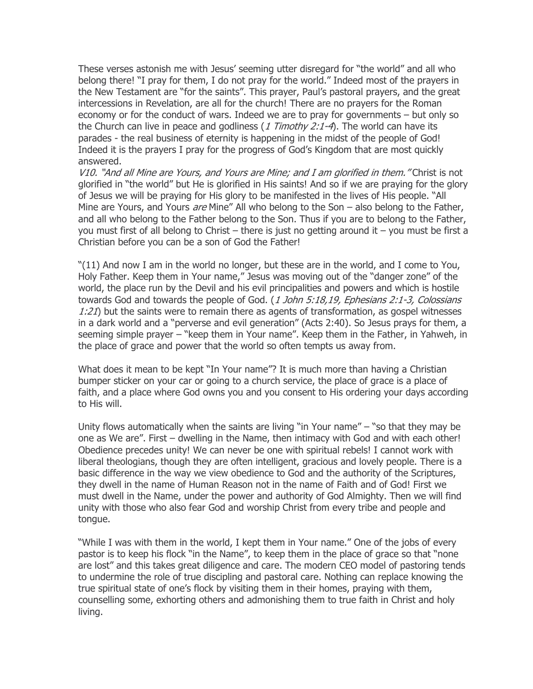These verses astonish me with Jesus' seeming utter disregard for "the world" and all who belong there! "I pray for them, I do not pray for the world." Indeed most of the prayers in the New Testament are "for the saints". This prayer, Paul's pastoral prayers, and the great intercessions in Revelation, are all for the church! There are no prayers for the Roman economy or for the conduct of wars. Indeed we are to pray for governments – but only so the Church can live in peace and godliness  $(1$  Timothy 2:1-4). The world can have its parades - the real business of eternity is happening in the midst of the people of God! Indeed it is the prayers I pray for the progress of God's Kingdom that are most quickly answered.

V10. "And all Mine are Yours, and Yours are Mine; and I am glorified in them. "Christ is not glorified in "the world" but He is glorified in His saints! And so if we are praying for the glory of Jesus we will be praying for His glory to be manifested in the lives of His people. "All Mine are Yours, and Yours *are* Mine" All who belong to the Son – also belong to the Father, and all who belong to the Father belong to the Son. Thus if you are to belong to the Father, you must first of all belong to Christ – there is just no getting around it – you must be first a Christian before you can be a son of God the Father!

"(11) And now I am in the world no longer, but these are in the world, and I come to You, Holy Father. Keep them in Your name," Jesus was moving out of the "danger zone" of the world, the place run by the Devil and his evil principalities and powers and which is hostile towards God and towards the people of God. (1 John 5:18,19, Ephesians 2:1-3, Colossians  $1:21$ ) but the saints were to remain there as agents of transformation, as gospel witnesses in a dark world and a "perverse and evil generation" (Acts 2:40). So Jesus prays for them, a seeming simple prayer – "keep them in Your name". Keep them in the Father, in Yahweh, in the place of grace and power that the world so often tempts us away from.

What does it mean to be kept "In Your name"? It is much more than having a Christian bumper sticker on your car or going to a church service, the place of grace is a place of faith, and a place where God owns you and you consent to His ordering your days according to His will.

Unity flows automatically when the saints are living "in Your name" – "so that they may be one as We are". First – dwelling in the Name, then intimacy with God and with each other! Obedience precedes unity! We can never be one with spiritual rebels! I cannot work with liberal theologians, though they are often intelligent, gracious and lovely people. There is a basic difference in the way we view obedience to God and the authority of the Scriptures, they dwell in the name of Human Reason not in the name of Faith and of God! First we must dwell in the Name, under the power and authority of God Almighty. Then we will find unity with those who also fear God and worship Christ from every tribe and people and tongue.

"While I was with them in the world, I kept them in Your name." One of the jobs of every pastor is to keep his flock "in the Name", to keep them in the place of grace so that "none are lost" and this takes great diligence and care. The modern CEO model of pastoring tends to undermine the role of true discipling and pastoral care. Nothing can replace knowing the true spiritual state of one's flock by visiting them in their homes, praying with them, counselling some, exhorting others and admonishing them to true faith in Christ and holy living.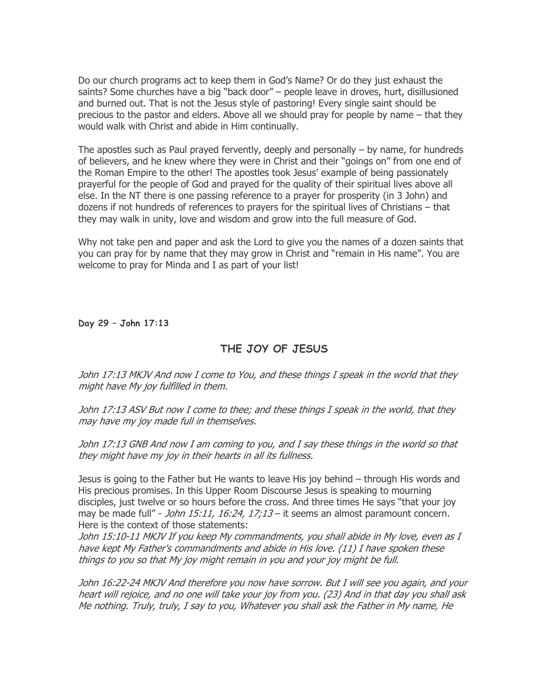Do our church programs act to keep them in God's Name? Or do they just exhaust the saints? Some churches have a big "back door" – people leave in droves, hurt, disillusioned and burned out. That is not the Jesus style of pastoring! Every single saint should be precious to the pastor and elders. Above all we should pray for people by name – that they would walk with Christ and abide in Him continually.

The apostles such as Paul prayed fervently, deeply and personally – by name, for hundreds of believers, and he knew where they were in Christ and their "goings on" from one end of the Roman Empire to the other! The apostles took Jesus' example of being passionately prayerful for the people of God and prayed for the quality of their spiritual lives above all else. In the NT there is one passing reference to a prayer for prosperity (in 3 John) and dozens if not hundreds of references to prayers for the spiritual lives of Christians – that they may walk in unity, love and wisdom and grow into the full measure of God.

Why not take pen and paper and ask the Lord to give you the names of a dozen saints that you can pray for by name that they may grow in Christ and "remain in His name". You are welcome to pray for Minda and I as part of your list!

Day 29 – John 17:13

# THE JOY OF JESUS

John 17:13 MKJV And now I come to You, and these things I speak in the world that they might have My joy fulfilled in them.

John 17:13 ASV But now I come to thee; and these things I speak in the world, that they may have my joy made full in themselves.

John 17:13 GNB And now I am coming to you, and I say these things in the world so that they might have my joy in their hearts in all its fullness.

Jesus is going to the Father but He wants to leave His joy behind – through His words and His precious promises. In this Upper Room Discourse Jesus is speaking to mourning disciples, just twelve or so hours before the cross. And three times He says "that your joy may be made full" - *John 15:11, 16:24, 17;13* – it seems an almost paramount concern. Here is the context of those statements:

John 15:10-11 MKJV If you keep My commandments, you shall abide in My love, even as I have kept My Father's commandments and abide in His love. (11) I have spoken these things to you so that My joy might remain in you and your joy might be full.

John 16:22-24 MKJV And therefore you now have sorrow. But I will see you again, and your heart will rejoice, and no one will take your joy from you. (23) And in that day you shall ask Me nothing. Truly, truly, I say to you, Whatever you shall ask the Father in My name, He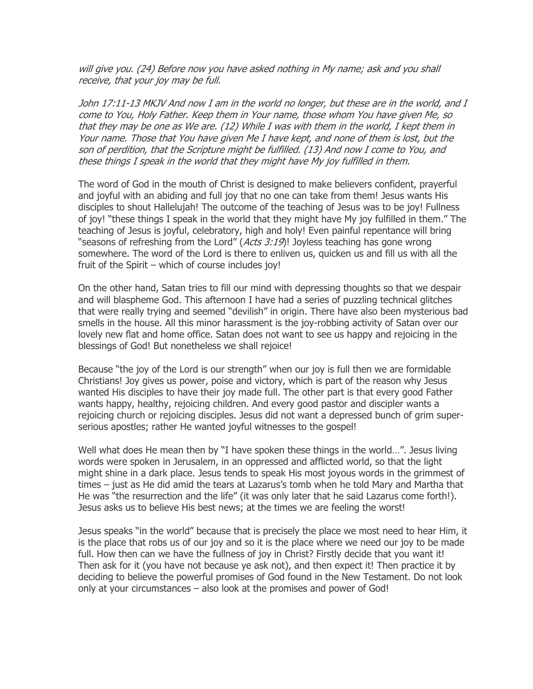will give you. (24) Before now you have asked nothing in My name; ask and you shall receive, that your joy may be full.

John 17:11-13 MKJV And now I am in the world no longer, but these are in the world, and I come to You, Holy Father. Keep them in Your name, those whom You have given Me, so that they may be one as We are. (12) While I was with them in the world, I kept them in Your name. Those that You have given Me I have kept, and none of them is lost, but the son of perdition, that the Scripture might be fulfilled. (13) And now I come to You, and these things I speak in the world that they might have My joy fulfilled in them.

The word of God in the mouth of Christ is designed to make believers confident, prayerful and joyful with an abiding and full joy that no one can take from them! Jesus wants His disciples to shout Hallelujah! The outcome of the teaching of Jesus was to be joy! Fullness of joy! "these things I speak in the world that they might have My joy fulfilled in them." The teaching of Jesus is joyful, celebratory, high and holy! Even painful repentance will bring "seasons of refreshing from the Lord" (*Acts 3:19*)! Joyless teaching has gone wrong somewhere. The word of the Lord is there to enliven us, quicken us and fill us with all the fruit of the Spirit – which of course includes joy!

On the other hand, Satan tries to fill our mind with depressing thoughts so that we despair and will blaspheme God. This afternoon I have had a series of puzzling technical glitches that were really trying and seemed "devilish" in origin. There have also been mysterious bad smells in the house. All this minor harassment is the joy-robbing activity of Satan over our lovely new flat and home office. Satan does not want to see us happy and rejoicing in the blessings of God! But nonetheless we shall rejoice!

Because "the joy of the Lord is our strength" when our joy is full then we are formidable Christians! Joy gives us power, poise and victory, which is part of the reason why Jesus wanted His disciples to have their joy made full. The other part is that every good Father wants happy, healthy, rejoicing children. And every good pastor and discipler wants a rejoicing church or rejoicing disciples. Jesus did not want a depressed bunch of grim superserious apostles; rather He wanted joyful witnesses to the gospel!

Well what does He mean then by "I have spoken these things in the world…". Jesus living words were spoken in Jerusalem, in an oppressed and afflicted world, so that the light might shine in a dark place. Jesus tends to speak His most joyous words in the grimmest of times – just as He did amid the tears at Lazarus's tomb when he told Mary and Martha that He was "the resurrection and the life" (it was only later that he said Lazarus come forth!). Jesus asks us to believe His best news; at the times we are feeling the worst!

Jesus speaks "in the world" because that is precisely the place we most need to hear Him, it is the place that robs us of our joy and so it is the place where we need our joy to be made full. How then can we have the fullness of joy in Christ? Firstly decide that you want it! Then ask for it (you have not because ye ask not), and then expect it! Then practice it by deciding to believe the powerful promises of God found in the New Testament. Do not look only at your circumstances – also look at the promises and power of God!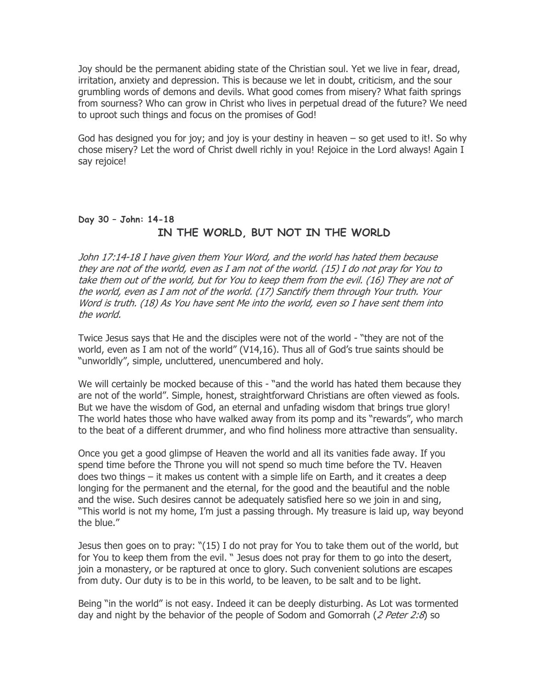Joy should be the permanent abiding state of the Christian soul. Yet we live in fear, dread, irritation, anxiety and depression. This is because we let in doubt, criticism, and the sour grumbling words of demons and devils. What good comes from misery? What faith springs from sourness? Who can grow in Christ who lives in perpetual dread of the future? We need to uproot such things and focus on the promises of God!

God has designed you for joy; and joy is your destiny in heaven  $-$  so get used to it!. So why chose misery? Let the word of Christ dwell richly in you! Rejoice in the Lord always! Again I say rejoice!

# Day 30 – John: 14-18 IN THE WORLD, BUT NOT IN THE WORLD

John 17:14-18 I have given them Your Word, and the world has hated them because they are not of the world, even as I am not of the world. (15) I do not pray for You to take them out of the world, but for You to keep them from the evil. (16) They are not of the world, even as I am not of the world. (17) Sanctify them through Your truth. Your Word is truth. (18) As You have sent Me into the world, even so I have sent them into the world.

Twice Jesus says that He and the disciples were not of the world - "they are not of the world, even as I am not of the world" (V14,16). Thus all of God's true saints should be "unworldly", simple, uncluttered, unencumbered and holy.

We will certainly be mocked because of this - "and the world has hated them because they are not of the world". Simple, honest, straightforward Christians are often viewed as fools. But we have the wisdom of God, an eternal and unfading wisdom that brings true glory! The world hates those who have walked away from its pomp and its "rewards", who march to the beat of a different drummer, and who find holiness more attractive than sensuality.

Once you get a good glimpse of Heaven the world and all its vanities fade away. If you spend time before the Throne you will not spend so much time before the TV. Heaven does two things – it makes us content with a simple life on Earth, and it creates a deep longing for the permanent and the eternal, for the good and the beautiful and the noble and the wise. Such desires cannot be adequately satisfied here so we join in and sing, "This world is not my home, I'm just a passing through. My treasure is laid up, way beyond the blue."

Jesus then goes on to pray: "(15) I do not pray for You to take them out of the world, but for You to keep them from the evil. " Jesus does not pray for them to go into the desert, join a monastery, or be raptured at once to glory. Such convenient solutions are escapes from duty. Our duty is to be in this world, to be leaven, to be salt and to be light.

Being "in the world" is not easy. Indeed it can be deeply disturbing. As Lot was tormented day and night by the behavior of the people of Sodom and Gomorrah (2 Peter 2:8) so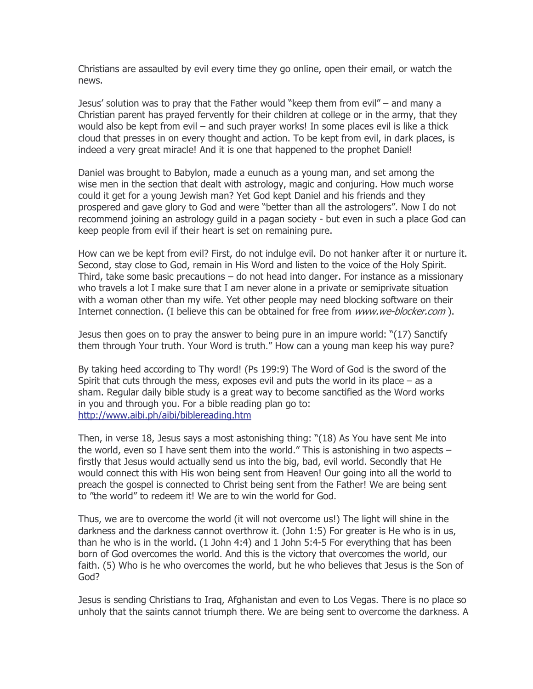Christians are assaulted by evil every time they go online, open their email, or watch the news.

Jesus' solution was to pray that the Father would "keep them from evil" – and many a Christian parent has prayed fervently for their children at college or in the army, that they would also be kept from evil – and such prayer works! In some places evil is like a thick cloud that presses in on every thought and action. To be kept from evil, in dark places, is indeed a very great miracle! And it is one that happened to the prophet Daniel!

Daniel was brought to Babylon, made a eunuch as a young man, and set among the wise men in the section that dealt with astrology, magic and conjuring. How much worse could it get for a young Jewish man? Yet God kept Daniel and his friends and they prospered and gave glory to God and were "better than all the astrologers". Now I do not recommend joining an astrology guild in a pagan society - but even in such a place God can keep people from evil if their heart is set on remaining pure.

How can we be kept from evil? First, do not indulge evil. Do not hanker after it or nurture it. Second, stay close to God, remain in His Word and listen to the voice of the Holy Spirit. Third, take some basic precautions – do not head into danger. For instance as a missionary who travels a lot I make sure that I am never alone in a private or semiprivate situation with a woman other than my wife. Yet other people may need blocking software on their Internet connection. (I believe this can be obtained for free from www.we-blocker.com).

Jesus then goes on to pray the answer to being pure in an impure world: "(17) Sanctify them through Your truth. Your Word is truth." How can a young man keep his way pure?

By taking heed according to Thy word! (Ps 199:9) The Word of God is the sword of the Spirit that cuts through the mess, exposes evil and puts the world in its place – as a sham. Regular daily bible study is a great way to become sanctified as the Word works in you and through you. For a bible reading plan go to: http://www.aibi.ph/aibi/biblereading.htm

Then, in verse 18, Jesus says a most astonishing thing: "(18) As You have sent Me into the world, even so I have sent them into the world." This is astonishing in two aspects – firstly that Jesus would actually send us into the big, bad, evil world. Secondly that He would connect this with His won being sent from Heaven! Our going into all the world to preach the gospel is connected to Christ being sent from the Father! We are being sent to "the world" to redeem it! We are to win the world for God.

Thus, we are to overcome the world (it will not overcome us!) The light will shine in the darkness and the darkness cannot overthrow it. (John 1:5) For greater is He who is in us, than he who is in the world. (1 John 4:4) and 1 John 5:4-5 For everything that has been born of God overcomes the world. And this is the victory that overcomes the world, our faith. (5) Who is he who overcomes the world, but he who believes that Jesus is the Son of God?

Jesus is sending Christians to Iraq, Afghanistan and even to Los Vegas. There is no place so unholy that the saints cannot triumph there. We are being sent to overcome the darkness. A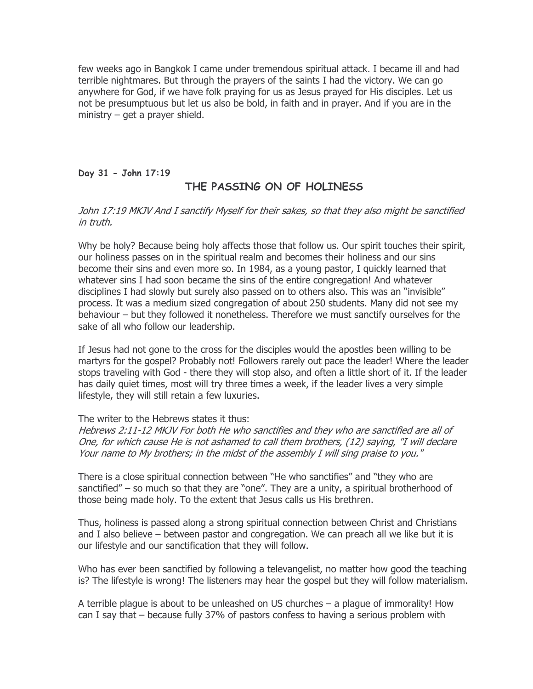few weeks ago in Bangkok I came under tremendous spiritual attack. I became ill and had terrible nightmares. But through the prayers of the saints I had the victory. We can go anywhere for God, if we have folk praying for us as Jesus prayed for His disciples. Let us not be presumptuous but let us also be bold, in faith and in prayer. And if you are in the ministry – get a prayer shield.

### Day 31 - John 17:19

# THE PASSING ON OF HOLINESS

### John 17:19 MKJV And I sanctify Myself for their sakes, so that they also might be sanctified in truth.

Why be holy? Because being holy affects those that follow us. Our spirit touches their spirit, our holiness passes on in the spiritual realm and becomes their holiness and our sins become their sins and even more so. In 1984, as a young pastor, I quickly learned that whatever sins I had soon became the sins of the entire congregation! And whatever disciplines I had slowly but surely also passed on to others also. This was an "invisible" process. It was a medium sized congregation of about 250 students. Many did not see my behaviour – but they followed it nonetheless. Therefore we must sanctify ourselves for the sake of all who follow our leadership.

If Jesus had not gone to the cross for the disciples would the apostles been willing to be martyrs for the gospel? Probably not! Followers rarely out pace the leader! Where the leader stops traveling with God - there they will stop also, and often a little short of it. If the leader has daily quiet times, most will try three times a week, if the leader lives a very simple lifestyle, they will still retain a few luxuries.

#### The writer to the Hebrews states it thus:

Hebrews 2:11-12 MKJV For both He who sanctifies and they who are sanctified are all of One, for which cause He is not ashamed to call them brothers, (12) saying, "I will declare Your name to My brothers; in the midst of the assembly I will sing praise to you."

There is a close spiritual connection between "He who sanctifies" and "they who are sanctified" – so much so that they are "one". They are a unity, a spiritual brotherhood of those being made holy. To the extent that Jesus calls us His brethren.

Thus, holiness is passed along a strong spiritual connection between Christ and Christians and I also believe – between pastor and congregation. We can preach all we like but it is our lifestyle and our sanctification that they will follow.

Who has ever been sanctified by following a televangelist, no matter how good the teaching is? The lifestyle is wrong! The listeners may hear the gospel but they will follow materialism.

A terrible plague is about to be unleashed on US churches – a plague of immorality! How can I say that – because fully 37% of pastors confess to having a serious problem with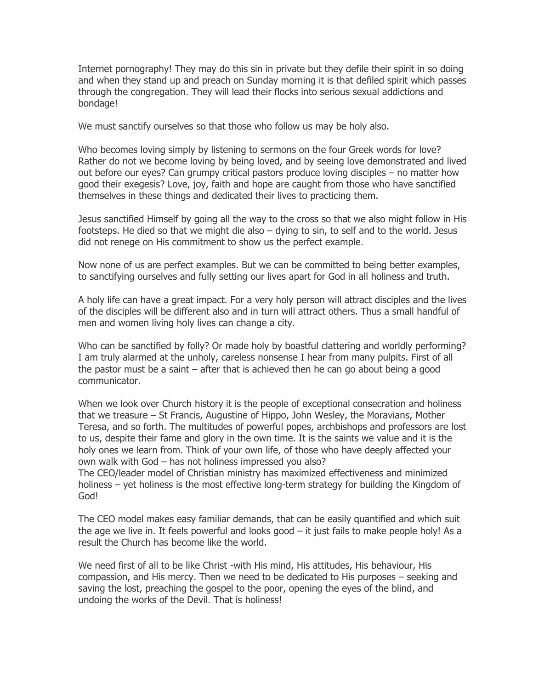Internet pornography! They may do this sin in private but they defile their spirit in so doing and when they stand up and preach on Sunday morning it is that defiled spirit which passes through the congregation. They will lead their flocks into serious sexual addictions and bondage!

We must sanctify ourselves so that those who follow us may be holy also.

Who becomes loving simply by listening to sermons on the four Greek words for love? Rather do not we become loving by being loved, and by seeing love demonstrated and lived out before our eyes? Can grumpy critical pastors produce loving disciples – no matter how good their exegesis? Love, joy, faith and hope are caught from those who have sanctified themselves in these things and dedicated their lives to practicing them.

Jesus sanctified Himself by going all the way to the cross so that we also might follow in His footsteps. He died so that we might die also – dying to sin, to self and to the world. Jesus did not renege on His commitment to show us the perfect example.

Now none of us are perfect examples. But we can be committed to being better examples, to sanctifying ourselves and fully setting our lives apart for God in all holiness and truth.

A holy life can have a great impact. For a very holy person will attract disciples and the lives of the disciples will be different also and in turn will attract others. Thus a small handful of men and women living holy lives can change a city.

Who can be sanctified by folly? Or made holy by boastful clattering and worldly performing? I am truly alarmed at the unholy, careless nonsense I hear from many pulpits. First of all the pastor must be a saint – after that is achieved then he can go about being a good communicator.

When we look over Church history it is the people of exceptional consecration and holiness that we treasure – St Francis, Augustine of Hippo, John Wesley, the Moravians, Mother Teresa, and so forth. The multitudes of powerful popes, archbishops and professors are lost to us, despite their fame and glory in the own time. It is the saints we value and it is the holy ones we learn from. Think of your own life, of those who have deeply affected your own walk with God – has not holiness impressed you also?

The CEO/leader model of Christian ministry has maximized effectiveness and minimized holiness – yet holiness is the most effective long-term strategy for building the Kingdom of God!

The CEO model makes easy familiar demands, that can be easily quantified and which suit the age we live in. It feels powerful and looks good – it just fails to make people holy! As a result the Church has become like the world.

We need first of all to be like Christ -with His mind, His attitudes, His behaviour, His compassion, and His mercy. Then we need to be dedicated to His purposes – seeking and saving the lost, preaching the gospel to the poor, opening the eyes of the blind, and undoing the works of the Devil. That is holiness!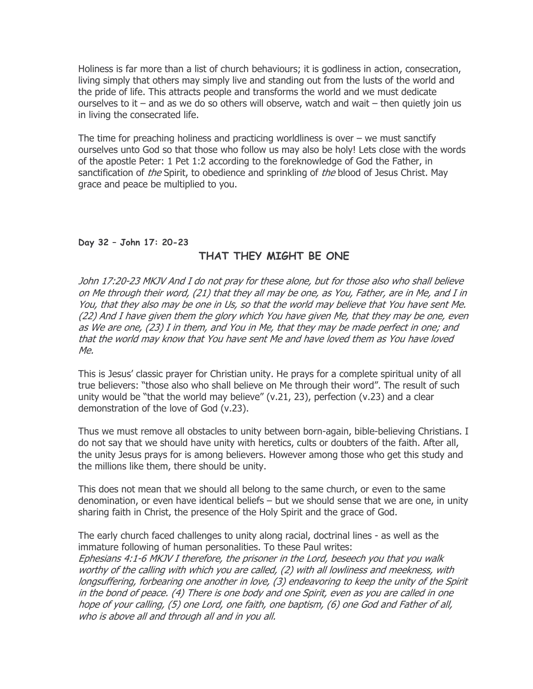Holiness is far more than a list of church behaviours; it is godliness in action, consecration, living simply that others may simply live and standing out from the lusts of the world and the pride of life. This attracts people and transforms the world and we must dedicate ourselves to it  $-$  and as we do so others will observe, watch and wait  $-$  then quietly join us in living the consecrated life.

The time for preaching holiness and practicing worldliness is over  $-$  we must sanctify ourselves unto God so that those who follow us may also be holy! Lets close with the words of the apostle Peter: 1 Pet 1:2 according to the foreknowledge of God the Father, in sanctification of *the* Spirit, to obedience and sprinkling of *the* blood of Jesus Christ. May grace and peace be multiplied to you.

### Day 32 – John 17: 20-23

## THAT THEY MIGHT BE ONE

John 17:20-23 MKJV And I do not pray for these alone, but for those also who shall believe on Me through their word, (21) that they all may be one, as You, Father, are in Me, and I in You, that they also may be one in Us, so that the world may believe that You have sent Me. (22) And I have given them the glory which You have given Me, that they may be one, even as We are one, (23) I in them, and You in Me, that they may be made perfect in one; and that the world may know that You have sent Me and have loved them as You have loved Me.

This is Jesus' classic prayer for Christian unity. He prays for a complete spiritual unity of all true believers: "those also who shall believe on Me through their word". The result of such unity would be "that the world may believe" (v.21, 23), perfection (v.23) and a clear demonstration of the love of God (v.23).

Thus we must remove all obstacles to unity between born-again, bible-believing Christians. I do not say that we should have unity with heretics, cults or doubters of the faith. After all, the unity Jesus prays for is among believers. However among those who get this study and the millions like them, there should be unity.

This does not mean that we should all belong to the same church, or even to the same denomination, or even have identical beliefs – but we should sense that we are one, in unity sharing faith in Christ, the presence of the Holy Spirit and the grace of God.

The early church faced challenges to unity along racial, doctrinal lines - as well as the immature following of human personalities. To these Paul writes: Ephesians 4:1-6 MKJV I therefore, the prisoner in the Lord, beseech you that you walk worthy of the calling with which you are called, (2) with all lowliness and meekness, with longsuffering, forbearing one another in love, (3) endeavoring to keep the unity of the Spirit in the bond of peace. (4) There is one body and one Spirit, even as you are called in one hope of your calling, (5) one Lord, one faith, one baptism, (6) one God and Father of all, who is above all and through all and in you all.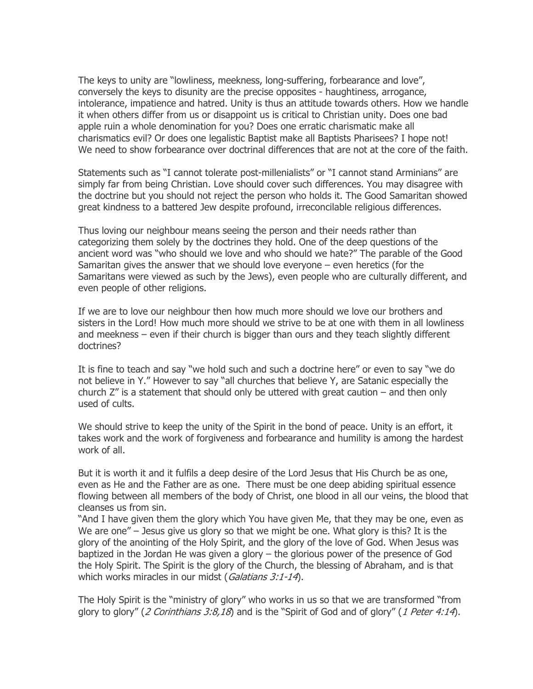The keys to unity are "lowliness, meekness, long-suffering, forbearance and love", conversely the keys to disunity are the precise opposites - haughtiness, arrogance, intolerance, impatience and hatred. Unity is thus an attitude towards others. How we handle it when others differ from us or disappoint us is critical to Christian unity. Does one bad apple ruin a whole denomination for you? Does one erratic charismatic make all charismatics evil? Or does one legalistic Baptist make all Baptists Pharisees? I hope not! We need to show forbearance over doctrinal differences that are not at the core of the faith.

Statements such as "I cannot tolerate post-millenialists" or "I cannot stand Arminians" are simply far from being Christian. Love should cover such differences. You may disagree with the doctrine but you should not reject the person who holds it. The Good Samaritan showed great kindness to a battered Jew despite profound, irreconcilable religious differences.

Thus loving our neighbour means seeing the person and their needs rather than categorizing them solely by the doctrines they hold. One of the deep questions of the ancient word was "who should we love and who should we hate?" The parable of the Good Samaritan gives the answer that we should love everyone – even heretics (for the Samaritans were viewed as such by the Jews), even people who are culturally different, and even people of other religions.

If we are to love our neighbour then how much more should we love our brothers and sisters in the Lord! How much more should we strive to be at one with them in all lowliness and meekness – even if their church is bigger than ours and they teach slightly different doctrines?

It is fine to teach and say "we hold such and such a doctrine here" or even to say "we do not believe in Y." However to say "all churches that believe Y, are Satanic especially the church  $Z''$  is a statement that should only be uttered with great caution  $-$  and then only used of cults.

We should strive to keep the unity of the Spirit in the bond of peace. Unity is an effort, it takes work and the work of forgiveness and forbearance and humility is among the hardest work of all.

But it is worth it and it fulfils a deep desire of the Lord Jesus that His Church be as one, even as He and the Father are as one. There must be one deep abiding spiritual essence flowing between all members of the body of Christ, one blood in all our veins, the blood that cleanses us from sin.

"And I have given them the glory which You have given Me, that they may be one, even as We are one" – Jesus give us glory so that we might be one. What glory is this? It is the glory of the anointing of the Holy Spirit, and the glory of the love of God. When Jesus was baptized in the Jordan He was given a glory – the glorious power of the presence of God the Holy Spirit. The Spirit is the glory of the Church, the blessing of Abraham, and is that which works miracles in our midst (Galatians 3:1-14).

The Holy Spirit is the "ministry of glory" who works in us so that we are transformed "from glory to glory" (2 Corinthians 3:8,18) and is the "Spirit of God and of glory" (1 Peter 4:14).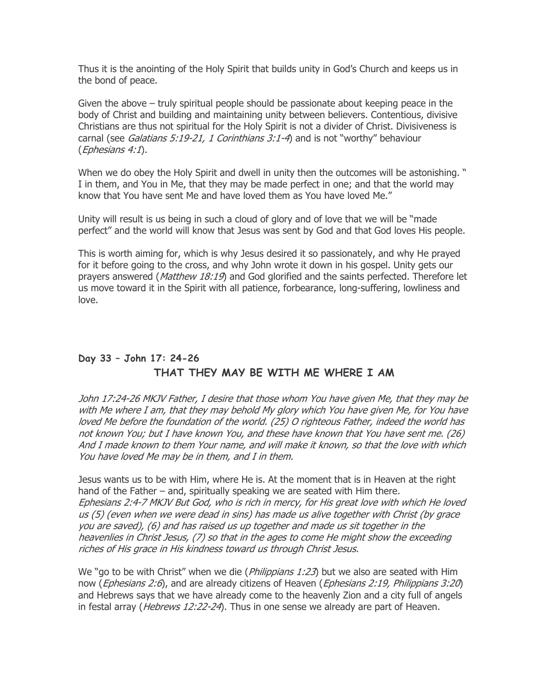Thus it is the anointing of the Holy Spirit that builds unity in God's Church and keeps us in the bond of peace.

Given the above – truly spiritual people should be passionate about keeping peace in the body of Christ and building and maintaining unity between believers. Contentious, divisive Christians are thus not spiritual for the Holy Spirit is not a divider of Christ. Divisiveness is carnal (see *Galatians 5:19-21, 1 Corinthians 3:1-4*) and is not "worthy" behaviour (Ephesians 4:1).

When we do obey the Holy Spirit and dwell in unity then the outcomes will be astonishing. " I in them, and You in Me, that they may be made perfect in one; and that the world may know that You have sent Me and have loved them as You have loved Me."

Unity will result is us being in such a cloud of glory and of love that we will be "made perfect" and the world will know that Jesus was sent by God and that God loves His people.

This is worth aiming for, which is why Jesus desired it so passionately, and why He prayed for it before going to the cross, and why John wrote it down in his gospel. Unity gets our prayers answered (Matthew 18:19) and God glorified and the saints perfected. Therefore let us move toward it in the Spirit with all patience, forbearance, long-suffering, lowliness and love.

# Day 33 – John 17: 24-26 THAT THEY MAY BE WITH ME WHERE I AM

John 17:24-26 MKJV Father, I desire that those whom You have given Me, that they may be with Me where I am, that they may behold My glory which You have given Me, for You have loved Me before the foundation of the world. (25) O righteous Father, indeed the world has not known You; but I have known You, and these have known that You have sent me. (26) And I made known to them Your name, and will make it known, so that the love with which You have loved Me may be in them, and I in them.

Jesus wants us to be with Him, where He is. At the moment that is in Heaven at the right hand of the Father – and, spiritually speaking we are seated with Him there. Ephesians 2:4-7 MKJV But God, who is rich in mercy, for His great love with which He loved us (5) (even when we were dead in sins) has made us alive together with Christ (by grace you are saved), (6) and has raised us up together and made us sit together in the heavenlies in Christ Jesus, (7) so that in the ages to come He might show the exceeding riches of His grace in His kindness toward us through Christ Jesus.

We "go to be with Christ" when we die (*Philippians 1:23*) but we also are seated with Him now (*Ephesians 2:6*), and are already citizens of Heaven (*Ephesians 2:19, Philippians 3:20*) and Hebrews says that we have already come to the heavenly Zion and a city full of angels in festal array (*Hebrews 12:22-24*). Thus in one sense we already are part of Heaven.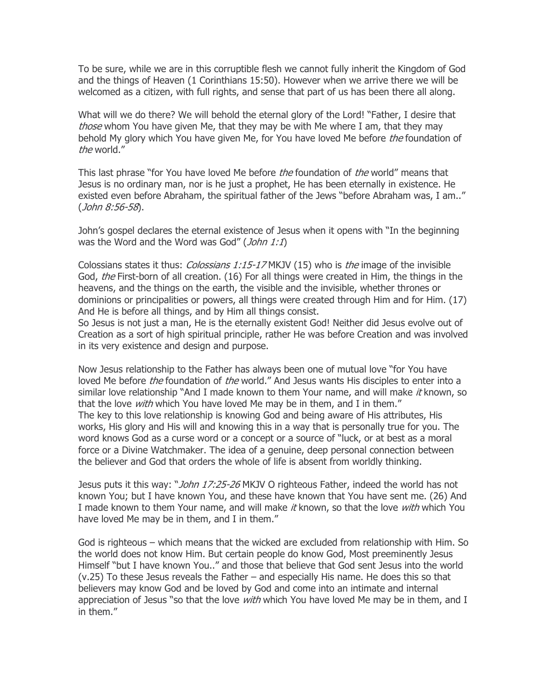To be sure, while we are in this corruptible flesh we cannot fully inherit the Kingdom of God and the things of Heaven (1 Corinthians 15:50). However when we arrive there we will be welcomed as a citizen, with full rights, and sense that part of us has been there all along.

What will we do there? We will behold the eternal glory of the Lord! "Father, I desire that those whom You have given Me, that they may be with Me where I am, that they may behold My glory which You have given Me, for You have loved Me before *the* foundation of the world."

This last phrase "for You have loved Me before *the* foundation of *the* world" means that Jesus is no ordinary man, nor is he just a prophet, He has been eternally in existence. He existed even before Abraham, the spiritual father of the Jews "before Abraham was, I am.." (John 8:56-58).

John's gospel declares the eternal existence of Jesus when it opens with "In the beginning was the Word and the Word was God" (*John 1:1*)

Colossians states it thus: *Colossians 1:15-17* MKJV (15) who is *the* image of the invisible God, the First-born of all creation. (16) For all things were created in Him, the things in the heavens, and the things on the earth, the visible and the invisible, whether thrones or dominions or principalities or powers, all things were created through Him and for Him. (17) And He is before all things, and by Him all things consist.

So Jesus is not just a man, He is the eternally existent God! Neither did Jesus evolve out of Creation as a sort of high spiritual principle, rather He was before Creation and was involved in its very existence and design and purpose.

Now Jesus relationship to the Father has always been one of mutual love "for You have loved Me before the foundation of the world." And Jesus wants His disciples to enter into a similar love relationship "And I made known to them Your name, and will make it known, so that the love *with* which You have loved Me may be in them, and I in them." The key to this love relationship is knowing God and being aware of His attributes, His works, His glory and His will and knowing this in a way that is personally true for you. The word knows God as a curse word or a concept or a source of "luck, or at best as a moral force or a Divine Watchmaker. The idea of a genuine, deep personal connection between the believer and God that orders the whole of life is absent from worldly thinking.

Jesus puts it this way: "*John 17:25-26* MKJV O righteous Father, indeed the world has not known You; but I have known You, and these have known that You have sent me. (26) And I made known to them Your name, and will make it known, so that the love with which You have loved Me may be in them, and I in them."

God is righteous – which means that the wicked are excluded from relationship with Him. So the world does not know Him. But certain people do know God, Most preeminently Jesus Himself "but I have known You.." and those that believe that God sent Jesus into the world (v.25) To these Jesus reveals the Father – and especially His name. He does this so that believers may know God and be loved by God and come into an intimate and internal appreciation of Jesus "so that the love *with* which You have loved Me may be in them, and I in them."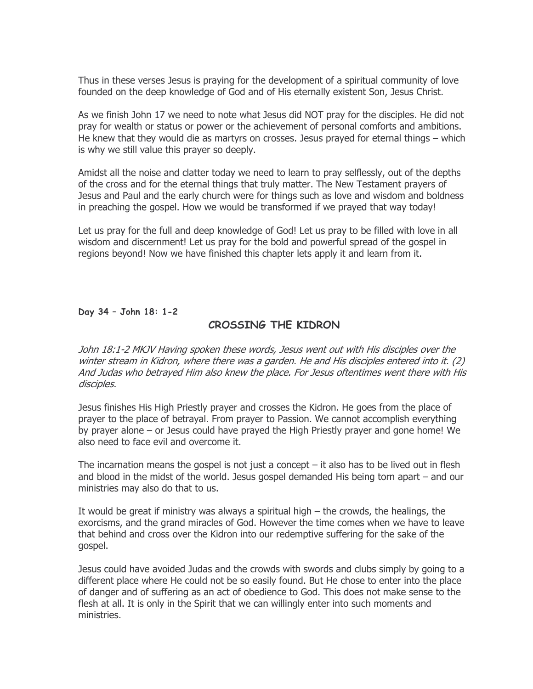Thus in these verses Jesus is praying for the development of a spiritual community of love founded on the deep knowledge of God and of His eternally existent Son, Jesus Christ.

As we finish John 17 we need to note what Jesus did NOT pray for the disciples. He did not pray for wealth or status or power or the achievement of personal comforts and ambitions. He knew that they would die as martyrs on crosses. Jesus prayed for eternal things – which is why we still value this prayer so deeply.

Amidst all the noise and clatter today we need to learn to pray selflessly, out of the depths of the cross and for the eternal things that truly matter. The New Testament prayers of Jesus and Paul and the early church were for things such as love and wisdom and boldness in preaching the gospel. How we would be transformed if we prayed that way today!

Let us pray for the full and deep knowledge of God! Let us pray to be filled with love in all wisdom and discernment! Let us pray for the bold and powerful spread of the gospel in regions beyond! Now we have finished this chapter lets apply it and learn from it.

Day 34 – John 18: 1-2

## CROSSING THE KIDRON

John 18:1-2 MKJV Having spoken these words, Jesus went out with His disciples over the winter stream in Kidron, where there was a garden. He and His disciples entered into it. (2) And Judas who betrayed Him also knew the place. For Jesus oftentimes went there with His disciples.

Jesus finishes His High Priestly prayer and crosses the Kidron. He goes from the place of prayer to the place of betrayal. From prayer to Passion. We cannot accomplish everything by prayer alone – or Jesus could have prayed the High Priestly prayer and gone home! We also need to face evil and overcome it.

The incarnation means the gospel is not just a concept  $-$  it also has to be lived out in flesh and blood in the midst of the world. Jesus gospel demanded His being torn apart – and our ministries may also do that to us.

It would be great if ministry was always a spiritual high – the crowds, the healings, the exorcisms, and the grand miracles of God. However the time comes when we have to leave that behind and cross over the Kidron into our redemptive suffering for the sake of the gospel.

Jesus could have avoided Judas and the crowds with swords and clubs simply by going to a different place where He could not be so easily found. But He chose to enter into the place of danger and of suffering as an act of obedience to God. This does not make sense to the flesh at all. It is only in the Spirit that we can willingly enter into such moments and ministries.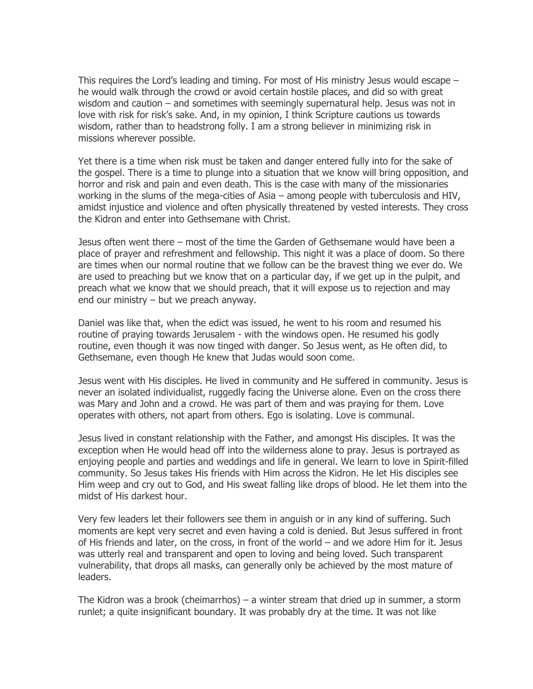This requires the Lord's leading and timing. For most of His ministry Jesus would escape – he would walk through the crowd or avoid certain hostile places, and did so with great wisdom and caution – and sometimes with seemingly supernatural help. Jesus was not in love with risk for risk's sake. And, in my opinion, I think Scripture cautions us towards wisdom, rather than to headstrong folly. I am a strong believer in minimizing risk in missions wherever possible.

Yet there is a time when risk must be taken and danger entered fully into for the sake of the gospel. There is a time to plunge into a situation that we know will bring opposition, and horror and risk and pain and even death. This is the case with many of the missionaries working in the slums of the mega-cities of Asia – among people with tuberculosis and HIV, amidst injustice and violence and often physically threatened by vested interests. They cross the Kidron and enter into Gethsemane with Christ.

Jesus often went there – most of the time the Garden of Gethsemane would have been a place of prayer and refreshment and fellowship. This night it was a place of doom. So there are times when our normal routine that we follow can be the bravest thing we ever do. We are used to preaching but we know that on a particular day, if we get up in the pulpit, and preach what we know that we should preach, that it will expose us to rejection and may end our ministry – but we preach anyway.

Daniel was like that, when the edict was issued, he went to his room and resumed his routine of praying towards Jerusalem - with the windows open. He resumed his godly routine, even though it was now tinged with danger. So Jesus went, as He often did, to Gethsemane, even though He knew that Judas would soon come.

Jesus went with His disciples. He lived in community and He suffered in community. Jesus is never an isolated individualist, ruggedly facing the Universe alone. Even on the cross there was Mary and John and a crowd. He was part of them and was praying for them. Love operates with others, not apart from others. Ego is isolating. Love is communal.

Jesus lived in constant relationship with the Father, and amongst His disciples. It was the exception when He would head off into the wilderness alone to pray. Jesus is portrayed as enjoying people and parties and weddings and life in general. We learn to love in Spirit-filled community. So Jesus takes His friends with Him across the Kidron. He let His disciples see Him weep and cry out to God, and His sweat falling like drops of blood. He let them into the midst of His darkest hour.

Very few leaders let their followers see them in anguish or in any kind of suffering. Such moments are kept very secret and even having a cold is denied. But Jesus suffered in front of His friends and later, on the cross, in front of the world – and we adore Him for it. Jesus was utterly real and transparent and open to loving and being loved. Such transparent vulnerability, that drops all masks, can generally only be achieved by the most mature of leaders.

The Kidron was a brook (cheimarrhos) – a winter stream that dried up in summer, a storm runlet; a quite insignificant boundary. It was probably dry at the time. It was not like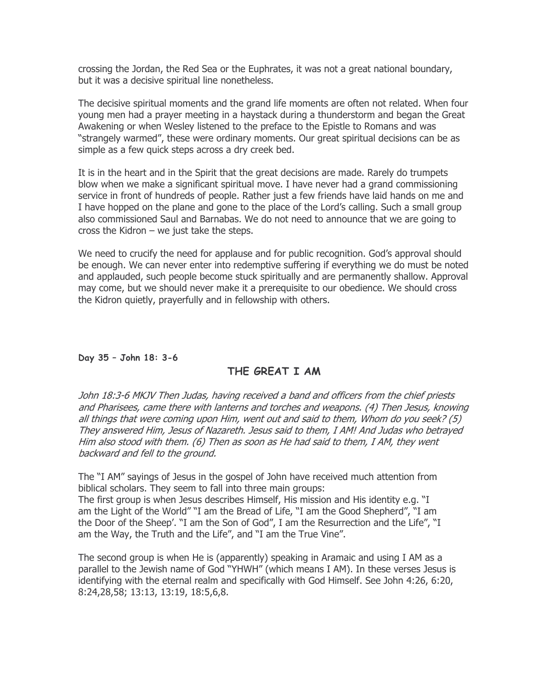crossing the Jordan, the Red Sea or the Euphrates, it was not a great national boundary, but it was a decisive spiritual line nonetheless.

The decisive spiritual moments and the grand life moments are often not related. When four young men had a prayer meeting in a haystack during a thunderstorm and began the Great Awakening or when Wesley listened to the preface to the Epistle to Romans and was "strangely warmed", these were ordinary moments. Our great spiritual decisions can be as simple as a few quick steps across a dry creek bed.

It is in the heart and in the Spirit that the great decisions are made. Rarely do trumpets blow when we make a significant spiritual move. I have never had a grand commissioning service in front of hundreds of people. Rather just a few friends have laid hands on me and I have hopped on the plane and gone to the place of the Lord's calling. Such a small group also commissioned Saul and Barnabas. We do not need to announce that we are going to cross the Kidron – we just take the steps.

We need to crucify the need for applause and for public recognition. God's approval should be enough. We can never enter into redemptive suffering if everything we do must be noted and applauded, such people become stuck spiritually and are permanently shallow. Approval may come, but we should never make it a prerequisite to our obedience. We should cross the Kidron quietly, prayerfully and in fellowship with others.

### Day 35 – John 18: 3-6

## THE GREAT I AM

John 18:3-6 MKJV Then Judas, having received a band and officers from the chief priests and Pharisees, came there with lanterns and torches and weapons. (4) Then Jesus, knowing all things that were coming upon Him, went out and said to them, Whom do you seek? (5) They answered Him, Jesus of Nazareth. Jesus said to them, I AM! And Judas who betrayed Him also stood with them. (6) Then as soon as He had said to them, I AM, they went backward and fell to the ground.

The "I AM" sayings of Jesus in the gospel of John have received much attention from biblical scholars. They seem to fall into three main groups:

The first group is when Jesus describes Himself, His mission and His identity e.g. "I am the Light of the World" "I am the Bread of Life, "I am the Good Shepherd", "I am the Door of the Sheep'. "I am the Son of God", I am the Resurrection and the Life", "I am the Way, the Truth and the Life", and "I am the True Vine".

The second group is when He is (apparently) speaking in Aramaic and using I AM as a parallel to the Jewish name of God "YHWH" (which means I AM). In these verses Jesus is identifying with the eternal realm and specifically with God Himself. See John 4:26, 6:20, 8:24,28,58; 13:13, 13:19, 18:5,6,8.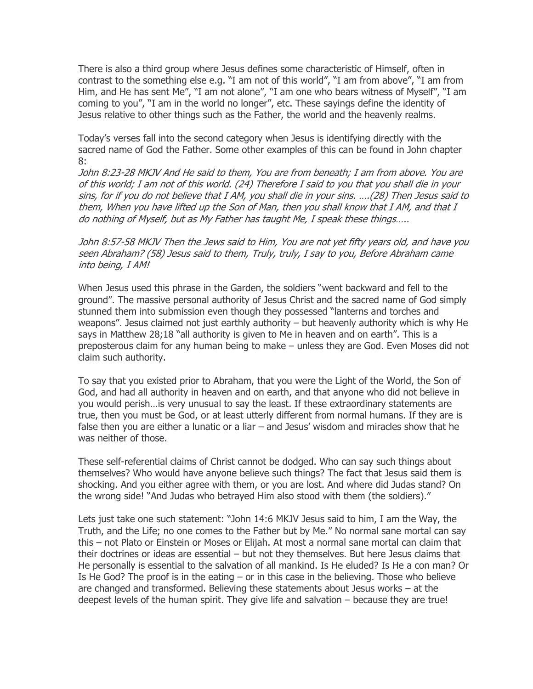There is also a third group where Jesus defines some characteristic of Himself, often in contrast to the something else e.g. "I am not of this world", "I am from above", "I am from Him, and He has sent Me", "I am not alone", "I am one who bears witness of Myself", "I am coming to you", "I am in the world no longer", etc. These sayings define the identity of Jesus relative to other things such as the Father, the world and the heavenly realms.

Today's verses fall into the second category when Jesus is identifying directly with the sacred name of God the Father. Some other examples of this can be found in John chapter 8:

John 8:23-28 MKJV And He said to them, You are from beneath; I am from above. You are of this world; I am not of this world. (24) Therefore I said to you that you shall die in your sins, for if you do not believe that I AM, you shall die in your sins. ….(28) Then Jesus said to them, When you have lifted up the Son of Man, then you shall know that I AM, and that I do nothing of Myself, but as My Father has taught Me, I speak these things…..

John 8:57-58 MKJV Then the Jews said to Him, You are not yet fifty years old, and have you seen Abraham? (58) Jesus said to them, Truly, truly, I say to you, Before Abraham came into being, I AM!

When Jesus used this phrase in the Garden, the soldiers "went backward and fell to the ground". The massive personal authority of Jesus Christ and the sacred name of God simply stunned them into submission even though they possessed "lanterns and torches and weapons". Jesus claimed not just earthly authority – but heavenly authority which is why He says in Matthew 28;18 "all authority is given to Me in heaven and on earth". This is a preposterous claim for any human being to make – unless they are God. Even Moses did not claim such authority.

To say that you existed prior to Abraham, that you were the Light of the World, the Son of God, and had all authority in heaven and on earth, and that anyone who did not believe in you would perish…is very unusual to say the least. If these extraordinary statements are true, then you must be God, or at least utterly different from normal humans. If they are is false then you are either a lunatic or a liar – and Jesus' wisdom and miracles show that he was neither of those.

These self-referential claims of Christ cannot be dodged. Who can say such things about themselves? Who would have anyone believe such things? The fact that Jesus said them is shocking. And you either agree with them, or you are lost. And where did Judas stand? On the wrong side! "And Judas who betrayed Him also stood with them (the soldiers)."

Lets just take one such statement: "John 14:6 MKJV Jesus said to him, I am the Way, the Truth, and the Life; no one comes to the Father but by Me." No normal sane mortal can say this – not Plato or Einstein or Moses or Elijah. At most a normal sane mortal can claim that their doctrines or ideas are essential – but not they themselves. But here Jesus claims that He personally is essential to the salvation of all mankind. Is He eluded? Is He a con man? Or Is He God? The proof is in the eating – or in this case in the believing. Those who believe are changed and transformed. Believing these statements about Jesus works – at the deepest levels of the human spirit. They give life and salvation – because they are true!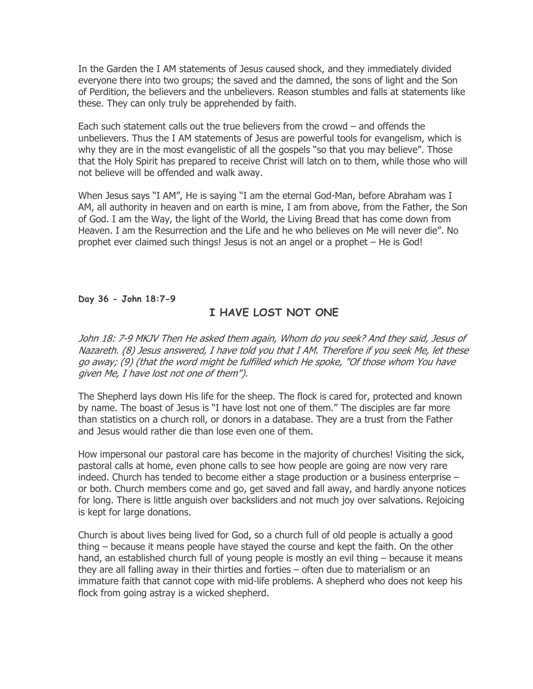In the Garden the I AM statements of Jesus caused shock, and they immediately divided everyone there into two groups; the saved and the damned, the sons of light and the Son of Perdition, the believers and the unbelievers. Reason stumbles and falls at statements like these. They can only truly be apprehended by faith.

Each such statement calls out the true believers from the crowd – and offends the unbelievers. Thus the I AM statements of Jesus are powerful tools for evangelism, which is why they are in the most evangelistic of all the gospels "so that you may believe". Those that the Holy Spirit has prepared to receive Christ will latch on to them, while those who will not believe will be offended and walk away.

When Jesus says "I AM", He is saying "I am the eternal God-Man, before Abraham was I AM, all authority in heaven and on earth is mine, I am from above, from the Father, the Son of God. I am the Way, the light of the World, the Living Bread that has come down from Heaven. I am the Resurrection and the Life and he who believes on Me will never die". No prophet ever claimed such things! Jesus is not an angel or a prophet – He is God!

Day 36 - John 18:7-9

# I HAVE LOST NOT ONE

John 18: 7-9 MKJV Then He asked them again, Whom do you seek? And they said, Jesus of Nazareth. (8) Jesus answered, I have told you that I AM. Therefore if you seek Me, let these go away; (9) (that the word might be fulfilled which He spoke, "Of those whom You have given Me, I have lost not one of them").

The Shepherd lays down His life for the sheep. The flock is cared for, protected and known by name. The boast of Jesus is "I have lost not one of them." The disciples are far more than statistics on a church roll, or donors in a database. They are a trust from the Father and Jesus would rather die than lose even one of them.

How impersonal our pastoral care has become in the majority of churches! Visiting the sick, pastoral calls at home, even phone calls to see how people are going are now very rare indeed. Church has tended to become either a stage production or a business enterprise – or both. Church members come and go, get saved and fall away, and hardly anyone notices for long. There is little anguish over backsliders and not much joy over salvations. Rejoicing is kept for large donations.

Church is about lives being lived for God, so a church full of old people is actually a good thing – because it means people have stayed the course and kept the faith. On the other hand, an established church full of young people is mostly an evil thing – because it means they are all falling away in their thirties and forties – often due to materialism or an immature faith that cannot cope with mid-life problems. A shepherd who does not keep his flock from going astray is a wicked shepherd.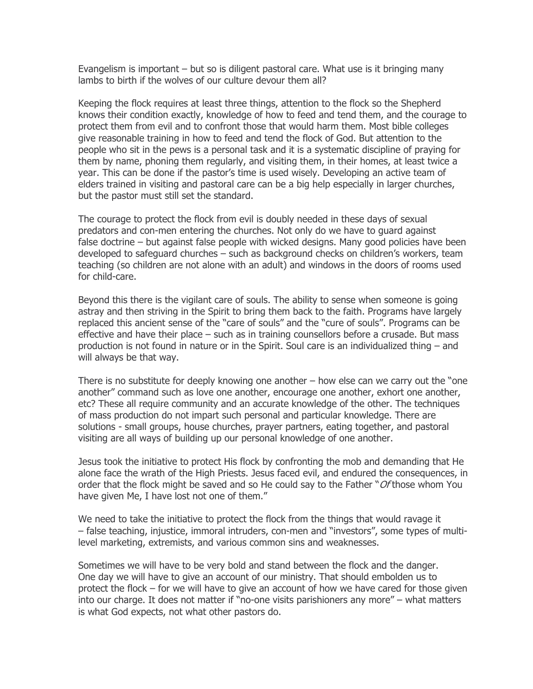Evangelism is important – but so is diligent pastoral care. What use is it bringing many lambs to birth if the wolves of our culture devour them all?

Keeping the flock requires at least three things, attention to the flock so the Shepherd knows their condition exactly, knowledge of how to feed and tend them, and the courage to protect them from evil and to confront those that would harm them. Most bible colleges give reasonable training in how to feed and tend the flock of God. But attention to the people who sit in the pews is a personal task and it is a systematic discipline of praying for them by name, phoning them regularly, and visiting them, in their homes, at least twice a year. This can be done if the pastor's time is used wisely. Developing an active team of elders trained in visiting and pastoral care can be a big help especially in larger churches, but the pastor must still set the standard.

The courage to protect the flock from evil is doubly needed in these days of sexual predators and con-men entering the churches. Not only do we have to guard against false doctrine – but against false people with wicked designs. Many good policies have been developed to safeguard churches – such as background checks on children's workers, team teaching (so children are not alone with an adult) and windows in the doors of rooms used for child-care.

Beyond this there is the vigilant care of souls. The ability to sense when someone is going astray and then striving in the Spirit to bring them back to the faith. Programs have largely replaced this ancient sense of the "care of souls" and the "cure of souls". Programs can be effective and have their place – such as in training counsellors before a crusade. But mass production is not found in nature or in the Spirit. Soul care is an individualized thing – and will always be that way.

There is no substitute for deeply knowing one another – how else can we carry out the "one another" command such as love one another, encourage one another, exhort one another, etc? These all require community and an accurate knowledge of the other. The techniques of mass production do not impart such personal and particular knowledge. There are solutions - small groups, house churches, prayer partners, eating together, and pastoral visiting are all ways of building up our personal knowledge of one another.

Jesus took the initiative to protect His flock by confronting the mob and demanding that He alone face the wrath of the High Priests. Jesus faced evil, and endured the consequences, in order that the flock might be saved and so He could say to the Father " $Of$ those whom You have given Me, I have lost not one of them."

We need to take the initiative to protect the flock from the things that would ravage it – false teaching, injustice, immoral intruders, con-men and "investors", some types of multilevel marketing, extremists, and various common sins and weaknesses.

Sometimes we will have to be very bold and stand between the flock and the danger. One day we will have to give an account of our ministry. That should embolden us to protect the flock – for we will have to give an account of how we have cared for those given into our charge. It does not matter if "no-one visits parishioners any more" – what matters is what God expects, not what other pastors do.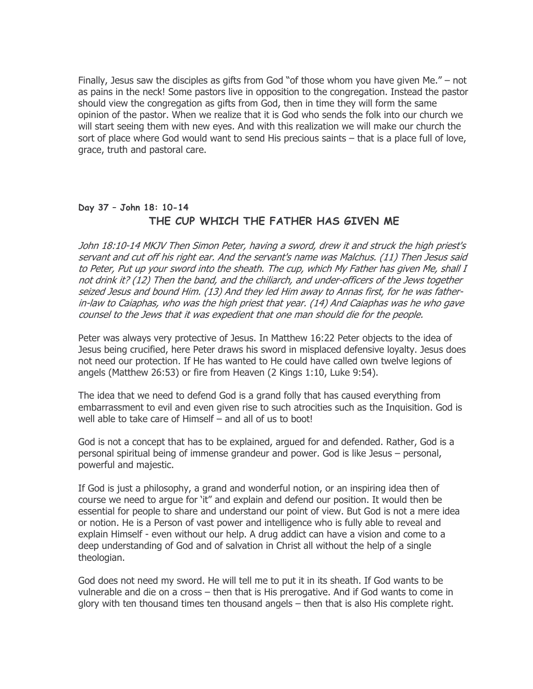Finally, Jesus saw the disciples as gifts from God "of those whom you have given Me." – not as pains in the neck! Some pastors live in opposition to the congregation. Instead the pastor should view the congregation as gifts from God, then in time they will form the same opinion of the pastor. When we realize that it is God who sends the folk into our church we will start seeing them with new eyes. And with this realization we will make our church the sort of place where God would want to send His precious saints – that is a place full of love, grace, truth and pastoral care.

# Day 37 – John 18: 10-14 THE CUP WHICH THE FATHER HAS GIVEN ME

John 18:10-14 MKJV Then Simon Peter, having a sword, drew it and struck the high priest's servant and cut off his right ear. And the servant's name was Malchus. (11) Then Jesus said to Peter, Put up your sword into the sheath. The cup, which My Father has given Me, shall I not drink it? (12) Then the band, and the chiliarch, and under-officers of the Jews together seized Jesus and bound Him. (13) And they led Him away to Annas first, for he was fatherin-law to Caiaphas, who was the high priest that year. (14) And Caiaphas was he who gave counsel to the Jews that it was expedient that one man should die for the people.

Peter was always very protective of Jesus. In Matthew 16:22 Peter objects to the idea of Jesus being crucified, here Peter draws his sword in misplaced defensive loyalty. Jesus does not need our protection. If He has wanted to He could have called own twelve legions of angels (Matthew 26:53) or fire from Heaven (2 Kings 1:10, Luke 9:54).

The idea that we need to defend God is a grand folly that has caused everything from embarrassment to evil and even given rise to such atrocities such as the Inquisition. God is well able to take care of Himself – and all of us to boot!

God is not a concept that has to be explained, argued for and defended. Rather, God is a personal spiritual being of immense grandeur and power. God is like Jesus – personal, powerful and majestic.

If God is just a philosophy, a grand and wonderful notion, or an inspiring idea then of course we need to argue for 'it" and explain and defend our position. It would then be essential for people to share and understand our point of view. But God is not a mere idea or notion. He is a Person of vast power and intelligence who is fully able to reveal and explain Himself - even without our help. A drug addict can have a vision and come to a deep understanding of God and of salvation in Christ all without the help of a single theologian.

God does not need my sword. He will tell me to put it in its sheath. If God wants to be vulnerable and die on a cross – then that is His prerogative. And if God wants to come in glory with ten thousand times ten thousand angels – then that is also His complete right.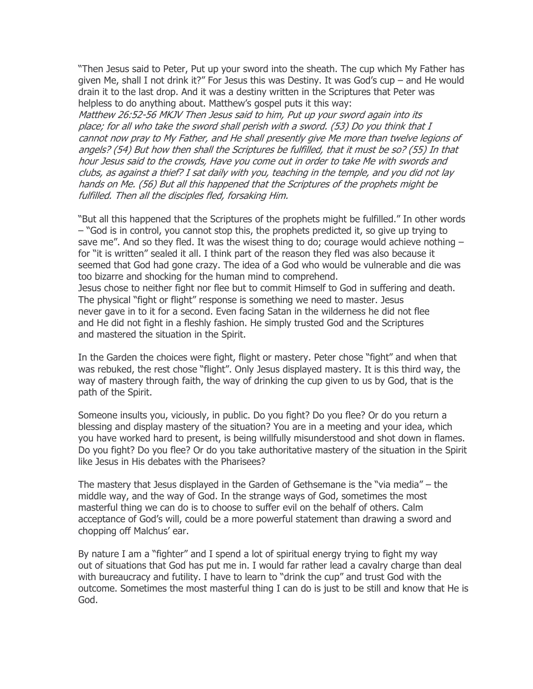"Then Jesus said to Peter, Put up your sword into the sheath. The cup which My Father has given Me, shall I not drink it?" For Jesus this was Destiny. It was God's cup – and He would drain it to the last drop. And it was a destiny written in the Scriptures that Peter was helpless to do anything about. Matthew's gospel puts it this way:

Matthew 26:52-56 MKJV Then Jesus said to him, Put up your sword again into its place; for all who take the sword shall perish with a sword. (53) Do you think that I cannot now pray to My Father, and He shall presently give Me more than twelve legions of angels? (54) But how then shall the Scriptures be fulfilled, that it must be so? (55) In that hour Jesus said to the crowds, Have you come out in order to take Me with swords and clubs, as against a thief? I sat daily with you, teaching in the temple, and you did not lay hands on Me. (56) But all this happened that the Scriptures of the prophets might be fulfilled. Then all the disciples fled, forsaking Him.

"But all this happened that the Scriptures of the prophets might be fulfilled." In other words – "God is in control, you cannot stop this, the prophets predicted it, so give up trying to save me". And so they fled. It was the wisest thing to do; courage would achieve nothing  $$ for "it is written" sealed it all. I think part of the reason they fled was also because it seemed that God had gone crazy. The idea of a God who would be vulnerable and die was too bizarre and shocking for the human mind to comprehend. Jesus chose to neither fight nor flee but to commit Himself to God in suffering and death. The physical "fight or flight" response is something we need to master. Jesus never gave in to it for a second. Even facing Satan in the wilderness he did not flee and He did not fight in a fleshly fashion. He simply trusted God and the Scriptures and mastered the situation in the Spirit.

In the Garden the choices were fight, flight or mastery. Peter chose "fight" and when that was rebuked, the rest chose "flight". Only Jesus displayed mastery. It is this third way, the way of mastery through faith, the way of drinking the cup given to us by God, that is the path of the Spirit.

Someone insults you, viciously, in public. Do you fight? Do you flee? Or do you return a blessing and display mastery of the situation? You are in a meeting and your idea, which you have worked hard to present, is being willfully misunderstood and shot down in flames. Do you fight? Do you flee? Or do you take authoritative mastery of the situation in the Spirit like Jesus in His debates with the Pharisees?

The mastery that Jesus displayed in the Garden of Gethsemane is the "via media" – the middle way, and the way of God. In the strange ways of God, sometimes the most masterful thing we can do is to choose to suffer evil on the behalf of others. Calm acceptance of God's will, could be a more powerful statement than drawing a sword and chopping off Malchus' ear.

By nature I am a "fighter" and I spend a lot of spiritual energy trying to fight my way out of situations that God has put me in. I would far rather lead a cavalry charge than deal with bureaucracy and futility. I have to learn to "drink the cup" and trust God with the outcome. Sometimes the most masterful thing I can do is just to be still and know that He is God.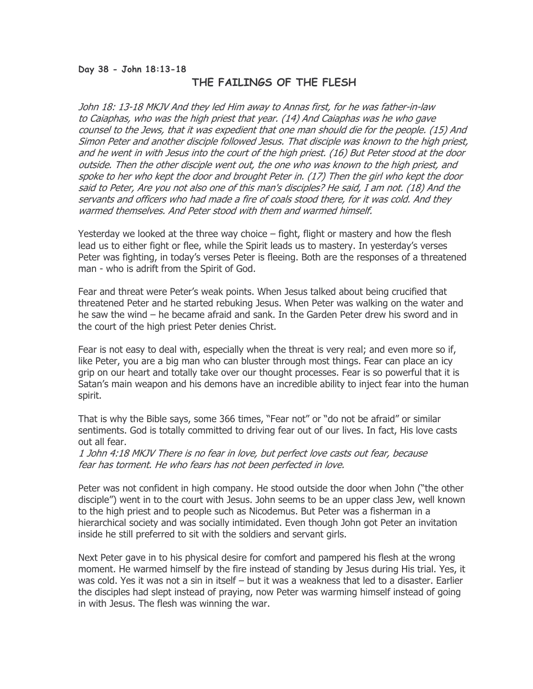#### Day 38 - John 18:13-18

# THE FAILINGS OF THE FLESH

John 18: 13-18 MKJV And they led Him away to Annas first, for he was father-in-law to Caiaphas, who was the high priest that year. (14) And Caiaphas was he who gave counsel to the Jews, that it was expedient that one man should die for the people. (15) And Simon Peter and another disciple followed Jesus. That disciple was known to the high priest, and he went in with Jesus into the court of the high priest. (16) But Peter stood at the door outside. Then the other disciple went out, the one who was known to the high priest, and spoke to her who kept the door and brought Peter in. (17) Then the girl who kept the door said to Peter, Are you not also one of this man's disciples? He said, I am not. (18) And the servants and officers who had made a fire of coals stood there, for it was cold. And they warmed themselves. And Peter stood with them and warmed himself.

Yesterday we looked at the three way choice – fight, flight or mastery and how the flesh lead us to either fight or flee, while the Spirit leads us to mastery. In yesterday's verses Peter was fighting, in today's verses Peter is fleeing. Both are the responses of a threatened man - who is adrift from the Spirit of God.

Fear and threat were Peter's weak points. When Jesus talked about being crucified that threatened Peter and he started rebuking Jesus. When Peter was walking on the water and he saw the wind – he became afraid and sank. In the Garden Peter drew his sword and in the court of the high priest Peter denies Christ.

Fear is not easy to deal with, especially when the threat is very real; and even more so if, like Peter, you are a big man who can bluster through most things. Fear can place an icy grip on our heart and totally take over our thought processes. Fear is so powerful that it is Satan's main weapon and his demons have an incredible ability to inject fear into the human spirit.

That is why the Bible says, some 366 times, "Fear not" or "do not be afraid" or similar sentiments. God is totally committed to driving fear out of our lives. In fact, His love casts out all fear.

1 John 4:18 MKJV There is no fear in love, but perfect love casts out fear, because fear has torment. He who fears has not been perfected in love.

Peter was not confident in high company. He stood outside the door when John ("the other disciple") went in to the court with Jesus. John seems to be an upper class Jew, well known to the high priest and to people such as Nicodemus. But Peter was a fisherman in a hierarchical society and was socially intimidated. Even though John got Peter an invitation inside he still preferred to sit with the soldiers and servant girls.

Next Peter gave in to his physical desire for comfort and pampered his flesh at the wrong moment. He warmed himself by the fire instead of standing by Jesus during His trial. Yes, it was cold. Yes it was not a sin in itself – but it was a weakness that led to a disaster. Earlier the disciples had slept instead of praying, now Peter was warming himself instead of going in with Jesus. The flesh was winning the war.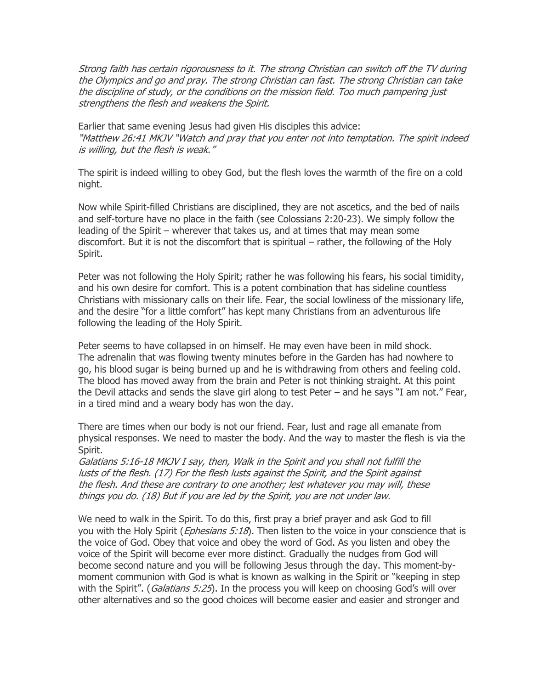Strong faith has certain rigorousness to it. The strong Christian can switch off the TV during the Olympics and go and pray. The strong Christian can fast. The strong Christian can take the discipline of study, or the conditions on the mission field. Too much pampering just strengthens the flesh and weakens the Spirit.

Earlier that same evening Jesus had given His disciples this advice: "Matthew 26:41 MKJV "Watch and pray that you enter not into temptation. The spirit indeed is willing, but the flesh is weak."

The spirit is indeed willing to obey God, but the flesh loves the warmth of the fire on a cold night.

Now while Spirit-filled Christians are disciplined, they are not ascetics, and the bed of nails and self-torture have no place in the faith (see Colossians 2:20-23). We simply follow the leading of the Spirit – wherever that takes us, and at times that may mean some discomfort. But it is not the discomfort that is spiritual – rather, the following of the Holy Spirit.

Peter was not following the Holy Spirit; rather he was following his fears, his social timidity, and his own desire for comfort. This is a potent combination that has sideline countless Christians with missionary calls on their life. Fear, the social lowliness of the missionary life, and the desire "for a little comfort" has kept many Christians from an adventurous life following the leading of the Holy Spirit.

Peter seems to have collapsed in on himself. He may even have been in mild shock. The adrenalin that was flowing twenty minutes before in the Garden has had nowhere to go, his blood sugar is being burned up and he is withdrawing from others and feeling cold. The blood has moved away from the brain and Peter is not thinking straight. At this point the Devil attacks and sends the slave girl along to test Peter – and he says "I am not." Fear, in a tired mind and a weary body has won the day.

There are times when our body is not our friend. Fear, lust and rage all emanate from physical responses. We need to master the body. And the way to master the flesh is via the Spirit.

Galatians 5:16-18 MKJV I say, then, Walk in the Spirit and you shall not fulfill the lusts of the flesh. (17) For the flesh lusts against the Spirit, and the Spirit against the flesh. And these are contrary to one another; lest whatever you may will, these things you do. (18) But if you are led by the Spirit, you are not under law.

We need to walk in the Spirit. To do this, first pray a brief prayer and ask God to fill you with the Holy Spirit (*Ephesians 5:18*). Then listen to the voice in your conscience that is the voice of God. Obey that voice and obey the word of God. As you listen and obey the voice of the Spirit will become ever more distinct. Gradually the nudges from God will become second nature and you will be following Jesus through the day. This moment-bymoment communion with God is what is known as walking in the Spirit or "keeping in step with the Spirit". (Galatians 5:25). In the process you will keep on choosing God's will over other alternatives and so the good choices will become easier and easier and stronger and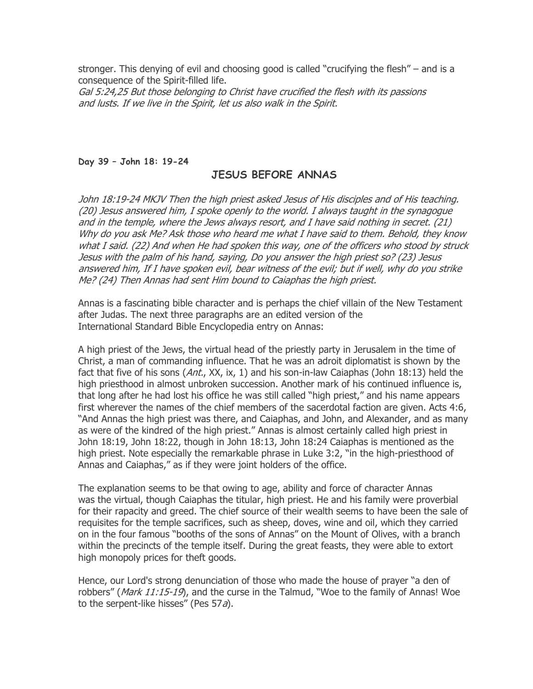stronger. This denying of evil and choosing good is called "crucifying the flesh" – and is a consequence of the Spirit-filled life.

Gal 5:24,25 But those belonging to Christ have crucified the flesh with its passions and lusts. If we live in the Spirit, let us also walk in the Spirit.

#### Day 39 – John 18: 19-24

### JESUS BEFORE ANNAS

John 18:19-24 MKJV Then the high priest asked Jesus of His disciples and of His teaching. (20) Jesus answered him, I spoke openly to the world. I always taught in the synagogue and in the temple, where the Jews always resort, and I have said nothing in secret. (21) Why do you ask Me? Ask those who heard me what I have said to them. Behold, they know what I said. (22) And when He had spoken this way, one of the officers who stood by struck Jesus with the palm of his hand, saying, Do you answer the high priest so? (23) Jesus answered him, If I have spoken evil, bear witness of the evil; but if well, why do you strike Me? (24) Then Annas had sent Him bound to Caiaphas the high priest.

Annas is a fascinating bible character and is perhaps the chief villain of the New Testament after Judas. The next three paragraphs are an edited version of the International Standard Bible Encyclopedia entry on Annas:

A high priest of the Jews, the virtual head of the priestly party in Jerusalem in the time of Christ, a man of commanding influence. That he was an adroit diplomatist is shown by the fact that five of his sons (Ant., XX, ix, 1) and his son-in-law Caiaphas (John 18:13) held the high priesthood in almost unbroken succession. Another mark of his continued influence is, that long after he had lost his office he was still called "high priest," and his name appears first wherever the names of the chief members of the sacerdotal faction are given. Acts 4:6, "And Annas the high priest was there, and Caiaphas, and John, and Alexander, and as many as were of the kindred of the high priest." Annas is almost certainly called high priest in John 18:19, John 18:22, though in John 18:13, John 18:24 Caiaphas is mentioned as the high priest. Note especially the remarkable phrase in Luke 3:2, "in the high-priesthood of Annas and Caiaphas," as if they were joint holders of the office.

The explanation seems to be that owing to age, ability and force of character Annas was the virtual, though Caiaphas the titular, high priest. He and his family were proverbial for their rapacity and greed. The chief source of their wealth seems to have been the sale of requisites for the temple sacrifices, such as sheep, doves, wine and oil, which they carried on in the four famous "booths of the sons of Annas" on the Mount of Olives, with a branch within the precincts of the temple itself. During the great feasts, they were able to extort high monopoly prices for theft goods.

Hence, our Lord's strong denunciation of those who made the house of prayer "a den of robbers" (Mark 11:15-19), and the curse in the Talmud, "Woe to the family of Annas! Woe to the serpent-like hisses" (Pes 57a).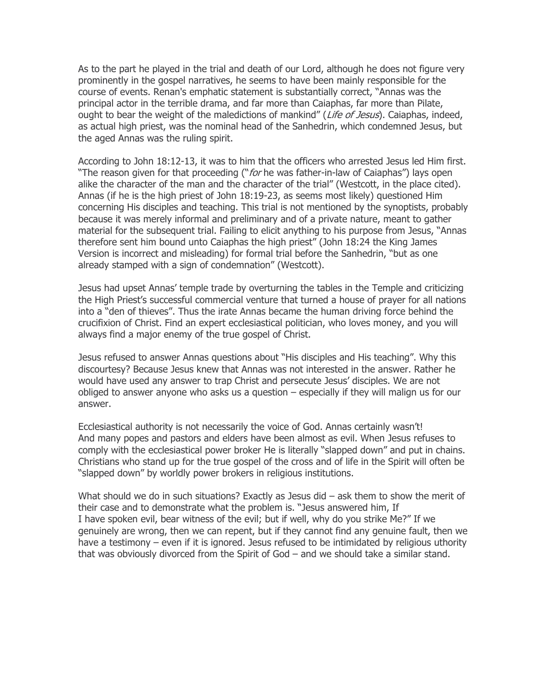As to the part he played in the trial and death of our Lord, although he does not figure very prominently in the gospel narratives, he seems to have been mainly responsible for the course of events. Renan's emphatic statement is substantially correct, "Annas was the principal actor in the terrible drama, and far more than Caiaphas, far more than Pilate, ought to bear the weight of the maledictions of mankind" (Life of Jesus). Caiaphas, indeed, as actual high priest, was the nominal head of the Sanhedrin, which condemned Jesus, but the aged Annas was the ruling spirit.

According to John 18:12-13, it was to him that the officers who arrested Jesus led Him first. "The reason given for that proceeding ("*for* he was father-in-law of Caiaphas") lays open alike the character of the man and the character of the trial" (Westcott, in the place cited). Annas (if he is the high priest of John 18:19-23, as seems most likely) questioned Him concerning His disciples and teaching. This trial is not mentioned by the synoptists, probably because it was merely informal and preliminary and of a private nature, meant to gather material for the subsequent trial. Failing to elicit anything to his purpose from Jesus, "Annas therefore sent him bound unto Caiaphas the high priest" (John 18:24 the King James Version is incorrect and misleading) for formal trial before the Sanhedrin, "but as one already stamped with a sign of condemnation" (Westcott).

Jesus had upset Annas' temple trade by overturning the tables in the Temple and criticizing the High Priest's successful commercial venture that turned a house of prayer for all nations into a "den of thieves". Thus the irate Annas became the human driving force behind the crucifixion of Christ. Find an expert ecclesiastical politician, who loves money, and you will always find a major enemy of the true gospel of Christ.

Jesus refused to answer Annas questions about "His disciples and His teaching". Why this discourtesy? Because Jesus knew that Annas was not interested in the answer. Rather he would have used any answer to trap Christ and persecute Jesus' disciples. We are not obliged to answer anyone who asks us a question – especially if they will malign us for our answer.

Ecclesiastical authority is not necessarily the voice of God. Annas certainly wasn't! And many popes and pastors and elders have been almost as evil. When Jesus refuses to comply with the ecclesiastical power broker He is literally "slapped down" and put in chains. Christians who stand up for the true gospel of the cross and of life in the Spirit will often be "slapped down" by worldly power brokers in religious institutions.

What should we do in such situations? Exactly as Jesus did – ask them to show the merit of their case and to demonstrate what the problem is. "Jesus answered him, If I have spoken evil, bear witness of the evil; but if well, why do you strike Me?" If we genuinely are wrong, then we can repent, but if they cannot find any genuine fault, then we have a testimony – even if it is ignored. Jesus refused to be intimidated by religious uthority that was obviously divorced from the Spirit of God – and we should take a similar stand.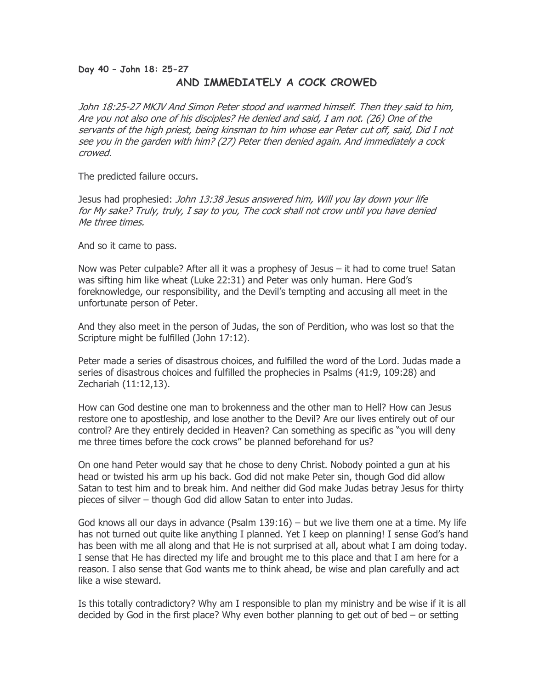# Day 40 – John 18: 25-27 AND IMMEDIATELY A COCK CROWED

John 18:25-27 MKJV And Simon Peter stood and warmed himself. Then they said to him, Are you not also one of his disciples? He denied and said, I am not. (26) One of the servants of the high priest, being kinsman to him whose ear Peter cut off, said, Did I not see you in the garden with him? (27) Peter then denied again. And immediately a cock crowed.

The predicted failure occurs.

Jesus had prophesied: John 13:38 Jesus answered him, Will you lay down your life for My sake? Truly, truly, I say to you, The cock shall not crow until you have denied Me three times.

And so it came to pass.

Now was Peter culpable? After all it was a prophesy of Jesus – it had to come true! Satan was sifting him like wheat (Luke 22:31) and Peter was only human. Here God's foreknowledge, our responsibility, and the Devil's tempting and accusing all meet in the unfortunate person of Peter.

And they also meet in the person of Judas, the son of Perdition, who was lost so that the Scripture might be fulfilled (John 17:12).

Peter made a series of disastrous choices, and fulfilled the word of the Lord. Judas made a series of disastrous choices and fulfilled the prophecies in Psalms (41:9, 109:28) and Zechariah (11:12,13).

How can God destine one man to brokenness and the other man to Hell? How can Jesus restore one to apostleship, and lose another to the Devil? Are our lives entirely out of our control? Are they entirely decided in Heaven? Can something as specific as "you will deny me three times before the cock crows" be planned beforehand for us?

On one hand Peter would say that he chose to deny Christ. Nobody pointed a gun at his head or twisted his arm up his back. God did not make Peter sin, though God did allow Satan to test him and to break him. And neither did God make Judas betray Jesus for thirty pieces of silver – though God did allow Satan to enter into Judas.

God knows all our days in advance (Psalm 139:16) – but we live them one at a time. My life has not turned out quite like anything I planned. Yet I keep on planning! I sense God's hand has been with me all along and that He is not surprised at all, about what I am doing today. I sense that He has directed my life and brought me to this place and that I am here for a reason. I also sense that God wants me to think ahead, be wise and plan carefully and act like a wise steward.

Is this totally contradictory? Why am I responsible to plan my ministry and be wise if it is all decided by God in the first place? Why even bother planning to get out of bed – or setting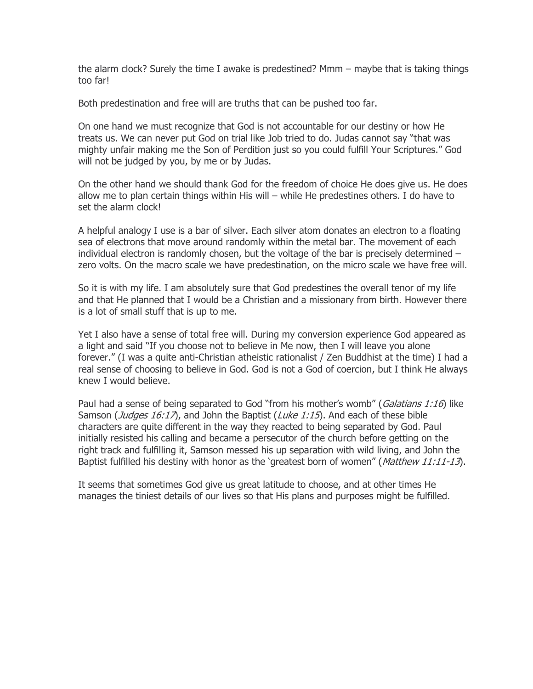the alarm clock? Surely the time I awake is predestined? Mmm – maybe that is taking things too far!

Both predestination and free will are truths that can be pushed too far.

On one hand we must recognize that God is not accountable for our destiny or how He treats us. We can never put God on trial like Job tried to do. Judas cannot say "that was mighty unfair making me the Son of Perdition just so you could fulfill Your Scriptures." God will not be judged by you, by me or by Judas.

On the other hand we should thank God for the freedom of choice He does give us. He does allow me to plan certain things within His will – while He predestines others. I do have to set the alarm clock!

A helpful analogy I use is a bar of silver. Each silver atom donates an electron to a floating sea of electrons that move around randomly within the metal bar. The movement of each individual electron is randomly chosen, but the voltage of the bar is precisely determined – zero volts. On the macro scale we have predestination, on the micro scale we have free will.

So it is with my life. I am absolutely sure that God predestines the overall tenor of my life and that He planned that I would be a Christian and a missionary from birth. However there is a lot of small stuff that is up to me.

Yet I also have a sense of total free will. During my conversion experience God appeared as a light and said "If you choose not to believe in Me now, then I will leave you alone forever." (I was a quite anti-Christian atheistic rationalist / Zen Buddhist at the time) I had a real sense of choosing to believe in God. God is not a God of coercion, but I think He always knew I would believe.

Paul had a sense of being separated to God "from his mother's womb" (Galatians 1:16) like Samson (*Judges 16:17*), and John the Baptist (*Luke 1:15*). And each of these bible characters are quite different in the way they reacted to being separated by God. Paul initially resisted his calling and became a persecutor of the church before getting on the right track and fulfilling it, Samson messed his up separation with wild living, and John the Baptist fulfilled his destiny with honor as the 'greatest born of women" (Matthew 11:11-13).

It seems that sometimes God give us great latitude to choose, and at other times He manages the tiniest details of our lives so that His plans and purposes might be fulfilled.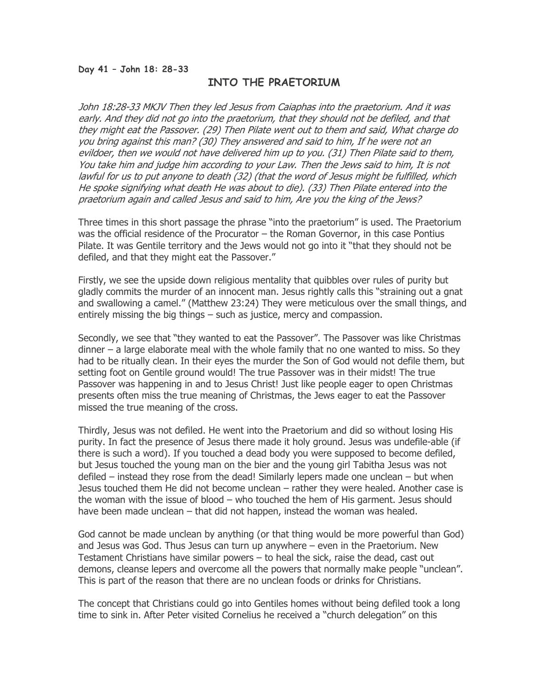### INTO THE PRAETORIUM

John 18:28-33 MKJV Then they led Jesus from Caiaphas into the praetorium. And it was early. And they did not go into the praetorium, that they should not be defiled, and that they might eat the Passover. (29) Then Pilate went out to them and said, What charge do you bring against this man? (30) They answered and said to him, If he were not an evildoer, then we would not have delivered him up to you. (31) Then Pilate said to them, You take him and judge him according to your Law. Then the Jews said to him, It is not lawful for us to put anyone to death (32) (that the word of Jesus might be fulfilled, which He spoke signifying what death He was about to die). (33) Then Pilate entered into the praetorium again and called Jesus and said to him, Are you the king of the Jews?

Three times in this short passage the phrase "into the praetorium" is used. The Praetorium was the official residence of the Procurator – the Roman Governor, in this case Pontius Pilate. It was Gentile territory and the Jews would not go into it "that they should not be defiled, and that they might eat the Passover."

Firstly, we see the upside down religious mentality that quibbles over rules of purity but gladly commits the murder of an innocent man. Jesus rightly calls this "straining out a gnat and swallowing a camel." (Matthew 23:24) They were meticulous over the small things, and entirely missing the big things – such as justice, mercy and compassion.

Secondly, we see that "they wanted to eat the Passover". The Passover was like Christmas dinner – a large elaborate meal with the whole family that no one wanted to miss. So they had to be ritually clean. In their eyes the murder the Son of God would not defile them, but setting foot on Gentile ground would! The true Passover was in their midst! The true Passover was happening in and to Jesus Christ! Just like people eager to open Christmas presents often miss the true meaning of Christmas, the Jews eager to eat the Passover missed the true meaning of the cross.

Thirdly, Jesus was not defiled. He went into the Praetorium and did so without losing His purity. In fact the presence of Jesus there made it holy ground. Jesus was undefile-able (if there is such a word). If you touched a dead body you were supposed to become defiled, but Jesus touched the young man on the bier and the young girl Tabitha Jesus was not defiled – instead they rose from the dead! Similarly lepers made one unclean – but when Jesus touched them He did not become unclean – rather they were healed. Another case is the woman with the issue of blood – who touched the hem of His garment. Jesus should have been made unclean – that did not happen, instead the woman was healed.

God cannot be made unclean by anything (or that thing would be more powerful than God) and Jesus was God. Thus Jesus can turn up anywhere – even in the Praetorium. New Testament Christians have similar powers – to heal the sick, raise the dead, cast out demons, cleanse lepers and overcome all the powers that normally make people "unclean". This is part of the reason that there are no unclean foods or drinks for Christians.

The concept that Christians could go into Gentiles homes without being defiled took a long time to sink in. After Peter visited Cornelius he received a "church delegation" on this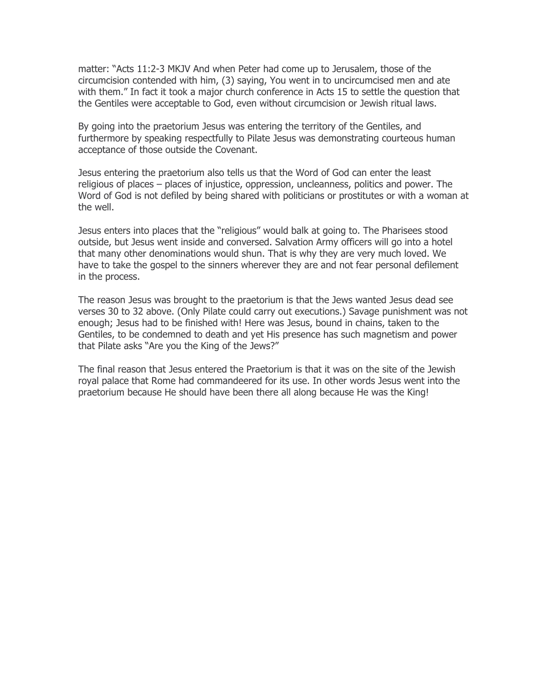matter: "Acts 11:2-3 MKJV And when Peter had come up to Jerusalem, those of the circumcision contended with him, (3) saying, You went in to uncircumcised men and ate with them." In fact it took a major church conference in Acts 15 to settle the question that the Gentiles were acceptable to God, even without circumcision or Jewish ritual laws.

By going into the praetorium Jesus was entering the territory of the Gentiles, and furthermore by speaking respectfully to Pilate Jesus was demonstrating courteous human acceptance of those outside the Covenant.

Jesus entering the praetorium also tells us that the Word of God can enter the least religious of places – places of injustice, oppression, uncleanness, politics and power. The Word of God is not defiled by being shared with politicians or prostitutes or with a woman at the well.

Jesus enters into places that the "religious" would balk at going to. The Pharisees stood outside, but Jesus went inside and conversed. Salvation Army officers will go into a hotel that many other denominations would shun. That is why they are very much loved. We have to take the gospel to the sinners wherever they are and not fear personal defilement in the process.

The reason Jesus was brought to the praetorium is that the Jews wanted Jesus dead see verses 30 to 32 above. (Only Pilate could carry out executions.) Savage punishment was not enough; Jesus had to be finished with! Here was Jesus, bound in chains, taken to the Gentiles, to be condemned to death and yet His presence has such magnetism and power that Pilate asks "Are you the King of the Jews?"

The final reason that Jesus entered the Praetorium is that it was on the site of the Jewish royal palace that Rome had commandeered for its use. In other words Jesus went into the praetorium because He should have been there all along because He was the King!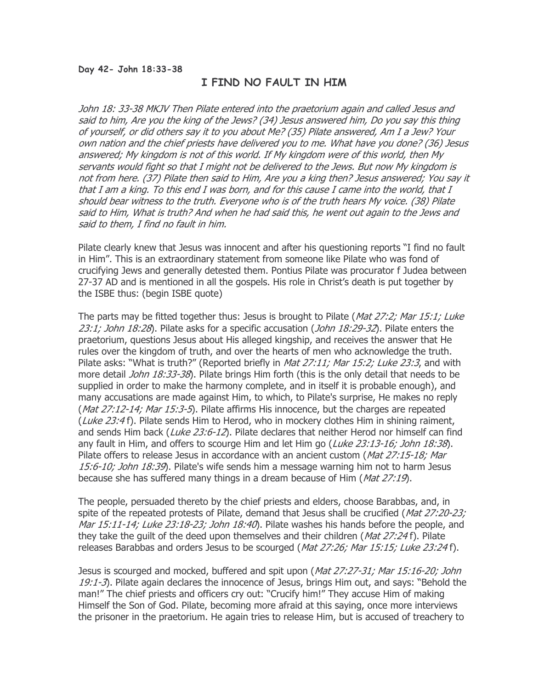### I FIND NO FAULT IN HIM

John 18: 33-38 MKJV Then Pilate entered into the praetorium again and called Jesus and said to him, Are you the king of the Jews? (34) Jesus answered him, Do you say this thing of yourself, or did others say it to you about Me? (35) Pilate answered, Am I a Jew? Your own nation and the chief priests have delivered you to me. What have you done? (36) Jesus answered; My kingdom is not of this world. If My kingdom were of this world, then My servants would fight so that I might not be delivered to the Jews. But now My kingdom is not from here. (37) Pilate then said to Him, Are you a king then? Jesus answered; You say it that I am a king. To this end I was born, and for this cause I came into the world, that I should bear witness to the truth. Everyone who is of the truth hears My voice. (38) Pilate said to Him, What is truth? And when he had said this, he went out again to the Jews and said to them, I find no fault in him.

Pilate clearly knew that Jesus was innocent and after his questioning reports "I find no fault in Him". This is an extraordinary statement from someone like Pilate who was fond of crucifying Jews and generally detested them. Pontius Pilate was procurator f Judea between 27-37 AD and is mentioned in all the gospels. His role in Christ's death is put together by the ISBE thus: (begin ISBE quote)

The parts may be fitted together thus: Jesus is brought to Pilate (*Mat 27:2; Mar 15:1; Luke* 23:1; John 18:28). Pilate asks for a specific accusation (John 18:29-32). Pilate enters the praetorium, questions Jesus about His alleged kingship, and receives the answer that He rules over the kingdom of truth, and over the hearts of men who acknowledge the truth. Pilate asks: "What is truth?" (Reported briefly in *Mat 27:11; Mar 15:2; Luke 23:3*, and with more detail *John 18:33-38*). Pilate brings Him forth (this is the only detail that needs to be supplied in order to make the harmony complete, and in itself it is probable enough), and many accusations are made against Him, to which, to Pilate's surprise, He makes no reply (Mat 27:12-14; Mar 15:3-5). Pilate affirms His innocence, but the charges are repeated (Luke 23:4 f). Pilate sends Him to Herod, who in mockery clothes Him in shining raiment, and sends Him back (Luke 23:6-12). Pilate declares that neither Herod nor himself can find any fault in Him, and offers to scourge Him and let Him go (Luke 23:13-16; John 18:38). Pilate offers to release Jesus in accordance with an ancient custom (Mat 27:15-18; Mar 15:6-10; John 18:39). Pilate's wife sends him a message warning him not to harm Jesus because she has suffered many things in a dream because of Him (Mat 27:19).

The people, persuaded thereto by the chief priests and elders, choose Barabbas, and, in spite of the repeated protests of Pilate, demand that Jesus shall be crucified (*Mat 27:20-23;* Mar 15:11-14; Luke 23:18-23; John 18:40). Pilate washes his hands before the people, and they take the quilt of the deed upon themselves and their children ( $Mat$  27:24 f). Pilate releases Barabbas and orders Jesus to be scourged (Mat 27:26; Mar 15:15; Luke 23:24 f).

Jesus is scourged and mocked, buffered and spit upon (Mat 27:27-31; Mar 15:16-20; John  $19:1-3$ ). Pilate again declares the innocence of Jesus, brings Him out, and says: "Behold the man!" The chief priests and officers cry out: "Crucify him!" They accuse Him of making Himself the Son of God. Pilate, becoming more afraid at this saying, once more interviews the prisoner in the praetorium. He again tries to release Him, but is accused of treachery to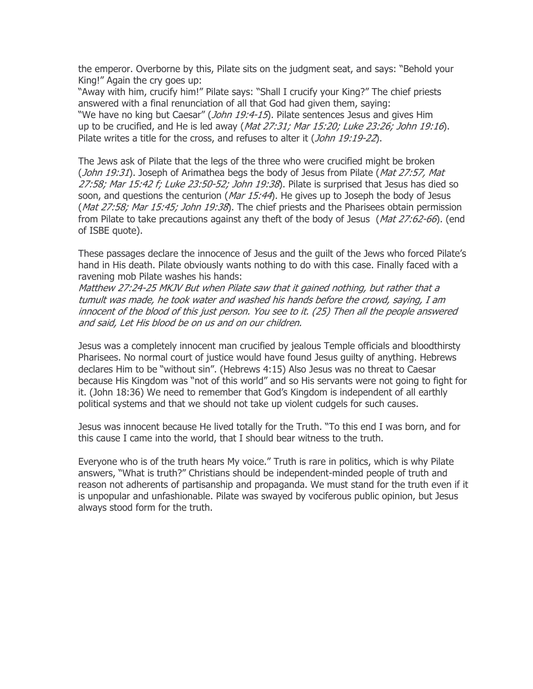the emperor. Overborne by this, Pilate sits on the judgment seat, and says: "Behold your King!" Again the cry goes up:

"Away with him, crucify him!" Pilate says: "Shall I crucify your King?" The chief priests answered with a final renunciation of all that God had given them, saying: "We have no king but Caesar" (*John 19:4-15*). Pilate sentences Jesus and gives Him up to be crucified, and He is led away (*Mat 27:31; Mar 15:20; Luke 23:26; John 19:16*). Pilate writes a title for the cross, and refuses to alter it (John 19:19-22).

The Jews ask of Pilate that the legs of the three who were crucified might be broken (*John 19:31*). Joseph of Arimathea begs the body of Jesus from Pilate (Mat 27:57, Mat 27:58; Mar 15:42 f; Luke 23:50-52; John 19:38). Pilate is surprised that Jesus has died so soon, and questions the centurion (*Mar 15:44*). He gives up to Joseph the body of Jesus (*Mat 27:58; Mar 15:45; John 19:38*). The chief priests and the Pharisees obtain permission from Pilate to take precautions against any theft of the body of Jesus (Mat 27:62-66). (end of ISBE quote).

These passages declare the innocence of Jesus and the guilt of the Jews who forced Pilate's hand in His death. Pilate obviously wants nothing to do with this case. Finally faced with a ravening mob Pilate washes his hands:

Matthew 27:24-25 MKJV But when Pilate saw that it gained nothing, but rather that a tumult was made, he took water and washed his hands before the crowd, saying, I am innocent of the blood of this just person. You see to it. (25) Then all the people answered and said, Let His blood be on us and on our children.

Jesus was a completely innocent man crucified by jealous Temple officials and bloodthirsty Pharisees. No normal court of justice would have found Jesus guilty of anything. Hebrews declares Him to be "without sin". (Hebrews 4:15) Also Jesus was no threat to Caesar because His Kingdom was "not of this world" and so His servants were not going to fight for it. (John 18:36) We need to remember that God's Kingdom is independent of all earthly political systems and that we should not take up violent cudgels for such causes.

Jesus was innocent because He lived totally for the Truth. "To this end I was born, and for this cause I came into the world, that I should bear witness to the truth.

Everyone who is of the truth hears My voice." Truth is rare in politics, which is why Pilate answers, "What is truth?" Christians should be independent-minded people of truth and reason not adherents of partisanship and propaganda. We must stand for the truth even if it is unpopular and unfashionable. Pilate was swayed by vociferous public opinion, but Jesus always stood form for the truth.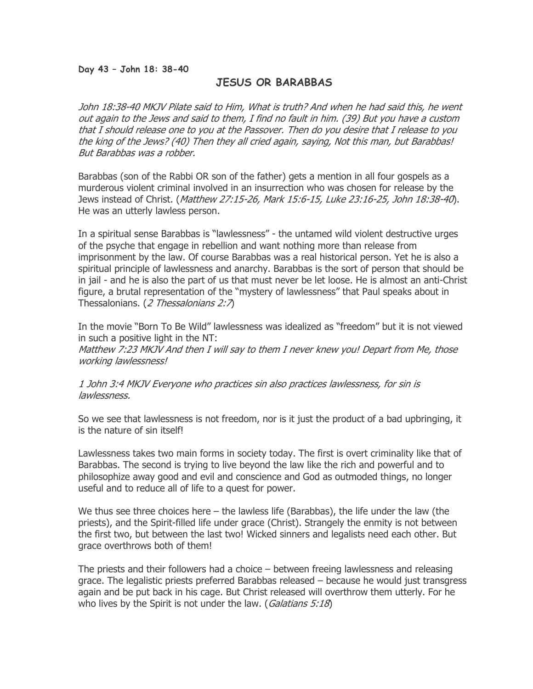#### Day 43 – John 18: 38-40

# JESUS OR BARABBAS

John 18:38-40 MKJV Pilate said to Him, What is truth? And when he had said this, he went out again to the Jews and said to them, I find no fault in him. (39) But you have a custom that I should release one to you at the Passover. Then do you desire that I release to you the king of the Jews? (40) Then they all cried again, saying, Not this man, but Barabbas! But Barabbas was a robber.

Barabbas (son of the Rabbi OR son of the father) gets a mention in all four gospels as a murderous violent criminal involved in an insurrection who was chosen for release by the Jews instead of Christ. (Matthew 27:15-26, Mark 15:6-15, Luke 23:16-25, John 18:38-40). He was an utterly lawless person.

In a spiritual sense Barabbas is "lawlessness" - the untamed wild violent destructive urges of the psyche that engage in rebellion and want nothing more than release from imprisonment by the law. Of course Barabbas was a real historical person. Yet he is also a spiritual principle of lawlessness and anarchy. Barabbas is the sort of person that should be in jail - and he is also the part of us that must never be let loose. He is almost an anti-Christ figure, a brutal representation of the "mystery of lawlessness" that Paul speaks about in Thessalonians. (2 Thessalonians 2:7)

In the movie "Born To Be Wild" lawlessness was idealized as "freedom" but it is not viewed in such a positive light in the NT: Matthew 7:23 MKJV And then I will say to them I never knew you! Depart from Me, those working lawlessness!

1 John 3:4 MKJV Everyone who practices sin also practices lawlessness, for sin is lawlessness.

So we see that lawlessness is not freedom, nor is it just the product of a bad upbringing, it is the nature of sin itself!

Lawlessness takes two main forms in society today. The first is overt criminality like that of Barabbas. The second is trying to live beyond the law like the rich and powerful and to philosophize away good and evil and conscience and God as outmoded things, no longer useful and to reduce all of life to a quest for power.

We thus see three choices here – the lawless life (Barabbas), the life under the law (the priests), and the Spirit-filled life under grace (Christ). Strangely the enmity is not between the first two, but between the last two! Wicked sinners and legalists need each other. But grace overthrows both of them!

The priests and their followers had a choice – between freeing lawlessness and releasing grace. The legalistic priests preferred Barabbas released – because he would just transgress again and be put back in his cage. But Christ released will overthrow them utterly. For he who lives by the Spirit is not under the law. (*Galatians 5:18*)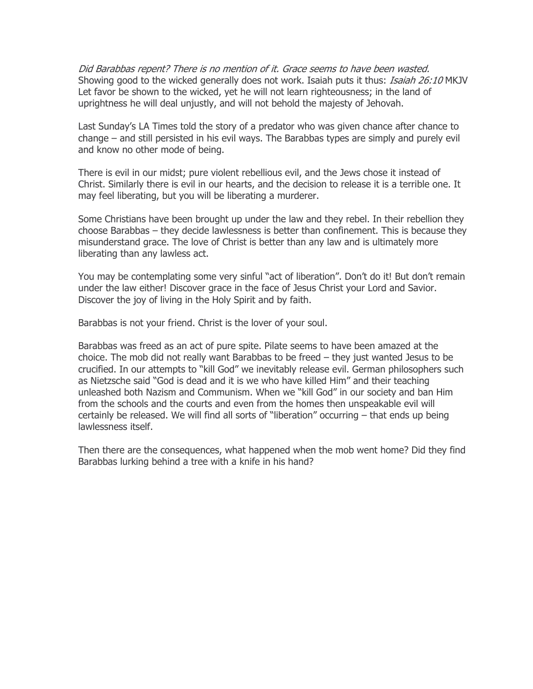Did Barabbas repent? There is no mention of it. Grace seems to have been wasted. Showing good to the wicked generally does not work. Isaiah puts it thus: *Isaiah 26:10* MKJV Let favor be shown to the wicked, yet he will not learn righteousness; in the land of uprightness he will deal unjustly, and will not behold the majesty of Jehovah.

Last Sunday's LA Times told the story of a predator who was given chance after chance to change – and still persisted in his evil ways. The Barabbas types are simply and purely evil and know no other mode of being.

There is evil in our midst; pure violent rebellious evil, and the Jews chose it instead of Christ. Similarly there is evil in our hearts, and the decision to release it is a terrible one. It may feel liberating, but you will be liberating a murderer.

Some Christians have been brought up under the law and they rebel. In their rebellion they choose Barabbas – they decide lawlessness is better than confinement. This is because they misunderstand grace. The love of Christ is better than any law and is ultimately more liberating than any lawless act.

You may be contemplating some very sinful "act of liberation". Don't do it! But don't remain under the law either! Discover grace in the face of Jesus Christ your Lord and Savior. Discover the joy of living in the Holy Spirit and by faith.

Barabbas is not your friend. Christ is the lover of your soul.

Barabbas was freed as an act of pure spite. Pilate seems to have been amazed at the choice. The mob did not really want Barabbas to be freed – they just wanted Jesus to be crucified. In our attempts to "kill God" we inevitably release evil. German philosophers such as Nietzsche said "God is dead and it is we who have killed Him" and their teaching unleashed both Nazism and Communism. When we "kill God" in our society and ban Him from the schools and the courts and even from the homes then unspeakable evil will certainly be released. We will find all sorts of "liberation" occurring – that ends up being lawlessness itself.

Then there are the consequences, what happened when the mob went home? Did they find Barabbas lurking behind a tree with a knife in his hand?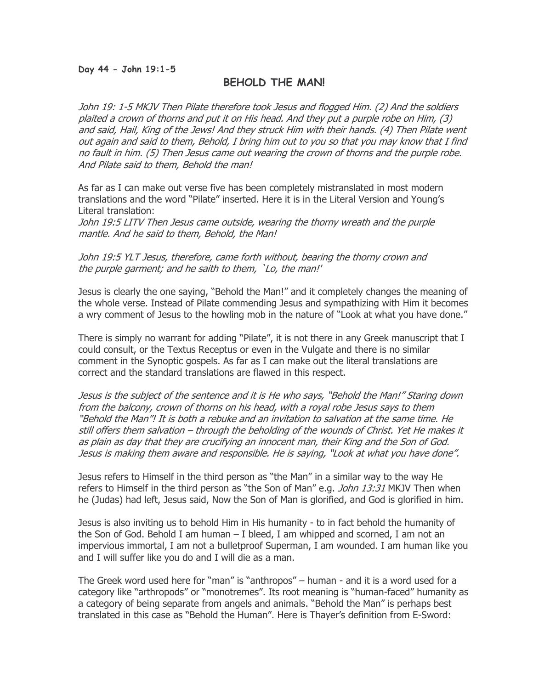#### Day 44 - John 19:1-5

# BEHOLD THE MAN!

John 19: 1-5 MKJV Then Pilate therefore took Jesus and flogged Him. (2) And the soldiers plaited a crown of thorns and put it on His head. And they put a purple robe on Him, (3) and said, Hail, King of the Jews! And they struck Him with their hands. (4) Then Pilate went out again and said to them, Behold, I bring him out to you so that you may know that I find no fault in him. (5) Then Jesus came out wearing the crown of thorns and the purple robe. And Pilate said to them, Behold the man!

As far as I can make out verse five has been completely mistranslated in most modern translations and the word "Pilate" inserted. Here it is in the Literal Version and Young's Literal translation:

John 19:5 LITV Then Jesus came outside, wearing the thorny wreath and the purple mantle. And he said to them, Behold, the Man!

John 19:5 YLT Jesus, therefore, came forth without, bearing the thorny crown and the purple garment; and he saith to them, `Lo, the man!'

Jesus is clearly the one saying, "Behold the Man!" and it completely changes the meaning of the whole verse. Instead of Pilate commending Jesus and sympathizing with Him it becomes a wry comment of Jesus to the howling mob in the nature of "Look at what you have done."

There is simply no warrant for adding "Pilate", it is not there in any Greek manuscript that I could consult, or the Textus Receptus or even in the Vulgate and there is no similar comment in the Synoptic gospels. As far as I can make out the literal translations are correct and the standard translations are flawed in this respect.

Jesus is the subject of the sentence and it is He who says, "Behold the Man!" Staring down from the balcony, crown of thorns on his head, with a royal robe Jesus says to them "Behold the Man"! It is both a rebuke and an invitation to salvation at the same time. He still offers them salvation – through the beholding of the wounds of Christ. Yet He makes it as plain as day that they are crucifying an innocent man, their King and the Son of God. Jesus is making them aware and responsible. He is saying, "Look at what you have done".

Jesus refers to Himself in the third person as "the Man" in a similar way to the way He refers to Himself in the third person as "the Son of Man" e.g. *John 13:31* MKJV Then when he (Judas) had left, Jesus said, Now the Son of Man is glorified, and God is glorified in him.

Jesus is also inviting us to behold Him in His humanity - to in fact behold the humanity of the Son of God. Behold I am human – I bleed, I am whipped and scorned, I am not an impervious immortal, I am not a bulletproof Superman, I am wounded. I am human like you and I will suffer like you do and I will die as a man.

The Greek word used here for "man" is "anthropos" – human - and it is a word used for a category like "arthropods" or "monotremes". Its root meaning is "human-faced" humanity as a category of being separate from angels and animals. "Behold the Man" is perhaps best translated in this case as "Behold the Human". Here is Thayer's definition from E-Sword: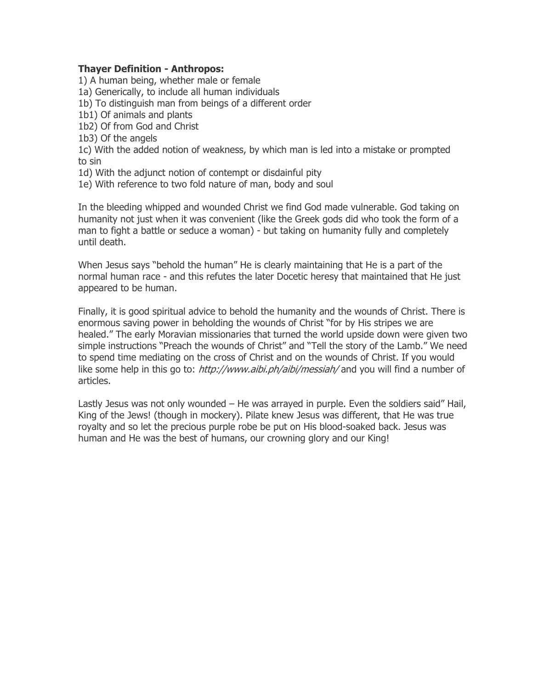### Thayer Definition - Anthropos:

1) A human being, whether male or female

- 1a) Generically, to include all human individuals
- 1b) To distinguish man from beings of a different order
- 1b1) Of animals and plants
- 1b2) Of from God and Christ
- 1b3) Of the angels

1c) With the added notion of weakness, by which man is led into a mistake or prompted to sin

- 1d) With the adjunct notion of contempt or disdainful pity
- 1e) With reference to two fold nature of man, body and soul

In the bleeding whipped and wounded Christ we find God made vulnerable. God taking on humanity not just when it was convenient (like the Greek gods did who took the form of a man to fight a battle or seduce a woman) - but taking on humanity fully and completely until death.

When Jesus says "behold the human" He is clearly maintaining that He is a part of the normal human race - and this refutes the later Docetic heresy that maintained that He just appeared to be human.

Finally, it is good spiritual advice to behold the humanity and the wounds of Christ. There is enormous saving power in beholding the wounds of Christ "for by His stripes we are healed." The early Moravian missionaries that turned the world upside down were given two simple instructions "Preach the wounds of Christ" and "Tell the story of the Lamb." We need to spend time mediating on the cross of Christ and on the wounds of Christ. If you would like some help in this go to: http://www.aibi.ph/aibi/messiah/ and you will find a number of articles.

Lastly Jesus was not only wounded – He was arrayed in purple. Even the soldiers said" Hail, King of the Jews! (though in mockery). Pilate knew Jesus was different, that He was true royalty and so let the precious purple robe be put on His blood-soaked back. Jesus was human and He was the best of humans, our crowning glory and our King!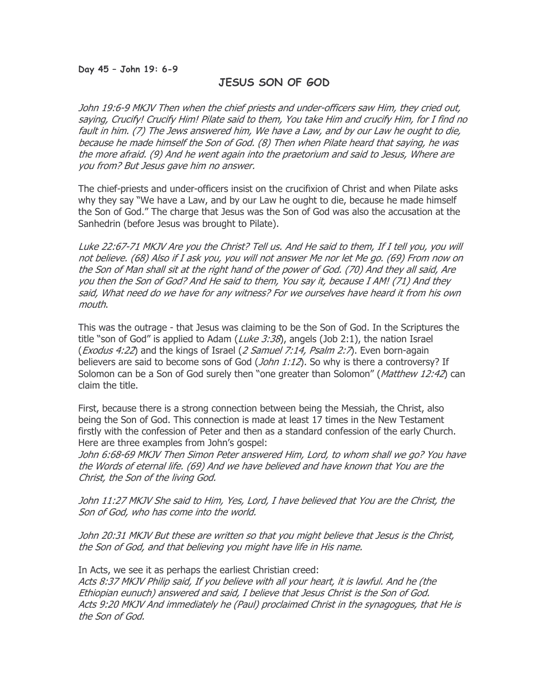#### Day 45 – John 19: 6-9

### JESUS SON OF GOD

John 19:6-9 MKJV Then when the chief priests and under-officers saw Him, they cried out, saying, Crucify! Crucify Him! Pilate said to them, You take Him and crucify Him, for I find no fault in him. (7) The Jews answered him, We have a Law, and by our Law he ought to die, because he made himself the Son of God. (8) Then when Pilate heard that saying, he was the more afraid. (9) And he went again into the praetorium and said to Jesus, Where are you from? But Jesus gave him no answer.

The chief-priests and under-officers insist on the crucifixion of Christ and when Pilate asks why they say "We have a Law, and by our Law he ought to die, because he made himself the Son of God." The charge that Jesus was the Son of God was also the accusation at the Sanhedrin (before Jesus was brought to Pilate).

Luke 22:67-71 MKJV Are you the Christ? Tell us. And He said to them, If I tell you, you will not believe. (68) Also if I ask you, you will not answer Me nor let Me go. (69) From now on the Son of Man shall sit at the right hand of the power of God. (70) And they all said, Are you then the Son of God? And He said to them, You say it, because I AM! (71) And they said, What need do we have for any witness? For we ourselves have heard it from his own mouth.

This was the outrage - that Jesus was claiming to be the Son of God. In the Scriptures the title "son of God" is applied to Adam (*Luke 3:38*), angels (Job 2:1), the nation Israel (*Exodus 4:22*) and the kings of Israel (2 Samuel 7:14, Psalm 2:7). Even born-again believers are said to become sons of God  $(John 1:12)$ . So why is there a controversy? If Solomon can be a Son of God surely then "one greater than Solomon" (Matthew 12:42) can claim the title.

First, because there is a strong connection between being the Messiah, the Christ, also being the Son of God. This connection is made at least 17 times in the New Testament firstly with the confession of Peter and then as a standard confession of the early Church. Here are three examples from John's gospel:

John 6:68-69 MKJV Then Simon Peter answered Him, Lord, to whom shall we go? You have the Words of eternal life. (69) And we have believed and have known that You are the Christ, the Son of the living God.

John 11:27 MKJV She said to Him, Yes, Lord, I have believed that You are the Christ, the Son of God, who has come into the world.

John 20:31 MKJV But these are written so that you might believe that Jesus is the Christ, the Son of God, and that believing you might have life in His name.

In Acts, we see it as perhaps the earliest Christian creed: Acts 8:37 MKJV Philip said, If you believe with all your heart, it is lawful. And he (the Ethiopian eunuch) answered and said, I believe that Jesus Christ is the Son of God. Acts 9:20 MKJV And immediately he (Paul) proclaimed Christ in the synagogues, that He is the Son of God.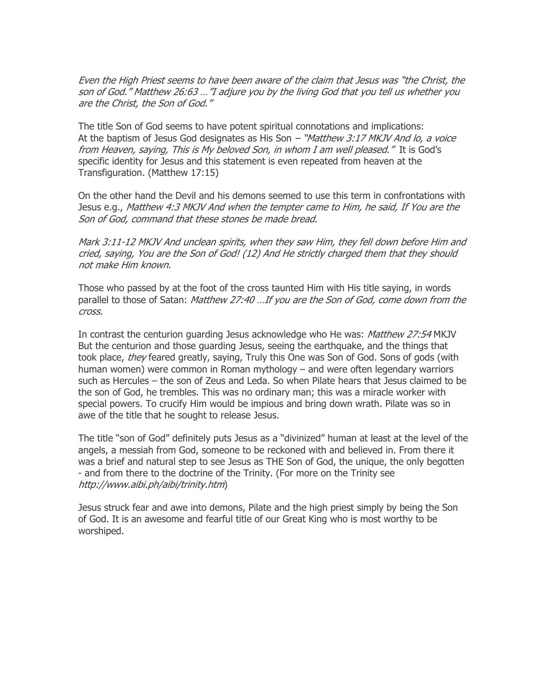Even the High Priest seems to have been aware of the claim that Jesus was "the Christ, the son of God." Matthew 26:63 …"I adjure you by the living God that you tell us whether you are the Christ, the Son of God."

The title Son of God seems to have potent spiritual connotations and implications: At the baptism of Jesus God designates as His Son - "Matthew 3:17 MKJV And lo, a voice from Heaven, saying, This is My beloved Son, in whom I am well pleased." It is God's specific identity for Jesus and this statement is even repeated from heaven at the Transfiguration. (Matthew 17:15)

On the other hand the Devil and his demons seemed to use this term in confrontations with Jesus e.g., Matthew 4:3 MKJV And when the tempter came to Him, he said, If You are the Son of God, command that these stones be made bread.

Mark 3:11-12 MKJV And unclean spirits, when they saw Him, they fell down before Him and cried, saying, You are the Son of God! (12) And He strictly charged them that they should not make Him known.

Those who passed by at the foot of the cross taunted Him with His title saying, in words parallel to those of Satan: Matthew 27:40 ... If you are the Son of God, come down from the cross.

In contrast the centurion quarding Jesus acknowledge who He was: Matthew 27:54 MKJV But the centurion and those guarding Jesus, seeing the earthquake, and the things that took place, *they* feared greatly, saying, Truly this One was Son of God. Sons of gods (with human women) were common in Roman mythology – and were often legendary warriors such as Hercules – the son of Zeus and Leda. So when Pilate hears that Jesus claimed to be the son of God, he trembles. This was no ordinary man; this was a miracle worker with special powers. To crucify Him would be impious and bring down wrath. Pilate was so in awe of the title that he sought to release Jesus.

The title "son of God" definitely puts Jesus as a "divinized" human at least at the level of the angels, a messiah from God, someone to be reckoned with and believed in. From there it was a brief and natural step to see Jesus as THE Son of God, the unique, the only begotten - and from there to the doctrine of the Trinity. (For more on the Trinity see http://www.aibi.ph/aibi/trinity.htm)

Jesus struck fear and awe into demons, Pilate and the high priest simply by being the Son of God. It is an awesome and fearful title of our Great King who is most worthy to be worshiped.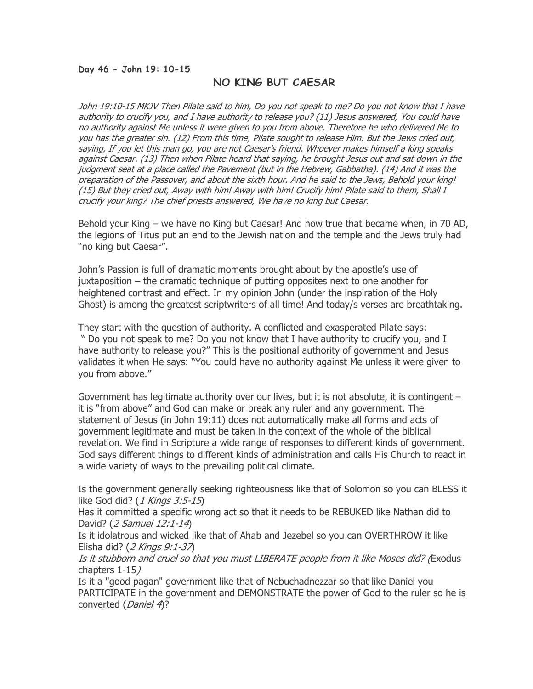#### Day 46 - John 19: 10-15

### NO KING BUT CAESAR

John 19:10-15 MKJV Then Pilate said to him, Do you not speak to me? Do you not know that I have authority to crucify you, and I have authority to release you? (11) Jesus answered, You could have no authority against Me unless it were given to you from above. Therefore he who delivered Me to you has the greater sin. (12) From this time, Pilate sought to release Him. But the Jews cried out, saying, If you let this man go, you are not Caesar's friend. Whoever makes himself a king speaks against Caesar. (13) Then when Pilate heard that saying, he brought Jesus out and sat down in the judgment seat at a place called the Pavement (but in the Hebrew, Gabbatha). (14) And it was the preparation of the Passover, and about the sixth hour. And he said to the Jews, Behold your king! (15) But they cried out, Away with him! Away with him! Crucify him! Pilate said to them, Shall I crucify your king? The chief priests answered, We have no king but Caesar.

Behold your King – we have no King but Caesar! And how true that became when, in 70 AD, the legions of Titus put an end to the Jewish nation and the temple and the Jews truly had "no king but Caesar".

John's Passion is full of dramatic moments brought about by the apostle's use of juxtaposition – the dramatic technique of putting opposites next to one another for heightened contrast and effect. In my opinion John (under the inspiration of the Holy Ghost) is among the greatest scriptwriters of all time! And today/s verses are breathtaking.

They start with the question of authority. A conflicted and exasperated Pilate says: " Do you not speak to me? Do you not know that I have authority to crucify you, and I have authority to release you?" This is the positional authority of government and Jesus validates it when He says: "You could have no authority against Me unless it were given to you from above."

Government has legitimate authority over our lives, but it is not absolute, it is contingent – it is "from above" and God can make or break any ruler and any government. The statement of Jesus (in John 19:11) does not automatically make all forms and acts of government legitimate and must be taken in the context of the whole of the biblical revelation. We find in Scripture a wide range of responses to different kinds of government. God says different things to different kinds of administration and calls His Church to react in a wide variety of ways to the prevailing political climate.

Is the government generally seeking righteousness like that of Solomon so you can BLESS it like God did? (1 Kings 3:5-15)

Has it committed a specific wrong act so that it needs to be REBUKED like Nathan did to David? (2 Samuel 12:1-14)

Is it idolatrous and wicked like that of Ahab and Jezebel so you can OVERTHROW it like Elisha did? (2 Kings 9:1-37)

Is it stubborn and cruel so that you must LIBERATE people from it like Moses did? (Exodus chapters 1-15)

Is it a "good pagan" government like that of Nebuchadnezzar so that like Daniel you PARTICIPATE in the government and DEMONSTRATE the power of God to the ruler so he is converted (Daniel 4)?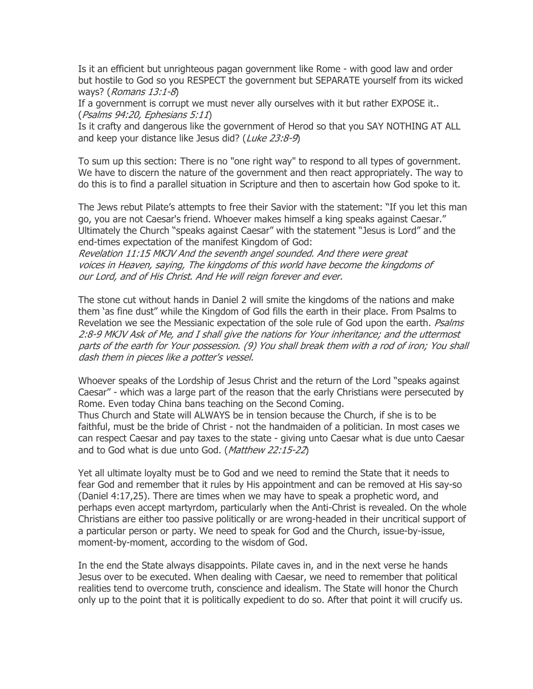Is it an efficient but unrighteous pagan government like Rome - with good law and order but hostile to God so you RESPECT the government but SEPARATE yourself from its wicked ways? (Romans 13:1-8)

If a government is corrupt we must never ally ourselves with it but rather EXPOSE it.. (Psalms 94:20, Ephesians 5:11)

Is it crafty and dangerous like the government of Herod so that you SAY NOTHING AT ALL and keep your distance like Jesus did? (Luke 23:8-9)

To sum up this section: There is no "one right way" to respond to all types of government. We have to discern the nature of the government and then react appropriately. The way to do this is to find a parallel situation in Scripture and then to ascertain how God spoke to it.

The Jews rebut Pilate's attempts to free their Savior with the statement: "If you let this man go, you are not Caesar's friend. Whoever makes himself a king speaks against Caesar." Ultimately the Church "speaks against Caesar" with the statement "Jesus is Lord" and the end-times expectation of the manifest Kingdom of God:

Revelation 11:15 MKJV And the seventh angel sounded. And there were great voices in Heaven, saying, The kingdoms of this world have become the kingdoms of our Lord, and of His Christ. And He will reign forever and ever.

The stone cut without hands in Daniel 2 will smite the kingdoms of the nations and make them 'as fine dust" while the Kingdom of God fills the earth in their place. From Psalms to Revelation we see the Messianic expectation of the sole rule of God upon the earth. Psalms 2:8-9 MKJV Ask of Me, and I shall give the nations for Your inheritance; and the uttermost parts of the earth for Your possession. (9) You shall break them with a rod of iron; You shall dash them in pieces like a potter's vessel.

Whoever speaks of the Lordship of Jesus Christ and the return of the Lord "speaks against Caesar" - which was a large part of the reason that the early Christians were persecuted by Rome. Even today China bans teaching on the Second Coming. Thus Church and State will ALWAYS be in tension because the Church, if she is to be faithful, must be the bride of Christ - not the handmaiden of a politician. In most cases we can respect Caesar and pay taxes to the state - giving unto Caesar what is due unto Caesar and to God what is due unto God. (Matthew 22:15-22)

Yet all ultimate loyalty must be to God and we need to remind the State that it needs to fear God and remember that it rules by His appointment and can be removed at His say-so (Daniel 4:17,25). There are times when we may have to speak a prophetic word, and perhaps even accept martyrdom, particularly when the Anti-Christ is revealed. On the whole Christians are either too passive politically or are wrong-headed in their uncritical support of a particular person or party. We need to speak for God and the Church, issue-by-issue, moment-by-moment, according to the wisdom of God.

In the end the State always disappoints. Pilate caves in, and in the next verse he hands Jesus over to be executed. When dealing with Caesar, we need to remember that political realities tend to overcome truth, conscience and idealism. The State will honor the Church only up to the point that it is politically expedient to do so. After that point it will crucify us.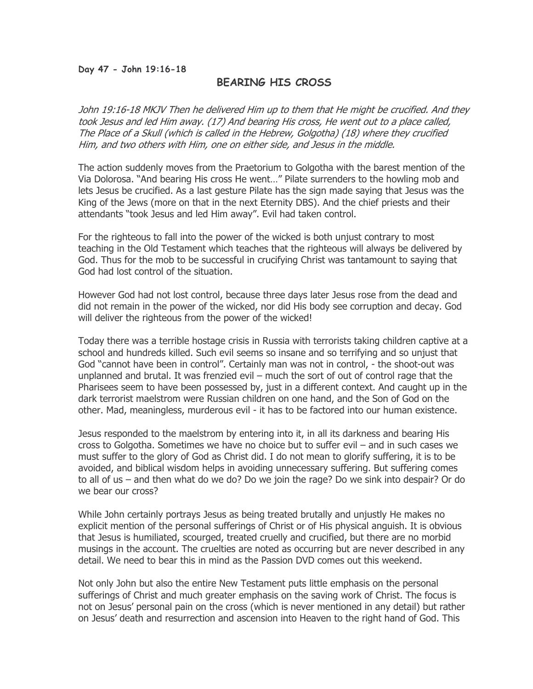#### Day 47 - John 19:16-18

### BEARING HIS CROSS

John 19:16-18 MKJV Then he delivered Him up to them that He might be crucified. And they took Jesus and led Him away. (17) And bearing His cross, He went out to a place called, The Place of a Skull (which is called in the Hebrew, Golgotha) (18) where they crucified Him, and two others with Him, one on either side, and Jesus in the middle.

The action suddenly moves from the Praetorium to Golgotha with the barest mention of the Via Dolorosa. "And bearing His cross He went…" Pilate surrenders to the howling mob and lets Jesus be crucified. As a last gesture Pilate has the sign made saying that Jesus was the King of the Jews (more on that in the next Eternity DBS). And the chief priests and their attendants "took Jesus and led Him away". Evil had taken control.

For the righteous to fall into the power of the wicked is both unjust contrary to most teaching in the Old Testament which teaches that the righteous will always be delivered by God. Thus for the mob to be successful in crucifying Christ was tantamount to saying that God had lost control of the situation.

However God had not lost control, because three days later Jesus rose from the dead and did not remain in the power of the wicked, nor did His body see corruption and decay. God will deliver the righteous from the power of the wicked!

Today there was a terrible hostage crisis in Russia with terrorists taking children captive at a school and hundreds killed. Such evil seems so insane and so terrifying and so unjust that God "cannot have been in control". Certainly man was not in control, - the shoot-out was unplanned and brutal. It was frenzied evil – much the sort of out of control rage that the Pharisees seem to have been possessed by, just in a different context. And caught up in the dark terrorist maelstrom were Russian children on one hand, and the Son of God on the other. Mad, meaningless, murderous evil - it has to be factored into our human existence.

Jesus responded to the maelstrom by entering into it, in all its darkness and bearing His cross to Golgotha. Sometimes we have no choice but to suffer evil – and in such cases we must suffer to the glory of God as Christ did. I do not mean to glorify suffering, it is to be avoided, and biblical wisdom helps in avoiding unnecessary suffering. But suffering comes to all of us – and then what do we do? Do we join the rage? Do we sink into despair? Or do we bear our cross?

While John certainly portrays Jesus as being treated brutally and unjustly He makes no explicit mention of the personal sufferings of Christ or of His physical anguish. It is obvious that Jesus is humiliated, scourged, treated cruelly and crucified, but there are no morbid musings in the account. The cruelties are noted as occurring but are never described in any detail. We need to bear this in mind as the Passion DVD comes out this weekend.

Not only John but also the entire New Testament puts little emphasis on the personal sufferings of Christ and much greater emphasis on the saving work of Christ. The focus is not on Jesus' personal pain on the cross (which is never mentioned in any detail) but rather on Jesus' death and resurrection and ascension into Heaven to the right hand of God. This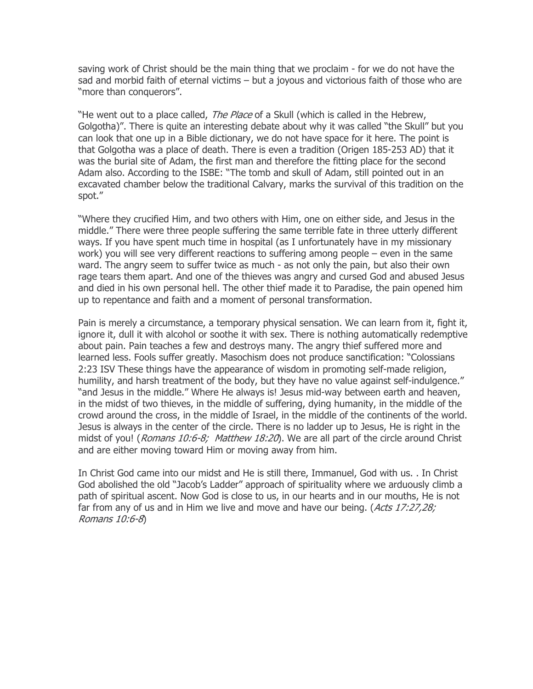saving work of Christ should be the main thing that we proclaim - for we do not have the sad and morbid faith of eternal victims – but a joyous and victorious faith of those who are "more than conquerors".

"He went out to a place called, *The Place* of a Skull (which is called in the Hebrew, Golgotha)". There is quite an interesting debate about why it was called "the Skull" but you can look that one up in a Bible dictionary, we do not have space for it here. The point is that Golgotha was a place of death. There is even a tradition (Origen 185-253 AD) that it was the burial site of Adam, the first man and therefore the fitting place for the second Adam also. According to the ISBE: "The tomb and skull of Adam, still pointed out in an excavated chamber below the traditional Calvary, marks the survival of this tradition on the spot."

"Where they crucified Him, and two others with Him, one on either side, and Jesus in the middle." There were three people suffering the same terrible fate in three utterly different ways. If you have spent much time in hospital (as I unfortunately have in my missionary work) you will see very different reactions to suffering among people – even in the same ward. The angry seem to suffer twice as much - as not only the pain, but also their own rage tears them apart. And one of the thieves was angry and cursed God and abused Jesus and died in his own personal hell. The other thief made it to Paradise, the pain opened him up to repentance and faith and a moment of personal transformation.

Pain is merely a circumstance, a temporary physical sensation. We can learn from it, fight it, ignore it, dull it with alcohol or soothe it with sex. There is nothing automatically redemptive about pain. Pain teaches a few and destroys many. The angry thief suffered more and learned less. Fools suffer greatly. Masochism does not produce sanctification: "Colossians 2:23 ISV These things have the appearance of wisdom in promoting self-made religion, humility, and harsh treatment of the body, but they have no value against self-indulgence." "and Jesus in the middle." Where He always is! Jesus mid-way between earth and heaven, in the midst of two thieves, in the middle of suffering, dying humanity, in the middle of the crowd around the cross, in the middle of Israel, in the middle of the continents of the world. Jesus is always in the center of the circle. There is no ladder up to Jesus, He is right in the midst of you! (Romans 10:6-8; Matthew 18:20). We are all part of the circle around Christ and are either moving toward Him or moving away from him.

In Christ God came into our midst and He is still there, Immanuel, God with us. . In Christ God abolished the old "Jacob's Ladder" approach of spirituality where we arduously climb a path of spiritual ascent. Now God is close to us, in our hearts and in our mouths, He is not far from any of us and in Him we live and move and have our being. (Acts 17:27,28; Romans 10:6-8)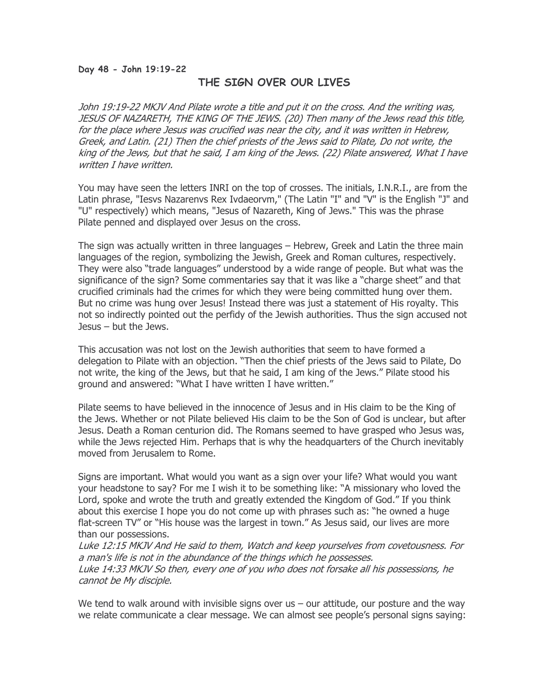#### Day 48 - John 19:19-22

# THE SIGN OVER OUR LIVES

John 19:19-22 MKJV And Pilate wrote a title and put it on the cross. And the writing was, JESUS OF NAZARETH, THE KING OF THE JEWS. (20) Then many of the Jews read this title, for the place where Jesus was crucified was near the city, and it was written in Hebrew, Greek, and Latin. (21) Then the chief priests of the Jews said to Pilate, Do not write, the king of the Jews, but that he said, I am king of the Jews. (22) Pilate answered, What I have written I have written.

You may have seen the letters INRI on the top of crosses. The initials, I.N.R.I., are from the Latin phrase, "Iesvs Nazarenvs Rex Ivdaeorvm," (The Latin "I" and "V" is the English "J" and "U" respectively) which means, "Jesus of Nazareth, King of Jews." This was the phrase Pilate penned and displayed over Jesus on the cross.

The sign was actually written in three languages – Hebrew, Greek and Latin the three main languages of the region, symbolizing the Jewish, Greek and Roman cultures, respectively. They were also "trade languages" understood by a wide range of people. But what was the significance of the sign? Some commentaries say that it was like a "charge sheet" and that crucified criminals had the crimes for which they were being committed hung over them. But no crime was hung over Jesus! Instead there was just a statement of His royalty. This not so indirectly pointed out the perfidy of the Jewish authorities. Thus the sign accused not Jesus – but the Jews.

This accusation was not lost on the Jewish authorities that seem to have formed a delegation to Pilate with an objection. "Then the chief priests of the Jews said to Pilate, Do not write, the king of the Jews, but that he said, I am king of the Jews." Pilate stood his ground and answered: "What I have written I have written."

Pilate seems to have believed in the innocence of Jesus and in His claim to be the King of the Jews. Whether or not Pilate believed His claim to be the Son of God is unclear, but after Jesus. Death a Roman centurion did. The Romans seemed to have grasped who Jesus was, while the Jews rejected Him. Perhaps that is why the headquarters of the Church inevitably moved from Jerusalem to Rome.

Signs are important. What would you want as a sign over your life? What would you want your headstone to say? For me I wish it to be something like: "A missionary who loved the Lord, spoke and wrote the truth and greatly extended the Kingdom of God." If you think about this exercise I hope you do not come up with phrases such as: "he owned a huge flat-screen TV" or "His house was the largest in town." As Jesus said, our lives are more than our possessions.

Luke 12:15 MKJV And He said to them, Watch and keep yourselves from covetousness. For a man's life is not in the abundance of the things which he possesses. Luke 14:33 MKJV So then, every one of you who does not forsake all his possessions, he cannot be My disciple.

We tend to walk around with invisible signs over us  $-$  our attitude, our posture and the way we relate communicate a clear message. We can almost see people's personal signs saying: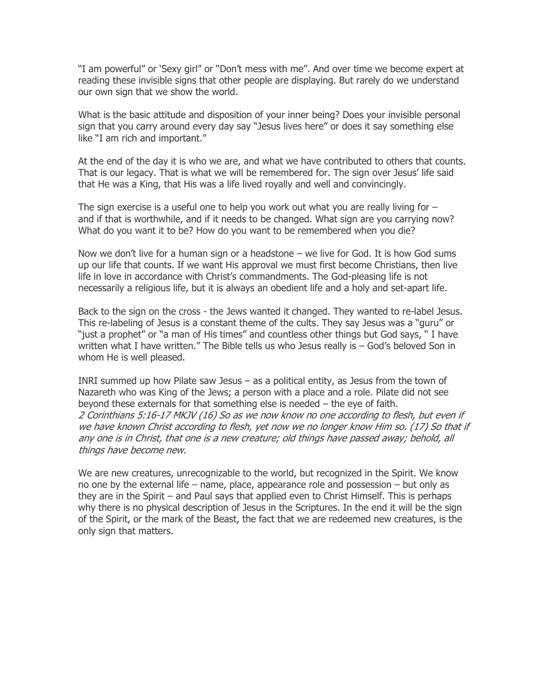"I am powerful" or 'Sexy girl" or "Don't mess with me". And over time we become expert at reading these invisible signs that other people are displaying. But rarely do we understand our own sign that we show the world.

What is the basic attitude and disposition of your inner being? Does your invisible personal sign that you carry around every day say "Jesus lives here" or does it say something else like "I am rich and important."

At the end of the day it is who we are, and what we have contributed to others that counts. That is our legacy. That is what we will be remembered for. The sign over Jesus' life said that He was a King, that His was a life lived royally and well and convincingly.

The sign exercise is a useful one to help you work out what you are really living for  $$ and if that is worthwhile, and if it needs to be changed. What sign are you carrying now? What do you want it to be? How do you want to be remembered when you die?

Now we don't live for a human sign or a headstone – we live for God. It is how God sums up our life that counts. If we want His approval we must first become Christians, then live life in love in accordance with Christ's commandments. The God-pleasing life is not necessarily a religious life, but it is always an obedient life and a holy and set-apart life.

Back to the sign on the cross - the Jews wanted it changed. They wanted to re-label Jesus. This re-labeling of Jesus is a constant theme of the cults. They say Jesus was a "guru" or "just a prophet" or "a man of His times" and countless other things but God says, " I have written what I have written." The Bible tells us who Jesus really is – God's beloved Son in whom He is well pleased.

INRI summed up how Pilate saw Jesus – as a political entity, as Jesus from the town of Nazareth who was King of the Jews; a person with a place and a role. Pilate did not see beyond these externals for that something else is needed – the eye of faith. 2 Corinthians 5:16-17 MKJV (16) So as we now know no one according to flesh, but even if we have known Christ according to flesh, yet now we no longer know Him so. (17) So that if any one is in Christ, that one is a new creature; old things have passed away; behold, all things have become new.

We are new creatures, unrecognizable to the world, but recognized in the Spirit. We know no one by the external life – name, place, appearance role and possession – but only as they are in the Spirit – and Paul says that applied even to Christ Himself. This is perhaps why there is no physical description of Jesus in the Scriptures. In the end it will be the sign of the Spirit, or the mark of the Beast, the fact that we are redeemed new creatures, is the only sign that matters.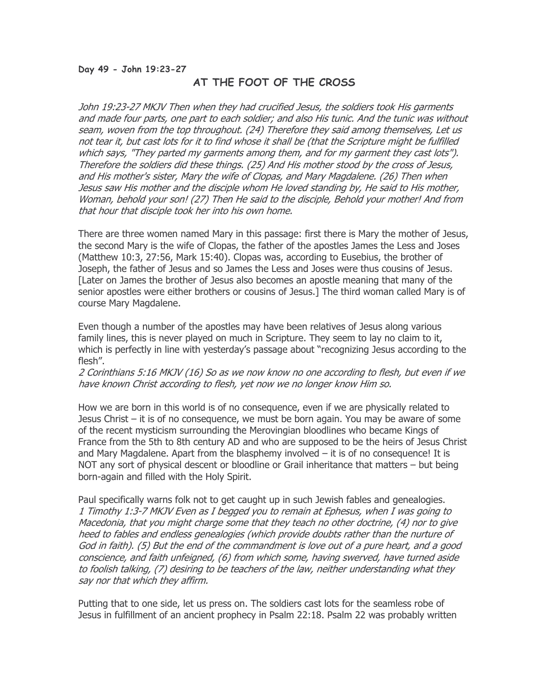#### Day 49 - John 19:23-27

# AT THE FOOT OF THE CROSS

John 19:23-27 MKJV Then when they had crucified Jesus, the soldiers took His garments and made four parts, one part to each soldier; and also His tunic. And the tunic was without seam, woven from the top throughout. (24) Therefore they said among themselves, Let us not tear it, but cast lots for it to find whose it shall be (that the Scripture might be fulfilled which says, "They parted my garments among them, and for my garment they cast lots"). Therefore the soldiers did these things. (25) And His mother stood by the cross of Jesus, and His mother's sister, Mary the wife of Clopas, and Mary Magdalene. (26) Then when Jesus saw His mother and the disciple whom He loved standing by, He said to His mother, Woman, behold your son! (27) Then He said to the disciple, Behold your mother! And from that hour that disciple took her into his own home.

There are three women named Mary in this passage: first there is Mary the mother of Jesus, the second Mary is the wife of Clopas, the father of the apostles James the Less and Joses (Matthew 10:3, 27:56, Mark 15:40). Clopas was, according to Eusebius, the brother of Joseph, the father of Jesus and so James the Less and Joses were thus cousins of Jesus. [Later on James the brother of Jesus also becomes an apostle meaning that many of the senior apostles were either brothers or cousins of Jesus.] The third woman called Mary is of course Mary Magdalene.

Even though a number of the apostles may have been relatives of Jesus along various family lines, this is never played on much in Scripture. They seem to lay no claim to it, which is perfectly in line with yesterday's passage about "recognizing Jesus according to the flesh".

2 Corinthians 5:16 MKJV (16) So as we now know no one according to flesh, but even if we have known Christ according to flesh, yet now we no longer know Him so.

How we are born in this world is of no consequence, even if we are physically related to Jesus Christ – it is of no consequence, we must be born again. You may be aware of some of the recent mysticism surrounding the Merovingian bloodlines who became Kings of France from the 5th to 8th century AD and who are supposed to be the heirs of Jesus Christ and Mary Magdalene. Apart from the blasphemy involved – it is of no consequence! It is NOT any sort of physical descent or bloodline or Grail inheritance that matters – but being born-again and filled with the Holy Spirit.

Paul specifically warns folk not to get caught up in such Jewish fables and genealogies. 1 Timothy 1:3-7 MKJV Even as I begged you to remain at Ephesus, when I was going to Macedonia, that you might charge some that they teach no other doctrine, (4) nor to give heed to fables and endless genealogies (which provide doubts rather than the nurture of God in faith). (5) But the end of the commandment is love out of a pure heart, and a good conscience, and faith unfeigned, (6) from which some, having swerved, have turned aside to foolish talking, (7) desiring to be teachers of the law, neither understanding what they say nor that which they affirm.

Putting that to one side, let us press on. The soldiers cast lots for the seamless robe of Jesus in fulfillment of an ancient prophecy in Psalm 22:18. Psalm 22 was probably written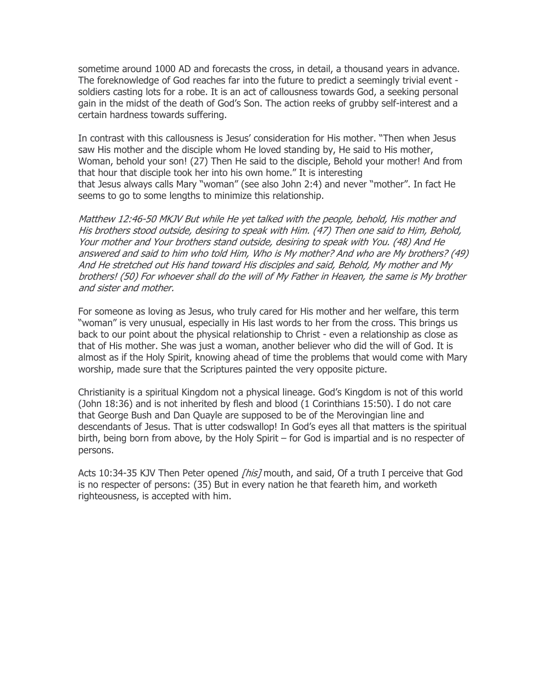sometime around 1000 AD and forecasts the cross, in detail, a thousand years in advance. The foreknowledge of God reaches far into the future to predict a seemingly trivial event soldiers casting lots for a robe. It is an act of callousness towards God, a seeking personal gain in the midst of the death of God's Son. The action reeks of grubby self-interest and a certain hardness towards suffering.

In contrast with this callousness is Jesus' consideration for His mother. "Then when Jesus saw His mother and the disciple whom He loved standing by, He said to His mother, Woman, behold your son! (27) Then He said to the disciple, Behold your mother! And from that hour that disciple took her into his own home." It is interesting that Jesus always calls Mary "woman" (see also John 2:4) and never "mother". In fact He seems to go to some lengths to minimize this relationship.

Matthew 12:46-50 MKJV But while He yet talked with the people, behold, His mother and His brothers stood outside, desiring to speak with Him. (47) Then one said to Him, Behold, Your mother and Your brothers stand outside, desiring to speak with You. (48) And He answered and said to him who told Him, Who is My mother? And who are My brothers? (49) And He stretched out His hand toward His disciples and said, Behold, My mother and My brothers! (50) For whoever shall do the will of My Father in Heaven, the same is My brother and sister and mother.

For someone as loving as Jesus, who truly cared for His mother and her welfare, this term "woman" is very unusual, especially in His last words to her from the cross. This brings us back to our point about the physical relationship to Christ - even a relationship as close as that of His mother. She was just a woman, another believer who did the will of God. It is almost as if the Holy Spirit, knowing ahead of time the problems that would come with Mary worship, made sure that the Scriptures painted the very opposite picture.

Christianity is a spiritual Kingdom not a physical lineage. God's Kingdom is not of this world (John 18:36) and is not inherited by flesh and blood (1 Corinthians 15:50). I do not care that George Bush and Dan Quayle are supposed to be of the Merovingian line and descendants of Jesus. That is utter codswallop! In God's eyes all that matters is the spiritual birth, being born from above, by the Holy Spirit – for God is impartial and is no respecter of persons.

Acts 10:34-35 KJV Then Peter opened [his] mouth, and said, Of a truth I perceive that God is no respecter of persons: (35) But in every nation he that feareth him, and worketh righteousness, is accepted with him.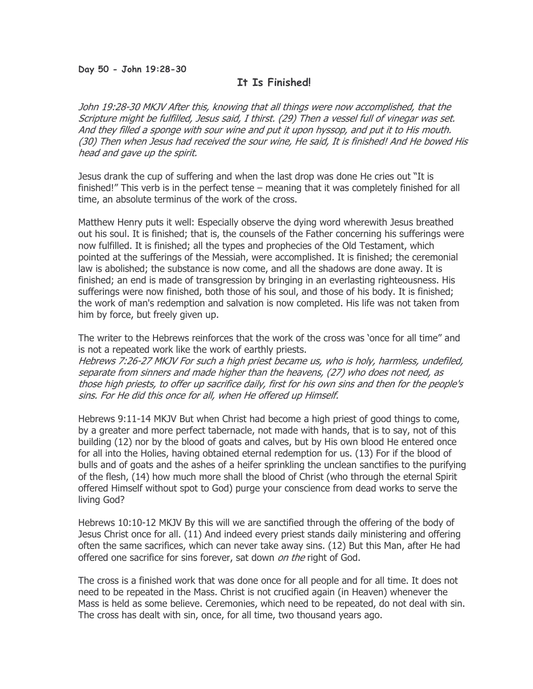#### Day 50 - John 19:28-30

## It Is Finished!

John 19:28-30 MKJV After this, knowing that all things were now accomplished, that the Scripture might be fulfilled, Jesus said, I thirst. (29) Then a vessel full of vinegar was set. And they filled a sponge with sour wine and put it upon hyssop, and put it to His mouth. (30) Then when Jesus had received the sour wine, He said, It is finished! And He bowed His head and gave up the spirit.

Jesus drank the cup of suffering and when the last drop was done He cries out "It is finished!" This verb is in the perfect tense – meaning that it was completely finished for all time, an absolute terminus of the work of the cross.

Matthew Henry puts it well: Especially observe the dying word wherewith Jesus breathed out his soul. It is finished; that is, the counsels of the Father concerning his sufferings were now fulfilled. It is finished; all the types and prophecies of the Old Testament, which pointed at the sufferings of the Messiah, were accomplished. It is finished; the ceremonial law is abolished; the substance is now come, and all the shadows are done away. It is finished; an end is made of transgression by bringing in an everlasting righteousness. His sufferings were now finished, both those of his soul, and those of his body. It is finished; the work of man's redemption and salvation is now completed. His life was not taken from him by force, but freely given up.

The writer to the Hebrews reinforces that the work of the cross was 'once for all time" and is not a repeated work like the work of earthly priests. Hebrews 7:26-27 MKJV For such a high priest became us, who is holy, harmless, undefiled,

separate from sinners and made higher than the heavens, (27) who does not need, as those high priests, to offer up sacrifice daily, first for his own sins and then for the people's sins. For He did this once for all, when He offered up Himself.

Hebrews 9:11-14 MKJV But when Christ had become a high priest of good things to come, by a greater and more perfect tabernacle, not made with hands, that is to say, not of this building (12) nor by the blood of goats and calves, but by His own blood He entered once for all into the Holies, having obtained eternal redemption for us. (13) For if the blood of bulls and of goats and the ashes of a heifer sprinkling the unclean sanctifies to the purifying of the flesh, (14) how much more shall the blood of Christ (who through the eternal Spirit offered Himself without spot to God) purge your conscience from dead works to serve the living God?

Hebrews 10:10-12 MKJV By this will we are sanctified through the offering of the body of Jesus Christ once for all. (11) And indeed every priest stands daily ministering and offering often the same sacrifices, which can never take away sins. (12) But this Man, after He had offered one sacrifice for sins forever, sat down on the right of God.

The cross is a finished work that was done once for all people and for all time. It does not need to be repeated in the Mass. Christ is not crucified again (in Heaven) whenever the Mass is held as some believe. Ceremonies, which need to be repeated, do not deal with sin. The cross has dealt with sin, once, for all time, two thousand years ago.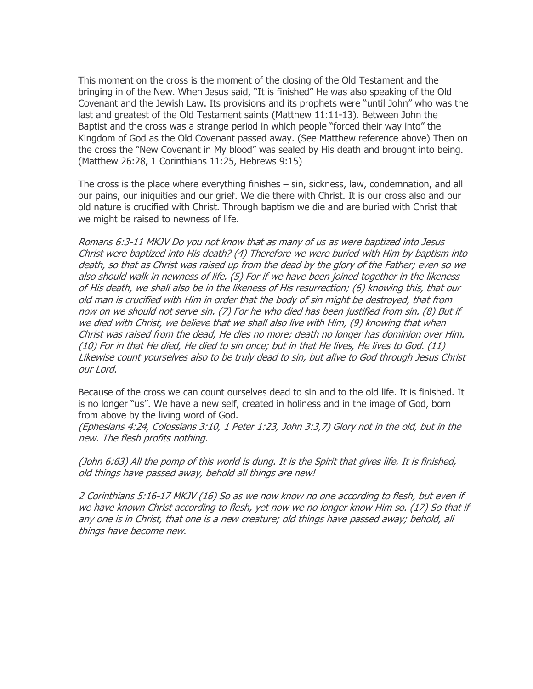This moment on the cross is the moment of the closing of the Old Testament and the bringing in of the New. When Jesus said, "It is finished" He was also speaking of the Old Covenant and the Jewish Law. Its provisions and its prophets were "until John" who was the last and greatest of the Old Testament saints (Matthew 11:11-13). Between John the Baptist and the cross was a strange period in which people "forced their way into" the Kingdom of God as the Old Covenant passed away. (See Matthew reference above) Then on the cross the "New Covenant in My blood" was sealed by His death and brought into being. (Matthew 26:28, 1 Corinthians 11:25, Hebrews 9:15)

The cross is the place where everything finishes – sin, sickness, law, condemnation, and all our pains, our iniquities and our grief. We die there with Christ. It is our cross also and our old nature is crucified with Christ. Through baptism we die and are buried with Christ that we might be raised to newness of life.

Romans 6:3-11 MKJV Do you not know that as many of us as were baptized into Jesus Christ were baptized into His death? (4) Therefore we were buried with Him by baptism into death, so that as Christ was raised up from the dead by the glory of the Father; even so we also should walk in newness of life. (5) For if we have been joined together in the likeness of His death, we shall also be in the likeness of His resurrection; (6) knowing this, that our old man is crucified with Him in order that the body of sin might be destroyed, that from now on we should not serve sin. (7) For he who died has been justified from sin. (8) But if we died with Christ, we believe that we shall also live with Him, (9) knowing that when Christ was raised from the dead, He dies no more; death no longer has dominion over Him. (10) For in that He died, He died to sin once; but in that He lives, He lives to God. (11) Likewise count yourselves also to be truly dead to sin, but alive to God through Jesus Christ our Lord.

Because of the cross we can count ourselves dead to sin and to the old life. It is finished. It is no longer "us". We have a new self, created in holiness and in the image of God, born from above by the living word of God.

(Ephesians 4:24, Colossians 3:10, 1 Peter 1:23, John 3:3,7) Glory not in the old, but in the new. The flesh profits nothing.

(John 6:63) All the pomp of this world is dung. It is the Spirit that gives life. It is finished, old things have passed away, behold all things are new!

2 Corinthians 5:16-17 MKJV (16) So as we now know no one according to flesh, but even if we have known Christ according to flesh, yet now we no longer know Him so. (17) So that if any one is in Christ, that one is a new creature; old things have passed away; behold, all things have become new.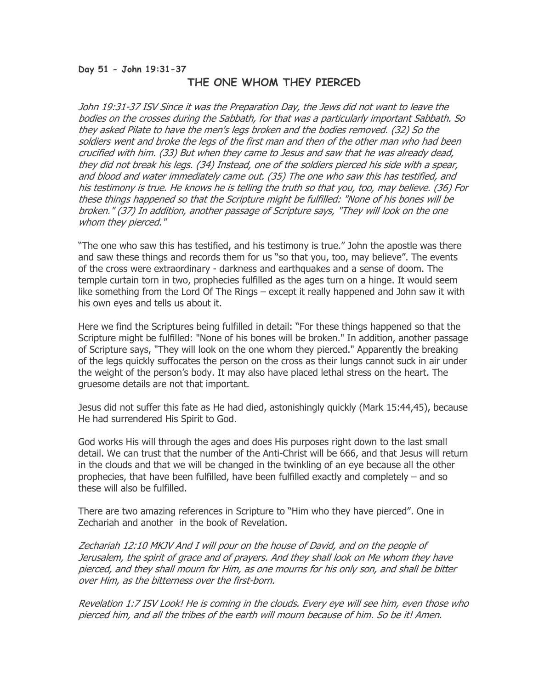#### Day 51 - John 19:31-37 THE ONE WHOM THEY PIERCED

John 19:31-37 ISV Since it was the Preparation Day, the Jews did not want to leave the bodies on the crosses during the Sabbath, for that was a particularly important Sabbath. So they asked Pilate to have the men's legs broken and the bodies removed. (32) So the soldiers went and broke the legs of the first man and then of the other man who had been crucified with him. (33) But when they came to Jesus and saw that he was already dead, they did not break his legs. (34) Instead, one of the soldiers pierced his side with a spear, and blood and water immediately came out. (35) The one who saw this has testified, and his testimony is true. He knows he is telling the truth so that you, too, may believe. (36) For these things happened so that the Scripture might be fulfilled: "None of his bones will be broken." (37) In addition, another passage of Scripture says, "They will look on the one whom they pierced."

"The one who saw this has testified, and his testimony is true." John the apostle was there and saw these things and records them for us "so that you, too, may believe". The events of the cross were extraordinary - darkness and earthquakes and a sense of doom. The temple curtain torn in two, prophecies fulfilled as the ages turn on a hinge. It would seem like something from the Lord Of The Rings – except it really happened and John saw it with his own eyes and tells us about it.

Here we find the Scriptures being fulfilled in detail: "For these things happened so that the Scripture might be fulfilled: "None of his bones will be broken." In addition, another passage of Scripture says, "They will look on the one whom they pierced." Apparently the breaking of the legs quickly suffocates the person on the cross as their lungs cannot suck in air under the weight of the person's body. It may also have placed lethal stress on the heart. The gruesome details are not that important.

Jesus did not suffer this fate as He had died, astonishingly quickly (Mark 15:44,45), because He had surrendered His Spirit to God.

God works His will through the ages and does His purposes right down to the last small detail. We can trust that the number of the Anti-Christ will be 666, and that Jesus will return in the clouds and that we will be changed in the twinkling of an eye because all the other prophecies, that have been fulfilled, have been fulfilled exactly and completely – and so these will also be fulfilled.

There are two amazing references in Scripture to "Him who they have pierced". One in Zechariah and another in the book of Revelation.

Zechariah 12:10 MKJV And I will pour on the house of David, and on the people of Jerusalem, the spirit of grace and of prayers. And they shall look on Me whom they have pierced, and they shall mourn for Him, as one mourns for his only son, and shall be bitter over Him, as the bitterness over the first-born.

Revelation 1:7 ISV Look! He is coming in the clouds. Every eye will see him, even those who pierced him, and all the tribes of the earth will mourn because of him. So be it! Amen.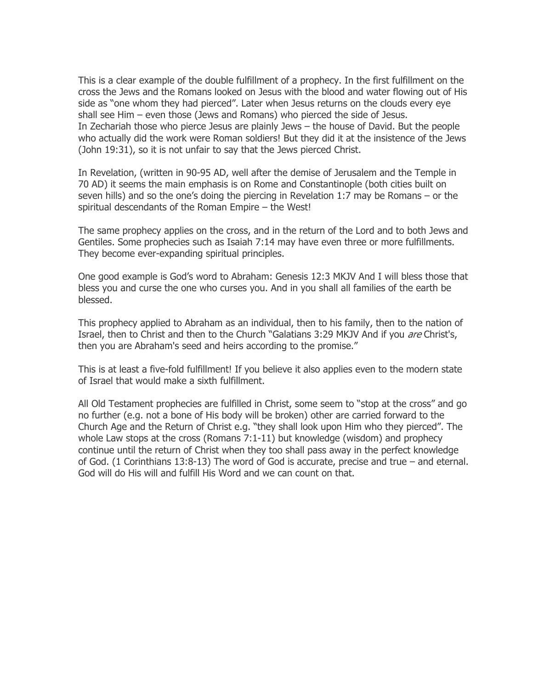This is a clear example of the double fulfillment of a prophecy. In the first fulfillment on the cross the Jews and the Romans looked on Jesus with the blood and water flowing out of His side as "one whom they had pierced". Later when Jesus returns on the clouds every eye shall see Him – even those (Jews and Romans) who pierced the side of Jesus. In Zechariah those who pierce Jesus are plainly Jews – the house of David. But the people who actually did the work were Roman soldiers! But they did it at the insistence of the Jews (John 19:31), so it is not unfair to say that the Jews pierced Christ.

In Revelation, (written in 90-95 AD, well after the demise of Jerusalem and the Temple in 70 AD) it seems the main emphasis is on Rome and Constantinople (both cities built on seven hills) and so the one's doing the piercing in Revelation 1:7 may be Romans – or the spiritual descendants of the Roman Empire – the West!

The same prophecy applies on the cross, and in the return of the Lord and to both Jews and Gentiles. Some prophecies such as Isaiah 7:14 may have even three or more fulfillments. They become ever-expanding spiritual principles.

One good example is God's word to Abraham: Genesis 12:3 MKJV And I will bless those that bless you and curse the one who curses you. And in you shall all families of the earth be blessed.

This prophecy applied to Abraham as an individual, then to his family, then to the nation of Israel, then to Christ and then to the Church "Galatians 3:29 MKJV And if you *are* Christ's, then you are Abraham's seed and heirs according to the promise."

This is at least a five-fold fulfillment! If you believe it also applies even to the modern state of Israel that would make a sixth fulfillment.

All Old Testament prophecies are fulfilled in Christ, some seem to "stop at the cross" and go no further (e.g. not a bone of His body will be broken) other are carried forward to the Church Age and the Return of Christ e.g. "they shall look upon Him who they pierced". The whole Law stops at the cross (Romans 7:1-11) but knowledge (wisdom) and prophecy continue until the return of Christ when they too shall pass away in the perfect knowledge of God. (1 Corinthians 13:8-13) The word of God is accurate, precise and true – and eternal. God will do His will and fulfill His Word and we can count on that.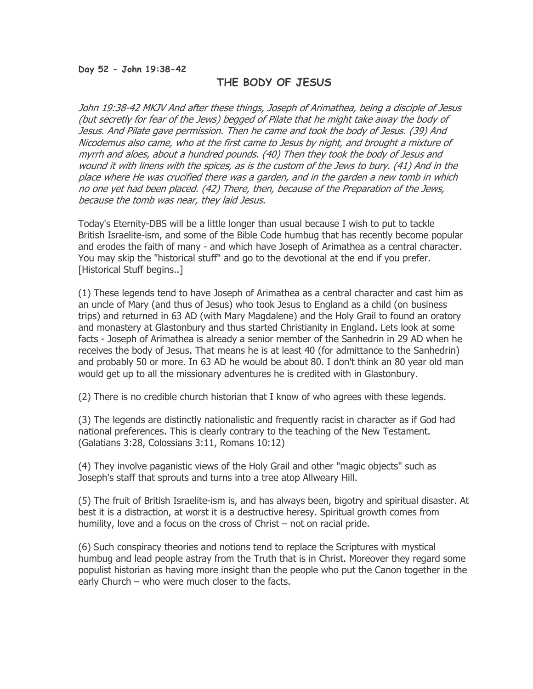#### Day 52 - John 19:38-42

### THE BODY OF JESUS

John 19:38-42 MKJV And after these things, Joseph of Arimathea, being a disciple of Jesus (but secretly for fear of the Jews) begged of Pilate that he might take away the body of Jesus. And Pilate gave permission. Then he came and took the body of Jesus. (39) And Nicodemus also came, who at the first came to Jesus by night, and brought a mixture of myrrh and aloes, about a hundred pounds. (40) Then they took the body of Jesus and wound it with linens with the spices, as is the custom of the Jews to bury. (41) And in the place where He was crucified there was a garden, and in the garden a new tomb in which no one yet had been placed. (42) There, then, because of the Preparation of the Jews, because the tomb was near, they laid Jesus.

Today's Eternity-DBS will be a little longer than usual because I wish to put to tackle British Israelite-ism, and some of the Bible Code humbug that has recently become popular and erodes the faith of many - and which have Joseph of Arimathea as a central character. You may skip the "historical stuff" and go to the devotional at the end if you prefer. [Historical Stuff begins..]

(1) These legends tend to have Joseph of Arimathea as a central character and cast him as an uncle of Mary (and thus of Jesus) who took Jesus to England as a child (on business trips) and returned in 63 AD (with Mary Magdalene) and the Holy Grail to found an oratory and monastery at Glastonbury and thus started Christianity in England. Lets look at some facts - Joseph of Arimathea is already a senior member of the Sanhedrin in 29 AD when he receives the body of Jesus. That means he is at least 40 (for admittance to the Sanhedrin) and probably 50 or more. In 63 AD he would be about 80. I don't think an 80 year old man would get up to all the missionary adventures he is credited with in Glastonbury.

(2) There is no credible church historian that I know of who agrees with these legends.

(3) The legends are distinctly nationalistic and frequently racist in character as if God had national preferences. This is clearly contrary to the teaching of the New Testament. (Galatians 3:28, Colossians 3:11, Romans 10:12)

(4) They involve paganistic views of the Holy Grail and other "magic objects" such as Joseph's staff that sprouts and turns into a tree atop Allweary Hill.

(5) The fruit of British Israelite-ism is, and has always been, bigotry and spiritual disaster. At best it is a distraction, at worst it is a destructive heresy. Spiritual growth comes from humility, love and a focus on the cross of Christ – not on racial pride.

(6) Such conspiracy theories and notions tend to replace the Scriptures with mystical humbug and lead people astray from the Truth that is in Christ. Moreover they regard some populist historian as having more insight than the people who put the Canon together in the early Church – who were much closer to the facts.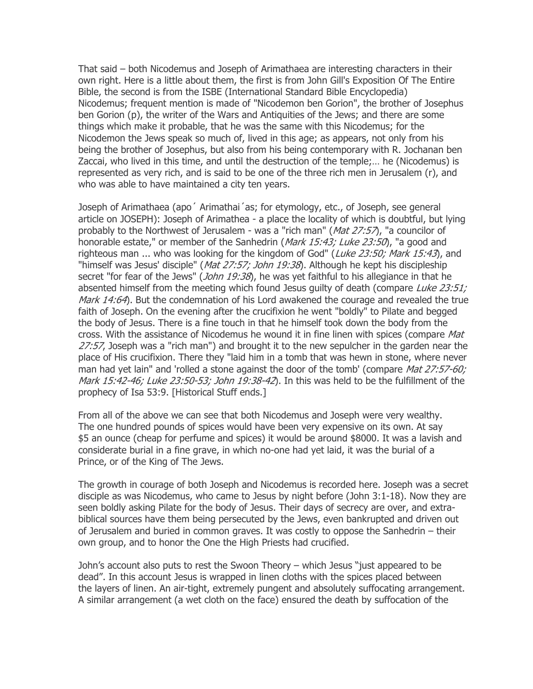That said – both Nicodemus and Joseph of Arimathaea are interesting characters in their own right. Here is a little about them, the first is from John Gill's Exposition Of The Entire Bible, the second is from the ISBE (International Standard Bible Encyclopedia) Nicodemus; frequent mention is made of "Nicodemon ben Gorion", the brother of Josephus ben Gorion (p), the writer of the Wars and Antiquities of the Jews; and there are some things which make it probable, that he was the same with this Nicodemus; for the Nicodemon the Jews speak so much of, lived in this age; as appears, not only from his being the brother of Josephus, but also from his being contemporary with R. Jochanan ben Zaccai, who lived in this time, and until the destruction of the temple;… he (Nicodemus) is represented as very rich, and is said to be one of the three rich men in Jerusalem (r), and who was able to have maintained a city ten years.

Joseph of Arimathaea (apo´ Arimathai´as; for etymology, etc., of Joseph, see general article on JOSEPH): Joseph of Arimathea - a place the locality of which is doubtful, but lying probably to the Northwest of Jerusalem - was a "rich man" ( $Mat$  27:57), "a councilor of honorable estate," or member of the Sanhedrin (Mark 15:43; Luke 23:50), "a good and righteous man ... who was looking for the kingdom of God" (Luke 23:50; Mark 15:43), and "himself was Jesus' disciple" (*Mat 27:57; John 19:38*). Although he kept his discipleship secret "for fear of the Jews" (John 19:38), he was yet faithful to his allegiance in that he absented himself from the meeting which found Jesus guilty of death (compare Luke  $23:51;$ Mark 14:64). But the condemnation of his Lord awakened the courage and revealed the true faith of Joseph. On the evening after the crucifixion he went "boldly" to Pilate and begged the body of Jesus. There is a fine touch in that he himself took down the body from the cross. With the assistance of Nicodemus he wound it in fine linen with spices (compare Mat  $27:57$ , Joseph was a "rich man") and brought it to the new sepulcher in the garden near the place of His crucifixion. There they "laid him in a tomb that was hewn in stone, where never man had yet lain" and 'rolled a stone against the door of the tomb' (compare Mat 27:57-60; Mark 15:42-46; Luke 23:50-53; John 19:38-42). In this was held to be the fulfillment of the prophecy of Isa 53:9. [Historical Stuff ends.]

From all of the above we can see that both Nicodemus and Joseph were very wealthy. The one hundred pounds of spices would have been very expensive on its own. At say \$5 an ounce (cheap for perfume and spices) it would be around \$8000. It was a lavish and considerate burial in a fine grave, in which no-one had yet laid, it was the burial of a Prince, or of the King of The Jews.

The growth in courage of both Joseph and Nicodemus is recorded here. Joseph was a secret disciple as was Nicodemus, who came to Jesus by night before (John 3:1-18). Now they are seen boldly asking Pilate for the body of Jesus. Their days of secrecy are over, and extrabiblical sources have them being persecuted by the Jews, even bankrupted and driven out of Jerusalem and buried in common graves. It was costly to oppose the Sanhedrin – their own group, and to honor the One the High Priests had crucified.

John's account also puts to rest the Swoon Theory – which Jesus "just appeared to be dead". In this account Jesus is wrapped in linen cloths with the spices placed between the layers of linen. An air-tight, extremely pungent and absolutely suffocating arrangement. A similar arrangement (a wet cloth on the face) ensured the death by suffocation of the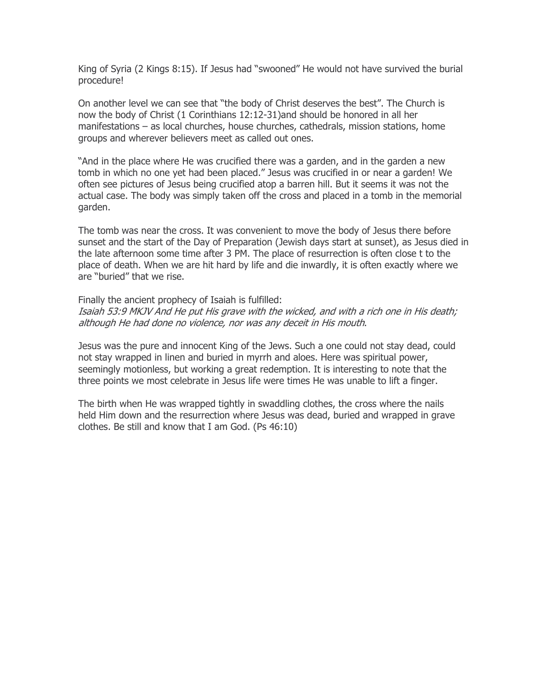King of Syria (2 Kings 8:15). If Jesus had "swooned" He would not have survived the burial procedure!

On another level we can see that "the body of Christ deserves the best". The Church is now the body of Christ (1 Corinthians 12:12-31)and should be honored in all her manifestations – as local churches, house churches, cathedrals, mission stations, home groups and wherever believers meet as called out ones.

"And in the place where He was crucified there was a garden, and in the garden a new tomb in which no one yet had been placed." Jesus was crucified in or near a garden! We often see pictures of Jesus being crucified atop a barren hill. But it seems it was not the actual case. The body was simply taken off the cross and placed in a tomb in the memorial garden.

The tomb was near the cross. It was convenient to move the body of Jesus there before sunset and the start of the Day of Preparation (Jewish days start at sunset), as Jesus died in the late afternoon some time after 3 PM. The place of resurrection is often close t to the place of death. When we are hit hard by life and die inwardly, it is often exactly where we are "buried" that we rise.

Finally the ancient prophecy of Isaiah is fulfilled:

Isaiah 53:9 MKJV And He put His grave with the wicked, and with a rich one in His death; although He had done no violence, nor was any deceit in His mouth.

Jesus was the pure and innocent King of the Jews. Such a one could not stay dead, could not stay wrapped in linen and buried in myrrh and aloes. Here was spiritual power, seemingly motionless, but working a great redemption. It is interesting to note that the three points we most celebrate in Jesus life were times He was unable to lift a finger.

The birth when He was wrapped tightly in swaddling clothes, the cross where the nails held Him down and the resurrection where Jesus was dead, buried and wrapped in grave clothes. Be still and know that I am God. (Ps 46:10)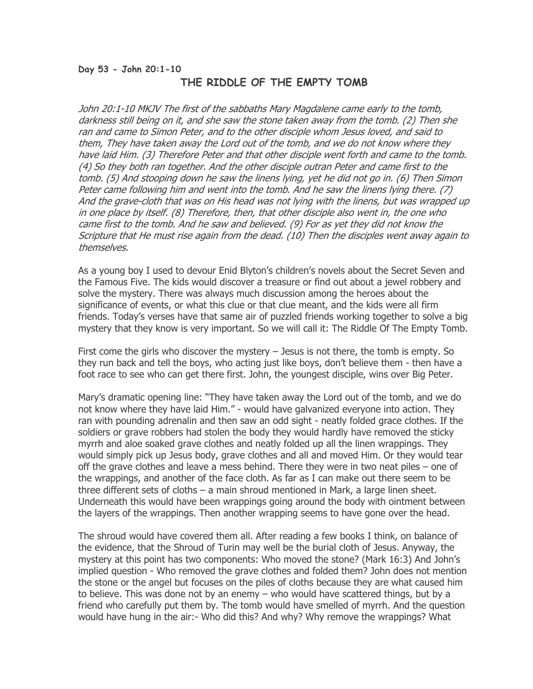### Day 53 - John 20:1-10 THE RIDDLE OF THE EMPTY TOMB

John 20:1-10 MKJV The first of the sabbaths Mary Magdalene came early to the tomb, darkness still being on it, and she saw the stone taken away from the tomb. (2) Then she ran and came to Simon Peter, and to the other disciple whom Jesus loved, and said to them, They have taken away the Lord out of the tomb, and we do not know where they have laid Him. (3) Therefore Peter and that other disciple went forth and came to the tomb. (4) So they both ran together. And the other disciple outran Peter and came first to the tomb. (5) And stooping down he saw the linens lying, yet he did not go in. (6) Then Simon Peter came following him and went into the tomb. And he saw the linens lying there. (7) And the grave-cloth that was on His head was not lying with the linens, but was wrapped up in one place by itself. (8) Therefore, then, that other disciple also went in, the one who came first to the tomb. And he saw and believed. (9) For as yet they did not know the Scripture that He must rise again from the dead. (10) Then the disciples went away again to themselves.

As a young boy I used to devour Enid Blyton's children's novels about the Secret Seven and the Famous Five. The kids would discover a treasure or find out about a jewel robbery and solve the mystery. There was always much discussion among the heroes about the significance of events, or what this clue or that clue meant, and the kids were all firm friends. Today's verses have that same air of puzzled friends working together to solve a big mystery that they know is very important. So we will call it: The Riddle Of The Empty Tomb.

First come the girls who discover the mystery – Jesus is not there, the tomb is empty. So they run back and tell the boys, who acting just like boys, don't believe them - then have a foot race to see who can get there first. John, the youngest disciple, wins over Big Peter.

Mary's dramatic opening line: "They have taken away the Lord out of the tomb, and we do not know where they have laid Him." - would have galvanized everyone into action. They ran with pounding adrenalin and then saw an odd sight - neatly folded grace clothes. If the soldiers or grave robbers had stolen the body they would hardly have removed the sticky myrrh and aloe soaked grave clothes and neatly folded up all the linen wrappings. They would simply pick up Jesus body, grave clothes and all and moved Him. Or they would tear off the grave clothes and leave a mess behind. There they were in two neat piles – one of the wrappings, and another of the face cloth. As far as I can make out there seem to be three different sets of cloths – a main shroud mentioned in Mark, a large linen sheet. Underneath this would have been wrappings going around the body with ointment between the layers of the wrappings. Then another wrapping seems to have gone over the head.

The shroud would have covered them all. After reading a few books I think, on balance of the evidence, that the Shroud of Turin may well be the burial cloth of Jesus. Anyway, the mystery at this point has two components: Who moved the stone? (Mark 16:3) And John's implied question - Who removed the grave clothes and folded them? John does not mention the stone or the angel but focuses on the piles of cloths because they are what caused him to believe. This was done not by an enemy – who would have scattered things, but by a friend who carefully put them by. The tomb would have smelled of myrrh. And the question would have hung in the air:- Who did this? And why? Why remove the wrappings? What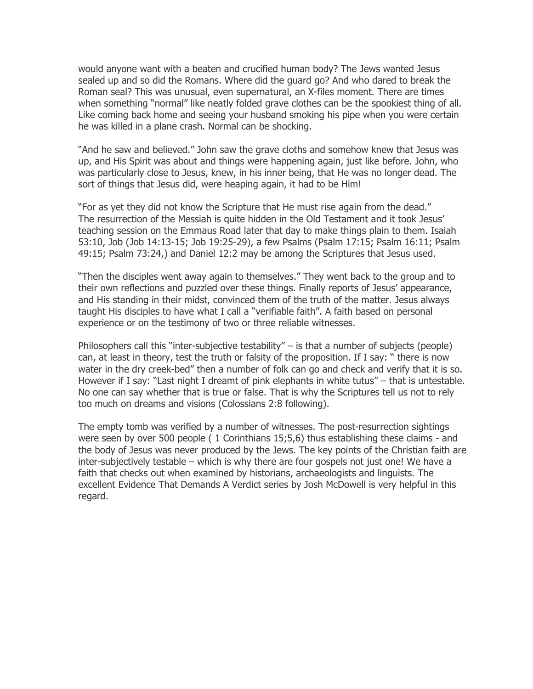would anyone want with a beaten and crucified human body? The Jews wanted Jesus sealed up and so did the Romans. Where did the guard go? And who dared to break the Roman seal? This was unusual, even supernatural, an X-files moment. There are times when something "normal" like neatly folded grave clothes can be the spookiest thing of all. Like coming back home and seeing your husband smoking his pipe when you were certain he was killed in a plane crash. Normal can be shocking.

"And he saw and believed." John saw the grave cloths and somehow knew that Jesus was up, and His Spirit was about and things were happening again, just like before. John, who was particularly close to Jesus, knew, in his inner being, that He was no longer dead. The sort of things that Jesus did, were heaping again, it had to be Him!

"For as yet they did not know the Scripture that He must rise again from the dead." The resurrection of the Messiah is quite hidden in the Old Testament and it took Jesus' teaching session on the Emmaus Road later that day to make things plain to them. Isaiah 53:10, Job (Job 14:13-15; Job 19:25-29), a few Psalms (Psalm 17:15; Psalm 16:11; Psalm 49:15; Psalm 73:24,) and Daniel 12:2 may be among the Scriptures that Jesus used.

"Then the disciples went away again to themselves." They went back to the group and to their own reflections and puzzled over these things. Finally reports of Jesus' appearance, and His standing in their midst, convinced them of the truth of the matter. Jesus always taught His disciples to have what I call a "verifiable faith". A faith based on personal experience or on the testimony of two or three reliable witnesses.

Philosophers call this "inter-subjective testability" – is that a number of subjects (people) can, at least in theory, test the truth or falsity of the proposition. If I say: " there is now water in the dry creek-bed" then a number of folk can go and check and verify that it is so. However if I say: "Last night I dreamt of pink elephants in white tutus" – that is untestable. No one can say whether that is true or false. That is why the Scriptures tell us not to rely too much on dreams and visions (Colossians 2:8 following).

The empty tomb was verified by a number of witnesses. The post-resurrection sightings were seen by over 500 people ( 1 Corinthians 15;5,6) thus establishing these claims - and the body of Jesus was never produced by the Jews. The key points of the Christian faith are inter-subjectively testable – which is why there are four gospels not just one! We have a faith that checks out when examined by historians, archaeologists and linguists. The excellent Evidence That Demands A Verdict series by Josh McDowell is very helpful in this regard.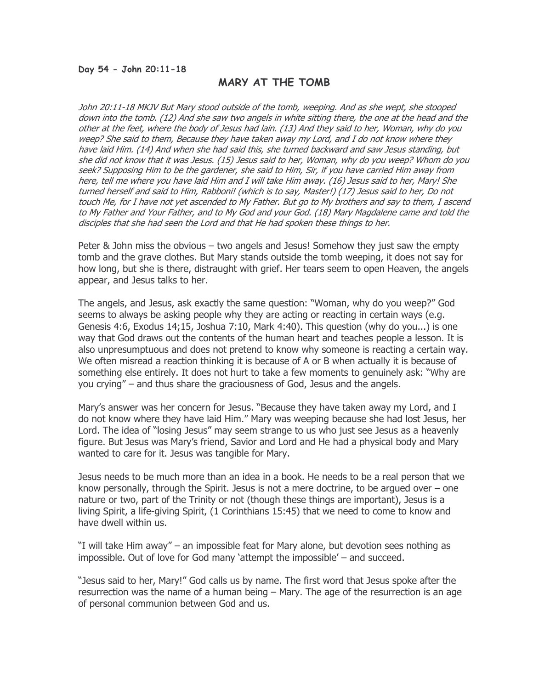### Day 54 - John 20:11-18

## MARY AT THE TOMB

John 20:11-18 MKJV But Mary stood outside of the tomb, weeping. And as she wept, she stooped down into the tomb. (12) And she saw two angels in white sitting there, the one at the head and the other at the feet, where the body of Jesus had lain. (13) And they said to her, Woman, why do you weep? She said to them, Because they have taken away my Lord, and I do not know where they have laid Him. (14) And when she had said this, she turned backward and saw Jesus standing, but she did not know that it was Jesus. (15) Jesus said to her, Woman, why do you weep? Whom do you seek? Supposing Him to be the gardener, she said to Him, Sir, if you have carried Him away from here, tell me where you have laid Him and I will take Him away. (16) Jesus said to her, Mary! She turned herself and said to Him, Rabboni! (which is to say, Master!) (17) Jesus said to her, Do not touch Me, for I have not yet ascended to My Father. But go to My brothers and say to them, I ascend to My Father and Your Father, and to My God and your God. (18) Mary Magdalene came and told the disciples that she had seen the Lord and that He had spoken these things to her.

Peter & John miss the obvious – two angels and Jesus! Somehow they just saw the empty tomb and the grave clothes. But Mary stands outside the tomb weeping, it does not say for how long, but she is there, distraught with grief. Her tears seem to open Heaven, the angels appear, and Jesus talks to her.

The angels, and Jesus, ask exactly the same question: "Woman, why do you weep?" God seems to always be asking people why they are acting or reacting in certain ways (e.g. Genesis 4:6, Exodus 14;15, Joshua 7:10, Mark 4:40). This question (why do you...) is one way that God draws out the contents of the human heart and teaches people a lesson. It is also unpresumptuous and does not pretend to know why someone is reacting a certain way. We often misread a reaction thinking it is because of A or B when actually it is because of something else entirely. It does not hurt to take a few moments to genuinely ask: "Why are you crying" – and thus share the graciousness of God, Jesus and the angels.

Mary's answer was her concern for Jesus. "Because they have taken away my Lord, and I do not know where they have laid Him." Mary was weeping because she had lost Jesus, her Lord. The idea of "losing Jesus" may seem strange to us who just see Jesus as a heavenly figure. But Jesus was Mary's friend, Savior and Lord and He had a physical body and Mary wanted to care for it. Jesus was tangible for Mary.

Jesus needs to be much more than an idea in a book. He needs to be a real person that we know personally, through the Spirit. Jesus is not a mere doctrine, to be argued over – one nature or two, part of the Trinity or not (though these things are important), Jesus is a living Spirit, a life-giving Spirit, (1 Corinthians 15:45) that we need to come to know and have dwell within us.

"I will take Him away" – an impossible feat for Mary alone, but devotion sees nothing as impossible. Out of love for God many 'attempt the impossible' – and succeed.

"Jesus said to her, Mary!" God calls us by name. The first word that Jesus spoke after the resurrection was the name of a human being – Mary. The age of the resurrection is an age of personal communion between God and us.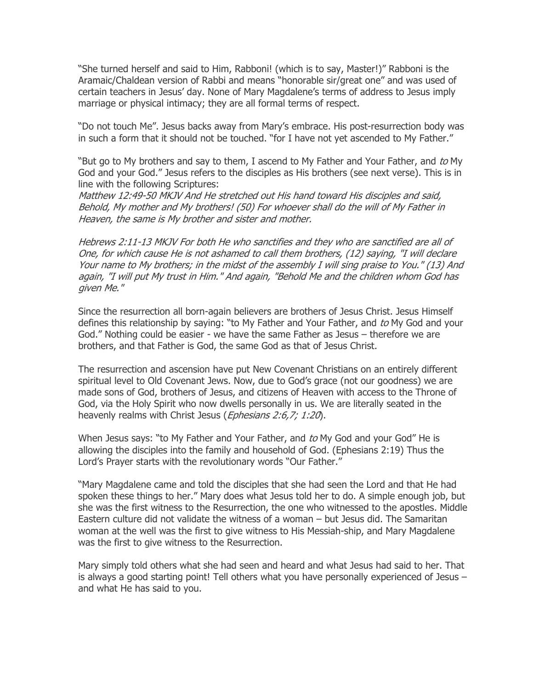"She turned herself and said to Him, Rabboni! (which is to say, Master!)" Rabboni is the Aramaic/Chaldean version of Rabbi and means "honorable sir/great one" and was used of certain teachers in Jesus' day. None of Mary Magdalene's terms of address to Jesus imply marriage or physical intimacy; they are all formal terms of respect.

"Do not touch Me". Jesus backs away from Mary's embrace. His post-resurrection body was in such a form that it should not be touched. "for I have not yet ascended to My Father."

"But go to My brothers and say to them, I ascend to My Father and Your Father, and to My God and your God." Jesus refers to the disciples as His brothers (see next verse). This is in line with the following Scriptures:

Matthew 12:49-50 MKJV And He stretched out His hand toward His disciples and said, Behold, My mother and My brothers! (50) For whoever shall do the will of My Father in Heaven, the same is My brother and sister and mother.

Hebrews 2:11-13 MKJV For both He who sanctifies and they who are sanctified are all of One, for which cause He is not ashamed to call them brothers, (12) saying, "I will declare Your name to My brothers; in the midst of the assembly I will sing praise to You." (13) And again, "I will put My trust in Him." And again, "Behold Me and the children whom God has given Me."

Since the resurrection all born-again believers are brothers of Jesus Christ. Jesus Himself defines this relationship by saying: "to My Father and Your Father, and to My God and your God." Nothing could be easier - we have the same Father as Jesus – therefore we are brothers, and that Father is God, the same God as that of Jesus Christ.

The resurrection and ascension have put New Covenant Christians on an entirely different spiritual level to Old Covenant Jews. Now, due to God's grace (not our goodness) we are made sons of God, brothers of Jesus, and citizens of Heaven with access to the Throne of God, via the Holy Spirit who now dwells personally in us. We are literally seated in the heavenly realms with Christ Jesus (Ephesians 2:6,7; 1:20).

When Jesus says: "to My Father and Your Father, and to My God and your God" He is allowing the disciples into the family and household of God. (Ephesians 2:19) Thus the Lord's Prayer starts with the revolutionary words "Our Father."

"Mary Magdalene came and told the disciples that she had seen the Lord and that He had spoken these things to her." Mary does what Jesus told her to do. A simple enough job, but she was the first witness to the Resurrection, the one who witnessed to the apostles. Middle Eastern culture did not validate the witness of a woman – but Jesus did. The Samaritan woman at the well was the first to give witness to His Messiah-ship, and Mary Magdalene was the first to give witness to the Resurrection.

Mary simply told others what she had seen and heard and what Jesus had said to her. That is always a good starting point! Tell others what you have personally experienced of Jesus – and what He has said to you.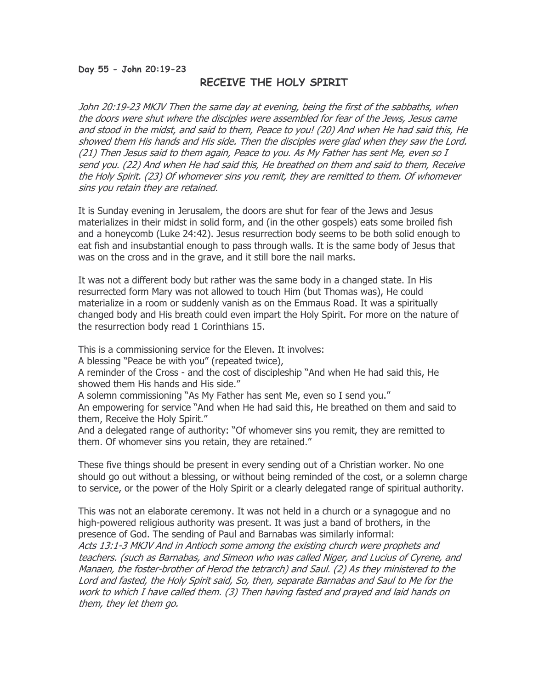### Day 55 - John 20:19-23

# RECEIVE THE HOLY SPIRIT

John 20:19-23 MKJV Then the same day at evening, being the first of the sabbaths, when the doors were shut where the disciples were assembled for fear of the Jews, Jesus came and stood in the midst, and said to them, Peace to you! (20) And when He had said this, He showed them His hands and His side. Then the disciples were glad when they saw the Lord. (21) Then Jesus said to them again, Peace to you. As My Father has sent Me, even so I send you. (22) And when He had said this, He breathed on them and said to them, Receive the Holy Spirit. (23) Of whomever sins you remit, they are remitted to them. Of whomever sins you retain they are retained.

It is Sunday evening in Jerusalem, the doors are shut for fear of the Jews and Jesus materializes in their midst in solid form, and (in the other gospels) eats some broiled fish and a honeycomb (Luke 24:42). Jesus resurrection body seems to be both solid enough to eat fish and insubstantial enough to pass through walls. It is the same body of Jesus that was on the cross and in the grave, and it still bore the nail marks.

It was not a different body but rather was the same body in a changed state. In His resurrected form Mary was not allowed to touch Him (but Thomas was), He could materialize in a room or suddenly vanish as on the Emmaus Road. It was a spiritually changed body and His breath could even impart the Holy Spirit. For more on the nature of the resurrection body read 1 Corinthians 15.

This is a commissioning service for the Eleven. It involves:

A blessing "Peace be with you" (repeated twice),

A reminder of the Cross - and the cost of discipleship "And when He had said this, He showed them His hands and His side."

A solemn commissioning "As My Father has sent Me, even so I send you."

An empowering for service "And when He had said this, He breathed on them and said to them, Receive the Holy Spirit."

And a delegated range of authority: "Of whomever sins you remit, they are remitted to them. Of whomever sins you retain, they are retained."

These five things should be present in every sending out of a Christian worker. No one should go out without a blessing, or without being reminded of the cost, or a solemn charge to service, or the power of the Holy Spirit or a clearly delegated range of spiritual authority.

This was not an elaborate ceremony. It was not held in a church or a synagogue and no high-powered religious authority was present. It was just a band of brothers, in the presence of God. The sending of Paul and Barnabas was similarly informal:

Acts 13:1-3 MKJV And in Antioch some among the existing church were prophets and teachers. (such as Barnabas, and Simeon who was called Niger, and Lucius of Cyrene, and Manaen, the foster-brother of Herod the tetrarch) and Saul. (2) As they ministered to the Lord and fasted, the Holy Spirit said, So, then, separate Barnabas and Saul to Me for the work to which I have called them. (3) Then having fasted and prayed and laid hands on them, they let them go.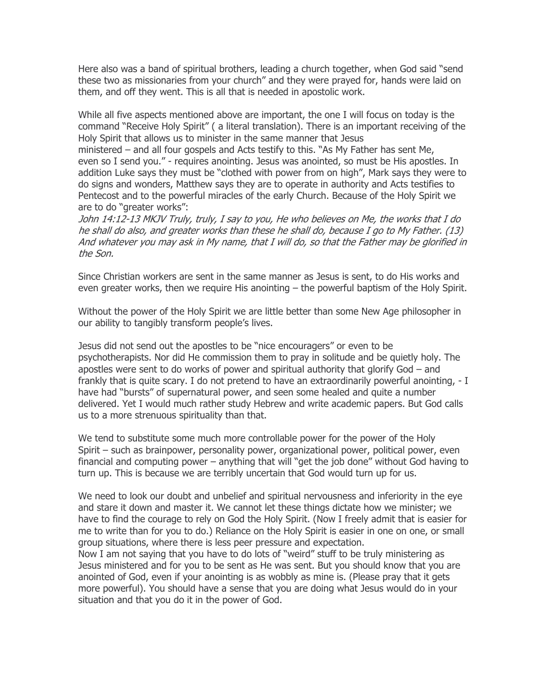Here also was a band of spiritual brothers, leading a church together, when God said "send these two as missionaries from your church" and they were prayed for, hands were laid on them, and off they went. This is all that is needed in apostolic work.

While all five aspects mentioned above are important, the one I will focus on today is the command "Receive Holy Spirit" ( a literal translation). There is an important receiving of the Holy Spirit that allows us to minister in the same manner that Jesus

ministered – and all four gospels and Acts testify to this. "As My Father has sent Me, even so I send you." - requires anointing. Jesus was anointed, so must be His apostles. In addition Luke says they must be "clothed with power from on high", Mark says they were to do signs and wonders, Matthew says they are to operate in authority and Acts testifies to Pentecost and to the powerful miracles of the early Church. Because of the Holy Spirit we are to do "greater works":

John 14:12-13 MKJV Truly, truly, I say to you, He who believes on Me, the works that I do he shall do also, and greater works than these he shall do, because I go to My Father. (13) And whatever you may ask in My name, that I will do, so that the Father may be glorified in the Son.

Since Christian workers are sent in the same manner as Jesus is sent, to do His works and even greater works, then we require His anointing – the powerful baptism of the Holy Spirit.

Without the power of the Holy Spirit we are little better than some New Age philosopher in our ability to tangibly transform people's lives.

Jesus did not send out the apostles to be "nice encouragers" or even to be psychotherapists. Nor did He commission them to pray in solitude and be quietly holy. The apostles were sent to do works of power and spiritual authority that glorify God – and frankly that is quite scary. I do not pretend to have an extraordinarily powerful anointing, - I have had "bursts" of supernatural power, and seen some healed and quite a number delivered. Yet I would much rather study Hebrew and write academic papers. But God calls us to a more strenuous spirituality than that.

We tend to substitute some much more controllable power for the power of the Holy Spirit – such as brainpower, personality power, organizational power, political power, even financial and computing power – anything that will "get the job done" without God having to turn up. This is because we are terribly uncertain that God would turn up for us.

We need to look our doubt and unbelief and spiritual nervousness and inferiority in the eye and stare it down and master it. We cannot let these things dictate how we minister; we have to find the courage to rely on God the Holy Spirit. (Now I freely admit that is easier for me to write than for you to do.) Reliance on the Holy Spirit is easier in one on one, or small group situations, where there is less peer pressure and expectation.

Now I am not saying that you have to do lots of "weird" stuff to be truly ministering as Jesus ministered and for you to be sent as He was sent. But you should know that you are anointed of God, even if your anointing is as wobbly as mine is. (Please pray that it gets more powerful). You should have a sense that you are doing what Jesus would do in your situation and that you do it in the power of God.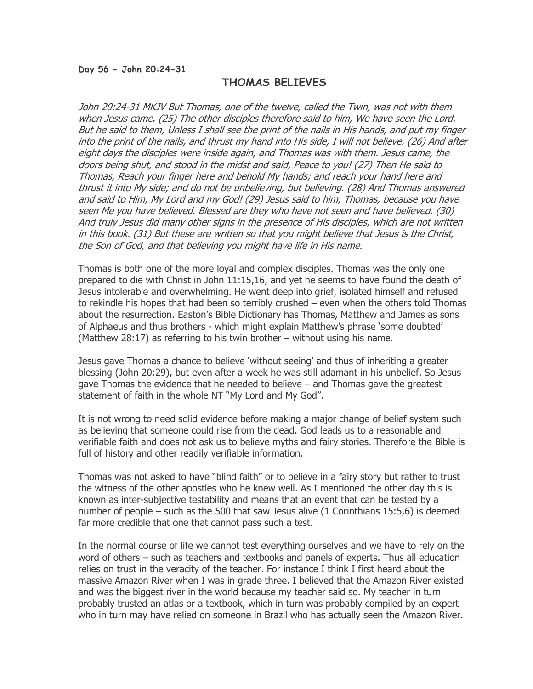#### Day 56 - John 20:24-31

## THOMAS BELIEVES

John 20:24-31 MKJV But Thomas, one of the twelve, called the Twin, was not with them when Jesus came. (25) The other disciples therefore said to him, We have seen the Lord. But he said to them, Unless I shall see the print of the nails in His hands, and put my finger into the print of the nails, and thrust my hand into His side, I will not believe. (26) And after eight days the disciples were inside again, and Thomas was with them. Jesus came, the doors being shut, and stood in the midst and said, Peace to you! (27) Then He said to Thomas, Reach your finger here and behold My hands; and reach your hand here and thrust it into My side; and do not be unbelieving, but believing. (28) And Thomas answered and said to Him, My Lord and my God! (29) Jesus said to him, Thomas, because you have seen Me you have believed. Blessed are they who have not seen and have believed. (30) And truly Jesus did many other signs in the presence of His disciples, which are not written in this book. (31) But these are written so that you might believe that Jesus is the Christ, the Son of God, and that believing you might have life in His name.

Thomas is both one of the more loyal and complex disciples. Thomas was the only one prepared to die with Christ in John 11:15,16, and yet he seems to have found the death of Jesus intolerable and overwhelming. He went deep into grief, isolated himself and refused to rekindle his hopes that had been so terribly crushed – even when the others told Thomas about the resurrection. Easton's Bible Dictionary has Thomas, Matthew and James as sons of Alphaeus and thus brothers - which might explain Matthew's phrase 'some doubted' (Matthew 28:17) as referring to his twin brother – without using his name.

Jesus gave Thomas a chance to believe 'without seeing' and thus of inheriting a greater blessing (John 20:29), but even after a week he was still adamant in his unbelief. So Jesus gave Thomas the evidence that he needed to believe – and Thomas gave the greatest statement of faith in the whole NT "My Lord and My God".

It is not wrong to need solid evidence before making a major change of belief system such as believing that someone could rise from the dead. God leads us to a reasonable and verifiable faith and does not ask us to believe myths and fairy stories. Therefore the Bible is full of history and other readily verifiable information.

Thomas was not asked to have "blind faith" or to believe in a fairy story but rather to trust the witness of the other apostles who he knew well. As I mentioned the other day this is known as inter-subjective testability and means that an event that can be tested by a number of people – such as the 500 that saw Jesus alive (1 Corinthians 15:5,6) is deemed far more credible that one that cannot pass such a test.

In the normal course of life we cannot test everything ourselves and we have to rely on the word of others – such as teachers and textbooks and panels of experts. Thus all education relies on trust in the veracity of the teacher. For instance I think I first heard about the massive Amazon River when I was in grade three. I believed that the Amazon River existed and was the biggest river in the world because my teacher said so. My teacher in turn probably trusted an atlas or a textbook, which in turn was probably compiled by an expert who in turn may have relied on someone in Brazil who has actually seen the Amazon River.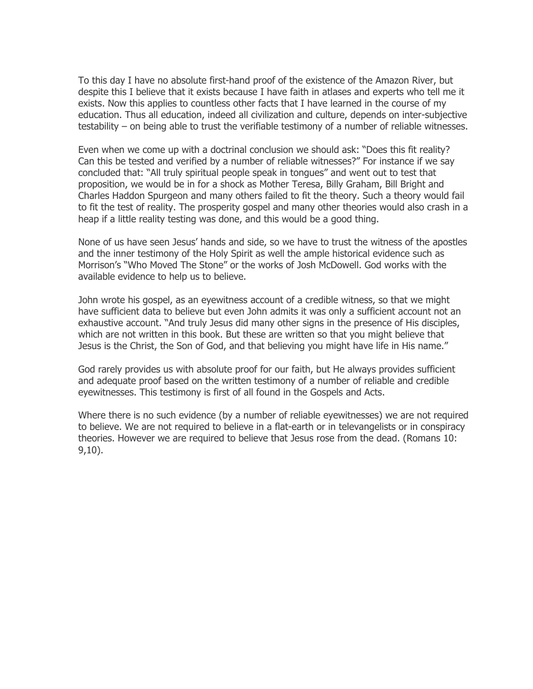To this day I have no absolute first-hand proof of the existence of the Amazon River, but despite this I believe that it exists because I have faith in atlases and experts who tell me it exists. Now this applies to countless other facts that I have learned in the course of my education. Thus all education, indeed all civilization and culture, depends on inter-subjective testability – on being able to trust the verifiable testimony of a number of reliable witnesses.

Even when we come up with a doctrinal conclusion we should ask: "Does this fit reality? Can this be tested and verified by a number of reliable witnesses?" For instance if we say concluded that: "All truly spiritual people speak in tongues" and went out to test that proposition, we would be in for a shock as Mother Teresa, Billy Graham, Bill Bright and Charles Haddon Spurgeon and many others failed to fit the theory. Such a theory would fail to fit the test of reality. The prosperity gospel and many other theories would also crash in a heap if a little reality testing was done, and this would be a good thing.

None of us have seen Jesus' hands and side, so we have to trust the witness of the apostles and the inner testimony of the Holy Spirit as well the ample historical evidence such as Morrison's "Who Moved The Stone" or the works of Josh McDowell. God works with the available evidence to help us to believe.

John wrote his gospel, as an eyewitness account of a credible witness, so that we might have sufficient data to believe but even John admits it was only a sufficient account not an exhaustive account. "And truly Jesus did many other signs in the presence of His disciples, which are not written in this book. But these are written so that you might believe that Jesus is the Christ, the Son of God, and that believing you might have life in His name."

God rarely provides us with absolute proof for our faith, but He always provides sufficient and adequate proof based on the written testimony of a number of reliable and credible eyewitnesses. This testimony is first of all found in the Gospels and Acts.

Where there is no such evidence (by a number of reliable eyewitnesses) we are not required to believe. We are not required to believe in a flat-earth or in televangelists or in conspiracy theories. However we are required to believe that Jesus rose from the dead. (Romans 10: 9,10).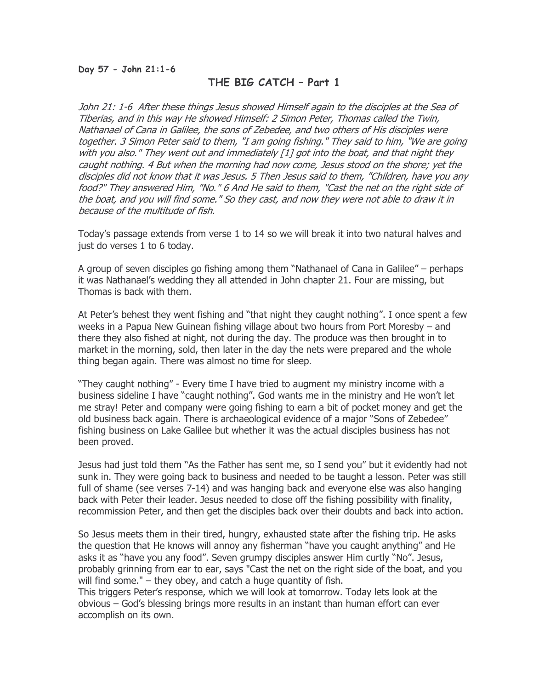# THE BIG CATCH – Part 1

John 21: 1-6 After these things Jesus showed Himself again to the disciples at the Sea of Tiberias, and in this way He showed Himself: 2 Simon Peter, Thomas called the Twin, Nathanael of Cana in Galilee, the sons of Zebedee, and two others of His disciples were together. 3 Simon Peter said to them, "I am going fishing." They said to him, "We are going with you also." They went out and immediately [1] got into the boat, and that night they caught nothing. 4 But when the morning had now come, Jesus stood on the shore; yet the disciples did not know that it was Jesus. 5 Then Jesus said to them, "Children, have you any food?" They answered Him, "No." 6 And He said to them, "Cast the net on the right side of the boat, and you will find some." So they cast, and now they were not able to draw it in because of the multitude of fish.

Today's passage extends from verse 1 to 14 so we will break it into two natural halves and just do verses 1 to 6 today.

A group of seven disciples go fishing among them "Nathanael of Cana in Galilee" – perhaps it was Nathanael's wedding they all attended in John chapter 21. Four are missing, but Thomas is back with them.

At Peter's behest they went fishing and "that night they caught nothing". I once spent a few weeks in a Papua New Guinean fishing village about two hours from Port Moresby – and there they also fished at night, not during the day. The produce was then brought in to market in the morning, sold, then later in the day the nets were prepared and the whole thing began again. There was almost no time for sleep.

"They caught nothing" - Every time I have tried to augment my ministry income with a business sideline I have "caught nothing". God wants me in the ministry and He won't let me stray! Peter and company were going fishing to earn a bit of pocket money and get the old business back again. There is archaeological evidence of a major "Sons of Zebedee" fishing business on Lake Galilee but whether it was the actual disciples business has not been proved.

Jesus had just told them "As the Father has sent me, so I send you" but it evidently had not sunk in. They were going back to business and needed to be taught a lesson. Peter was still full of shame (see verses 7-14) and was hanging back and everyone else was also hanging back with Peter their leader. Jesus needed to close off the fishing possibility with finality, recommission Peter, and then get the disciples back over their doubts and back into action.

So Jesus meets them in their tired, hungry, exhausted state after the fishing trip. He asks the question that He knows will annoy any fisherman "have you caught anything" and He asks it as "have you any food". Seven grumpy disciples answer Him curtly "No". Jesus, probably grinning from ear to ear, says "Cast the net on the right side of the boat, and you will find some." – they obey, and catch a huge quantity of fish.

This triggers Peter's response, which we will look at tomorrow. Today lets look at the obvious – God's blessing brings more results in an instant than human effort can ever accomplish on its own.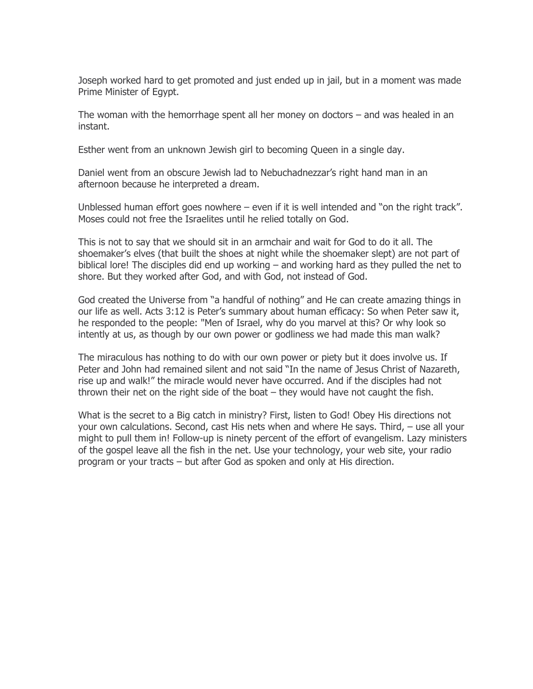Joseph worked hard to get promoted and just ended up in jail, but in a moment was made Prime Minister of Egypt.

The woman with the hemorrhage spent all her money on doctors – and was healed in an instant.

Esther went from an unknown Jewish girl to becoming Queen in a single day.

Daniel went from an obscure Jewish lad to Nebuchadnezzar's right hand man in an afternoon because he interpreted a dream.

Unblessed human effort goes nowhere – even if it is well intended and "on the right track". Moses could not free the Israelites until he relied totally on God.

This is not to say that we should sit in an armchair and wait for God to do it all. The shoemaker's elves (that built the shoes at night while the shoemaker slept) are not part of biblical lore! The disciples did end up working – and working hard as they pulled the net to shore. But they worked after God, and with God, not instead of God.

God created the Universe from "a handful of nothing" and He can create amazing things in our life as well. Acts 3:12 is Peter's summary about human efficacy: So when Peter saw it, he responded to the people: "Men of Israel, why do you marvel at this? Or why look so intently at us, as though by our own power or godliness we had made this man walk?

The miraculous has nothing to do with our own power or piety but it does involve us. If Peter and John had remained silent and not said "In the name of Jesus Christ of Nazareth, rise up and walk!" the miracle would never have occurred. And if the disciples had not thrown their net on the right side of the boat – they would have not caught the fish.

What is the secret to a Big catch in ministry? First, listen to God! Obey His directions not your own calculations. Second, cast His nets when and where He says. Third, – use all your might to pull them in! Follow-up is ninety percent of the effort of evangelism. Lazy ministers of the gospel leave all the fish in the net. Use your technology, your web site, your radio program or your tracts – but after God as spoken and only at His direction.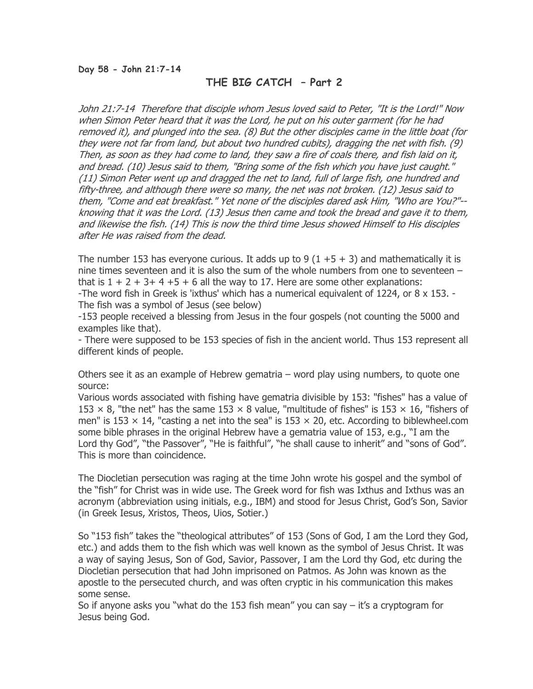# THE BIG CATCH – Part 2

John 21:7-14 Therefore that disciple whom Jesus loved said to Peter, "It is the Lord!" Now when Simon Peter heard that it was the Lord, he put on his outer garment (for he had removed it), and plunged into the sea. (8) But the other disciples came in the little boat (for they were not far from land, but about two hundred cubits), dragging the net with fish. (9) Then, as soon as they had come to land, they saw a fire of coals there, and fish laid on it, and bread. (10) Jesus said to them, "Bring some of the fish which you have just caught." (11) Simon Peter went up and dragged the net to land, full of large fish, one hundred and fifty-three, and although there were so many, the net was not broken. (12) Jesus said to them, "Come and eat breakfast." Yet none of the disciples dared ask Him, "Who are You?"- knowing that it was the Lord. (13) Jesus then came and took the bread and gave it to them, and likewise the fish. (14) This is now the third time Jesus showed Himself to His disciples after He was raised from the dead.

The number 153 has everyone curious. It adds up to 9  $(1 + 5 + 3)$  and mathematically it is nine times seventeen and it is also the sum of the whole numbers from one to seventeen – that is  $1 + 2 + 3 + 4 + 5 + 6$  all the way to 17. Here are some other explanations:

-The word fish in Greek is 'ixthus' which has a numerical equivalent of 1224, or 8 x 153. - The fish was a symbol of Jesus (see below)

-153 people received a blessing from Jesus in the four gospels (not counting the 5000 and examples like that).

- There were supposed to be 153 species of fish in the ancient world. Thus 153 represent all different kinds of people.

Others see it as an example of Hebrew gematria – word play using numbers, to quote one source:

Various words associated with fishing have gematria divisible by 153: "fishes" has a value of 153  $\times$  8, "the net" has the same 153  $\times$  8 value, "multitude of fishes" is 153  $\times$  16, "fishers of men" is 153  $\times$  14, "casting a net into the sea" is 153  $\times$  20, etc. According to biblewheel.com some bible phrases in the original Hebrew have a gematria value of 153, e.g., "I am the Lord thy God", "the Passover", "He is faithful", "he shall cause to inherit" and "sons of God". This is more than coincidence.

The Diocletian persecution was raging at the time John wrote his gospel and the symbol of the "fish" for Christ was in wide use. The Greek word for fish was Ixthus and Ixthus was an acronym (abbreviation using initials, e.g., IBM) and stood for Jesus Christ, God's Son, Savior (in Greek Iesus, Xristos, Theos, Uios, Sotier.)

So "153 fish" takes the "theological attributes" of 153 (Sons of God, I am the Lord they God, etc.) and adds them to the fish which was well known as the symbol of Jesus Christ. It was a way of saying Jesus, Son of God, Savior, Passover, I am the Lord thy God, etc during the Diocletian persecution that had John imprisoned on Patmos. As John was known as the apostle to the persecuted church, and was often cryptic in his communication this makes some sense.

So if anyone asks you "what do the 153 fish mean" you can say  $-$  it's a cryptogram for Jesus being God.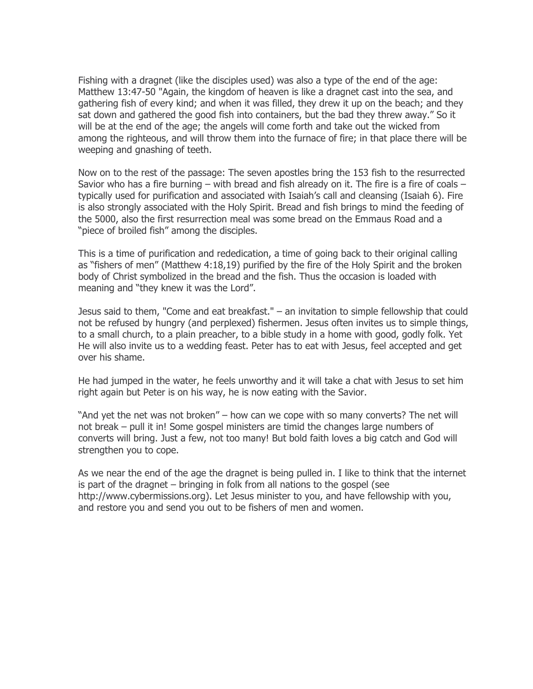Fishing with a dragnet (like the disciples used) was also a type of the end of the age: Matthew 13:47-50 "Again, the kingdom of heaven is like a dragnet cast into the sea, and gathering fish of every kind; and when it was filled, they drew it up on the beach; and they sat down and gathered the good fish into containers, but the bad they threw away." So it will be at the end of the age; the angels will come forth and take out the wicked from among the righteous, and will throw them into the furnace of fire; in that place there will be weeping and gnashing of teeth.

Now on to the rest of the passage: The seven apostles bring the 153 fish to the resurrected Savior who has a fire burning  $-$  with bread and fish already on it. The fire is a fire of coals  $$ typically used for purification and associated with Isaiah's call and cleansing (Isaiah 6). Fire is also strongly associated with the Holy Spirit. Bread and fish brings to mind the feeding of the 5000, also the first resurrection meal was some bread on the Emmaus Road and a "piece of broiled fish" among the disciples.

This is a time of purification and rededication, a time of going back to their original calling as "fishers of men" (Matthew 4:18,19) purified by the fire of the Holy Spirit and the broken body of Christ symbolized in the bread and the fish. Thus the occasion is loaded with meaning and "they knew it was the Lord".

Jesus said to them, "Come and eat breakfast." – an invitation to simple fellowship that could not be refused by hungry (and perplexed) fishermen. Jesus often invites us to simple things, to a small church, to a plain preacher, to a bible study in a home with good, godly folk. Yet He will also invite us to a wedding feast. Peter has to eat with Jesus, feel accepted and get over his shame.

He had jumped in the water, he feels unworthy and it will take a chat with Jesus to set him right again but Peter is on his way, he is now eating with the Savior.

"And yet the net was not broken" – how can we cope with so many converts? The net will not break – pull it in! Some gospel ministers are timid the changes large numbers of converts will bring. Just a few, not too many! But bold faith loves a big catch and God will strengthen you to cope.

As we near the end of the age the dragnet is being pulled in. I like to think that the internet is part of the dragnet – bringing in folk from all nations to the gospel (see http://www.cybermissions.org). Let Jesus minister to you, and have fellowship with you, and restore you and send you out to be fishers of men and women.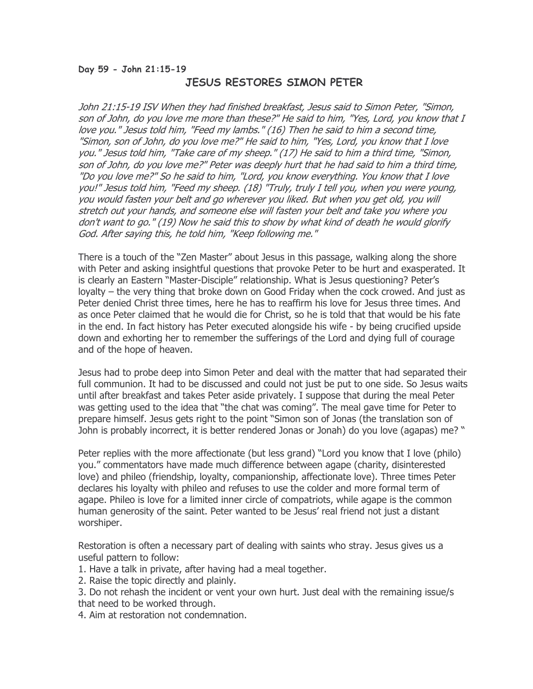### Day 59 - John 21:15-19

# JESUS RESTORES SIMON PETER

John 21:15-19 ISV When they had finished breakfast, Jesus said to Simon Peter, "Simon, son of John, do you love me more than these?" He said to him, "Yes, Lord, you know that I love you." Jesus told him, "Feed my lambs." (16) Then he said to him a second time, "Simon, son of John, do you love me?" He said to him, "Yes, Lord, you know that I love you." Jesus told him, "Take care of my sheep." (17) He said to him a third time, "Simon, son of John, do you love me?" Peter was deeply hurt that he had said to him a third time, "Do you love me?" So he said to him, "Lord, you know everything. You know that I love you!" Jesus told him, "Feed my sheep. (18) "Truly, truly I tell you, when you were young, you would fasten your belt and go wherever you liked. But when you get old, you will stretch out your hands, and someone else will fasten your belt and take you where you don't want to go." (19) Now he said this to show by what kind of death he would glorify God. After saying this, he told him, "Keep following me."

There is a touch of the "Zen Master" about Jesus in this passage, walking along the shore with Peter and asking insightful questions that provoke Peter to be hurt and exasperated. It is clearly an Eastern "Master-Disciple" relationship. What is Jesus questioning? Peter's loyalty – the very thing that broke down on Good Friday when the cock crowed. And just as Peter denied Christ three times, here he has to reaffirm his love for Jesus three times. And as once Peter claimed that he would die for Christ, so he is told that that would be his fate in the end. In fact history has Peter executed alongside his wife - by being crucified upside down and exhorting her to remember the sufferings of the Lord and dying full of courage and of the hope of heaven.

Jesus had to probe deep into Simon Peter and deal with the matter that had separated their full communion. It had to be discussed and could not just be put to one side. So Jesus waits until after breakfast and takes Peter aside privately. I suppose that during the meal Peter was getting used to the idea that "the chat was coming". The meal gave time for Peter to prepare himself. Jesus gets right to the point "Simon son of Jonas (the translation son of John is probably incorrect, it is better rendered Jonas or Jonah) do you love (agapas) me? "

Peter replies with the more affectionate (but less grand) "Lord you know that I love (philo) you." commentators have made much difference between agape (charity, disinterested love) and phileo (friendship, loyalty, companionship, affectionate love). Three times Peter declares his loyalty with phileo and refuses to use the colder and more formal term of agape. Phileo is love for a limited inner circle of compatriots, while agape is the common human generosity of the saint. Peter wanted to be Jesus' real friend not just a distant worshiper.

Restoration is often a necessary part of dealing with saints who stray. Jesus gives us a useful pattern to follow:

1. Have a talk in private, after having had a meal together.

2. Raise the topic directly and plainly.

3. Do not rehash the incident or vent your own hurt. Just deal with the remaining issue/s that need to be worked through.

4. Aim at restoration not condemnation.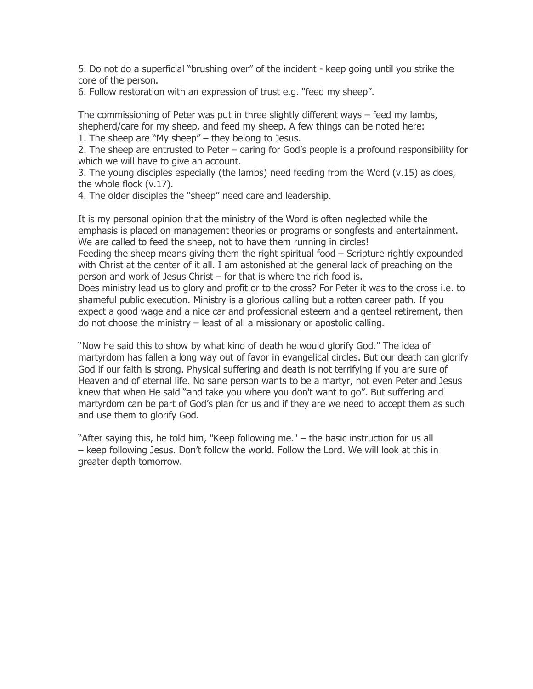5. Do not do a superficial "brushing over" of the incident - keep going until you strike the core of the person.

6. Follow restoration with an expression of trust e.g. "feed my sheep".

The commissioning of Peter was put in three slightly different ways – feed my lambs, shepherd/care for my sheep, and feed my sheep. A few things can be noted here:

1. The sheep are "My sheep" – they belong to Jesus.

2. The sheep are entrusted to Peter – caring for God's people is a profound responsibility for which we will have to give an account.

3. The young disciples especially (the lambs) need feeding from the Word (v.15) as does, the whole flock (v.17).

4. The older disciples the "sheep" need care and leadership.

It is my personal opinion that the ministry of the Word is often neglected while the emphasis is placed on management theories or programs or songfests and entertainment. We are called to feed the sheep, not to have them running in circles! Feeding the sheep means giving them the right spiritual food – Scripture rightly expounded with Christ at the center of it all. I am astonished at the general lack of preaching on the person and work of Jesus Christ – for that is where the rich food is. Does ministry lead us to glory and profit or to the cross? For Peter it was to the cross i.e. to shameful public execution. Ministry is a glorious calling but a rotten career path. If you expect a good wage and a nice car and professional esteem and a genteel retirement, then do not choose the ministry – least of all a missionary or apostolic calling.

"Now he said this to show by what kind of death he would glorify God." The idea of martyrdom has fallen a long way out of favor in evangelical circles. But our death can glorify God if our faith is strong. Physical suffering and death is not terrifying if you are sure of Heaven and of eternal life. No sane person wants to be a martyr, not even Peter and Jesus knew that when He said "and take you where you don't want to go". But suffering and martyrdom can be part of God's plan for us and if they are we need to accept them as such and use them to glorify God.

"After saying this, he told him, "Keep following me." – the basic instruction for us all – keep following Jesus. Don't follow the world. Follow the Lord. We will look at this in greater depth tomorrow.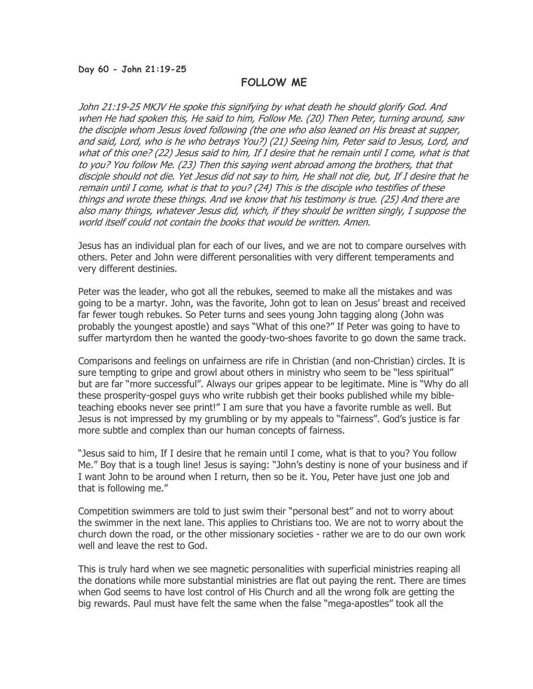#### Day 60 - John 21:19-25

# FOLLOW ME

John 21:19-25 MKJV He spoke this signifying by what death he should glorify God. And when He had spoken this, He said to him, Follow Me. (20) Then Peter, turning around, saw the disciple whom Jesus loved following (the one who also leaned on His breast at supper, and said, Lord, who is he who betrays You?) (21) Seeing him, Peter said to Jesus, Lord, and what of this one? (22) Jesus said to him, If I desire that he remain until I come, what is that to you? You follow Me. (23) Then this saying went abroad among the brothers, that that disciple should not die. Yet Jesus did not say to him, He shall not die, but, If I desire that he remain until I come, what is that to you? (24) This is the disciple who testifies of these things and wrote these things. And we know that his testimony is true. (25) And there are also many things, whatever Jesus did, which, if they should be written singly, I suppose the world itself could not contain the books that would be written. Amen.

Jesus has an individual plan for each of our lives, and we are not to compare ourselves with others. Peter and John were different personalities with very different temperaments and very different destinies.

Peter was the leader, who got all the rebukes, seemed to make all the mistakes and was going to be a martyr. John, was the favorite, John got to lean on Jesus' breast and received far fewer tough rebukes. So Peter turns and sees young John tagging along (John was probably the youngest apostle) and says "What of this one?" If Peter was going to have to suffer martyrdom then he wanted the goody-two-shoes favorite to go down the same track.

Comparisons and feelings on unfairness are rife in Christian (and non-Christian) circles. It is sure tempting to gripe and growl about others in ministry who seem to be "less spiritual" but are far "more successful". Always our gripes appear to be legitimate. Mine is "Why do all these prosperity-gospel guys who write rubbish get their books published while my bibleteaching ebooks never see print!" I am sure that you have a favorite rumble as well. But Jesus is not impressed by my grumbling or by my appeals to "fairness". God's justice is far more subtle and complex than our human concepts of fairness.

"Jesus said to him, If I desire that he remain until I come, what is that to you? You follow Me." Boy that is a tough line! Jesus is saying: "John's destiny is none of your business and if I want John to be around when I return, then so be it. You, Peter have just one job and that is following me."

Competition swimmers are told to just swim their "personal best" and not to worry about the swimmer in the next lane. This applies to Christians too. We are not to worry about the church down the road, or the other missionary societies - rather we are to do our own work well and leave the rest to God.

This is truly hard when we see magnetic personalities with superficial ministries reaping all the donations while more substantial ministries are flat out paying the rent. There are times when God seems to have lost control of His Church and all the wrong folk are getting the big rewards. Paul must have felt the same when the false "mega-apostles" took all the